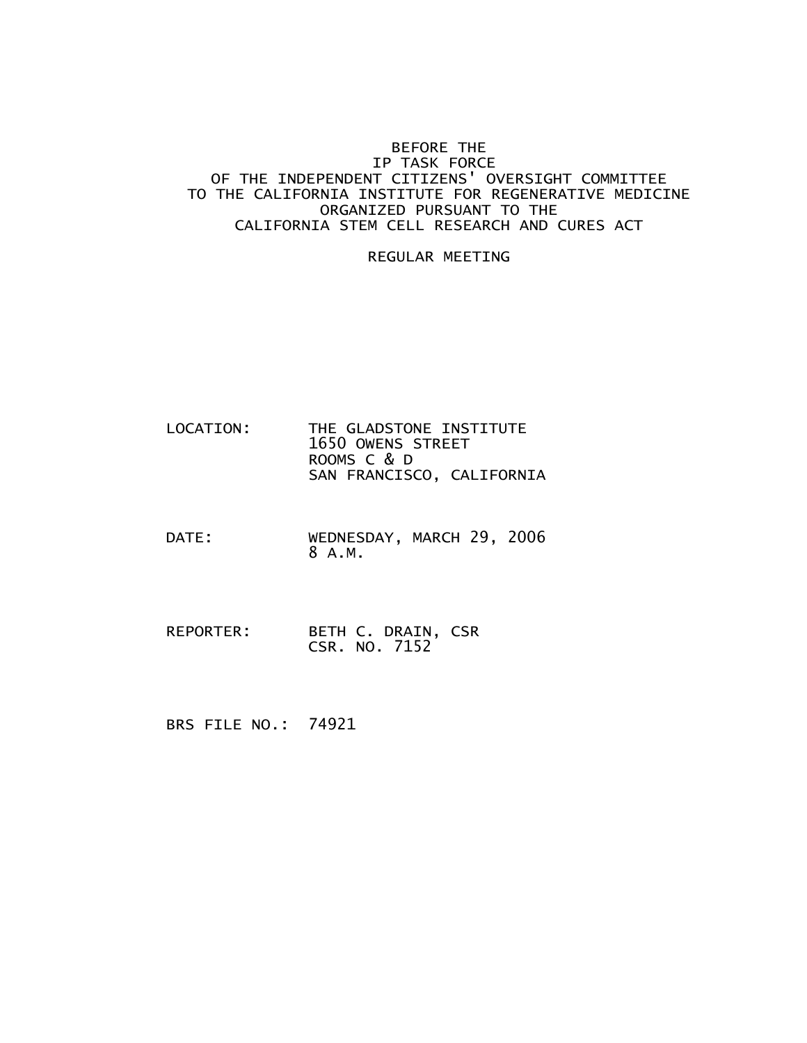## BEFORE THE IP TASK FORCE OF THE INDEPENDENT CITIZENS' OVERSIGHT COMMITTEE TO THE CALIFORNIA INSTITUTE FOR REGENERATIVE MEDICINE ORGANIZED PURSUANT TO THE CALIFORNIA STEM CELL RESEARCH AND CURES ACT

## REGULAR MEETING

- LOCATION: THE GLADSTONE INSTITUTE 1650 OWENS STREET ROOMS C & D SAN FRANCISCO, CALIFORNIA
- DATE: WEDNESDAY, MARCH 29, 2006 8 A.M.
- REPORTER: BETH C. DRAIN, CSR CSR. NO. 7152

BRS FILE NO.: 74921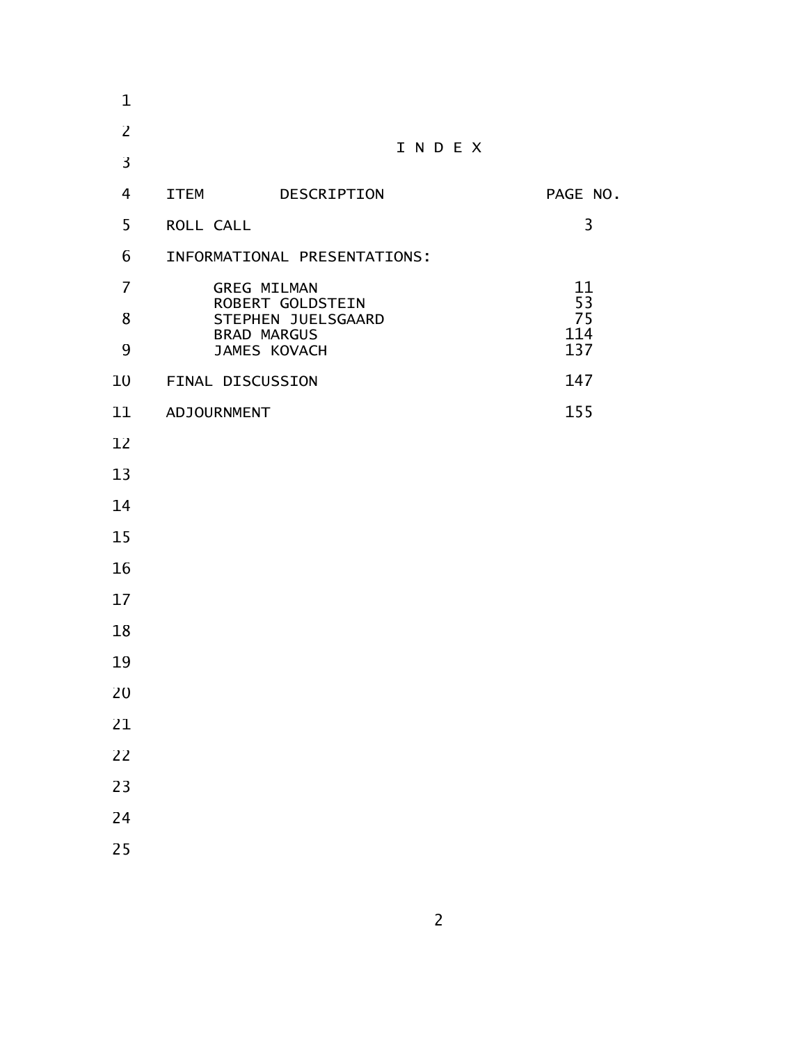| $\mathbf 1$    |                                                              |                    |           |
|----------------|--------------------------------------------------------------|--------------------|-----------|
| $\overline{2}$ |                                                              |                    |           |
| 3              | INDEX                                                        |                    |           |
| $\overline{4}$ |                                                              | ITEM DESCRIPTION   | PAGE NO.  |
| 5              | ROLL CALL                                                    |                    | 3         |
| 6              | INFORMATIONAL PRESENTATIONS:                                 |                    |           |
| $\overline{7}$ |                                                              | <b>GREG MILMAN</b> | 11<br>53  |
| 8              | ROBERT GOLDSTEIN<br>STEPHEN JUELSGAARD<br><b>BRAD MARGUS</b> |                    | 75<br>114 |
| 9              |                                                              | JAMES KOVACH       | 137       |
| 10             | FINAL DISCUSSION                                             |                    | 147       |
| 11             | <b>ADJOURNMENT</b>                                           |                    | 155       |
| 12             |                                                              |                    |           |
| 13             |                                                              |                    |           |
| 14             |                                                              |                    |           |
| 15             |                                                              |                    |           |
| 16             |                                                              |                    |           |
| 17             |                                                              |                    |           |
| 18             |                                                              |                    |           |
| 19             |                                                              |                    |           |
| 20             |                                                              |                    |           |
| 21             |                                                              |                    |           |
| 22             |                                                              |                    |           |
| 23             |                                                              |                    |           |
| 24             |                                                              |                    |           |
| 25             |                                                              |                    |           |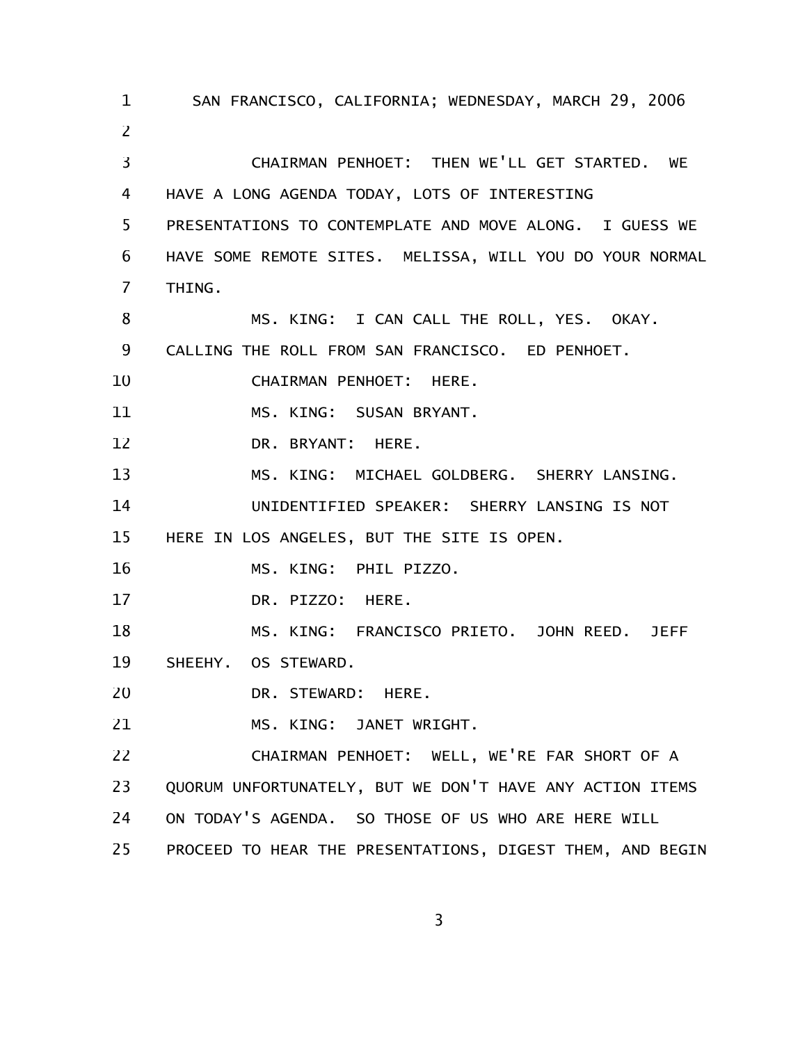SAN FRANCISCO, CALIFORNIA; WEDNESDAY, MARCH 29, 2006 CHAIRMAN PENHOET: THEN WE'LL GET STARTED. WE HAVE A LONG AGENDA TODAY, LOTS OF INTERESTING PRESENTATIONS TO CONTEMPLATE AND MOVE ALONG. I GUESS WE HAVE SOME REMOTE SITES. MELISSA, WILL YOU DO YOUR NORMAL THING. MS. KING: I CAN CALL THE ROLL, YES. OKAY. CALLING THE ROLL FROM SAN FRANCISCO. ED PENHOET. CHAIRMAN PENHOET: HERE. MS. KING: SUSAN BRYANT. DR. BRYANT: HERE. MS. KING: MICHAEL GOLDBERG. SHERRY LANSING. UNIDENTIFIED SPEAKER: SHERRY LANSING IS NOT HERE IN LOS ANGELES, BUT THE SITE IS OPEN. MS. KING: PHIL PIZZO. DR. PIZZO: HERE. MS. KING: FRANCISCO PRIETO. JOHN REED. JEFF SHEEHY. OS STEWARD. DR. STEWARD: HERE. MS. KING: JANET WRIGHT. CHAIRMAN PENHOET: WELL, WE'RE FAR SHORT OF A QUORUM UNFORTUNATELY, BUT WE DON'T HAVE ANY ACTION ITEMS ON TODAY'S AGENDA. SO THOSE OF US WHO ARE HERE WILL PROCEED TO HEAR THE PRESENTATIONS, DIGEST THEM, AND BEGIN 1 2 3 4 5 6 7 8 9 10 11 12 13 14 15 16 17 18 19 20 21 22 23 24 25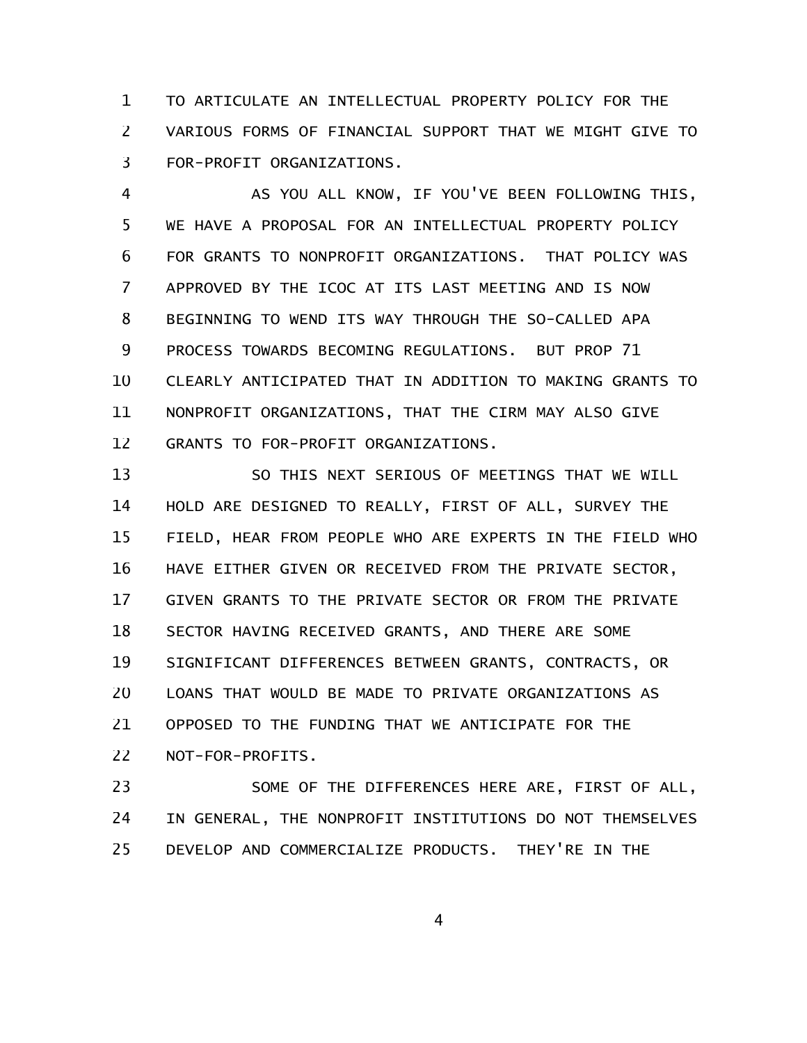TO ARTICULATE AN INTELLECTUAL PROPERTY POLICY FOR THE VARIOUS FORMS OF FINANCIAL SUPPORT THAT WE MIGHT GIVE TO FOR-PROFIT ORGANIZATIONS. 1 2 3

AS YOU ALL KNOW, IF YOU'VE BEEN FOLLOWING THIS, WE HAVE A PROPOSAL FOR AN INTELLECTUAL PROPERTY POLICY FOR GRANTS TO NONPROFIT ORGANIZATIONS. THAT POLICY WAS APPROVED BY THE ICOC AT ITS LAST MEETING AND IS NOW BEGINNING TO WEND ITS WAY THROUGH THE SO-CALLED APA PROCESS TOWARDS BECOMING REGULATIONS. BUT PROP 71 CLEARLY ANTICIPATED THAT IN ADDITION TO MAKING GRANTS TO NONPROFIT ORGANIZATIONS, THAT THE CIRM MAY ALSO GIVE GRANTS TO FOR-PROFIT ORGANIZATIONS. 4 5 6 7 8 9 10 11 12

SO THIS NEXT SERIOUS OF MEETINGS THAT WE WILL HOLD ARE DESIGNED TO REALLY, FIRST OF ALL, SURVEY THE FIELD, HEAR FROM PEOPLE WHO ARE EXPERTS IN THE FIELD WHO HAVE EITHER GIVEN OR RECEIVED FROM THE PRIVATE SECTOR, GIVEN GRANTS TO THE PRIVATE SECTOR OR FROM THE PRIVATE SECTOR HAVING RECEIVED GRANTS, AND THERE ARE SOME SIGNIFICANT DIFFERENCES BETWEEN GRANTS, CONTRACTS, OR LOANS THAT WOULD BE MADE TO PRIVATE ORGANIZATIONS AS OPPOSED TO THE FUNDING THAT WE ANTICIPATE FOR THE NOT-FOR-PROFITS. 13 14 15 16 17 18 19 20 21 22

SOME OF THE DIFFERENCES HERE ARE, FIRST OF ALL, IN GENERAL, THE NONPROFIT INSTITUTIONS DO NOT THEMSELVES DEVELOP AND COMMERCIALIZE PRODUCTS. THEY'RE IN THE 23 24 25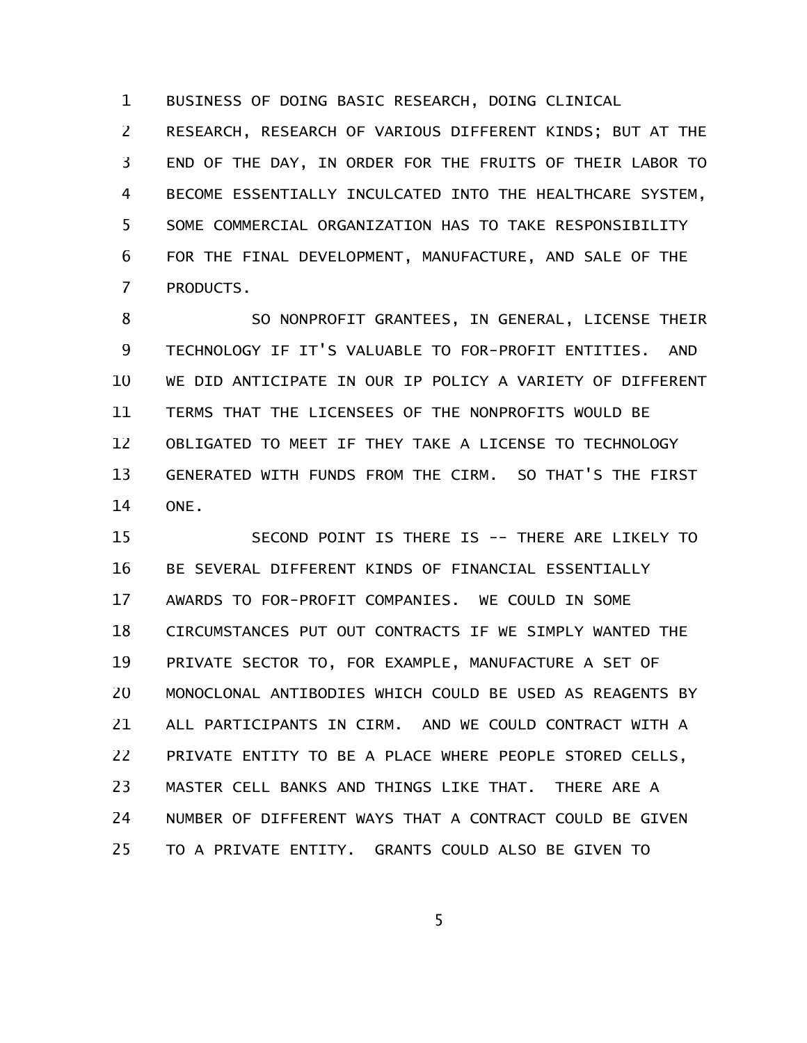BUSINESS OF DOING BASIC RESEARCH, DOING CLINICAL 1

RESEARCH, RESEARCH OF VARIOUS DIFFERENT KINDS; BUT AT THE END OF THE DAY, IN ORDER FOR THE FRUITS OF THEIR LABOR TO BECOME ESSENTIALLY INCULCATED INTO THE HEALTHCARE SYSTEM, SOME COMMERCIAL ORGANIZATION HAS TO TAKE RESPONSIBILITY FOR THE FINAL DEVELOPMENT, MANUFACTURE, AND SALE OF THE PRODUCTS. 2 3 4 5 6 7

SO NONPROFIT GRANTEES, IN GENERAL, LICENSE THEIR TECHNOLOGY IF IT'S VALUABLE TO FOR-PROFIT ENTITIES. AND WE DID ANTICIPATE IN OUR IP POLICY A VARIETY OF DIFFERENT TERMS THAT THE LICENSEES OF THE NONPROFITS WOULD BE OBLIGATED TO MEET IF THEY TAKE A LICENSE TO TECHNOLOGY GENERATED WITH FUNDS FROM THE CIRM. SO THAT'S THE FIRST ONE. 8 9 10 11 12 13 14

SECOND POINT IS THERE IS -- THERE ARE LIKELY TO BE SEVERAL DIFFERENT KINDS OF FINANCIAL ESSENTIALLY AWARDS TO FOR-PROFIT COMPANIES. WE COULD IN SOME CIRCUMSTANCES PUT OUT CONTRACTS IF WE SIMPLY WANTED THE PRIVATE SECTOR TO, FOR EXAMPLE, MANUFACTURE A SET OF MONOCLONAL ANTIBODIES WHICH COULD BE USED AS REAGENTS BY ALL PARTICIPANTS IN CIRM. AND WE COULD CONTRACT WITH A PRIVATE ENTITY TO BE A PLACE WHERE PEOPLE STORED CELLS, MASTER CELL BANKS AND THINGS LIKE THAT. THERE ARE A NUMBER OF DIFFERENT WAYS THAT A CONTRACT COULD BE GIVEN TO A PRIVATE ENTITY. GRANTS COULD ALSO BE GIVEN TO 15 16 17 18 19 20 21 22 23 24 25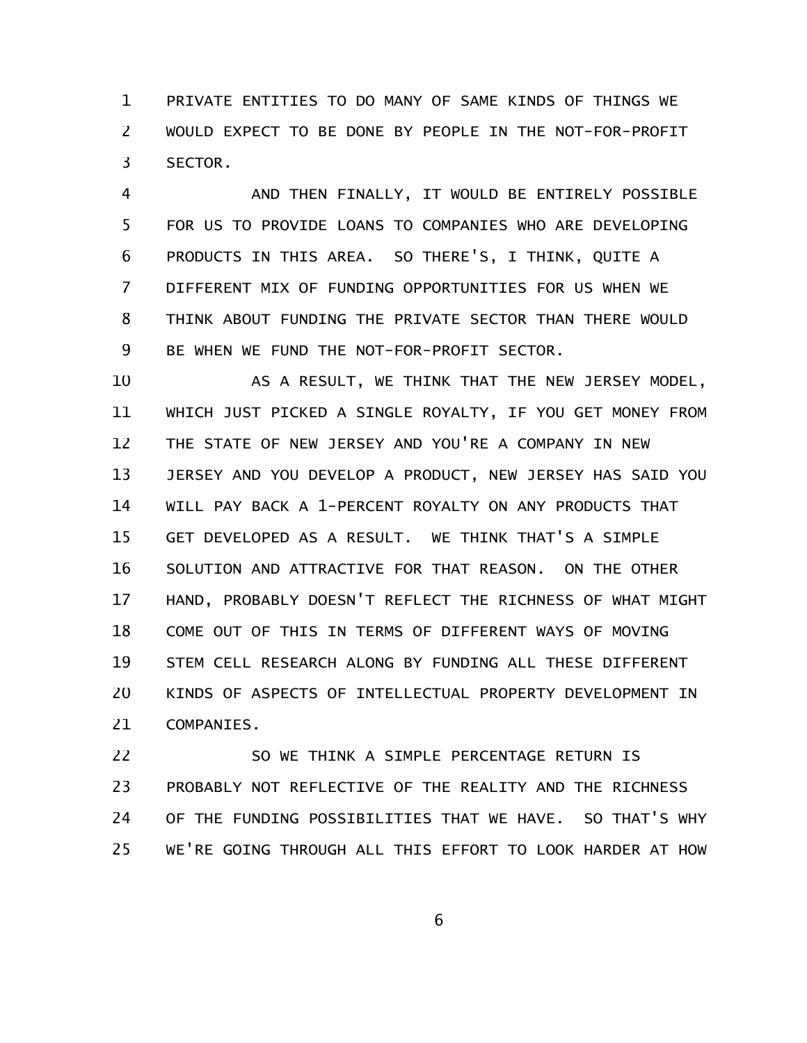PRIVATE ENTITIES TO DO MANY OF SAME KINDS OF THINGS WE WOULD EXPECT TO BE DONE BY PEOPLE IN THE NOT-FOR-PROFIT SECTOR. 1 2 3

AND THEN FINALLY, IT WOULD BE ENTIRELY POSSIBLE FOR US TO PROVIDE LOANS TO COMPANIES WHO ARE DEVELOPING PRODUCTS IN THIS AREA. SO THERE'S, I THINK, QUITE A DIFFERENT MIX OF FUNDING OPPORTUNITIES FOR US WHEN WE THINK ABOUT FUNDING THE PRIVATE SECTOR THAN THERE WOULD BE WHEN WE FUND THE NOT-FOR-PROFIT SECTOR. 4 5 6 7 8 9

AS A RESULT, WE THINK THAT THE NEW JERSEY MODEL, WHICH JUST PICKED A SINGLE ROYALTY, IF YOU GET MONEY FROM THE STATE OF NEW JERSEY AND YOU'RE A COMPANY IN NEW JERSEY AND YOU DEVELOP A PRODUCT, NEW JERSEY HAS SAID YOU WILL PAY BACK A 1-PERCENT ROYALTY ON ANY PRODUCTS THAT GET DEVELOPED AS A RESULT. WE THINK THAT'S A SIMPLE SOLUTION AND ATTRACTIVE FOR THAT REASON. ON THE OTHER HAND, PROBABLY DOESN'T REFLECT THE RICHNESS OF WHAT MIGHT COME OUT OF THIS IN TERMS OF DIFFERENT WAYS OF MOVING STEM CELL RESEARCH ALONG BY FUNDING ALL THESE DIFFERENT KINDS OF ASPECTS OF INTELLECTUAL PROPERTY DEVELOPMENT IN COMPANIES. 10 11 12 13 14 15 16 17 18 19 20 21

SO WE THINK A SIMPLE PERCENTAGE RETURN IS PROBABLY NOT REFLECTIVE OF THE REALITY AND THE RICHNESS OF THE FUNDING POSSIBILITIES THAT WE HAVE. SO THAT'S WHY WE'RE GOING THROUGH ALL THIS EFFORT TO LOOK HARDER AT HOW 22 23 24 25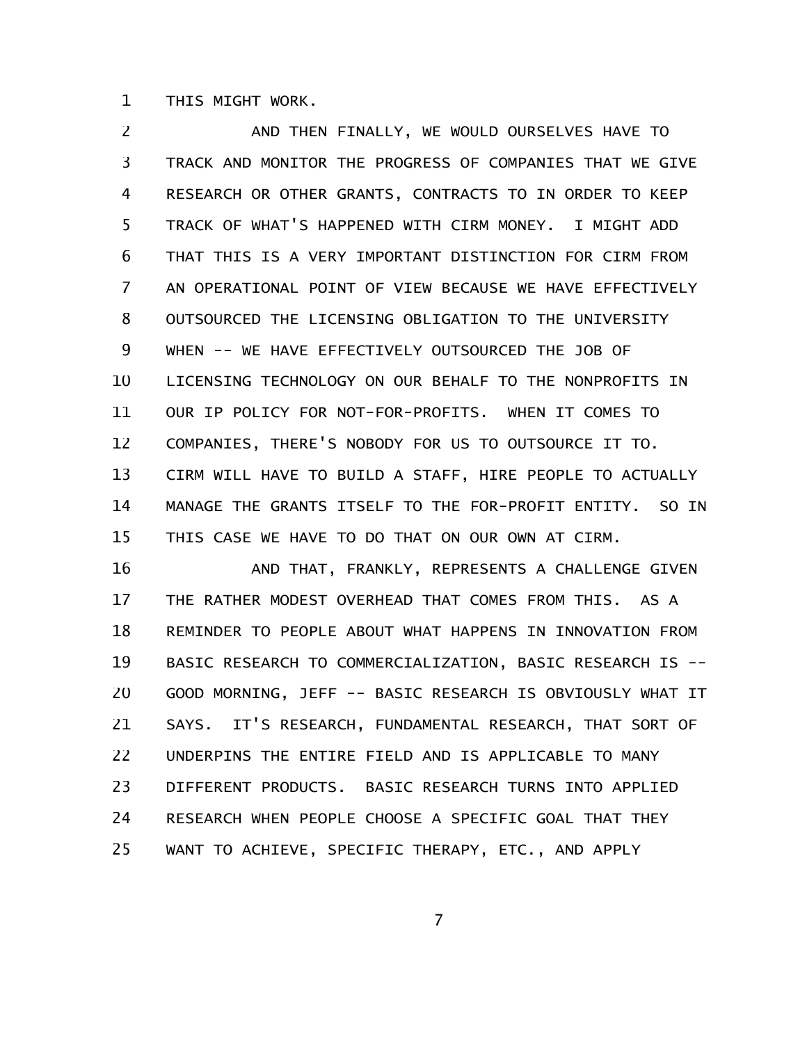THIS MIGHT WORK. 1

AND THEN FINALLY, WE WOULD OURSELVES HAVE TO TRACK AND MONITOR THE PROGRESS OF COMPANIES THAT WE GIVE RESEARCH OR OTHER GRANTS, CONTRACTS TO IN ORDER TO KEEP TRACK OF WHAT'S HAPPENED WITH CIRM MONEY. I MIGHT ADD THAT THIS IS A VERY IMPORTANT DISTINCTION FOR CIRM FROM AN OPERATIONAL POINT OF VIEW BECAUSE WE HAVE EFFECTIVELY OUTSOURCED THE LICENSING OBLIGATION TO THE UNIVERSITY WHEN -- WE HAVE EFFECTIVELY OUTSOURCED THE JOB OF LICENSING TECHNOLOGY ON OUR BEHALF TO THE NONPROFITS IN OUR IP POLICY FOR NOT-FOR-PROFITS. WHEN IT COMES TO COMPANIES, THERE'S NOBODY FOR US TO OUTSOURCE IT TO. CIRM WILL HAVE TO BUILD A STAFF, HIRE PEOPLE TO ACTUALLY MANAGE THE GRANTS ITSELF TO THE FOR-PROFIT ENTITY. SO IN THIS CASE WE HAVE TO DO THAT ON OUR OWN AT CIRM. 2 3 4 5 6 7 8 9 10 11 12 13 14 15

AND THAT, FRANKLY, REPRESENTS A CHALLENGE GIVEN THE RATHER MODEST OVERHEAD THAT COMES FROM THIS. AS A REMINDER TO PEOPLE ABOUT WHAT HAPPENS IN INNOVATION FROM BASIC RESEARCH TO COMMERCIALIZATION, BASIC RESEARCH IS -- GOOD MORNING, JEFF -- BASIC RESEARCH IS OBVIOUSLY WHAT IT SAYS. IT'S RESEARCH, FUNDAMENTAL RESEARCH, THAT SORT OF UNDERPINS THE ENTIRE FIELD AND IS APPLICABLE TO MANY DIFFERENT PRODUCTS. BASIC RESEARCH TURNS INTO APPLIED RESEARCH WHEN PEOPLE CHOOSE A SPECIFIC GOAL THAT THEY WANT TO ACHIEVE, SPECIFIC THERAPY, ETC., AND APPLY 16 17 18 19 20 21 22 23 24 25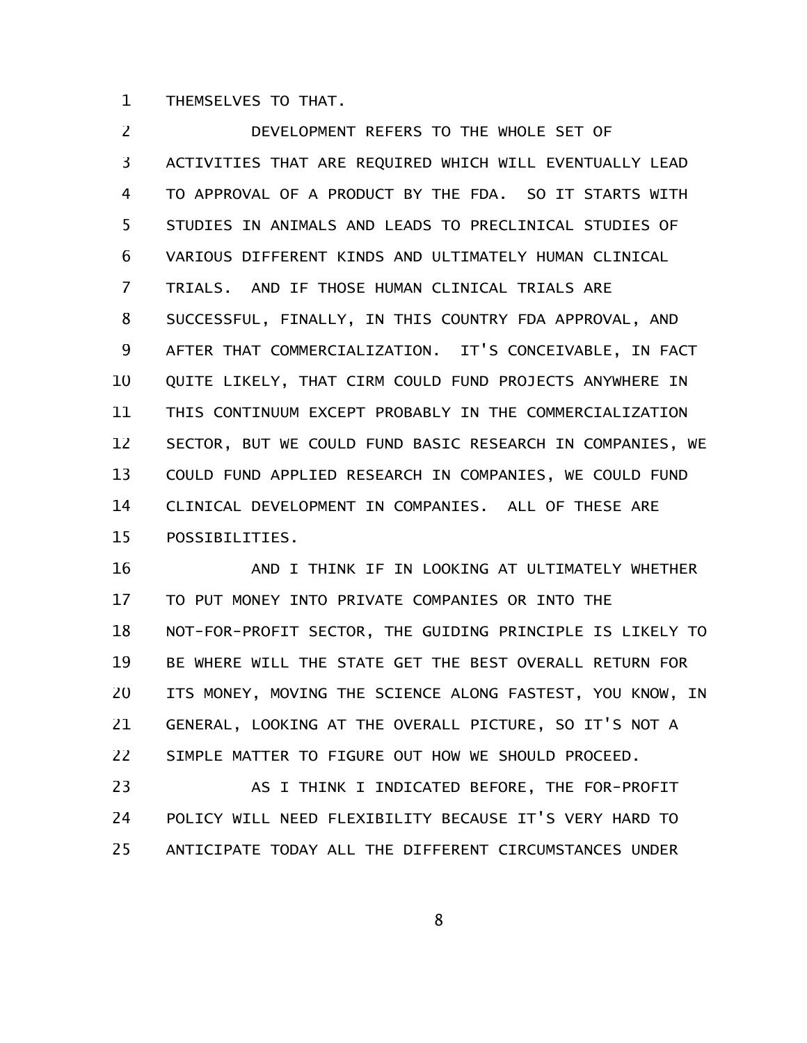THEMSELVES TO THAT. 1

DEVELOPMENT REFERS TO THE WHOLE SET OF ACTIVITIES THAT ARE REQUIRED WHICH WILL EVENTUALLY LEAD TO APPROVAL OF A PRODUCT BY THE FDA. SO IT STARTS WITH STUDIES IN ANIMALS AND LEADS TO PRECLINICAL STUDIES OF VARIOUS DIFFERENT KINDS AND ULTIMATELY HUMAN CLINICAL TRIALS. AND IF THOSE HUMAN CLINICAL TRIALS ARE SUCCESSFUL, FINALLY, IN THIS COUNTRY FDA APPROVAL, AND AFTER THAT COMMERCIALIZATION. IT'S CONCEIVABLE, IN FACT QUITE LIKELY, THAT CIRM COULD FUND PROJECTS ANYWHERE IN THIS CONTINUUM EXCEPT PROBABLY IN THE COMMERCIALIZATION SECTOR, BUT WE COULD FUND BASIC RESEARCH IN COMPANIES, WE COULD FUND APPLIED RESEARCH IN COMPANIES, WE COULD FUND CLINICAL DEVELOPMENT IN COMPANIES. ALL OF THESE ARE POSSIBILITIES. 2 3 4 5 6 7 8 9 10 11 12 13 14 15

AND I THINK IF IN LOOKING AT ULTIMATELY WHETHER TO PUT MONEY INTO PRIVATE COMPANIES OR INTO THE NOT-FOR-PROFIT SECTOR, THE GUIDING PRINCIPLE IS LIKELY TO BE WHERE WILL THE STATE GET THE BEST OVERALL RETURN FOR ITS MONEY, MOVING THE SCIENCE ALONG FASTEST, YOU KNOW, IN GENERAL, LOOKING AT THE OVERALL PICTURE, SO IT'S NOT A SIMPLE MATTER TO FIGURE OUT HOW WE SHOULD PROCEED. 16 17 18 19 20 21 22

AS I THINK I INDICATED BEFORE, THE FOR-PROFIT POLICY WILL NEED FLEXIBILITY BECAUSE IT'S VERY HARD TO ANTICIPATE TODAY ALL THE DIFFERENT CIRCUMSTANCES UNDER 23 24 25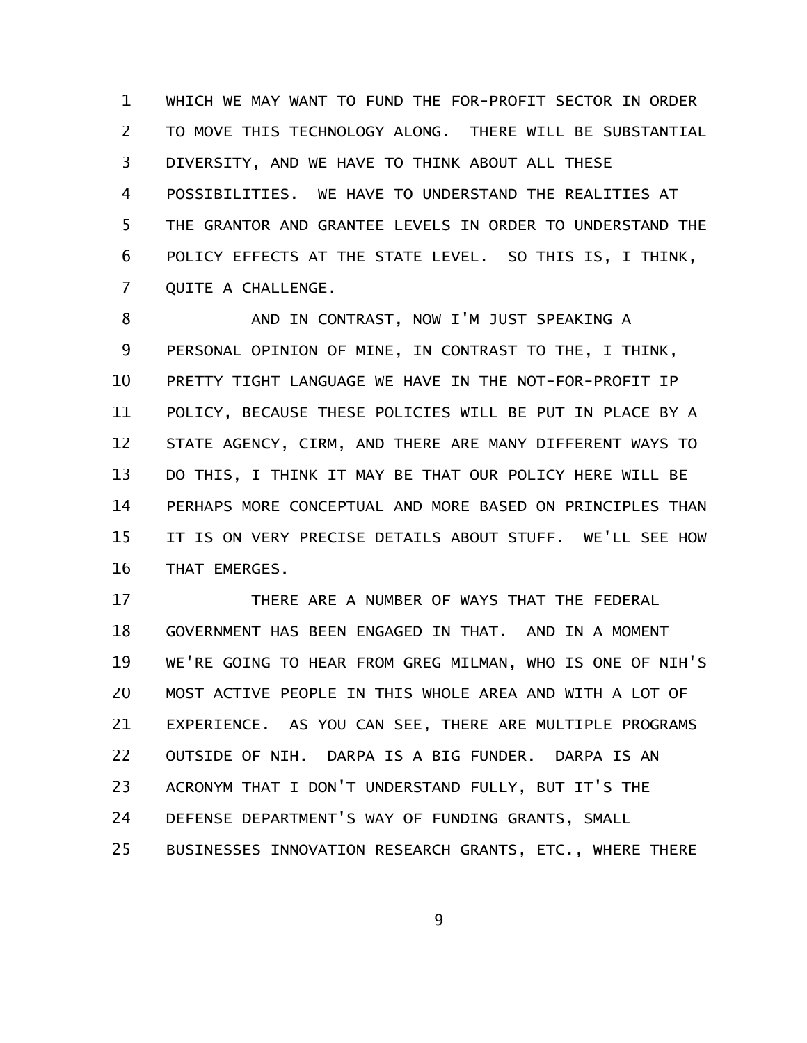WHICH WE MAY WANT TO FUND THE FOR-PROFIT SECTOR IN ORDER TO MOVE THIS TECHNOLOGY ALONG. THERE WILL BE SUBSTANTIAL DIVERSITY, AND WE HAVE TO THINK ABOUT ALL THESE POSSIBILITIES. WE HAVE TO UNDERSTAND THE REALITIES AT THE GRANTOR AND GRANTEE LEVELS IN ORDER TO UNDERSTAND THE POLICY EFFECTS AT THE STATE LEVEL. SO THIS IS, I THINK, QUITE A CHALLENGE. 1 2 3 4 5 6 7

AND IN CONTRAST, NOW I'M JUST SPEAKING A PERSONAL OPINION OF MINE, IN CONTRAST TO THE, I THINK, PRETTY TIGHT LANGUAGE WE HAVE IN THE NOT-FOR-PROFIT IP POLICY, BECAUSE THESE POLICIES WILL BE PUT IN PLACE BY A STATE AGENCY, CIRM, AND THERE ARE MANY DIFFERENT WAYS TO DO THIS, I THINK IT MAY BE THAT OUR POLICY HERE WILL BE PERHAPS MORE CONCEPTUAL AND MORE BASED ON PRINCIPLES THAN IT IS ON VERY PRECISE DETAILS ABOUT STUFF. WE'LL SEE HOW THAT EMERGES. 8 9 10 11 12 13 14 15 16

THERE ARE A NUMBER OF WAYS THAT THE FEDERAL GOVERNMENT HAS BEEN ENGAGED IN THAT. AND IN A MOMENT WE'RE GOING TO HEAR FROM GREG MILMAN, WHO IS ONE OF NIH'S MOST ACTIVE PEOPLE IN THIS WHOLE AREA AND WITH A LOT OF EXPERIENCE. AS YOU CAN SEE, THERE ARE MULTIPLE PROGRAMS OUTSIDE OF NIH. DARPA IS A BIG FUNDER. DARPA IS AN ACRONYM THAT I DON'T UNDERSTAND FULLY, BUT IT'S THE DEFENSE DEPARTMENT'S WAY OF FUNDING GRANTS, SMALL BUSINESSES INNOVATION RESEARCH GRANTS, ETC., WHERE THERE 17 18 19 20 21 22 23 24 25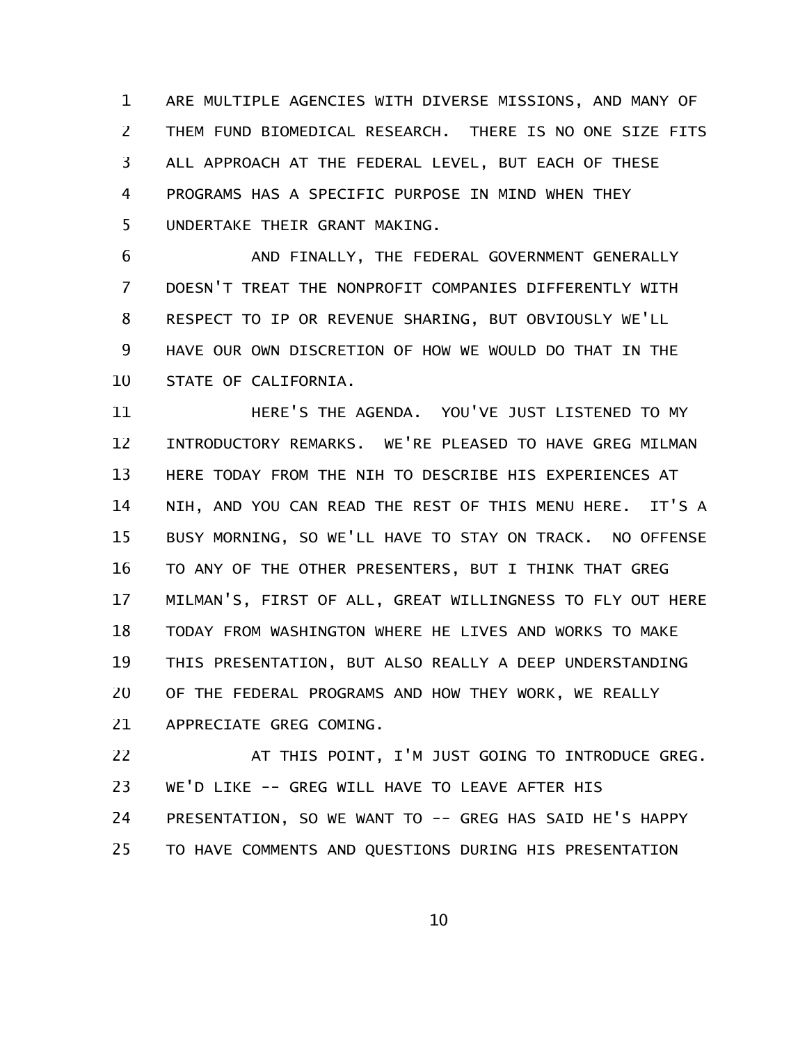ARE MULTIPLE AGENCIES WITH DIVERSE MISSIONS, AND MANY OF THEM FUND BIOMEDICAL RESEARCH. THERE IS NO ONE SIZE FITS ALL APPROACH AT THE FEDERAL LEVEL, BUT EACH OF THESE PROGRAMS HAS A SPECIFIC PURPOSE IN MIND WHEN THEY UNDERTAKE THEIR GRANT MAKING. 1 2 3 4 5

AND FINALLY, THE FEDERAL GOVERNMENT GENERALLY DOESN'T TREAT THE NONPROFIT COMPANIES DIFFERENTLY WITH RESPECT TO IP OR REVENUE SHARING, BUT OBVIOUSLY WE'LL HAVE OUR OWN DISCRETION OF HOW WE WOULD DO THAT IN THE STATE OF CALIFORNIA. 6 7 8 9 10

HERE'S THE AGENDA. YOU'VE JUST LISTENED TO MY INTRODUCTORY REMARKS. WE'RE PLEASED TO HAVE GREG MILMAN HERE TODAY FROM THE NIH TO DESCRIBE HIS EXPERIENCES AT NIH, AND YOU CAN READ THE REST OF THIS MENU HERE. IT'S A BUSY MORNING, SO WE'LL HAVE TO STAY ON TRACK. NO OFFENSE TO ANY OF THE OTHER PRESENTERS, BUT I THINK THAT GREG MILMAN'S, FIRST OF ALL, GREAT WILLINGNESS TO FLY OUT HERE TODAY FROM WASHINGTON WHERE HE LIVES AND WORKS TO MAKE THIS PRESENTATION, BUT ALSO REALLY A DEEP UNDERSTANDING OF THE FEDERAL PROGRAMS AND HOW THEY WORK, WE REALLY APPRECIATE GREG COMING. 11 12 13 14 15 16 17 18 19 20 21

AT THIS POINT, I'M JUST GOING TO INTRODUCE GREG. WE'D LIKE -- GREG WILL HAVE TO LEAVE AFTER HIS PRESENTATION, SO WE WANT TO -- GREG HAS SAID HE'S HAPPY TO HAVE COMMENTS AND QUESTIONS DURING HIS PRESENTATION 22 23 24 25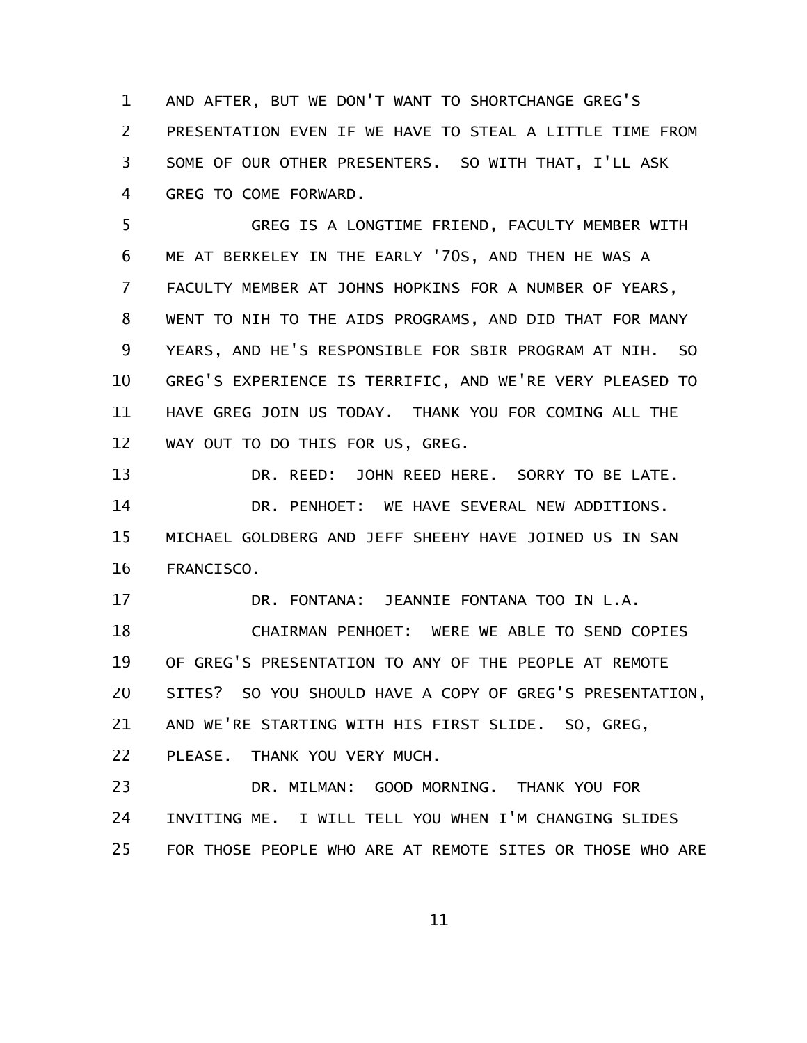AND AFTER, BUT WE DON'T WANT TO SHORTCHANGE GREG'S PRESENTATION EVEN IF WE HAVE TO STEAL A LITTLE TIME FROM SOME OF OUR OTHER PRESENTERS. SO WITH THAT, I'LL ASK GREG TO COME FORWARD. 1 2 3 4

GREG IS A LONGTIME FRIEND, FACULTY MEMBER WITH ME AT BERKELEY IN THE EARLY '70S, AND THEN HE WAS A FACULTY MEMBER AT JOHNS HOPKINS FOR A NUMBER OF YEARS, WENT TO NIH TO THE AIDS PROGRAMS, AND DID THAT FOR MANY YEARS, AND HE'S RESPONSIBLE FOR SBIR PROGRAM AT NIH. SO GREG'S EXPERIENCE IS TERRIFIC, AND WE'RE VERY PLEASED TO HAVE GREG JOIN US TODAY. THANK YOU FOR COMING ALL THE WAY OUT TO DO THIS FOR US, GREG. 5 6 7 8 9 10 11 12

DR. REED: JOHN REED HERE. SORRY TO BE LATE. DR. PENHOET: WE HAVE SEVERAL NEW ADDITIONS. MICHAEL GOLDBERG AND JEFF SHEEHY HAVE JOINED US IN SAN FRANCISCO. 13 14 15 16

DR. FONTANA: JEANNIE FONTANA TOO IN L.A. 17

CHAIRMAN PENHOET: WERE WE ABLE TO SEND COPIES OF GREG'S PRESENTATION TO ANY OF THE PEOPLE AT REMOTE SITES? SO YOU SHOULD HAVE A COPY OF GREG'S PRESENTATION, AND WE'RE STARTING WITH HIS FIRST SLIDE. SO, GREG, PLEASE. THANK YOU VERY MUCH. 18 19 20 21 22

DR. MILMAN: GOOD MORNING. THANK YOU FOR INVITING ME. I WILL TELL YOU WHEN I'M CHANGING SLIDES FOR THOSE PEOPLE WHO ARE AT REMOTE SITES OR THOSE WHO ARE 23 24 25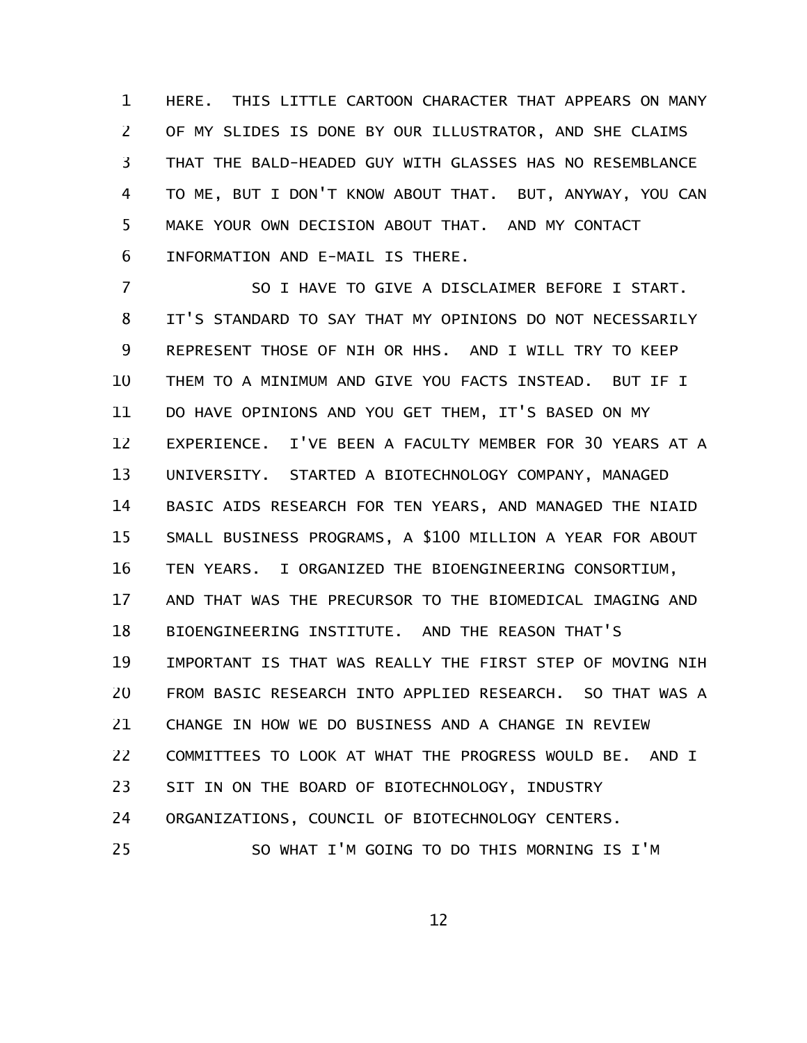HERE. THIS LITTLE CARTOON CHARACTER THAT APPEARS ON MANY OF MY SLIDES IS DONE BY OUR ILLUSTRATOR, AND SHE CLAIMS THAT THE BALD-HEADED GUY WITH GLASSES HAS NO RESEMBLANCE TO ME, BUT I DON'T KNOW ABOUT THAT. BUT, ANYWAY, YOU CAN MAKE YOUR OWN DECISION ABOUT THAT. AND MY CONTACT INFORMATION AND E-MAIL IS THERE. 1 2 3 4 5 6

SO I HAVE TO GIVE A DISCLAIMER BEFORE I START. IT'S STANDARD TO SAY THAT MY OPINIONS DO NOT NECESSARILY REPRESENT THOSE OF NIH OR HHS. AND I WILL TRY TO KEEP THEM TO A MINIMUM AND GIVE YOU FACTS INSTEAD. BUT IF I DO HAVE OPINIONS AND YOU GET THEM, IT'S BASED ON MY EXPERIENCE. I'VE BEEN A FACULTY MEMBER FOR 30 YEARS AT A UNIVERSITY. STARTED A BIOTECHNOLOGY COMPANY, MANAGED BASIC AIDS RESEARCH FOR TEN YEARS, AND MANAGED THE NIAID SMALL BUSINESS PROGRAMS, A \$100 MILLION A YEAR FOR ABOUT TEN YEARS. I ORGANIZED THE BIOENGINEERING CONSORTIUM, AND THAT WAS THE PRECURSOR TO THE BIOMEDICAL IMAGING AND BIOENGINEERING INSTITUTE. AND THE REASON THAT'S IMPORTANT IS THAT WAS REALLY THE FIRST STEP OF MOVING NIH FROM BASIC RESEARCH INTO APPLIED RESEARCH. SO THAT WAS A CHANGE IN HOW WE DO BUSINESS AND A CHANGE IN REVIEW COMMITTEES TO LOOK AT WHAT THE PROGRESS WOULD BE. AND I SIT IN ON THE BOARD OF BIOTECHNOLOGY, INDUSTRY ORGANIZATIONS, COUNCIL OF BIOTECHNOLOGY CENTERS. SO WHAT I'M GOING TO DO THIS MORNING IS I'M 7 8 9 10 11 12 13 14 15 16 17 18 19 20 21 22 23 24 25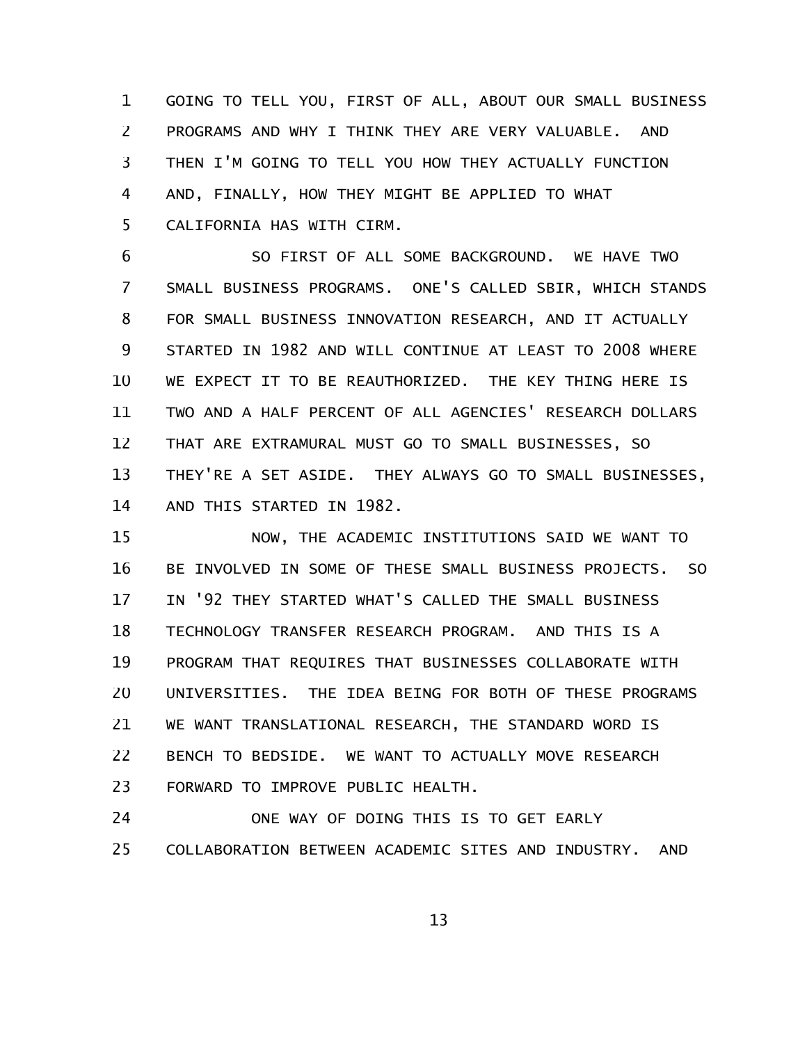GOING TO TELL YOU, FIRST OF ALL, ABOUT OUR SMALL BUSINESS PROGRAMS AND WHY I THINK THEY ARE VERY VALUABLE. AND THEN I'M GOING TO TELL YOU HOW THEY ACTUALLY FUNCTION AND, FINALLY, HOW THEY MIGHT BE APPLIED TO WHAT CALIFORNIA HAS WITH CIRM. 1 2 3 4 5

SO FIRST OF ALL SOME BACKGROUND. WE HAVE TWO SMALL BUSINESS PROGRAMS. ONE'S CALLED SBIR, WHICH STANDS FOR SMALL BUSINESS INNOVATION RESEARCH, AND IT ACTUALLY STARTED IN 1982 AND WILL CONTINUE AT LEAST TO 2008 WHERE WE EXPECT IT TO BE REAUTHORIZED. THE KEY THING HERE IS TWO AND A HALF PERCENT OF ALL AGENCIES' RESEARCH DOLLARS THAT ARE EXTRAMURAL MUST GO TO SMALL BUSINESSES, SO THEY'RE A SET ASIDE. THEY ALWAYS GO TO SMALL BUSINESSES, AND THIS STARTED IN 1982. 6 7 8 9 10 11 12 13 14

NOW, THE ACADEMIC INSTITUTIONS SAID WE WANT TO BE INVOLVED IN SOME OF THESE SMALL BUSINESS PROJECTS. SO IN '92 THEY STARTED WHAT'S CALLED THE SMALL BUSINESS TECHNOLOGY TRANSFER RESEARCH PROGRAM. AND THIS IS A PROGRAM THAT REQUIRES THAT BUSINESSES COLLABORATE WITH UNIVERSITIES. THE IDEA BEING FOR BOTH OF THESE PROGRAMS WE WANT TRANSLATIONAL RESEARCH, THE STANDARD WORD IS BENCH TO BEDSIDE. WE WANT TO ACTUALLY MOVE RESEARCH FORWARD TO IMPROVE PUBLIC HEALTH. 15 16 17 18 19 20 21 22 23

ONE WAY OF DOING THIS IS TO GET EARLY COLLABORATION BETWEEN ACADEMIC SITES AND INDUSTRY. AND 24 25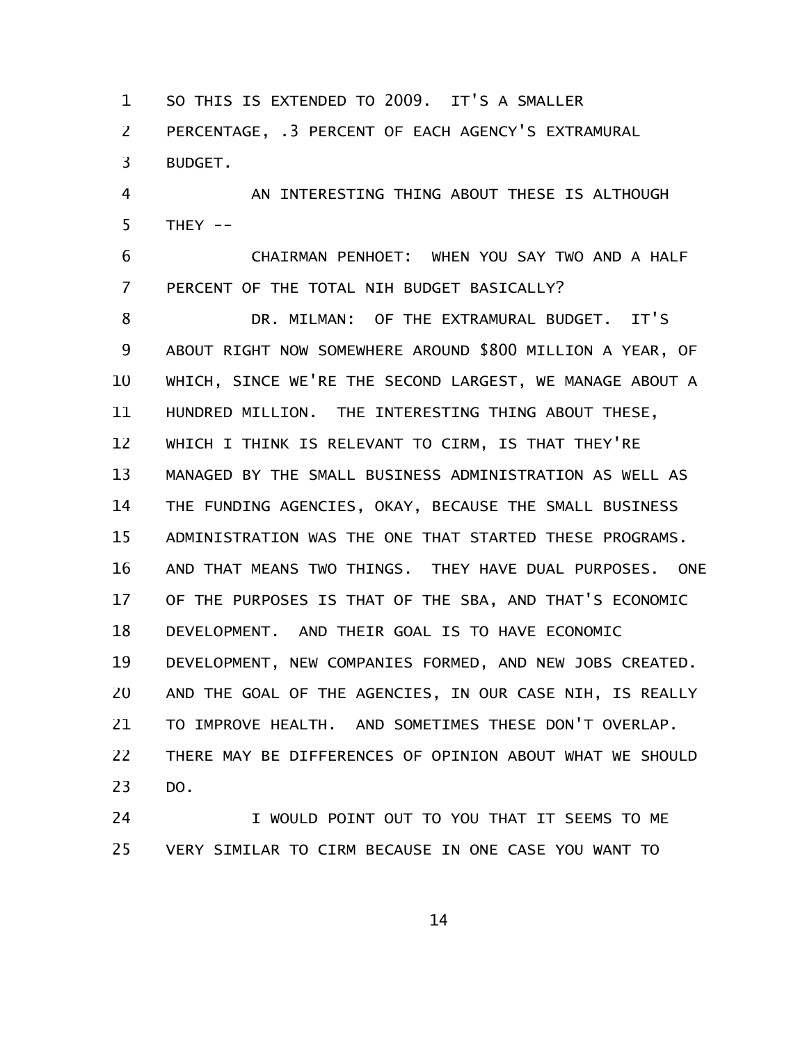SO THIS IS EXTENDED TO 2009. IT'S A SMALLER 1

PERCENTAGE, .3 PERCENT OF EACH AGENCY'S EXTRAMURAL BUDGET. 2 3

AN INTERESTING THING ABOUT THESE IS ALTHOUGH THEY  $--$ 4 5

CHAIRMAN PENHOET: WHEN YOU SAY TWO AND A HALF PERCENT OF THE TOTAL NIH BUDGET BASICALLY? 6 7

DR. MILMAN: OF THE EXTRAMURAL BUDGET. IT'S ABOUT RIGHT NOW SOMEWHERE AROUND \$800 MILLION A YEAR, OF WHICH, SINCE WE'RE THE SECOND LARGEST, WE MANAGE ABOUT A HUNDRED MILLION. THE INTERESTING THING ABOUT THESE, WHICH I THINK IS RELEVANT TO CIRM, IS THAT THEY'RE MANAGED BY THE SMALL BUSINESS ADMINISTRATION AS WELL AS THE FUNDING AGENCIES, OKAY, BECAUSE THE SMALL BUSINESS ADMINISTRATION WAS THE ONE THAT STARTED THESE PROGRAMS. AND THAT MEANS TWO THINGS. THEY HAVE DUAL PURPOSES. ONE OF THE PURPOSES IS THAT OF THE SBA, AND THAT'S ECONOMIC DEVELOPMENT. AND THEIR GOAL IS TO HAVE ECONOMIC DEVELOPMENT, NEW COMPANIES FORMED, AND NEW JOBS CREATED. AND THE GOAL OF THE AGENCIES, IN OUR CASE NIH, IS REALLY TO IMPROVE HEALTH. AND SOMETIMES THESE DON'T OVERLAP. THERE MAY BE DIFFERENCES OF OPINION ABOUT WHAT WE SHOULD DO. 8 9 10 11 12 13 14 15 16 17 18 19 20 21 22 23

I WOULD POINT OUT TO YOU THAT IT SEEMS TO ME VERY SIMILAR TO CIRM BECAUSE IN ONE CASE YOU WANT TO 24 25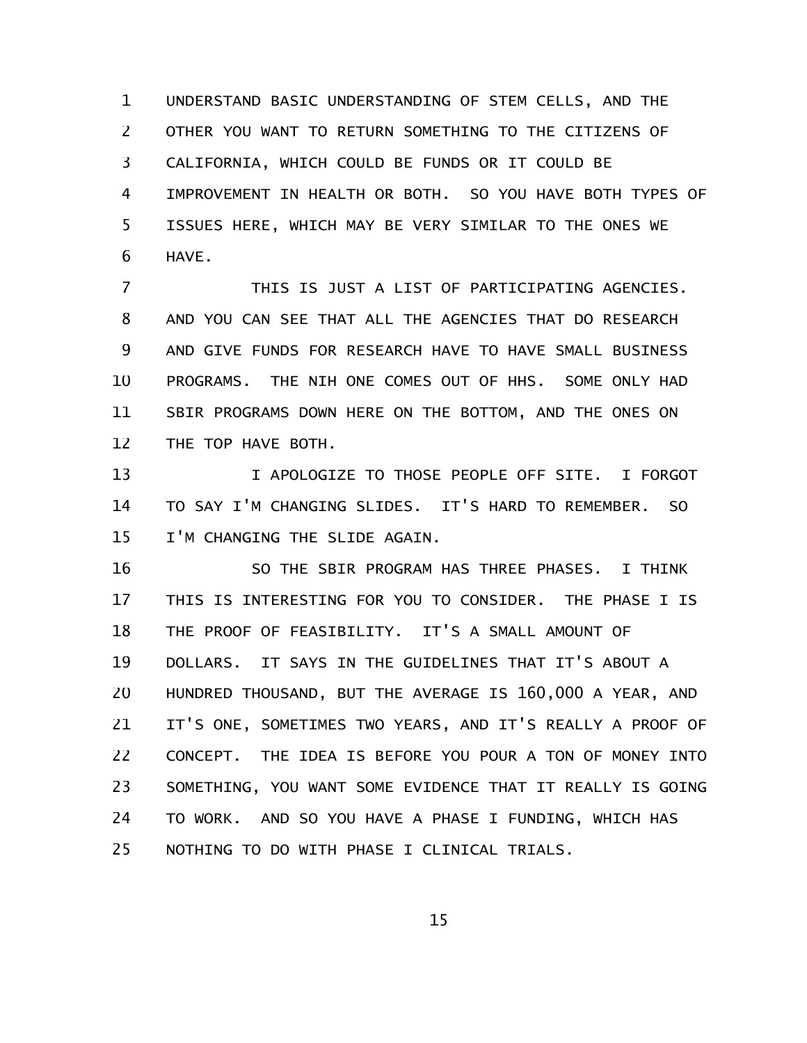UNDERSTAND BASIC UNDERSTANDING OF STEM CELLS, AND THE OTHER YOU WANT TO RETURN SOMETHING TO THE CITIZENS OF CALIFORNIA, WHICH COULD BE FUNDS OR IT COULD BE IMPROVEMENT IN HEALTH OR BOTH. SO YOU HAVE BOTH TYPES OF ISSUES HERE, WHICH MAY BE VERY SIMILAR TO THE ONES WE HAVE. 1 2 3 4 5 6

THIS IS JUST A LIST OF PARTICIPATING AGENCIES. AND YOU CAN SEE THAT ALL THE AGENCIES THAT DO RESEARCH AND GIVE FUNDS FOR RESEARCH HAVE TO HAVE SMALL BUSINESS PROGRAMS. THE NIH ONE COMES OUT OF HHS. SOME ONLY HAD SBIR PROGRAMS DOWN HERE ON THE BOTTOM, AND THE ONES ON THE TOP HAVE BOTH. 7 8 9 10 11 12

I APOLOGIZE TO THOSE PEOPLE OFF SITE. I FORGOT TO SAY I'M CHANGING SLIDES. IT'S HARD TO REMEMBER. SO I'M CHANGING THE SLIDE AGAIN. 13 14 15

SO THE SBIR PROGRAM HAS THREE PHASES. I THINK THIS IS INTERESTING FOR YOU TO CONSIDER. THE PHASE I IS THE PROOF OF FEASIBILITY. IT'S A SMALL AMOUNT OF DOLLARS. IT SAYS IN THE GUIDELINES THAT IT'S ABOUT A HUNDRED THOUSAND, BUT THE AVERAGE IS 160,000 A YEAR, AND IT'S ONE, SOMETIMES TWO YEARS, AND IT'S REALLY A PROOF OF CONCEPT. THE IDEA IS BEFORE YOU POUR A TON OF MONEY INTO SOMETHING, YOU WANT SOME EVIDENCE THAT IT REALLY IS GOING TO WORK. AND SO YOU HAVE A PHASE I FUNDING, WHICH HAS NOTHING TO DO WITH PHASE I CLINICAL TRIALS. 16 17 18 19 20 21 22 23 24 25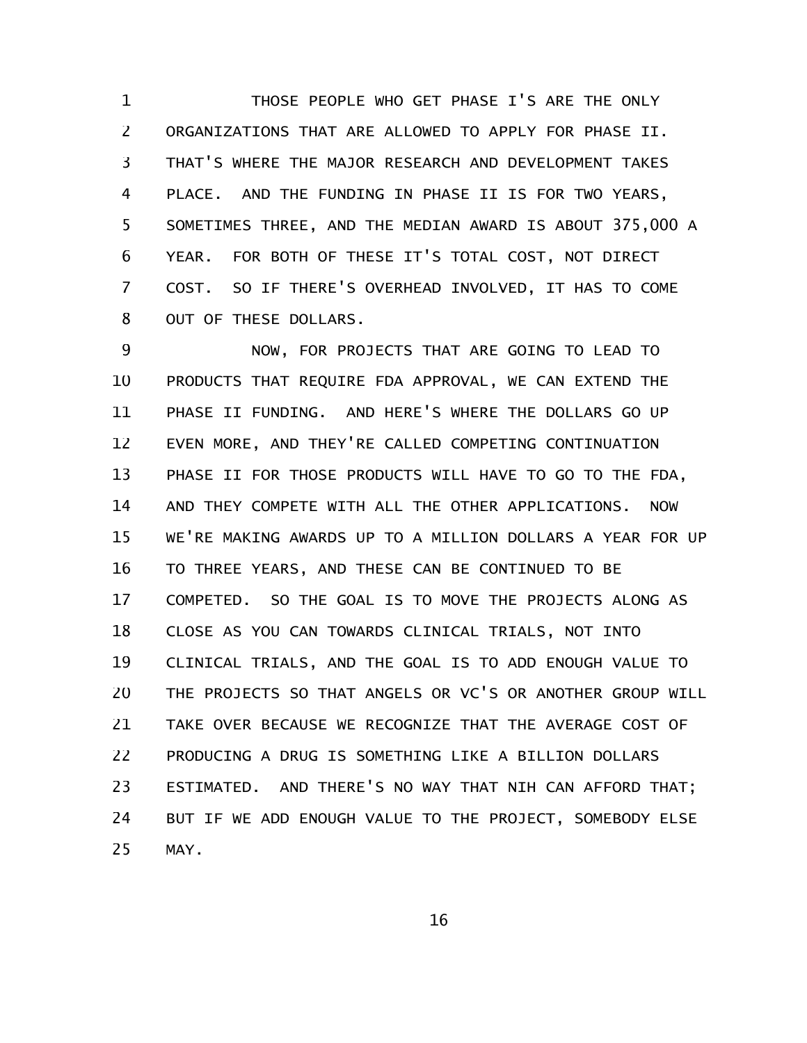THOSE PEOPLE WHO GET PHASE I'S ARE THE ONLY ORGANIZATIONS THAT ARE ALLOWED TO APPLY FOR PHASE II. THAT'S WHERE THE MAJOR RESEARCH AND DEVELOPMENT TAKES PLACE. AND THE FUNDING IN PHASE II IS FOR TWO YEARS, SOMETIMES THREE, AND THE MEDIAN AWARD IS ABOUT 375,000 A YEAR. FOR BOTH OF THESE IT'S TOTAL COST, NOT DIRECT COST. SO IF THERE'S OVERHEAD INVOLVED, IT HAS TO COME OUT OF THESE DOLLARS. 1 2 3 4 5 6 7 8

NOW, FOR PROJECTS THAT ARE GOING TO LEAD TO PRODUCTS THAT REQUIRE FDA APPROVAL, WE CAN EXTEND THE PHASE II FUNDING. AND HERE'S WHERE THE DOLLARS GO UP EVEN MORE, AND THEY'RE CALLED COMPETING CONTINUATION PHASE II FOR THOSE PRODUCTS WILL HAVE TO GO TO THE FDA, AND THEY COMPETE WITH ALL THE OTHER APPLICATIONS. NOW WE'RE MAKING AWARDS UP TO A MILLION DOLLARS A YEAR FOR UP TO THREE YEARS, AND THESE CAN BE CONTINUED TO BE COMPETED. SO THE GOAL IS TO MOVE THE PROJECTS ALONG AS CLOSE AS YOU CAN TOWARDS CLINICAL TRIALS, NOT INTO CLINICAL TRIALS, AND THE GOAL IS TO ADD ENOUGH VALUE TO THE PROJECTS SO THAT ANGELS OR VC'S OR ANOTHER GROUP WILL TAKE OVER BECAUSE WE RECOGNIZE THAT THE AVERAGE COST OF PRODUCING A DRUG IS SOMETHING LIKE A BILLION DOLLARS ESTIMATED. AND THERE'S NO WAY THAT NIH CAN AFFORD THAT; BUT IF WE ADD ENOUGH VALUE TO THE PROJECT, SOMEBODY ELSE MAY. 9 10 11 12 13 14 15 16 17 18 19 20 21 22 23 24 25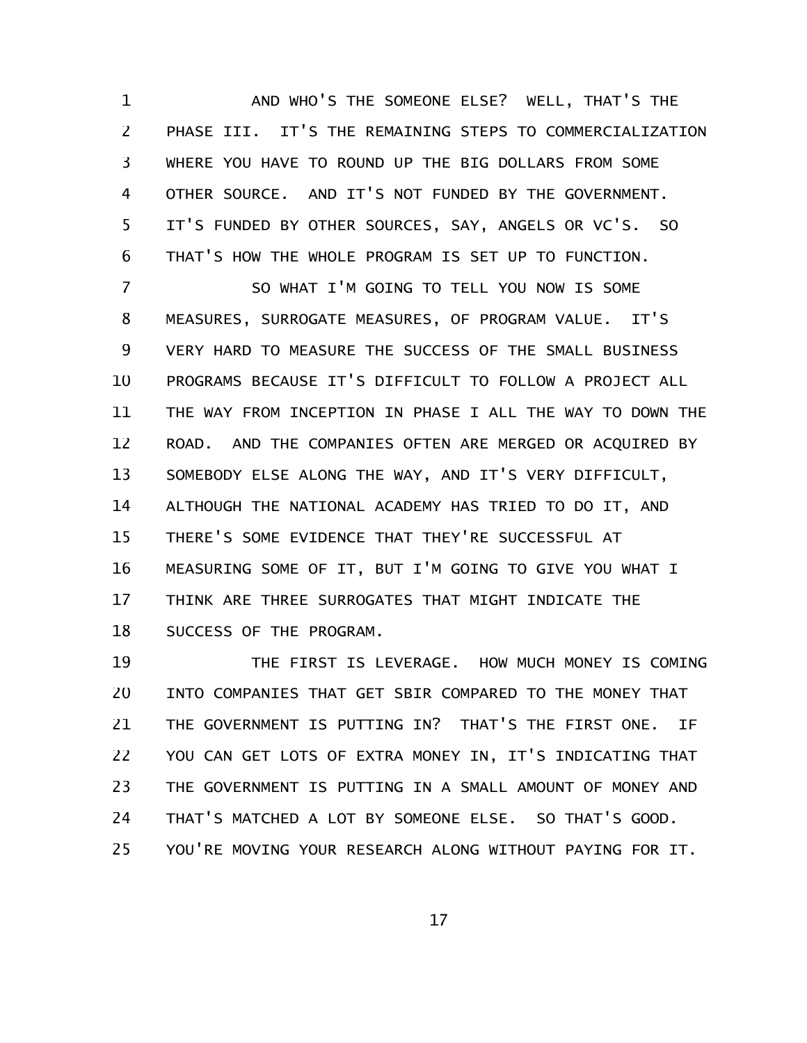AND WHO'S THE SOMEONE ELSE? WELL, THAT'S THE PHASE III. IT'S THE REMAINING STEPS TO COMMERCIALIZATION WHERE YOU HAVE TO ROUND UP THE BIG DOLLARS FROM SOME OTHER SOURCE. AND IT'S NOT FUNDED BY THE GOVERNMENT. IT'S FUNDED BY OTHER SOURCES, SAY, ANGELS OR VC'S. SO THAT'S HOW THE WHOLE PROGRAM IS SET UP TO FUNCTION. 1 2 3 4 5 6

SO WHAT I'M GOING TO TELL YOU NOW IS SOME MEASURES, SURROGATE MEASURES, OF PROGRAM VALUE. IT'S VERY HARD TO MEASURE THE SUCCESS OF THE SMALL BUSINESS PROGRAMS BECAUSE IT'S DIFFICULT TO FOLLOW A PROJECT ALL THE WAY FROM INCEPTION IN PHASE I ALL THE WAY TO DOWN THE ROAD. AND THE COMPANIES OFTEN ARE MERGED OR ACQUIRED BY SOMEBODY ELSE ALONG THE WAY, AND IT'S VERY DIFFICULT, ALTHOUGH THE NATIONAL ACADEMY HAS TRIED TO DO IT, AND THERE'S SOME EVIDENCE THAT THEY'RE SUCCESSFUL AT MEASURING SOME OF IT, BUT I'M GOING TO GIVE YOU WHAT I THINK ARE THREE SURROGATES THAT MIGHT INDICATE THE SUCCESS OF THE PROGRAM. 7 8 9 10 11 12 13 14 15 16 17 18

THE FIRST IS LEVERAGE. HOW MUCH MONEY IS COMING INTO COMPANIES THAT GET SBIR COMPARED TO THE MONEY THAT THE GOVERNMENT IS PUTTING IN? THAT'S THE FIRST ONE. IF YOU CAN GET LOTS OF EXTRA MONEY IN, IT'S INDICATING THAT THE GOVERNMENT IS PUTTING IN A SMALL AMOUNT OF MONEY AND THAT'S MATCHED A LOT BY SOMEONE ELSE. SO THAT'S GOOD. YOU'RE MOVING YOUR RESEARCH ALONG WITHOUT PAYING FOR IT. 19 20 21 22 23 24 25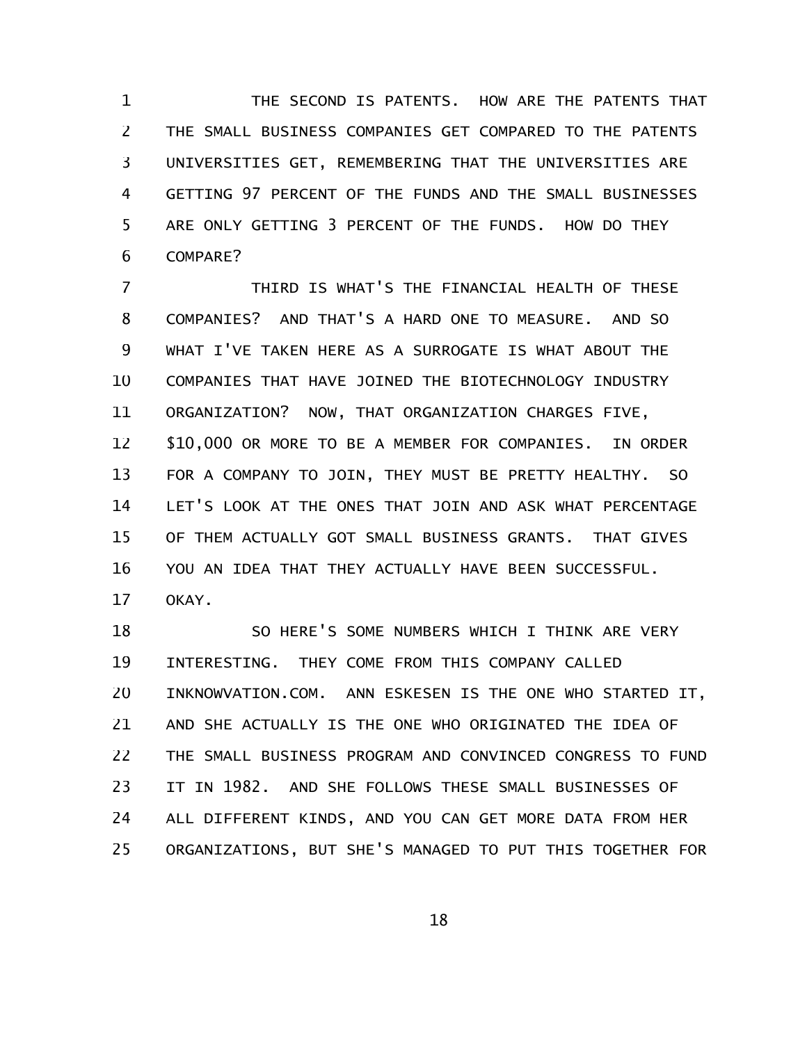THE SECOND IS PATENTS. HOW ARE THE PATENTS THAT THE SMALL BUSINESS COMPANIES GET COMPARED TO THE PATENTS UNIVERSITIES GET, REMEMBERING THAT THE UNIVERSITIES ARE GETTING 97 PERCENT OF THE FUNDS AND THE SMALL BUSINESSES ARE ONLY GETTING 3 PERCENT OF THE FUNDS. HOW DO THEY COMPARE? 1 2 3 4 5 6

THIRD IS WHAT'S THE FINANCIAL HEALTH OF THESE COMPANIES? AND THAT'S A HARD ONE TO MEASURE. AND SO WHAT I'VE TAKEN HERE AS A SURROGATE IS WHAT ABOUT THE COMPANIES THAT HAVE JOINED THE BIOTECHNOLOGY INDUSTRY ORGANIZATION? NOW, THAT ORGANIZATION CHARGES FIVE, \$10,000 OR MORE TO BE A MEMBER FOR COMPANIES. IN ORDER FOR A COMPANY TO JOIN, THEY MUST BE PRETTY HEALTHY. SO LET'S LOOK AT THE ONES THAT JOIN AND ASK WHAT PERCENTAGE OF THEM ACTUALLY GOT SMALL BUSINESS GRANTS. THAT GIVES YOU AN IDEA THAT THEY ACTUALLY HAVE BEEN SUCCESSFUL. OKAY. 7 8 9 10 11 12 13 14 15 16 17

SO HERE'S SOME NUMBERS WHICH I THINK ARE VERY INTERESTING. THEY COME FROM THIS COMPANY CALLED INKNOWVATION.COM. ANN ESKESEN IS THE ONE WHO STARTED IT, AND SHE ACTUALLY IS THE ONE WHO ORIGINATED THE IDEA OF THE SMALL BUSINESS PROGRAM AND CONVINCED CONGRESS TO FUND IT IN 1982. AND SHE FOLLOWS THESE SMALL BUSINESSES OF ALL DIFFERENT KINDS, AND YOU CAN GET MORE DATA FROM HER ORGANIZATIONS, BUT SHE'S MANAGED TO PUT THIS TOGETHER FOR 18 19 20 21 22 23 24 25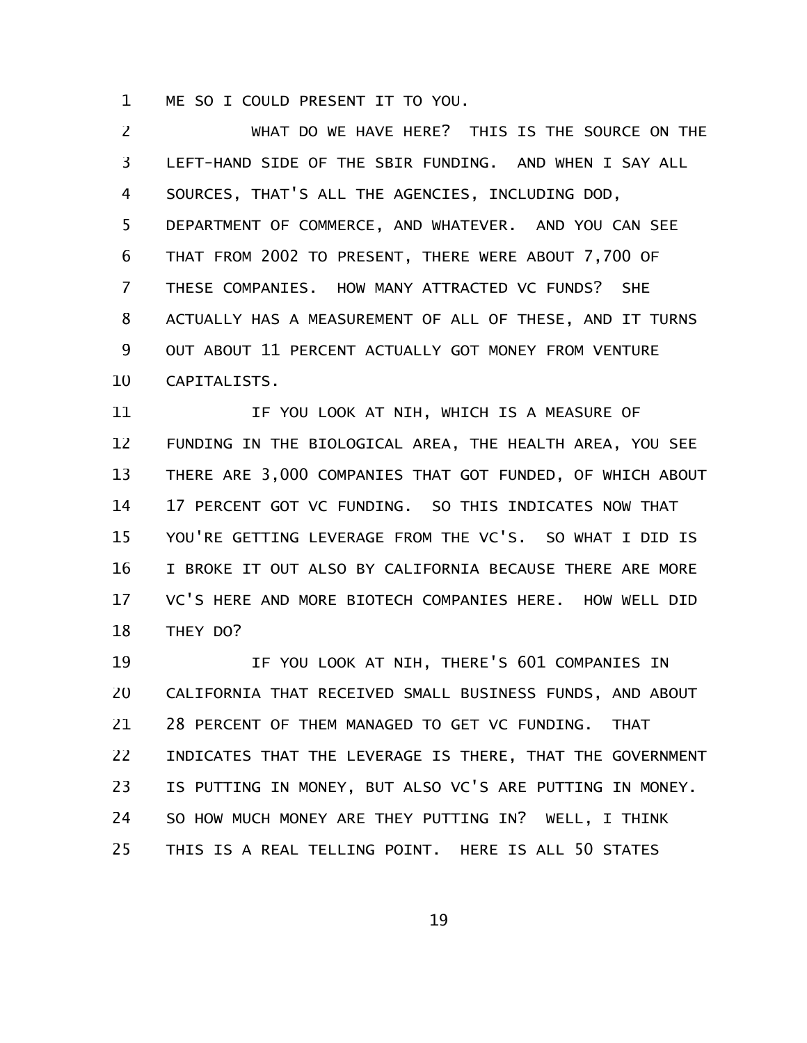ME SO I COULD PRESENT IT TO YOU. 1

WHAT DO WE HAVE HERE? THIS IS THE SOURCE ON THE LEFT-HAND SIDE OF THE SBIR FUNDING. AND WHEN I SAY ALL SOURCES, THAT'S ALL THE AGENCIES, INCLUDING DOD, DEPARTMENT OF COMMERCE, AND WHATEVER. AND YOU CAN SEE THAT FROM 2002 TO PRESENT, THERE WERE ABOUT 7,700 OF THESE COMPANIES. HOW MANY ATTRACTED VC FUNDS? SHE ACTUALLY HAS A MEASUREMENT OF ALL OF THESE, AND IT TURNS OUT ABOUT 11 PERCENT ACTUALLY GOT MONEY FROM VENTURE CAPITALISTS. 2 3 4 5 6 7 8 9 10

IF YOU LOOK AT NIH, WHICH IS A MEASURE OF FUNDING IN THE BIOLOGICAL AREA, THE HEALTH AREA, YOU SEE THERE ARE 3,000 COMPANIES THAT GOT FUNDED, OF WHICH ABOUT 17 PERCENT GOT VC FUNDING. SO THIS INDICATES NOW THAT YOU'RE GETTING LEVERAGE FROM THE VC'S. SO WHAT I DID IS I BROKE IT OUT ALSO BY CALIFORNIA BECAUSE THERE ARE MORE VC'S HERE AND MORE BIOTECH COMPANIES HERE. HOW WELL DID THEY DO? 11 12 13 14 15 16 17 18

IF YOU LOOK AT NIH, THERE'S 601 COMPANIES IN CALIFORNIA THAT RECEIVED SMALL BUSINESS FUNDS, AND ABOUT 28 PERCENT OF THEM MANAGED TO GET VC FUNDING. THAT INDICATES THAT THE LEVERAGE IS THERE, THAT THE GOVERNMENT IS PUTTING IN MONEY, BUT ALSO VC'S ARE PUTTING IN MONEY. SO HOW MUCH MONEY ARE THEY PUTTING IN? WELL, I THINK THIS IS A REAL TELLING POINT. HERE IS ALL 50 STATES 19 20 21 22 23 24 25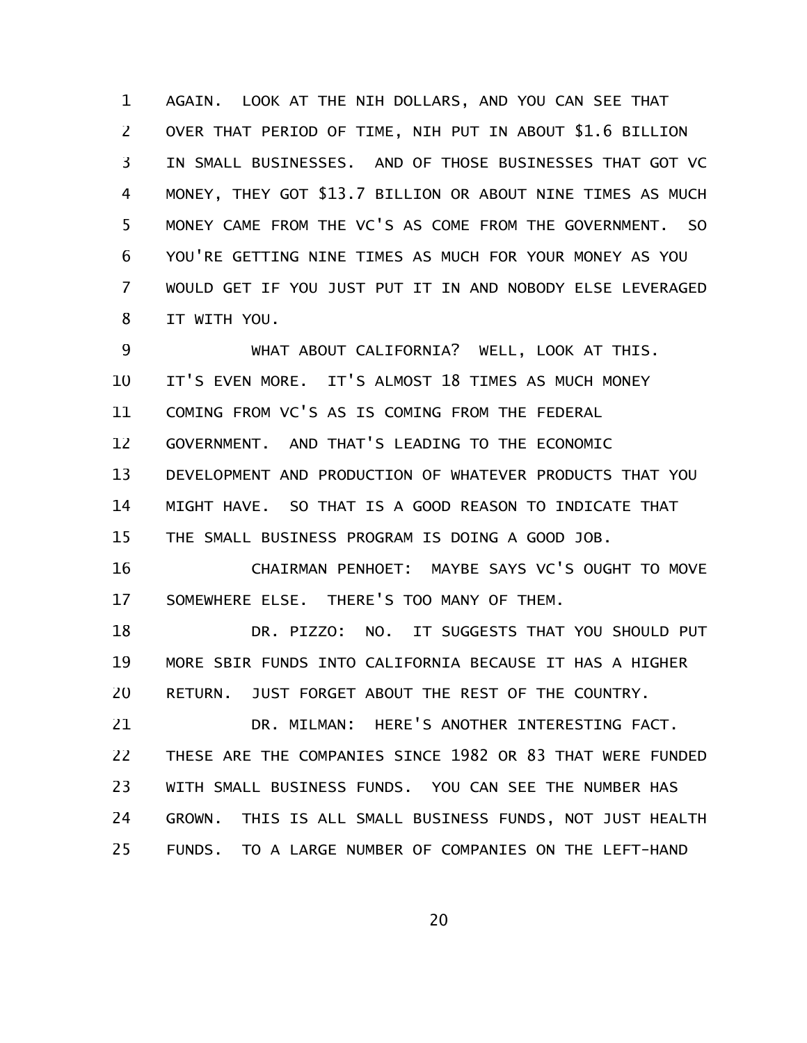AGAIN. LOOK AT THE NIH DOLLARS, AND YOU CAN SEE THAT OVER THAT PERIOD OF TIME, NIH PUT IN ABOUT \$1.6 BILLION IN SMALL BUSINESSES. AND OF THOSE BUSINESSES THAT GOT VC MONEY, THEY GOT \$13.7 BILLION OR ABOUT NINE TIMES AS MUCH MONEY CAME FROM THE VC'S AS COME FROM THE GOVERNMENT. SO YOU'RE GETTING NINE TIMES AS MUCH FOR YOUR MONEY AS YOU WOULD GET IF YOU JUST PUT IT IN AND NOBODY ELSE LEVERAGED IT WITH YOU. 1 2 3 4 5 6 7 8

WHAT ABOUT CALIFORNIA? WELL, LOOK AT THIS. IT'S EVEN MORE. IT'S ALMOST 18 TIMES AS MUCH MONEY COMING FROM VC'S AS IS COMING FROM THE FEDERAL GOVERNMENT. AND THAT'S LEADING TO THE ECONOMIC DEVELOPMENT AND PRODUCTION OF WHATEVER PRODUCTS THAT YOU MIGHT HAVE. SO THAT IS A GOOD REASON TO INDICATE THAT THE SMALL BUSINESS PROGRAM IS DOING A GOOD JOB. 9 10 11 12 13 14 15

CHAIRMAN PENHOET: MAYBE SAYS VC'S OUGHT TO MOVE SOMEWHERE ELSE. THERE'S TOO MANY OF THEM. 16 17

DR. PIZZO: NO. IT SUGGESTS THAT YOU SHOULD PUT MORE SBIR FUNDS INTO CALIFORNIA BECAUSE IT HAS A HIGHER RETURN. JUST FORGET ABOUT THE REST OF THE COUNTRY. 18 19 20

DR. MILMAN: HERE'S ANOTHER INTERESTING FACT. THESE ARE THE COMPANIES SINCE 1982 OR 83 THAT WERE FUNDED WITH SMALL BUSINESS FUNDS. YOU CAN SEE THE NUMBER HAS GROWN. THIS IS ALL SMALL BUSINESS FUNDS, NOT JUST HEALTH FUNDS. TO A LARGE NUMBER OF COMPANIES ON THE LEFT-HAND 21 22 23 24 25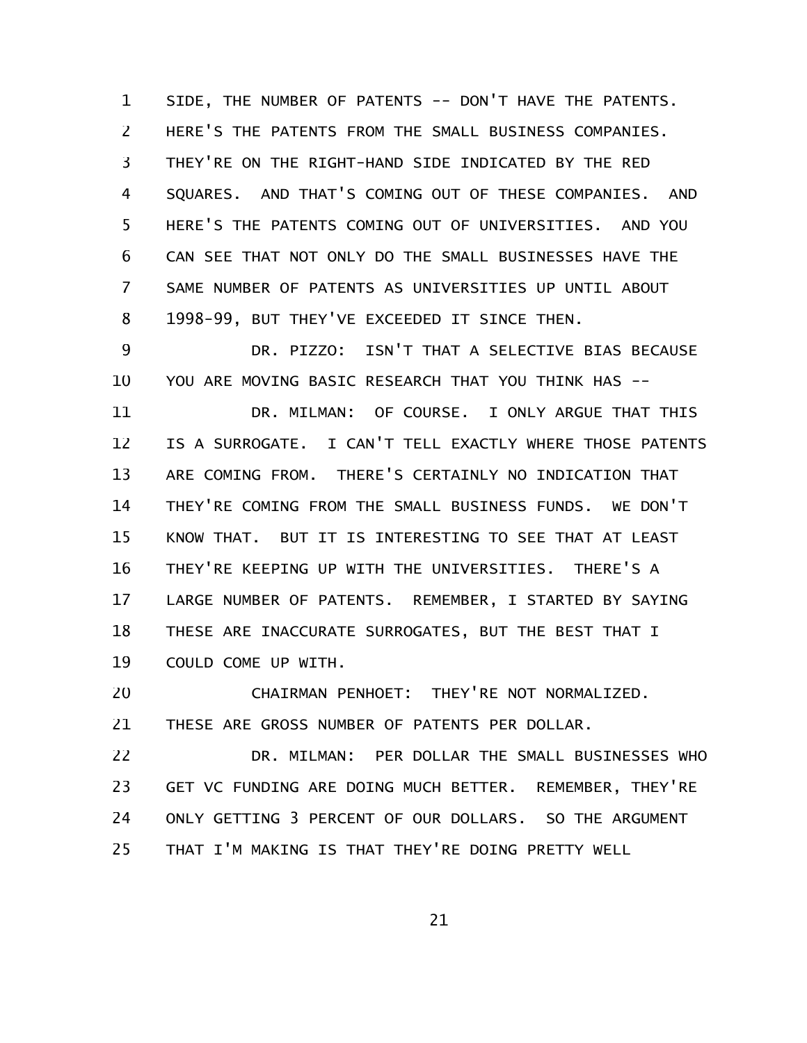SIDE, THE NUMBER OF PATENTS -- DON'T HAVE THE PATENTS. HERE'S THE PATENTS FROM THE SMALL BUSINESS COMPANIES. THEY'RE ON THE RIGHT-HAND SIDE INDICATED BY THE RED SQUARES. AND THAT'S COMING OUT OF THESE COMPANIES. AND HERE'S THE PATENTS COMING OUT OF UNIVERSITIES. AND YOU CAN SEE THAT NOT ONLY DO THE SMALL BUSINESSES HAVE THE SAME NUMBER OF PATENTS AS UNIVERSITIES UP UNTIL ABOUT 1998-99, BUT THEY'VE EXCEEDED IT SINCE THEN. 1 2 3 4 5 6 7 8

DR. PIZZO: ISN'T THAT A SELECTIVE BIAS BECAUSE YOU ARE MOVING BASIC RESEARCH THAT YOU THINK HAS --9 10

DR. MILMAN: OF COURSE. I ONLY ARGUE THAT THIS IS A SURROGATE. I CAN'T TELL EXACTLY WHERE THOSE PATENTS ARE COMING FROM. THERE'S CERTAINLY NO INDICATION THAT THEY'RE COMING FROM THE SMALL BUSINESS FUNDS. WE DON'T KNOW THAT. BUT IT IS INTERESTING TO SEE THAT AT LEAST THEY'RE KEEPING UP WITH THE UNIVERSITIES. THERE'S A LARGE NUMBER OF PATENTS. REMEMBER, I STARTED BY SAYING THESE ARE INACCURATE SURROGATES, BUT THE BEST THAT I COULD COME UP WITH. 11 12 13 14 15 16 17 18 19

CHAIRMAN PENHOET: THEY'RE NOT NORMALIZED. THESE ARE GROSS NUMBER OF PATENTS PER DOLLAR. 20 21

DR. MILMAN: PER DOLLAR THE SMALL BUSINESSES WHO GET VC FUNDING ARE DOING MUCH BETTER. REMEMBER, THEY'RE ONLY GETTING 3 PERCENT OF OUR DOLLARS. SO THE ARGUMENT THAT I'M MAKING IS THAT THEY'RE DOING PRETTY WELL 22 23 24 25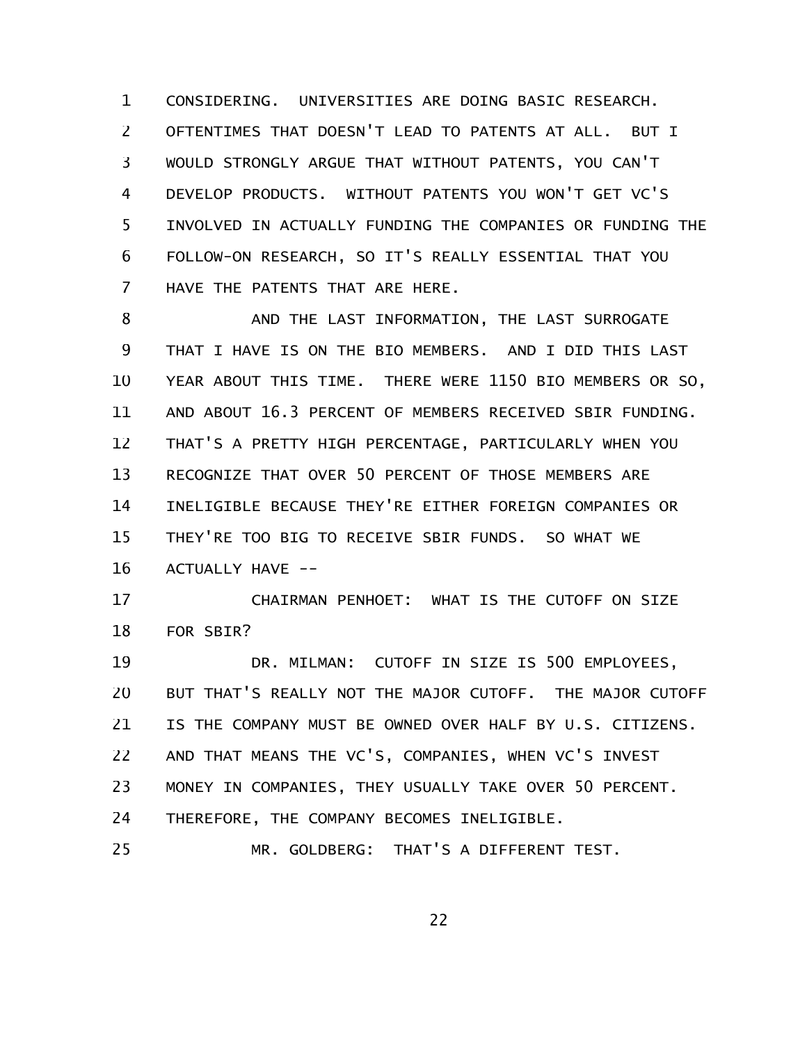CONSIDERING. UNIVERSITIES ARE DOING BASIC RESEARCH. OFTENTIMES THAT DOESN'T LEAD TO PATENTS AT ALL. BUT I WOULD STRONGLY ARGUE THAT WITHOUT PATENTS, YOU CAN'T DEVELOP PRODUCTS. WITHOUT PATENTS YOU WON'T GET VC'S INVOLVED IN ACTUALLY FUNDING THE COMPANIES OR FUNDING THE FOLLOW-ON RESEARCH, SO IT'S REALLY ESSENTIAL THAT YOU HAVE THE PATENTS THAT ARE HERE. 1 2 3 4 5 6 7

AND THE LAST INFORMATION, THE LAST SURROGATE THAT I HAVE IS ON THE BIO MEMBERS. AND I DID THIS LAST YEAR ABOUT THIS TIME. THERE WERE 1150 BIO MEMBERS OR SO, AND ABOUT 16.3 PERCENT OF MEMBERS RECEIVED SBIR FUNDING. THAT'S A PRETTY HIGH PERCENTAGE, PARTICULARLY WHEN YOU RECOGNIZE THAT OVER 50 PERCENT OF THOSE MEMBERS ARE INELIGIBLE BECAUSE THEY'RE EITHER FOREIGN COMPANIES OR THEY'RE TOO BIG TO RECEIVE SBIR FUNDS. SO WHAT WE ACTUALLY HAVE -- 8 9 10 11 12 13 14 15 16

CHAIRMAN PENHOET: WHAT IS THE CUTOFF ON SIZE FOR SBIR? 17 18

DR. MILMAN: CUTOFF IN SIZE IS 500 EMPLOYEES, BUT THAT'S REALLY NOT THE MAJOR CUTOFF. THE MAJOR CUTOFF IS THE COMPANY MUST BE OWNED OVER HALF BY U.S. CITIZENS. AND THAT MEANS THE VC'S, COMPANIES, WHEN VC'S INVEST MONEY IN COMPANIES, THEY USUALLY TAKE OVER 50 PERCENT. THEREFORE, THE COMPANY BECOMES INELIGIBLE. MR. GOLDBERG: THAT'S A DIFFERENT TEST. 19 20 21 22 23 24 25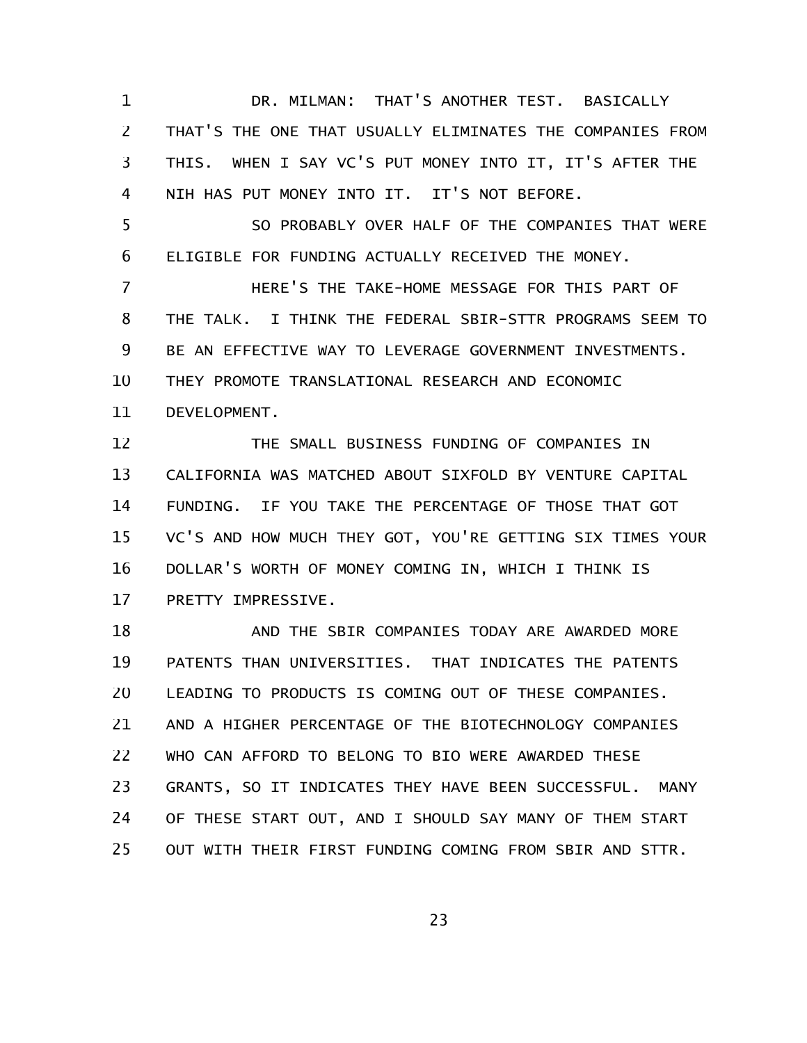DR. MILMAN: THAT'S ANOTHER TEST. BASICALLY THAT'S THE ONE THAT USUALLY ELIMINATES THE COMPANIES FROM THIS. WHEN I SAY VC'S PUT MONEY INTO IT, IT'S AFTER THE NIH HAS PUT MONEY INTO IT. IT'S NOT BEFORE. 1 2 3 4

SO PROBABLY OVER HALF OF THE COMPANIES THAT WERE ELIGIBLE FOR FUNDING ACTUALLY RECEIVED THE MONEY. 5 6

HERE'S THE TAKE-HOME MESSAGE FOR THIS PART OF THE TALK. I THINK THE FEDERAL SBIR-STTR PROGRAMS SEEM TO BE AN EFFECTIVE WAY TO LEVERAGE GOVERNMENT INVESTMENTS. THEY PROMOTE TRANSLATIONAL RESEARCH AND ECONOMIC 7 8 9 10

DEVELOPMENT. 11

THE SMALL BUSINESS FUNDING OF COMPANIES IN CALIFORNIA WAS MATCHED ABOUT SIXFOLD BY VENTURE CAPITAL FUNDING. IF YOU TAKE THE PERCENTAGE OF THOSE THAT GOT VC'S AND HOW MUCH THEY GOT, YOU'RE GETTING SIX TIMES YOUR DOLLAR'S WORTH OF MONEY COMING IN, WHICH I THINK IS PRETTY IMPRESSIVE. 12 13 14 15 16 17

AND THE SBIR COMPANIES TODAY ARE AWARDED MORE PATENTS THAN UNIVERSITIES. THAT INDICATES THE PATENTS LEADING TO PRODUCTS IS COMING OUT OF THESE COMPANIES. AND A HIGHER PERCENTAGE OF THE BIOTECHNOLOGY COMPANIES WHO CAN AFFORD TO BELONG TO BIO WERE AWARDED THESE GRANTS, SO IT INDICATES THEY HAVE BEEN SUCCESSFUL. MANY OF THESE START OUT, AND I SHOULD SAY MANY OF THEM START OUT WITH THEIR FIRST FUNDING COMING FROM SBIR AND STTR. 18 19 20 21 22 23 24 25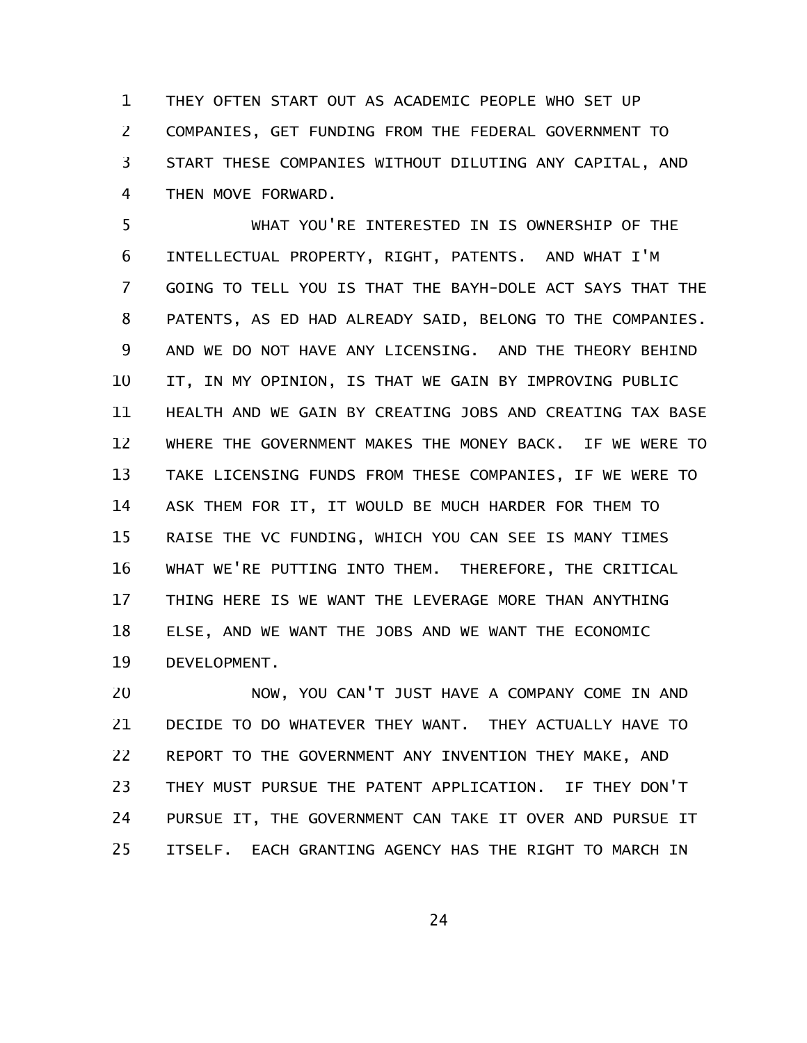THEY OFTEN START OUT AS ACADEMIC PEOPLE WHO SET UP COMPANIES, GET FUNDING FROM THE FEDERAL GOVERNMENT TO START THESE COMPANIES WITHOUT DILUTING ANY CAPITAL, AND THEN MOVE FORWARD. 1 2 3 4

WHAT YOU'RE INTERESTED IN IS OWNERSHIP OF THE INTELLECTUAL PROPERTY, RIGHT, PATENTS. AND WHAT I'M GOING TO TELL YOU IS THAT THE BAYH-DOLE ACT SAYS THAT THE PATENTS, AS ED HAD ALREADY SAID, BELONG TO THE COMPANIES. AND WE DO NOT HAVE ANY LICENSING. AND THE THEORY BEHIND IT, IN MY OPINION, IS THAT WE GAIN BY IMPROVING PUBLIC HEALTH AND WE GAIN BY CREATING JOBS AND CREATING TAX BASE WHERE THE GOVERNMENT MAKES THE MONEY BACK. IF WE WERE TO TAKE LICENSING FUNDS FROM THESE COMPANIES, IF WE WERE TO ASK THEM FOR IT, IT WOULD BE MUCH HARDER FOR THEM TO RAISE THE VC FUNDING, WHICH YOU CAN SEE IS MANY TIMES WHAT WE'RE PUTTING INTO THEM. THEREFORE, THE CRITICAL THING HERE IS WE WANT THE LEVERAGE MORE THAN ANYTHING ELSE, AND WE WANT THE JOBS AND WE WANT THE ECONOMIC DEVELOPMENT. 5 6 7 8 9 10 11 12 13 14 15 16 17 18 19

NOW, YOU CAN'T JUST HAVE A COMPANY COME IN AND DECIDE TO DO WHATEVER THEY WANT. THEY ACTUALLY HAVE TO REPORT TO THE GOVERNMENT ANY INVENTION THEY MAKE, AND THEY MUST PURSUE THE PATENT APPLICATION. IF THEY DON'T PURSUE IT, THE GOVERNMENT CAN TAKE IT OVER AND PURSUE IT ITSELF. EACH GRANTING AGENCY HAS THE RIGHT TO MARCH IN 20 21 22 23 24 25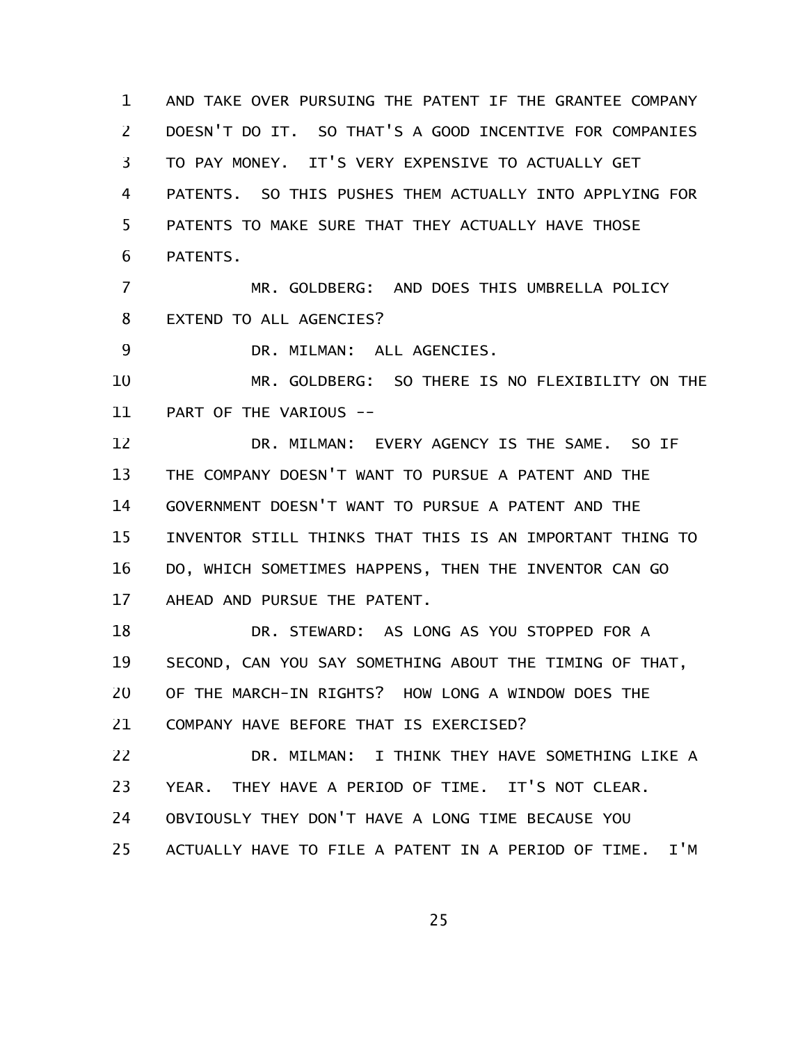AND TAKE OVER PURSUING THE PATENT IF THE GRANTEE COMPANY DOESN'T DO IT. SO THAT'S A GOOD INCENTIVE FOR COMPANIES TO PAY MONEY. IT'S VERY EXPENSIVE TO ACTUALLY GET PATENTS. SO THIS PUSHES THEM ACTUALLY INTO APPLYING FOR PATENTS TO MAKE SURE THAT THEY ACTUALLY HAVE THOSE PATENTS. 1 2 3 4 5 6

MR. GOLDBERG: AND DOES THIS UMBRELLA POLICY EXTEND TO ALL AGENCIES? 7 8

DR. MILMAN: ALL AGENCIES. 9

MR. GOLDBERG: SO THERE IS NO FLEXIBILITY ON THE PART OF THE VARIOUS -- 10 11

DR. MILMAN: EVERY AGENCY IS THE SAME. SO IF THE COMPANY DOESN'T WANT TO PURSUE A PATENT AND THE GOVERNMENT DOESN'T WANT TO PURSUE A PATENT AND THE INVENTOR STILL THINKS THAT THIS IS AN IMPORTANT THING TO DO, WHICH SOMETIMES HAPPENS, THEN THE INVENTOR CAN GO AHEAD AND PURSUE THE PATENT. 12 13 14 15 16 17

DR. STEWARD: AS LONG AS YOU STOPPED FOR A SECOND, CAN YOU SAY SOMETHING ABOUT THE TIMING OF THAT, OF THE MARCH-IN RIGHTS? HOW LONG A WINDOW DOES THE COMPANY HAVE BEFORE THAT IS EXERCISED? 18 19 20 21

DR. MILMAN: I THINK THEY HAVE SOMETHING LIKE A YEAR. THEY HAVE A PERIOD OF TIME. IT'S NOT CLEAR. OBVIOUSLY THEY DON'T HAVE A LONG TIME BECAUSE YOU 22 23 24

ACTUALLY HAVE TO FILE A PATENT IN A PERIOD OF TIME. I'M 25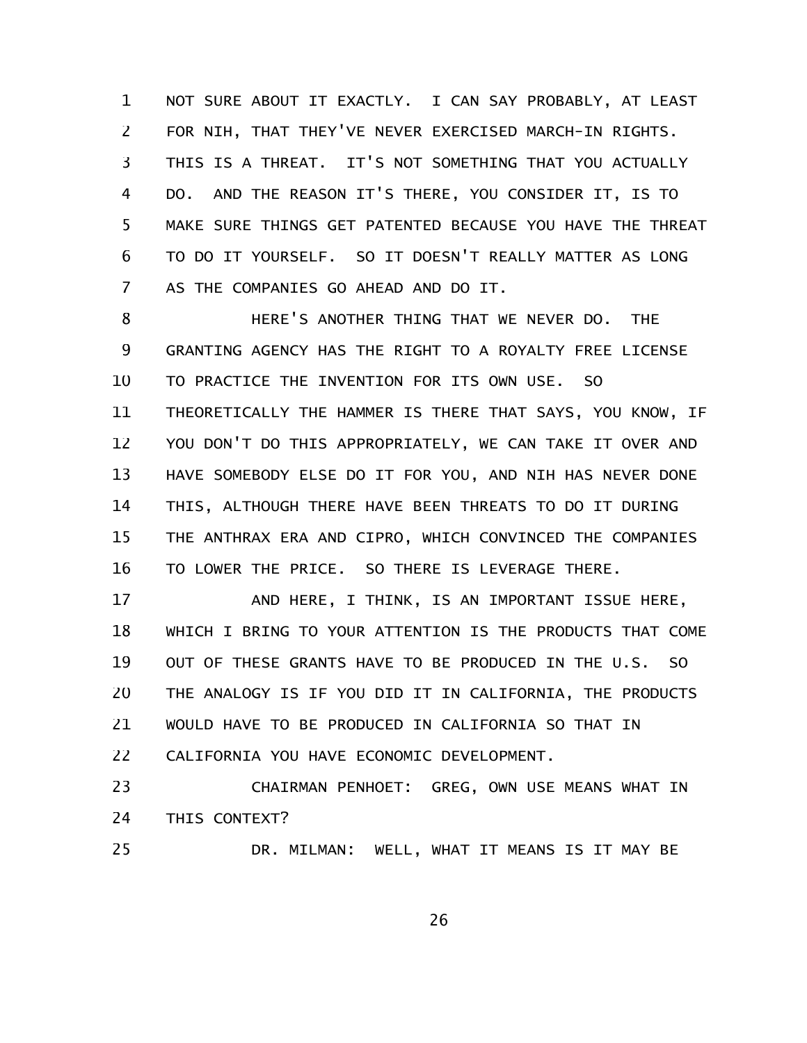NOT SURE ABOUT IT EXACTLY. I CAN SAY PROBABLY, AT LEAST FOR NIH, THAT THEY'VE NEVER EXERCISED MARCH-IN RIGHTS. THIS IS A THREAT. IT'S NOT SOMETHING THAT YOU ACTUALLY DO. AND THE REASON IT'S THERE, YOU CONSIDER IT, IS TO MAKE SURE THINGS GET PATENTED BECAUSE YOU HAVE THE THREAT TO DO IT YOURSELF. SO IT DOESN'T REALLY MATTER AS LONG AS THE COMPANIES GO AHEAD AND DO IT. 1 2 3 4 5 6 7

HERE'S ANOTHER THING THAT WE NEVER DO. THE GRANTING AGENCY HAS THE RIGHT TO A ROYALTY FREE LICENSE TO PRACTICE THE INVENTION FOR ITS OWN USE. SO THEORETICALLY THE HAMMER IS THERE THAT SAYS, YOU KNOW, IF YOU DON'T DO THIS APPROPRIATELY, WE CAN TAKE IT OVER AND HAVE SOMEBODY ELSE DO IT FOR YOU, AND NIH HAS NEVER DONE THIS, ALTHOUGH THERE HAVE BEEN THREATS TO DO IT DURING THE ANTHRAX ERA AND CIPRO, WHICH CONVINCED THE COMPANIES TO LOWER THE PRICE. SO THERE IS LEVERAGE THERE. 8 9 10 11 12 13 14 15 16

AND HERE, I THINK, IS AN IMPORTANT ISSUE HERE, WHICH I BRING TO YOUR ATTENTION IS THE PRODUCTS THAT COME OUT OF THESE GRANTS HAVE TO BE PRODUCED IN THE U.S. SO THE ANALOGY IS IF YOU DID IT IN CALIFORNIA, THE PRODUCTS WOULD HAVE TO BE PRODUCED IN CALIFORNIA SO THAT IN CALIFORNIA YOU HAVE ECONOMIC DEVELOPMENT. 17 18 19 20 21 22

CHAIRMAN PENHOET: GREG, OWN USE MEANS WHAT IN THIS CONTEXT? 23 24

DR. MILMAN: WELL, WHAT IT MEANS IS IT MAY BE

25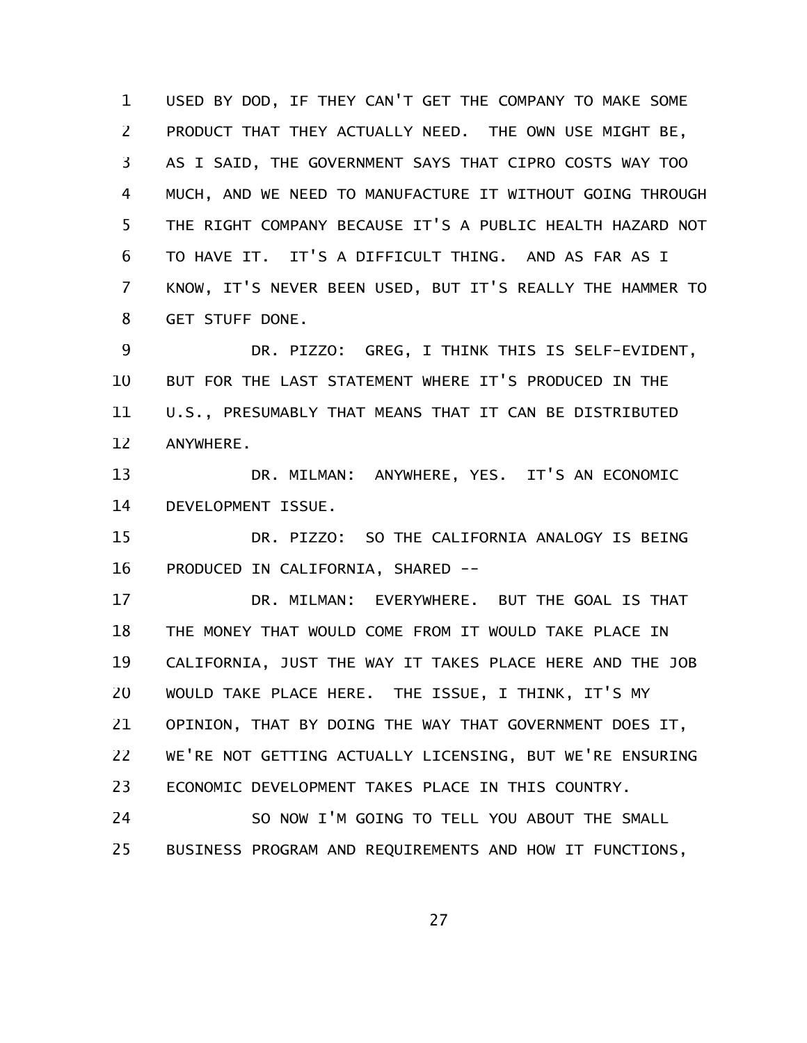USED BY DOD, IF THEY CAN'T GET THE COMPANY TO MAKE SOME PRODUCT THAT THEY ACTUALLY NEED. THE OWN USE MIGHT BE, AS I SAID, THE GOVERNMENT SAYS THAT CIPRO COSTS WAY TOO MUCH, AND WE NEED TO MANUFACTURE IT WITHOUT GOING THROUGH THE RIGHT COMPANY BECAUSE IT'S A PUBLIC HEALTH HAZARD NOT TO HAVE IT. IT'S A DIFFICULT THING. AND AS FAR AS I KNOW, IT'S NEVER BEEN USED, BUT IT'S REALLY THE HAMMER TO GET STUFF DONE. 1 2 3 4 5 6 7 8

DR. PIZZO: GREG, I THINK THIS IS SELF-EVIDENT, BUT FOR THE LAST STATEMENT WHERE IT'S PRODUCED IN THE U.S., PRESUMABLY THAT MEANS THAT IT CAN BE DISTRIBUTED ANYWHERE. 9 10 11 12

DR. MILMAN: ANYWHERE, YES. IT'S AN ECONOMIC DEVELOPMENT ISSUE. 13 14

DR. PIZZO: SO THE CALIFORNIA ANALOGY IS BEING PRODUCED IN CALIFORNIA, SHARED -- 15 16

DR. MILMAN: EVERYWHERE. BUT THE GOAL IS THAT THE MONEY THAT WOULD COME FROM IT WOULD TAKE PLACE IN CALIFORNIA, JUST THE WAY IT TAKES PLACE HERE AND THE JOB WOULD TAKE PLACE HERE. THE ISSUE, I THINK, IT'S MY OPINION, THAT BY DOING THE WAY THAT GOVERNMENT DOES IT, WE'RE NOT GETTING ACTUALLY LICENSING, BUT WE'RE ENSURING ECONOMIC DEVELOPMENT TAKES PLACE IN THIS COUNTRY. 17 18 19 20 21 22 23

SO NOW I'M GOING TO TELL YOU ABOUT THE SMALL BUSINESS PROGRAM AND REQUIREMENTS AND HOW IT FUNCTIONS, 24 25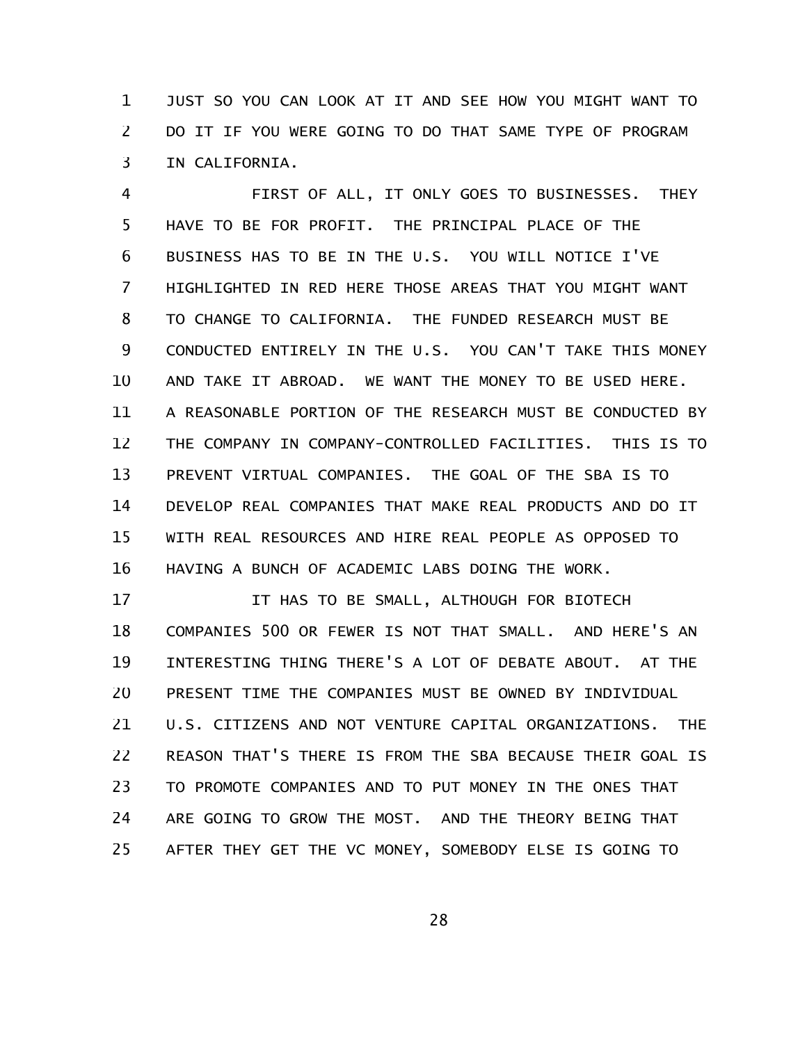JUST SO YOU CAN LOOK AT IT AND SEE HOW YOU MIGHT WANT TO DO IT IF YOU WERE GOING TO DO THAT SAME TYPE OF PROGRAM IN CALIFORNIA. 1 2 3

FIRST OF ALL, IT ONLY GOES TO BUSINESSES. THEY HAVE TO BE FOR PROFIT. THE PRINCIPAL PLACE OF THE BUSINESS HAS TO BE IN THE U.S. YOU WILL NOTICE I'VE HIGHLIGHTED IN RED HERE THOSE AREAS THAT YOU MIGHT WANT TO CHANGE TO CALIFORNIA. THE FUNDED RESEARCH MUST BE CONDUCTED ENTIRELY IN THE U.S. YOU CAN'T TAKE THIS MONEY AND TAKE IT ABROAD. WE WANT THE MONEY TO BE USED HERE. A REASONABLE PORTION OF THE RESEARCH MUST BE CONDUCTED BY THE COMPANY IN COMPANY-CONTROLLED FACILITIES. THIS IS TO PREVENT VIRTUAL COMPANIES. THE GOAL OF THE SBA IS TO DEVELOP REAL COMPANIES THAT MAKE REAL PRODUCTS AND DO IT WITH REAL RESOURCES AND HIRE REAL PEOPLE AS OPPOSED TO HAVING A BUNCH OF ACADEMIC LABS DOING THE WORK. 4 5 6 7 8 9 10 11 12 13 14 15 16

IT HAS TO BE SMALL, ALTHOUGH FOR BIOTECH COMPANIES 500 OR FEWER IS NOT THAT SMALL. AND HERE'S AN INTERESTING THING THERE'S A LOT OF DEBATE ABOUT. AT THE PRESENT TIME THE COMPANIES MUST BE OWNED BY INDIVIDUAL U.S. CITIZENS AND NOT VENTURE CAPITAL ORGANIZATIONS. THE REASON THAT'S THERE IS FROM THE SBA BECAUSE THEIR GOAL IS TO PROMOTE COMPANIES AND TO PUT MONEY IN THE ONES THAT ARE GOING TO GROW THE MOST. AND THE THEORY BEING THAT AFTER THEY GET THE VC MONEY, SOMEBODY ELSE IS GOING TO 17 18 19 20 21 22 23 24 25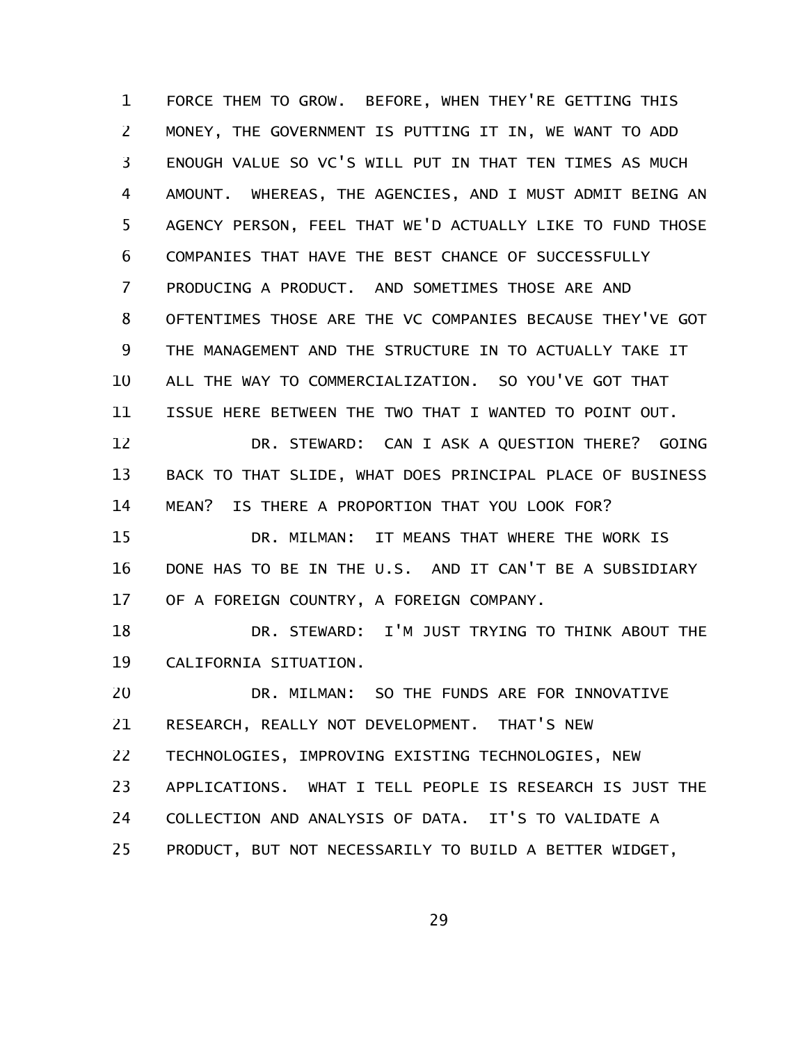FORCE THEM TO GROW. BEFORE, WHEN THEY'RE GETTING THIS MONEY, THE GOVERNMENT IS PUTTING IT IN, WE WANT TO ADD ENOUGH VALUE SO VC'S WILL PUT IN THAT TEN TIMES AS MUCH AMOUNT. WHEREAS, THE AGENCIES, AND I MUST ADMIT BEING AN AGENCY PERSON, FEEL THAT WE'D ACTUALLY LIKE TO FUND THOSE COMPANIES THAT HAVE THE BEST CHANCE OF SUCCESSFULLY PRODUCING A PRODUCT. AND SOMETIMES THOSE ARE AND OFTENTIMES THOSE ARE THE VC COMPANIES BECAUSE THEY'VE GOT THE MANAGEMENT AND THE STRUCTURE IN TO ACTUALLY TAKE IT ALL THE WAY TO COMMERCIALIZATION. SO YOU'VE GOT THAT ISSUE HERE BETWEEN THE TWO THAT I WANTED TO POINT OUT. DR. STEWARD: CAN I ASK A QUESTION THERE? GOING BACK TO THAT SLIDE, WHAT DOES PRINCIPAL PLACE OF BUSINESS MEAN? IS THERE A PROPORTION THAT YOU LOOK FOR? DR. MILMAN: IT MEANS THAT WHERE THE WORK IS DONE HAS TO BE IN THE U.S. AND IT CAN'T BE A SUBSIDIARY OF A FOREIGN COUNTRY, A FOREIGN COMPANY. DR. STEWARD: I'M JUST TRYING TO THINK ABOUT THE CALIFORNIA SITUATION. DR. MILMAN: SO THE FUNDS ARE FOR INNOVATIVE RESEARCH, REALLY NOT DEVELOPMENT. THAT'S NEW TECHNOLOGIES, IMPROVING EXISTING TECHNOLOGIES, NEW APPLICATIONS. WHAT I TELL PEOPLE IS RESEARCH IS JUST THE COLLECTION AND ANALYSIS OF DATA. IT'S TO VALIDATE A PRODUCT, BUT NOT NECESSARILY TO BUILD A BETTER WIDGET, 1 2 3 4 5 6 7 8 9 10 11 12 13 14 15 16 17 18 19 20 21 22 23 24 25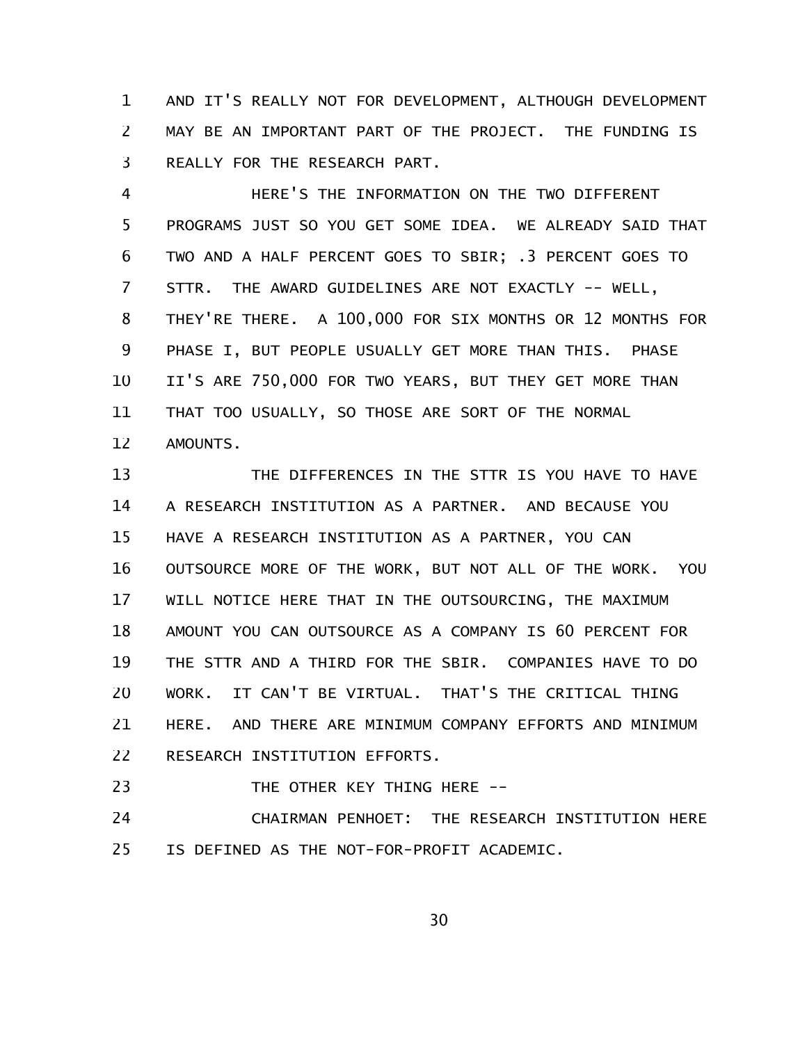AND IT'S REALLY NOT FOR DEVELOPMENT, ALTHOUGH DEVELOPMENT MAY BE AN IMPORTANT PART OF THE PROJECT. THE FUNDING IS REALLY FOR THE RESEARCH PART. 1 2 3

HERE'S THE INFORMATION ON THE TWO DIFFERENT PROGRAMS JUST SO YOU GET SOME IDEA. WE ALREADY SAID THAT TWO AND A HALF PERCENT GOES TO SBIR; .3 PERCENT GOES TO STTR. THE AWARD GUIDELINES ARE NOT EXACTLY -- WELL, THEY'RE THERE. A 100,000 FOR SIX MONTHS OR 12 MONTHS FOR PHASE I, BUT PEOPLE USUALLY GET MORE THAN THIS, PHASE II'S ARE 750,000 FOR TWO YEARS, BUT THEY GET MORE THAN THAT TOO USUALLY, SO THOSE ARE SORT OF THE NORMAL AMOUNTS. 4 5 6 7 8 9 10 11 12

THE DIFFERENCES IN THE STTR IS YOU HAVE TO HAVE A RESEARCH INSTITUTION AS A PARTNER. AND BECAUSE YOU HAVE A RESEARCH INSTITUTION AS A PARTNER, YOU CAN OUTSOURCE MORE OF THE WORK, BUT NOT ALL OF THE WORK. YOU WILL NOTICE HERE THAT IN THE OUTSOURCING, THE MAXIMUM AMOUNT YOU CAN OUTSOURCE AS A COMPANY IS 60 PERCENT FOR THE STTR AND A THIRD FOR THE SBIR. COMPANIES HAVE TO DO WORK. IT CAN'T BE VIRTUAL. THAT'S THE CRITICAL THING HERE. AND THERE ARE MINIMUM COMPANY EFFORTS AND MINIMUM RESEARCH INSTITUTION EFFORTS. 13 14 15 16 17 18 19 20 21 22

THE OTHER KEY THING HERE -- 23

CHAIRMAN PENHOET: THE RESEARCH INSTITUTION HERE IS DEFINED AS THE NOT-FOR-PROFIT ACADEMIC. 24 25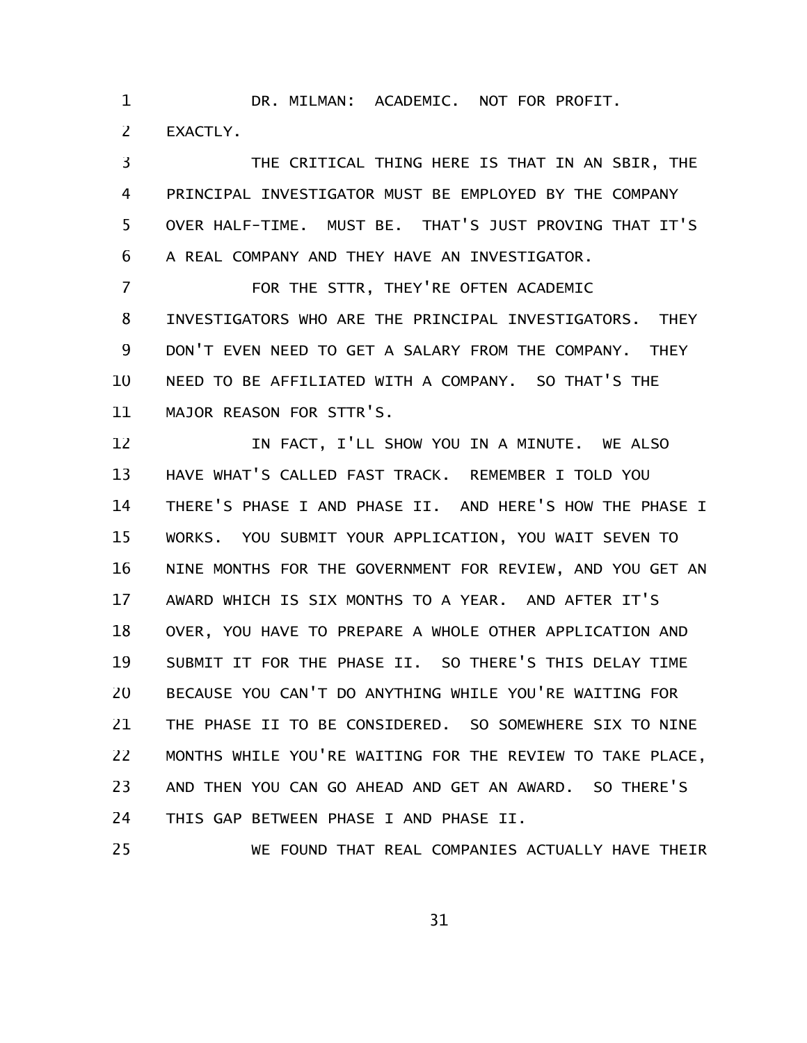DR. MILMAN: ACADEMIC. NOT FOR PROFIT. EXACTLY. 1 2

THE CRITICAL THING HERE IS THAT IN AN SBIR, THE PRINCIPAL INVESTIGATOR MUST BE EMPLOYED BY THE COMPANY OVER HALF-TIME. MUST BE. THAT'S JUST PROVING THAT IT'S A REAL COMPANY AND THEY HAVE AN INVESTIGATOR. 3 4 5 6

FOR THE STTR, THEY'RE OFTEN ACADEMIC INVESTIGATORS WHO ARE THE PRINCIPAL INVESTIGATORS. THEY DON'T EVEN NEED TO GET A SALARY FROM THE COMPANY. THEY NEED TO BE AFFILIATED WITH A COMPANY. SO THAT'S THE MAJOR REASON FOR STTR'S. 7 8 9 10 11

IN FACT, I'LL SHOW YOU IN A MINUTE. WE ALSO HAVE WHAT'S CALLED FAST TRACK. REMEMBER I TOLD YOU THERE'S PHASE I AND PHASE II. AND HERE'S HOW THE PHASE I WORKS. YOU SUBMIT YOUR APPLICATION, YOU WAIT SEVEN TO NINE MONTHS FOR THE GOVERNMENT FOR REVIEW, AND YOU GET AN AWARD WHICH IS SIX MONTHS TO A YEAR. AND AFTER IT'S OVER, YOU HAVE TO PREPARE A WHOLE OTHER APPLICATION AND SUBMIT IT FOR THE PHASE II. SO THERE'S THIS DELAY TIME BECAUSE YOU CAN'T DO ANYTHING WHILE YOU'RE WAITING FOR THE PHASE II TO BE CONSIDERED. SO SOMEWHERE SIX TO NINE MONTHS WHILE YOU'RE WAITING FOR THE REVIEW TO TAKE PLACE, AND THEN YOU CAN GO AHEAD AND GET AN AWARD. SO THERE'S THIS GAP BETWEEN PHASE I AND PHASE II. 12 13 14 15 16 17 18 19 20 21 22 23 24

WE FOUND THAT REAL COMPANIES ACTUALLY HAVE THEIR 25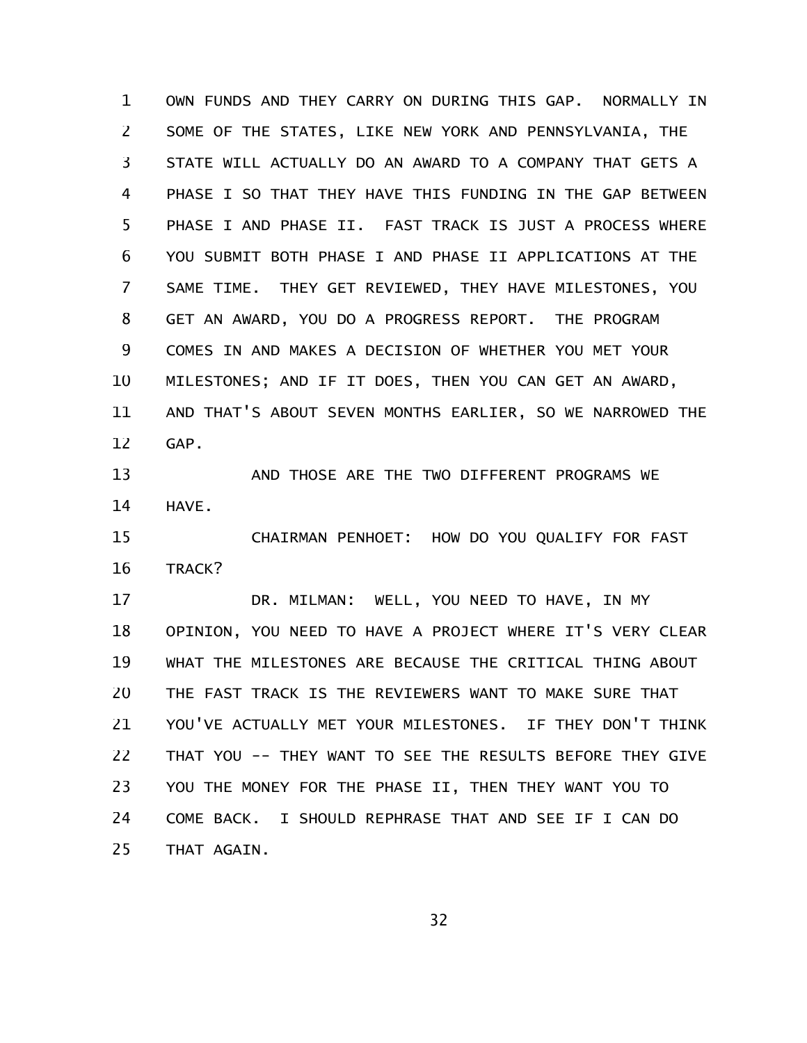OWN FUNDS AND THEY CARRY ON DURING THIS GAP. NORMALLY IN SOME OF THE STATES, LIKE NEW YORK AND PENNSYLVANIA, THE STATE WILL ACTUALLY DO AN AWARD TO A COMPANY THAT GETS A PHASE I SO THAT THEY HAVE THIS FUNDING IN THE GAP BETWEEN PHASE I AND PHASE II. FAST TRACK IS JUST A PROCESS WHERE YOU SUBMIT BOTH PHASE I AND PHASE II APPLICATIONS AT THE SAME TIME. THEY GET REVIEWED, THEY HAVE MILESTONES, YOU GET AN AWARD, YOU DO A PROGRESS REPORT. THE PROGRAM COMES IN AND MAKES A DECISION OF WHETHER YOU MET YOUR MILESTONES; AND IF IT DOES, THEN YOU CAN GET AN AWARD, AND THAT'S ABOUT SEVEN MONTHS EARLIER, SO WE NARROWED THE GAP. 1 2 3 4 5 6 7 8 9 10 11 12

AND THOSE ARE THE TWO DIFFERENT PROGRAMS WE HAVE. 13 14

CHAIRMAN PENHOET: HOW DO YOU QUALIFY FOR FAST TRACK? 15 16

DR. MILMAN: WELL, YOU NEED TO HAVE, IN MY OPINION, YOU NEED TO HAVE A PROJECT WHERE IT'S VERY CLEAR WHAT THE MILESTONES ARE BECAUSE THE CRITICAL THING ABOUT THE FAST TRACK IS THE REVIEWERS WANT TO MAKE SURE THAT YOU'VE ACTUALLY MET YOUR MILESTONES. IF THEY DON'T THINK THAT YOU -- THEY WANT TO SEE THE RESULTS BEFORE THEY GIVE YOU THE MONEY FOR THE PHASE II, THEN THEY WANT YOU TO COME BACK. I SHOULD REPHRASE THAT AND SEE IF I CAN DO THAT AGAIN. 17 18 19 20 21 22 23 24 25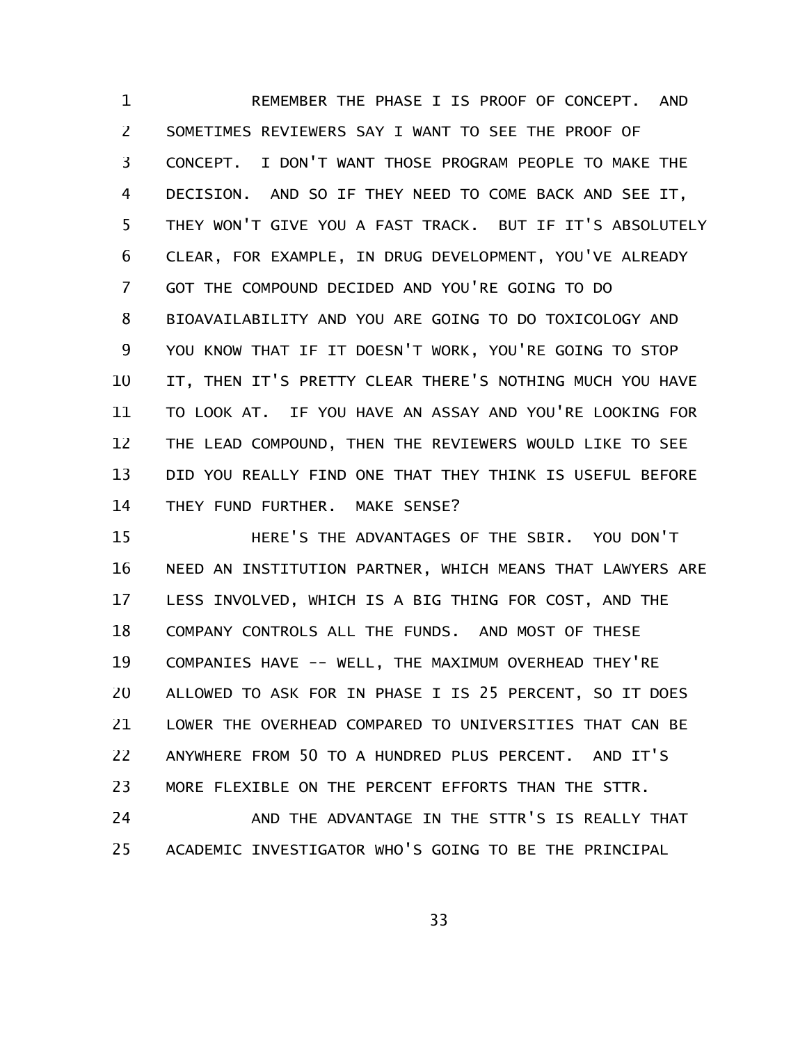REMEMBER THE PHASE I IS PROOF OF CONCEPT. AND SOMETIMES REVIEWERS SAY I WANT TO SEE THE PROOF OF CONCEPT. I DON'T WANT THOSE PROGRAM PEOPLE TO MAKE THE DECISION. AND SO IF THEY NEED TO COME BACK AND SEE IT, THEY WON'T GIVE YOU A FAST TRACK. BUT IF IT'S ABSOLUTELY CLEAR, FOR EXAMPLE, IN DRUG DEVELOPMENT, YOU'VE ALREADY GOT THE COMPOUND DECIDED AND YOU'RE GOING TO DO BIOAVAILABILITY AND YOU ARE GOING TO DO TOXICOLOGY AND YOU KNOW THAT IF IT DOESN'T WORK, YOU'RE GOING TO STOP IT, THEN IT'S PRETTY CLEAR THERE'S NOTHING MUCH YOU HAVE TO LOOK AT. IF YOU HAVE AN ASSAY AND YOU'RE LOOKING FOR THE LEAD COMPOUND, THEN THE REVIEWERS WOULD LIKE TO SEE DID YOU REALLY FIND ONE THAT THEY THINK IS USEFUL BEFORE THEY FUND FURTHER. MAKE SENSE? 1 2 3 4 5 6 7 8 9 10 11 12 13 14

HERE'S THE ADVANTAGES OF THE SBIR. YOU DON'T NEED AN INSTITUTION PARTNER, WHICH MEANS THAT LAWYERS ARE LESS INVOLVED, WHICH IS A BIG THING FOR COST, AND THE COMPANY CONTROLS ALL THE FUNDS. AND MOST OF THESE COMPANIES HAVE -- WELL, THE MAXIMUM OVERHEAD THEY'RE ALLOWED TO ASK FOR IN PHASE I IS 25 PERCENT, SO IT DOES LOWER THE OVERHEAD COMPARED TO UNIVERSITIES THAT CAN BE ANYWHERE FROM 50 TO A HUNDRED PLUS PERCENT. AND IT'S MORE FLEXIBLE ON THE PERCENT EFFORTS THAN THE STTR. 15 16 17 18 19 20 21 22 23

AND THE ADVANTAGE IN THE STTR'S IS REALLY THAT ACADEMIC INVESTIGATOR WHO'S GOING TO BE THE PRINCIPAL 24 25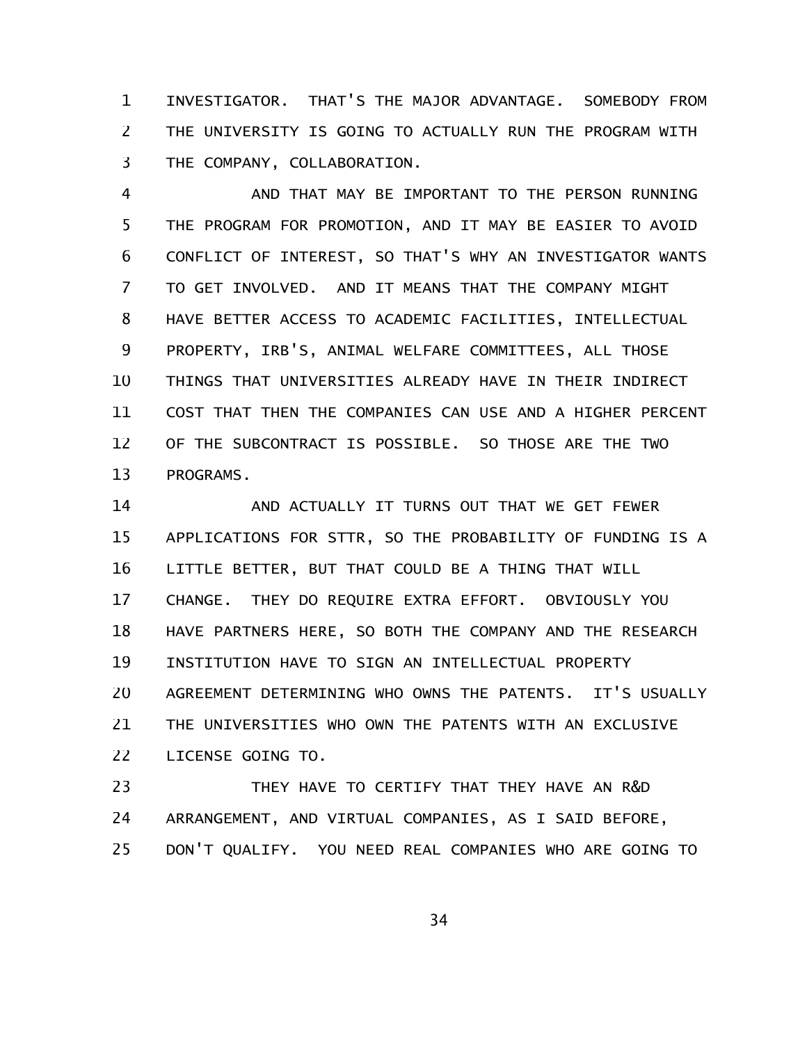INVESTIGATOR. THAT'S THE MAJOR ADVANTAGE. SOMEBODY FROM THE UNIVERSITY IS GOING TO ACTUALLY RUN THE PROGRAM WITH THE COMPANY, COLLABORATION. 1 2 3

AND THAT MAY BE IMPORTANT TO THE PERSON RUNNING THE PROGRAM FOR PROMOTION, AND IT MAY BE EASIER TO AVOID CONFLICT OF INTEREST, SO THAT'S WHY AN INVESTIGATOR WANTS TO GET INVOLVED. AND IT MEANS THAT THE COMPANY MIGHT HAVE BETTER ACCESS TO ACADEMIC FACILITIES, INTELLECTUAL PROPERTY, IRB'S, ANIMAL WELFARE COMMITTEES, ALL THOSE THINGS THAT UNIVERSITIES ALREADY HAVE IN THEIR INDIRECT COST THAT THEN THE COMPANIES CAN USE AND A HIGHER PERCENT OF THE SUBCONTRACT IS POSSIBLE. SO THOSE ARE THE TWO PROGRAMS. 4 5 6 7 8 9 10 11 12 13

AND ACTUALLY IT TURNS OUT THAT WE GET FEWER APPLICATIONS FOR STTR, SO THE PROBABILITY OF FUNDING IS A LITTLE BETTER, BUT THAT COULD BE A THING THAT WILL CHANGE. THEY DO REQUIRE EXTRA EFFORT. OBVIOUSLY YOU HAVE PARTNERS HERE, SO BOTH THE COMPANY AND THE RESEARCH INSTITUTION HAVE TO SIGN AN INTELLECTUAL PROPERTY AGREEMENT DETERMINING WHO OWNS THE PATENTS. IT'S USUALLY THE UNIVERSITIES WHO OWN THE PATENTS WITH AN EXCLUSIVE LICENSE GOING TO. 14 15 16 17 18 19 20 21 22

THEY HAVE TO CERTIFY THAT THEY HAVE AN R&D ARRANGEMENT, AND VIRTUAL COMPANIES, AS I SAID BEFORE, DON'T QUALIFY. YOU NEED REAL COMPANIES WHO ARE GOING TO 23 24 25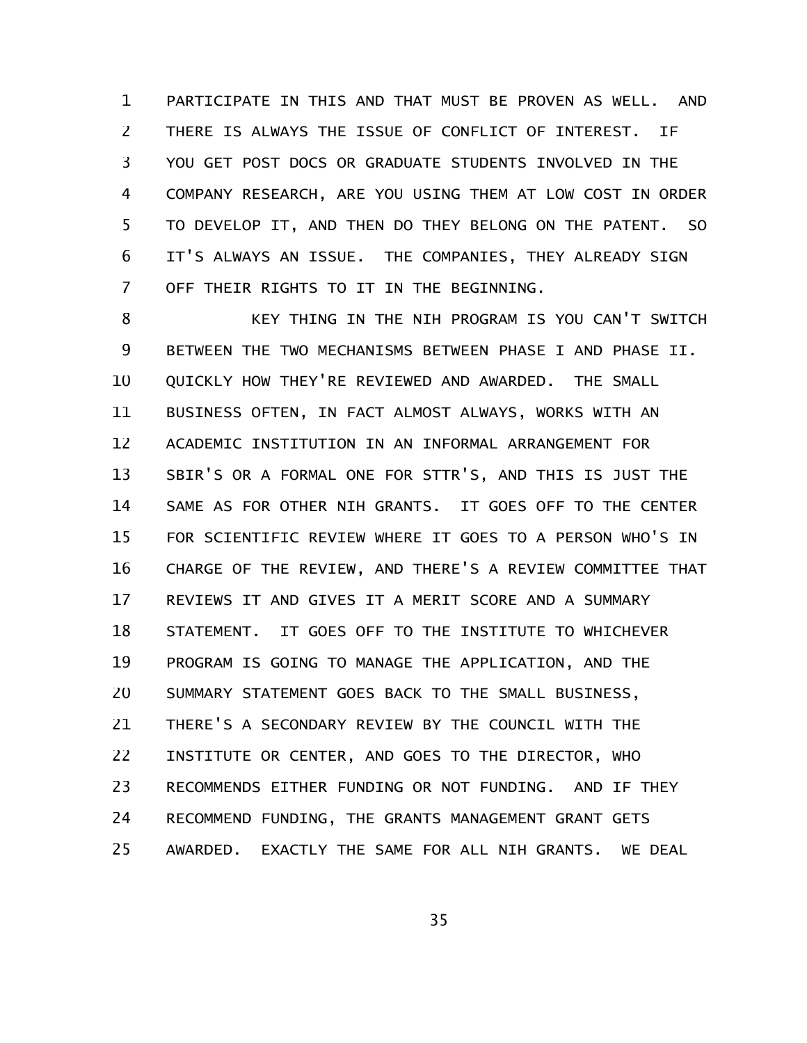PARTICIPATE IN THIS AND THAT MUST BE PROVEN AS WELL. AND THERE IS ALWAYS THE ISSUE OF CONFLICT OF INTEREST. IF YOU GET POST DOCS OR GRADUATE STUDENTS INVOLVED IN THE COMPANY RESEARCH, ARE YOU USING THEM AT LOW COST IN ORDER TO DEVELOP IT, AND THEN DO THEY BELONG ON THE PATENT. SO IT'S ALWAYS AN ISSUE. THE COMPANIES, THEY ALREADY SIGN OFF THEIR RIGHTS TO IT IN THE BEGINNING. 1 2 3 4 5 6 7

KEY THING IN THE NIH PROGRAM IS YOU CAN'T SWITCH BETWEEN THE TWO MECHANISMS BETWEEN PHASE I AND PHASE II. QUICKLY HOW THEY'RE REVIEWED AND AWARDED. THE SMALL BUSINESS OFTEN, IN FACT ALMOST ALWAYS, WORKS WITH AN ACADEMIC INSTITUTION IN AN INFORMAL ARRANGEMENT FOR SBIR'S OR A FORMAL ONE FOR STTR'S, AND THIS IS JUST THE SAME AS FOR OTHER NIH GRANTS. IT GOES OFF TO THE CENTER FOR SCIENTIFIC REVIEW WHERE IT GOES TO A PERSON WHO'S IN CHARGE OF THE REVIEW, AND THERE'S A REVIEW COMMITTEE THAT REVIEWS IT AND GIVES IT A MERIT SCORE AND A SUMMARY STATEMENT. IT GOES OFF TO THE INSTITUTE TO WHICHEVER PROGRAM IS GOING TO MANAGE THE APPLICATION, AND THE SUMMARY STATEMENT GOES BACK TO THE SMALL BUSINESS, THERE'S A SECONDARY REVIEW BY THE COUNCIL WITH THE INSTITUTE OR CENTER, AND GOES TO THE DIRECTOR, WHO RECOMMENDS EITHER FUNDING OR NOT FUNDING. AND IF THEY RECOMMEND FUNDING, THE GRANTS MANAGEMENT GRANT GETS AWARDED. EXACTLY THE SAME FOR ALL NIH GRANTS. WE DEAL 8 9 10 11 12 13 14 15 16 17 18 19 20 21 22 23 24 25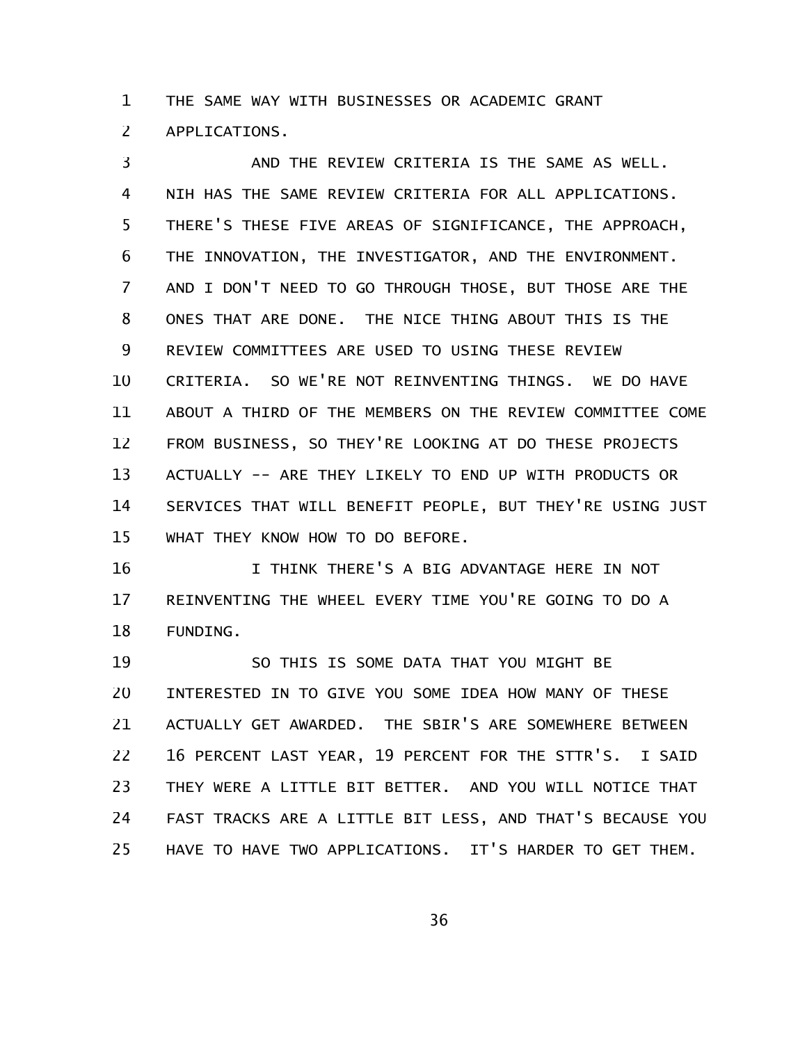THE SAME WAY WITH BUSINESSES OR ACADEMIC GRANT 1

APPLICATIONS. 2

AND THE REVIEW CRITERIA IS THE SAME AS WELL. NIH HAS THE SAME REVIEW CRITERIA FOR ALL APPLICATIONS. THERE'S THESE FIVE AREAS OF SIGNIFICANCE, THE APPROACH, THE INNOVATION, THE INVESTIGATOR, AND THE ENVIRONMENT. AND I DON'T NEED TO GO THROUGH THOSE, BUT THOSE ARE THE ONES THAT ARE DONE. THE NICE THING ABOUT THIS IS THE REVIEW COMMITTEES ARE USED TO USING THESE REVIEW CRITERIA. SO WE'RE NOT REINVENTING THINGS. WE DO HAVE ABOUT A THIRD OF THE MEMBERS ON THE REVIEW COMMITTEE COME FROM BUSINESS, SO THEY'RE LOOKING AT DO THESE PROJECTS ACTUALLY -- ARE THEY LIKELY TO END UP WITH PRODUCTS OR SERVICES THAT WILL BENEFIT PEOPLE, BUT THEY'RE USING JUST WHAT THEY KNOW HOW TO DO BEFORE. 3 4 5 6 7 8 9 10 11 12 13 14 15

I THINK THERE'S A BIG ADVANTAGE HERE IN NOT REINVENTING THE WHEEL EVERY TIME YOU'RE GOING TO DO A FUNDING. 16 17 18

SO THIS IS SOME DATA THAT YOU MIGHT BE INTERESTED IN TO GIVE YOU SOME IDEA HOW MANY OF THESE ACTUALLY GET AWARDED. THE SBIR'S ARE SOMEWHERE BETWEEN 16 PERCENT LAST YEAR, 19 PERCENT FOR THE STTR'S. I SAID THEY WERE A LITTLE BIT BETTER. AND YOU WILL NOTICE THAT FAST TRACKS ARE A LITTLE BIT LESS, AND THAT'S BECAUSE YOU HAVE TO HAVE TWO APPLICATIONS. IT'S HARDER TO GET THEM. 19 20 21 22 23 24 25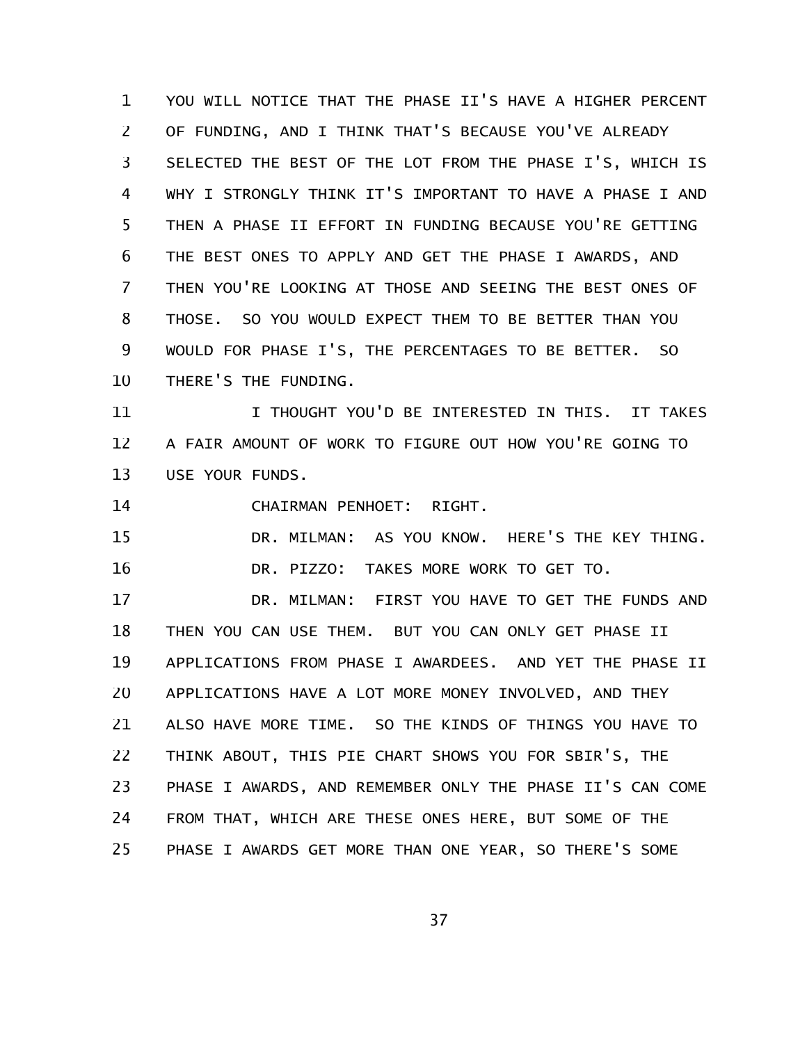YOU WILL NOTICE THAT THE PHASE II'S HAVE A HIGHER PERCENT OF FUNDING, AND I THINK THAT'S BECAUSE YOU'VE ALREADY SELECTED THE BEST OF THE LOT FROM THE PHASE I'S, WHICH IS WHY I STRONGLY THINK IT'S IMPORTANT TO HAVE A PHASE I AND THEN A PHASE II EFFORT IN FUNDING BECAUSE YOU'RE GETTING THE BEST ONES TO APPLY AND GET THE PHASE I AWARDS, AND THEN YOU'RE LOOKING AT THOSE AND SEEING THE BEST ONES OF THOSE. SO YOU WOULD EXPECT THEM TO BE BETTER THAN YOU WOULD FOR PHASE I'S, THE PERCENTAGES TO BE BETTER. SO THERE'S THE FUNDING. 1 2 3 4 5 6 7 8 9 10

I THOUGHT YOU'D BE INTERESTED IN THIS. IT TAKES A FAIR AMOUNT OF WORK TO FIGURE OUT HOW YOU'RE GOING TO USE YOUR FUNDS. 11 12 13

CHAIRMAN PENHOET: RIGHT. 14

DR. MILMAN: AS YOU KNOW. HERE'S THE KEY THING. DR. PIZZO: TAKES MORE WORK TO GET TO. 15 16

DR. MILMAN: FIRST YOU HAVE TO GET THE FUNDS AND THEN YOU CAN USE THEM. BUT YOU CAN ONLY GET PHASE II APPLICATIONS FROM PHASE I AWARDEES. AND YET THE PHASE II APPLICATIONS HAVE A LOT MORE MONEY INVOLVED, AND THEY ALSO HAVE MORE TIME. SO THE KINDS OF THINGS YOU HAVE TO THINK ABOUT, THIS PIE CHART SHOWS YOU FOR SBIR'S, THE PHASE I AWARDS, AND REMEMBER ONLY THE PHASE II'S CAN COME FROM THAT, WHICH ARE THESE ONES HERE, BUT SOME OF THE PHASE I AWARDS GET MORE THAN ONE YEAR, SO THERE'S SOME 17 18 19 20 21 22 23 24 25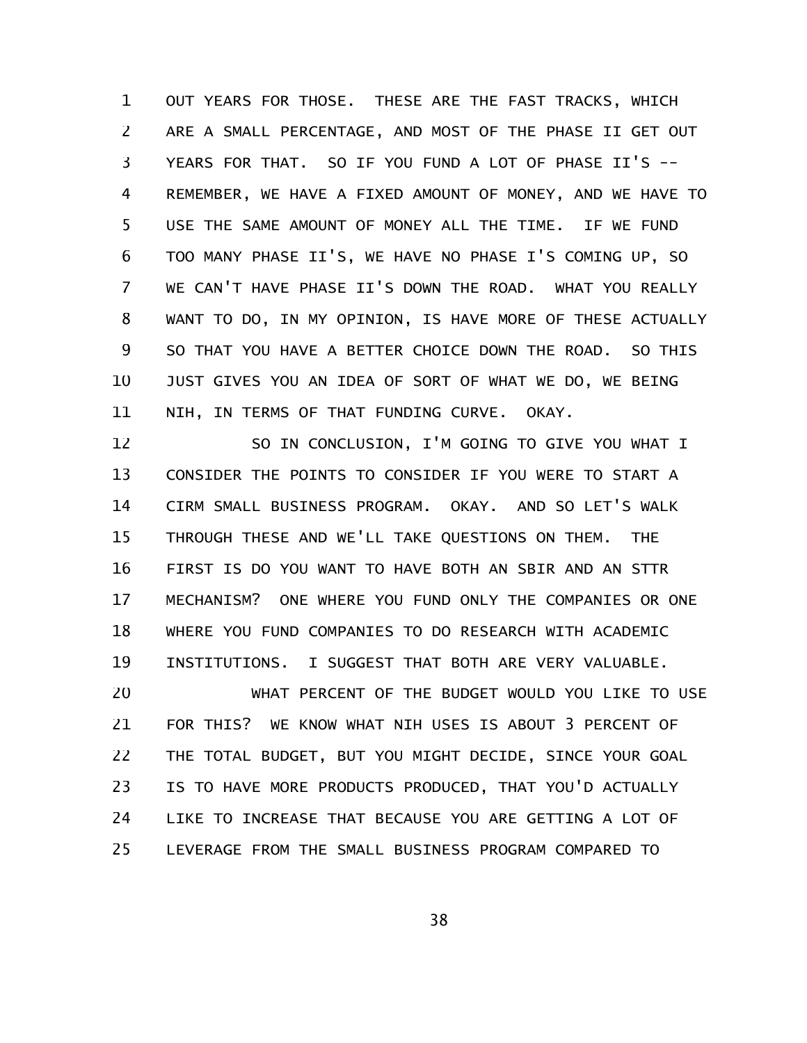OUT YEARS FOR THOSE. THESE ARE THE FAST TRACKS, WHICH ARE A SMALL PERCENTAGE, AND MOST OF THE PHASE II GET OUT YEARS FOR THAT. SO IF YOU FUND A LOT OF PHASE II'S --REMEMBER, WE HAVE A FIXED AMOUNT OF MONEY, AND WE HAVE TO USE THE SAME AMOUNT OF MONEY ALL THE TIME. IF WE FUND TOO MANY PHASE II'S, WE HAVE NO PHASE I'S COMING UP, SO WE CAN'T HAVE PHASE II'S DOWN THE ROAD. WHAT YOU REALLY WANT TO DO, IN MY OPINION, IS HAVE MORE OF THESE ACTUALLY SO THAT YOU HAVE A BETTER CHOICE DOWN THE ROAD. SO THIS JUST GIVES YOU AN IDEA OF SORT OF WHAT WE DO, WE BEING NIH, IN TERMS OF THAT FUNDING CURVE. OKAY. 1 2 3 4 5 6 7 8 9 10 11

SO IN CONCLUSION, I'M GOING TO GIVE YOU WHAT I CONSIDER THE POINTS TO CONSIDER IF YOU WERE TO START A CIRM SMALL BUSINESS PROGRAM. OKAY. AND SO LET'S WALK THROUGH THESE AND WE'LL TAKE QUESTIONS ON THEM. THE FIRST IS DO YOU WANT TO HAVE BOTH AN SBIR AND AN STTR MECHANISM? ONE WHERE YOU FUND ONLY THE COMPANIES OR ONE WHERE YOU FUND COMPANIES TO DO RESEARCH WITH ACADEMIC INSTITUTIONS. I SUGGEST THAT BOTH ARE VERY VALUABLE. 12 13 14 15 16 17 18 19

WHAT PERCENT OF THE BUDGET WOULD YOU LIKE TO USE FOR THIS? WE KNOW WHAT NIH USES IS ABOUT 3 PERCENT OF THE TOTAL BUDGET, BUT YOU MIGHT DECIDE, SINCE YOUR GOAL IS TO HAVE MORE PRODUCTS PRODUCED, THAT YOU'D ACTUALLY LIKE TO INCREASE THAT BECAUSE YOU ARE GETTING A LOT OF LEVERAGE FROM THE SMALL BUSINESS PROGRAM COMPARED TO 20 21 22 23 24 25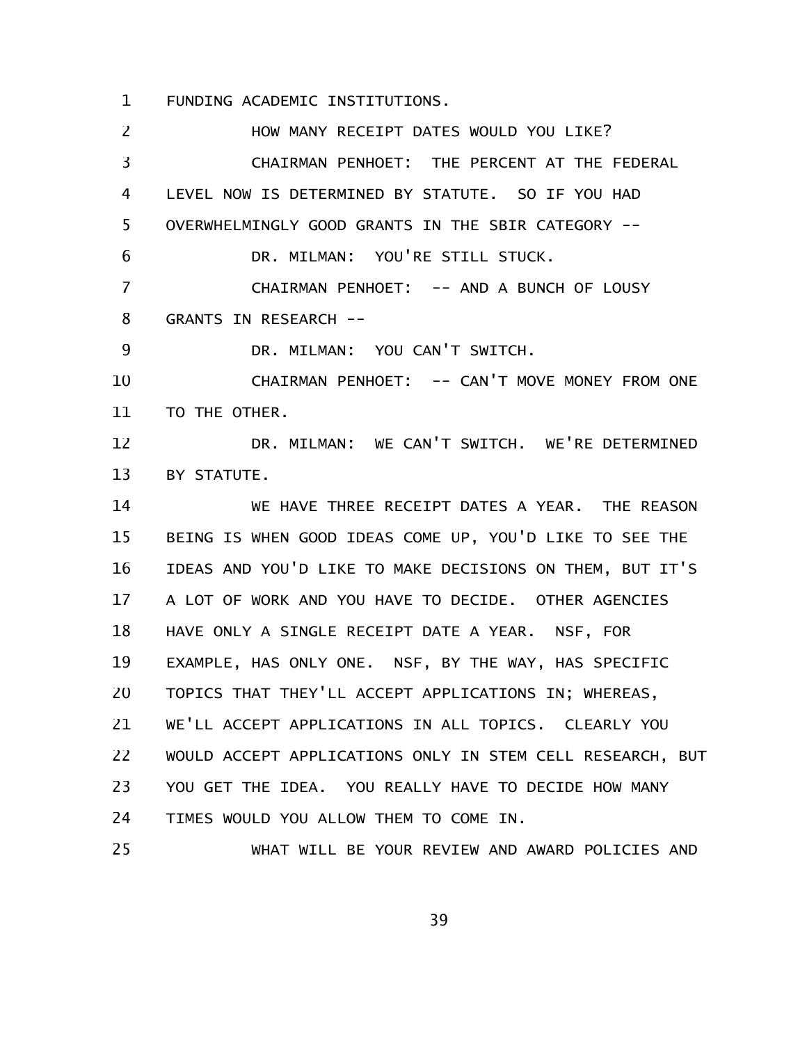FUNDING ACADEMIC INSTITUTIONS. 1

HOW MANY RECEIPT DATES WOULD YOU LIKE? CHAIRMAN PENHOET: THE PERCENT AT THE FEDERAL LEVEL NOW IS DETERMINED BY STATUTE. SO IF YOU HAD OVERWHELMINGLY GOOD GRANTS IN THE SBIR CATEGORY -- DR. MILMAN: YOU'RE STILL STUCK. CHAIRMAN PENHOET: -- AND A BUNCH OF LOUSY GRANTS IN RESEARCH -- DR. MILMAN: YOU CAN'T SWITCH. CHAIRMAN PENHOET: -- CAN'T MOVE MONEY FROM ONE TO THE OTHER. DR. MILMAN: WE CAN'T SWITCH. WE'RE DETERMINED BY STATUTE. WE HAVE THREE RECEIPT DATES A YEAR. THE REASON BEING IS WHEN GOOD IDEAS COME UP, YOU'D LIKE TO SEE THE IDEAS AND YOU'D LIKE TO MAKE DECISIONS ON THEM, BUT IT'S A LOT OF WORK AND YOU HAVE TO DECIDE. OTHER AGENCIES HAVE ONLY A SINGLE RECEIPT DATE A YEAR. NSF, FOR EXAMPLE, HAS ONLY ONE. NSF, BY THE WAY, HAS SPECIFIC TOPICS THAT THEY'LL ACCEPT APPLICATIONS IN; WHEREAS, WE'LL ACCEPT APPLICATIONS IN ALL TOPICS. CLEARLY YOU WOULD ACCEPT APPLICATIONS ONLY IN STEM CELL RESEARCH, BUT YOU GET THE IDEA. YOU REALLY HAVE TO DECIDE HOW MANY TIMES WOULD YOU ALLOW THEM TO COME IN. WHAT WILL BE YOUR REVIEW AND AWARD POLICIES AND 2 3 4 5 6 7 8 9 10 11 12 13 14 15 16 17 18 19 20 21 22 23 24 25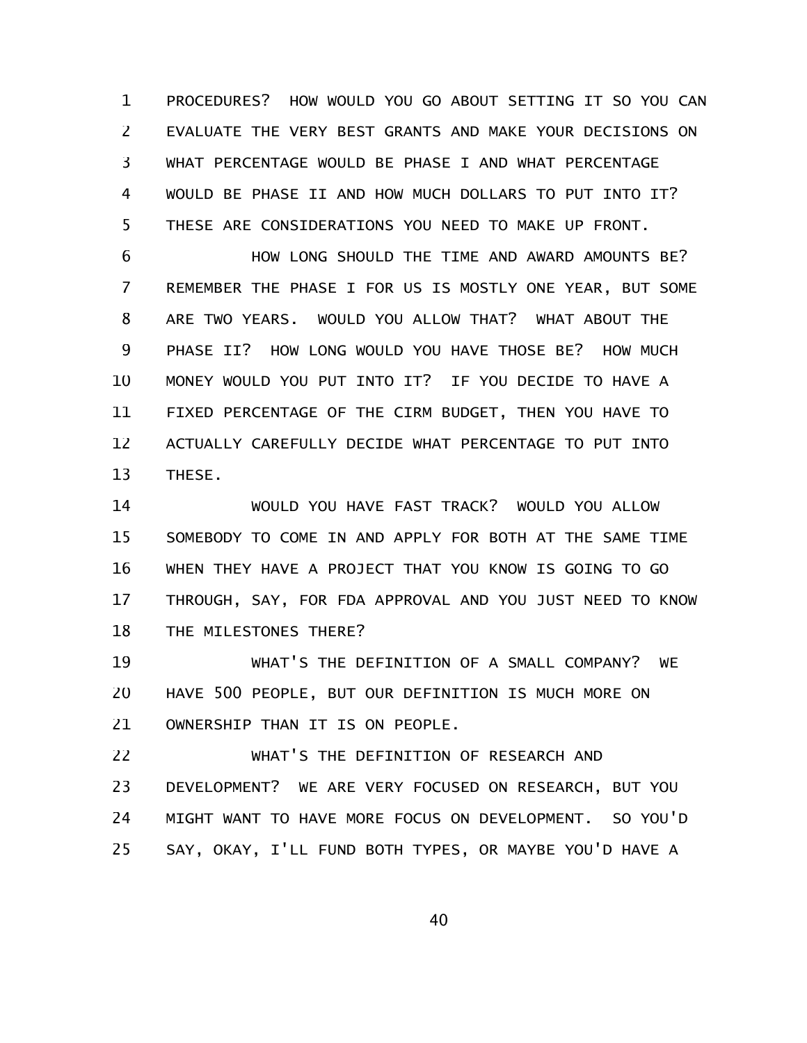PROCEDURES? HOW WOULD YOU GO ABOUT SETTING IT SO YOU CAN EVALUATE THE VERY BEST GRANTS AND MAKE YOUR DECISIONS ON WHAT PERCENTAGE WOULD BE PHASE I AND WHAT PERCENTAGE WOULD BE PHASE II AND HOW MUCH DOLLARS TO PUT INTO IT? THESE ARE CONSIDERATIONS YOU NEED TO MAKE UP FRONT. 1 2 3 4 5

HOW LONG SHOULD THE TIME AND AWARD AMOUNTS BE? REMEMBER THE PHASE I FOR US IS MOSTLY ONE YEAR, BUT SOME ARE TWO YEARS. WOULD YOU ALLOW THAT? WHAT ABOUT THE PHASE II? HOW LONG WOULD YOU HAVE THOSE BE? HOW MUCH MONEY WOULD YOU PUT INTO IT? IF YOU DECIDE TO HAVE A FIXED PERCENTAGE OF THE CIRM BUDGET, THEN YOU HAVE TO ACTUALLY CAREFULLY DECIDE WHAT PERCENTAGE TO PUT INTO THESE. 6 7 8 9 10 11 12 13

WOULD YOU HAVE FAST TRACK? WOULD YOU ALLOW SOMEBODY TO COME IN AND APPLY FOR BOTH AT THE SAME TIME WHEN THEY HAVE A PROJECT THAT YOU KNOW IS GOING TO GO THROUGH, SAY, FOR FDA APPROVAL AND YOU JUST NEED TO KNOW THE MILESTONES THERE? 14 15 16 17 18

WHAT'S THE DEFINITION OF A SMALL COMPANY? WE HAVE 500 PEOPLE, BUT OUR DEFINITION IS MUCH MORE ON OWNERSHIP THAN IT IS ON PEOPLE. 19 20 21

WHAT'S THE DEFINITION OF RESEARCH AND DEVELOPMENT? WE ARE VERY FOCUSED ON RESEARCH, BUT YOU MIGHT WANT TO HAVE MORE FOCUS ON DEVELOPMENT. SO YOU'D SAY, OKAY, I'LL FUND BOTH TYPES, OR MAYBE YOU'D HAVE A 22 23 24 25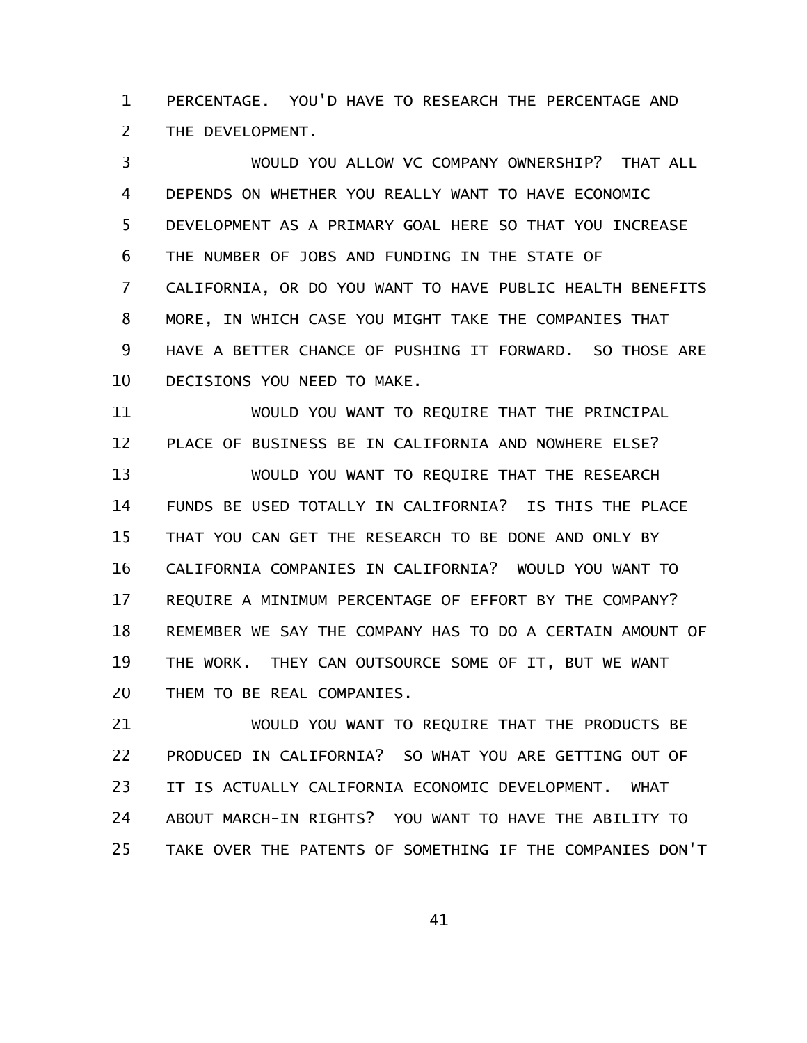PERCENTAGE. YOU'D HAVE TO RESEARCH THE PERCENTAGE AND THE DEVELOPMENT. 1 2

WOULD YOU ALLOW VC COMPANY OWNERSHIP? THAT ALL DEPENDS ON WHETHER YOU REALLY WANT TO HAVE ECONOMIC DEVELOPMENT AS A PRIMARY GOAL HERE SO THAT YOU INCREASE THE NUMBER OF JOBS AND FUNDING IN THE STATE OF CALIFORNIA, OR DO YOU WANT TO HAVE PUBLIC HEALTH BENEFITS MORE, IN WHICH CASE YOU MIGHT TAKE THE COMPANIES THAT HAVE A BETTER CHANCE OF PUSHING IT FORWARD. SO THOSE ARE DECISIONS YOU NEED TO MAKE. 3 4 5 6 7 8 9 10

WOULD YOU WANT TO REQUIRE THAT THE PRINCIPAL PLACE OF BUSINESS BE IN CALIFORNIA AND NOWHERE ELSE? WOULD YOU WANT TO REQUIRE THAT THE RESEARCH FUNDS BE USED TOTALLY IN CALIFORNIA? IS THIS THE PLACE THAT YOU CAN GET THE RESEARCH TO BE DONE AND ONLY BY CALIFORNIA COMPANIES IN CALIFORNIA? WOULD YOU WANT TO REQUIRE A MINIMUM PERCENTAGE OF EFFORT BY THE COMPANY? REMEMBER WE SAY THE COMPANY HAS TO DO A CERTAIN AMOUNT OF THE WORK. THEY CAN OUTSOURCE SOME OF IT, BUT WE WANT THEM TO BE REAL COMPANIES. 11 12 13 14 15 16 17 18 19 20

WOULD YOU WANT TO REQUIRE THAT THE PRODUCTS BE PRODUCED IN CALIFORNIA? SO WHAT YOU ARE GETTING OUT OF IT IS ACTUALLY CALIFORNIA ECONOMIC DEVELOPMENT. WHAT ABOUT MARCH-IN RIGHTS? YOU WANT TO HAVE THE ABILITY TO TAKE OVER THE PATENTS OF SOMETHING IF THE COMPANIES DON'T 21 22 23 24 25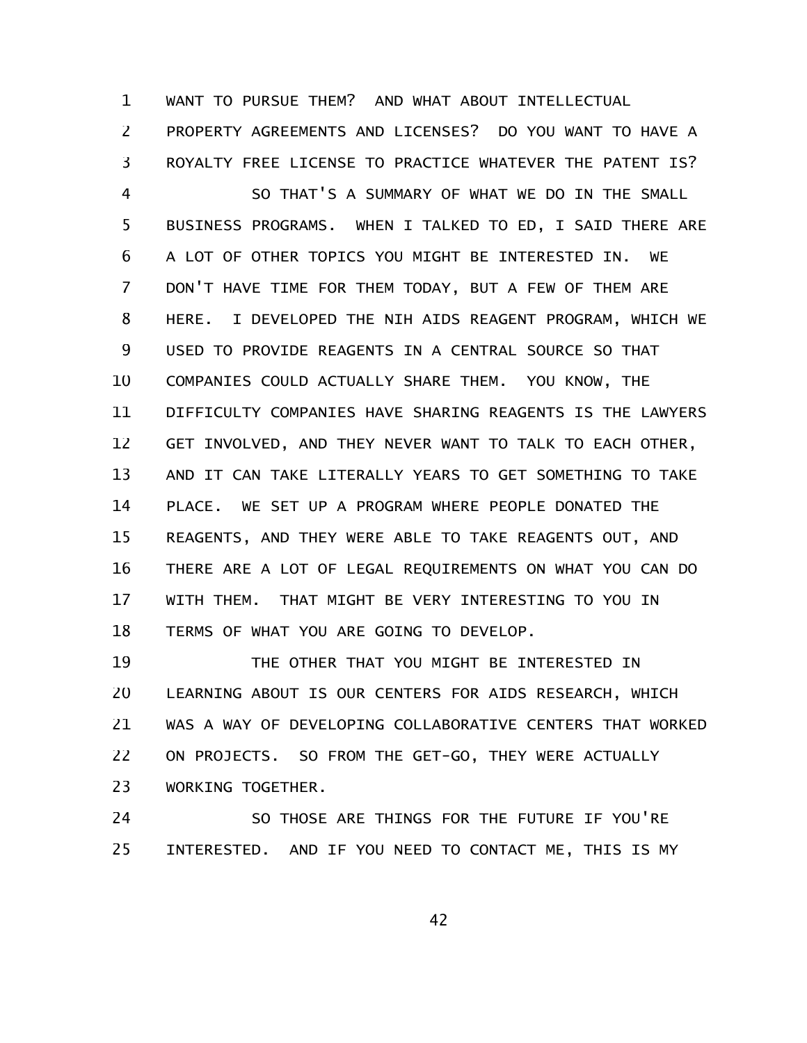WANT TO PURSUE THEM? AND WHAT ABOUT INTELLECTUAL PROPERTY AGREEMENTS AND LICENSES? DO YOU WANT TO HAVE A ROYALTY FREE LICENSE TO PRACTICE WHATEVER THE PATENT IS? 1 2 3

SO THAT'S A SUMMARY OF WHAT WE DO IN THE SMALL BUSINESS PROGRAMS. WHEN I TALKED TO ED, I SAID THERE ARE A LOT OF OTHER TOPICS YOU MIGHT BE INTERESTED IN. WE DON'T HAVE TIME FOR THEM TODAY, BUT A FEW OF THEM ARE HERE. I DEVELOPED THE NIH AIDS REAGENT PROGRAM, WHICH WE USED TO PROVIDE REAGENTS IN A CENTRAL SOURCE SO THAT COMPANIES COULD ACTUALLY SHARE THEM. YOU KNOW, THE DIFFICULTY COMPANIES HAVE SHARING REAGENTS IS THE LAWYERS GET INVOLVED, AND THEY NEVER WANT TO TALK TO EACH OTHER, AND IT CAN TAKE LITERALLY YEARS TO GET SOMETHING TO TAKE PLACE. WE SET UP A PROGRAM WHERE PEOPLE DONATED THE REAGENTS, AND THEY WERE ABLE TO TAKE REAGENTS OUT, AND THERE ARE A LOT OF LEGAL REQUIREMENTS ON WHAT YOU CAN DO WITH THEM. THAT MIGHT BE VERY INTERESTING TO YOU IN TERMS OF WHAT YOU ARE GOING TO DEVELOP. 4 5 6 7 8 9 10 11 12 13 14 15 16 17 18

THE OTHER THAT YOU MIGHT BE INTERESTED IN LEARNING ABOUT IS OUR CENTERS FOR AIDS RESEARCH, WHICH WAS A WAY OF DEVELOPING COLLABORATIVE CENTERS THAT WORKED ON PROJECTS. SO FROM THE GET-GO, THEY WERE ACTUALLY WORKING TOGETHER. 19 20 21 22 23

SO THOSE ARE THINGS FOR THE FUTURE IF YOU'RE INTERESTED. AND IF YOU NEED TO CONTACT ME, THIS IS MY 24 25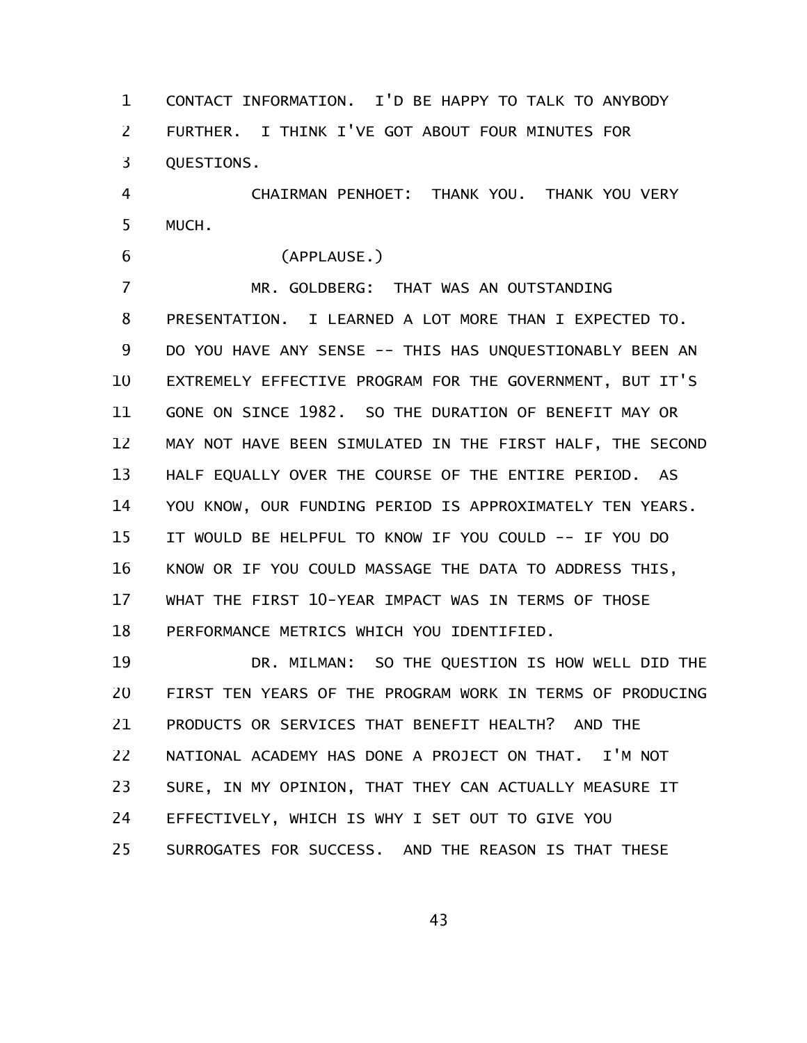CONTACT INFORMATION. I'D BE HAPPY TO TALK TO ANYBODY FURTHER. I THINK I'VE GOT ABOUT FOUR MINUTES FOR QUESTIONS. 1 2 3

CHAIRMAN PENHOET: THANK YOU. THANK YOU VERY MUCH. 4 5

6

(APPLAUSE.)

MR. GOLDBERG: THAT WAS AN OUTSTANDING PRESENTATION. I LEARNED A LOT MORE THAN I EXPECTED TO. DO YOU HAVE ANY SENSE -- THIS HAS UNQUESTIONABLY BEEN AN EXTREMELY EFFECTIVE PROGRAM FOR THE GOVERNMENT, BUT IT'S GONE ON SINCE 1982. SO THE DURATION OF BENEFIT MAY OR MAY NOT HAVE BEEN SIMULATED IN THE FIRST HALF, THE SECOND HALF EQUALLY OVER THE COURSE OF THE ENTIRE PERIOD. AS YOU KNOW, OUR FUNDING PERIOD IS APPROXIMATELY TEN YEARS. IT WOULD BE HELPFUL TO KNOW IF YOU COULD -- IF YOU DO KNOW OR IF YOU COULD MASSAGE THE DATA TO ADDRESS THIS, WHAT THE FIRST 10-YEAR IMPACT WAS IN TERMS OF THOSE PERFORMANCE METRICS WHICH YOU IDENTIFIED. 7 8 9 10 11 12 13 14 15 16 17 18

DR. MILMAN: SO THE QUESTION IS HOW WELL DID THE FIRST TEN YEARS OF THE PROGRAM WORK IN TERMS OF PRODUCING PRODUCTS OR SERVICES THAT BENEFIT HEALTH? AND THE NATIONAL ACADEMY HAS DONE A PROJECT ON THAT. I'M NOT SURE, IN MY OPINION, THAT THEY CAN ACTUALLY MEASURE IT EFFECTIVELY, WHICH IS WHY I SET OUT TO GIVE YOU SURROGATES FOR SUCCESS. AND THE REASON IS THAT THESE 19 20 21 22 23 24 25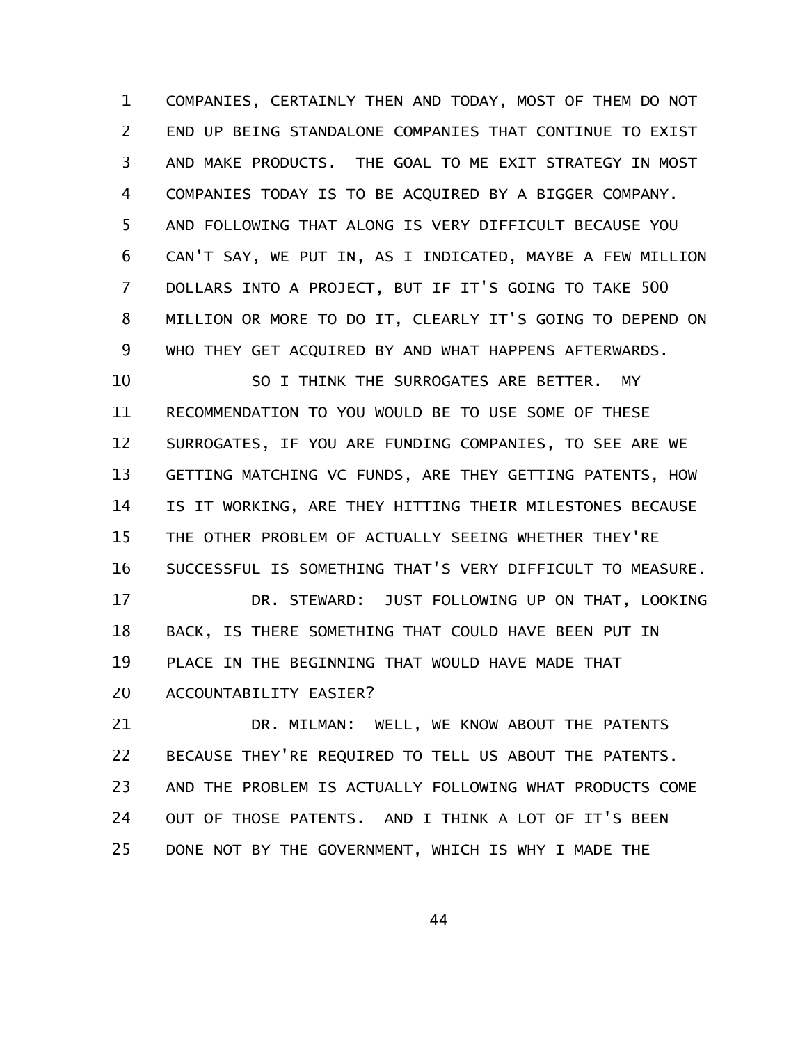COMPANIES, CERTAINLY THEN AND TODAY, MOST OF THEM DO NOT END UP BEING STANDALONE COMPANIES THAT CONTINUE TO EXIST AND MAKE PRODUCTS. THE GOAL TO ME EXIT STRATEGY IN MOST COMPANIES TODAY IS TO BE ACQUIRED BY A BIGGER COMPANY. AND FOLLOWING THAT ALONG IS VERY DIFFICULT BECAUSE YOU CAN'T SAY, WE PUT IN, AS I INDICATED, MAYBE A FEW MILLION DOLLARS INTO A PROJECT, BUT IF IT'S GOING TO TAKE 500 MILLION OR MORE TO DO IT, CLEARLY IT'S GOING TO DEPEND ON WHO THEY GET ACQUIRED BY AND WHAT HAPPENS AFTERWARDS. 1 2 3 4 5 6 7 8 9

SO I THINK THE SURROGATES ARE BETTER. MY RECOMMENDATION TO YOU WOULD BE TO USE SOME OF THESE SURROGATES, IF YOU ARE FUNDING COMPANIES, TO SEE ARE WE GETTING MATCHING VC FUNDS, ARE THEY GETTING PATENTS, HOW IS IT WORKING, ARE THEY HITTING THEIR MILESTONES BECAUSE THE OTHER PROBLEM OF ACTUALLY SEEING WHETHER THEY'RE SUCCESSFUL IS SOMETHING THAT'S VERY DIFFICULT TO MEASURE. 10 11 12 13 14 15 16

DR. STEWARD: JUST FOLLOWING UP ON THAT, LOOKING BACK, IS THERE SOMETHING THAT COULD HAVE BEEN PUT IN PLACE IN THE BEGINNING THAT WOULD HAVE MADE THAT ACCOUNTABILITY EASIER? 17 18 19 20

DR. MILMAN: WELL, WE KNOW ABOUT THE PATENTS BECAUSE THEY'RE REQUIRED TO TELL US ABOUT THE PATENTS. AND THE PROBLEM IS ACTUALLY FOLLOWING WHAT PRODUCTS COME OUT OF THOSE PATENTS. AND I THINK A LOT OF IT'S BEEN DONE NOT BY THE GOVERNMENT, WHICH IS WHY I MADE THE 21 22 23 24 25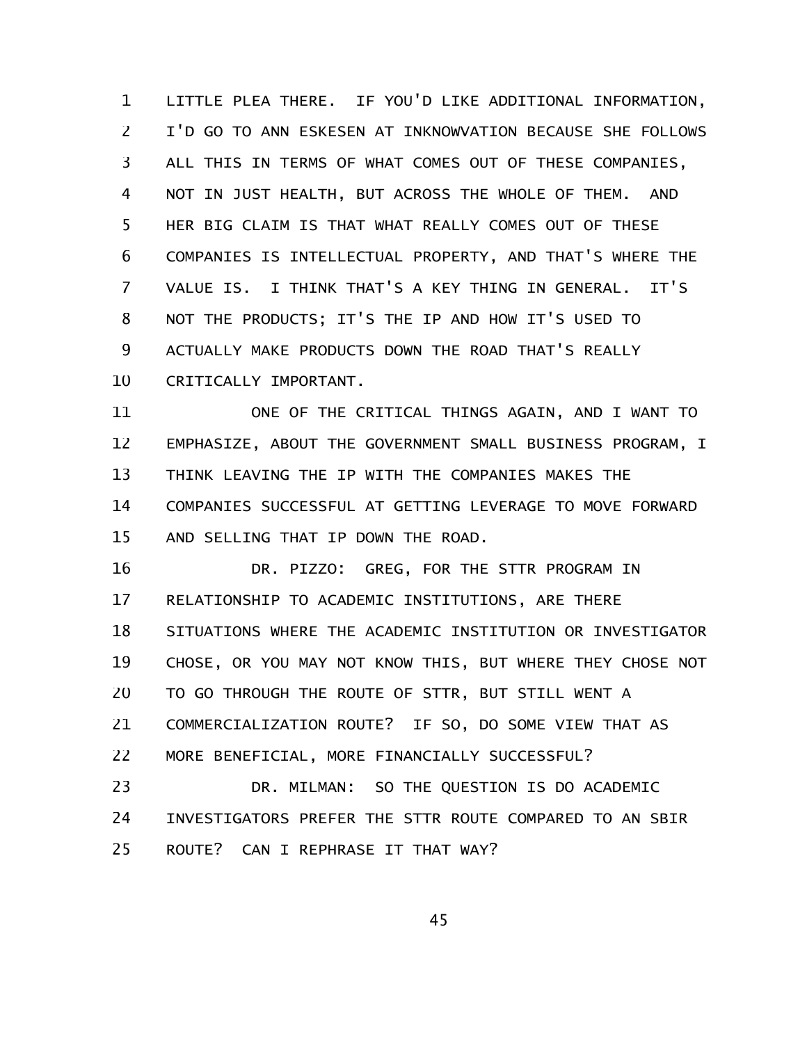LITTLE PLEA THERE. IF YOU'D LIKE ADDITIONAL INFORMATION, I'D GO TO ANN ESKESEN AT INKNOWVATION BECAUSE SHE FOLLOWS ALL THIS IN TERMS OF WHAT COMES OUT OF THESE COMPANIES, NOT IN JUST HEALTH, BUT ACROSS THE WHOLE OF THEM. AND HER BIG CLAIM IS THAT WHAT REALLY COMES OUT OF THESE COMPANIES IS INTELLECTUAL PROPERTY, AND THAT'S WHERE THE VALUE IS. I THINK THAT'S A KEY THING IN GENERAL. IT'S NOT THE PRODUCTS; IT'S THE IP AND HOW IT'S USED TO ACTUALLY MAKE PRODUCTS DOWN THE ROAD THAT'S REALLY CRITICALLY IMPORTANT. 1 2 3 4 5 6 7 8 9 10

ONE OF THE CRITICAL THINGS AGAIN, AND I WANT TO EMPHASIZE, ABOUT THE GOVERNMENT SMALL BUSINESS PROGRAM, I THINK LEAVING THE IP WITH THE COMPANIES MAKES THE COMPANIES SUCCESSFUL AT GETTING LEVERAGE TO MOVE FORWARD AND SELLING THAT IP DOWN THE ROAD. 11 12 13 14 15

DR. PIZZO: GREG, FOR THE STTR PROGRAM IN RELATIONSHIP TO ACADEMIC INSTITUTIONS, ARE THERE SITUATIONS WHERE THE ACADEMIC INSTITUTION OR INVESTIGATOR CHOSE, OR YOU MAY NOT KNOW THIS, BUT WHERE THEY CHOSE NOT TO GO THROUGH THE ROUTE OF STTR, BUT STILL WENT A COMMERCIALIZATION ROUTE? IF SO, DO SOME VIEW THAT AS MORE BENEFICIAL, MORE FINANCIALLY SUCCESSFUL? 16 17 18 19 20 21 22

DR. MILMAN: SO THE QUESTION IS DO ACADEMIC INVESTIGATORS PREFER THE STTR ROUTE COMPARED TO AN SBIR ROUTE? CAN I REPHRASE IT THAT WAY? 23 24 25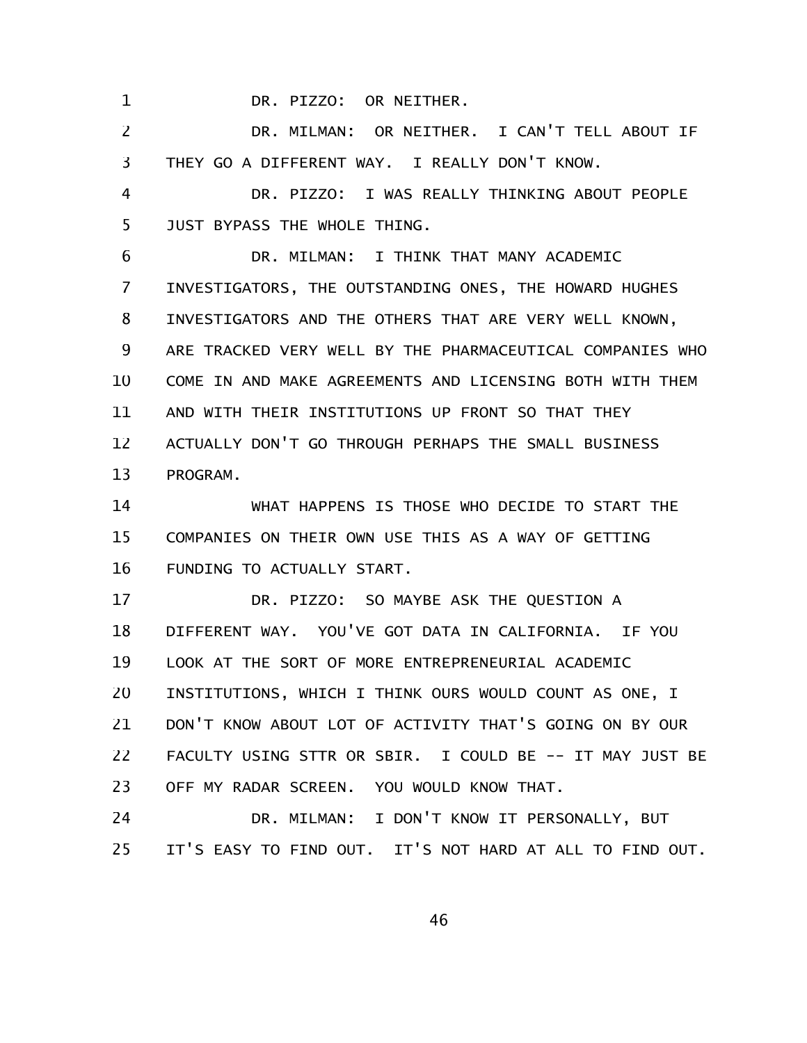DR. PIZZO: OR NEITHER.

1

DR. MILMAN: OR NEITHER. I CAN'T TELL ABOUT IF THEY GO A DIFFERENT WAY. I REALLY DON'T KNOW. 2 3

DR. PIZZO: I WAS REALLY THINKING ABOUT PEOPLE JUST BYPASS THE WHOLE THING. 4 5

DR. MILMAN: I THINK THAT MANY ACADEMIC INVESTIGATORS, THE OUTSTANDING ONES, THE HOWARD HUGHES INVESTIGATORS AND THE OTHERS THAT ARE VERY WELL KNOWN, ARE TRACKED VERY WELL BY THE PHARMACEUTICAL COMPANIES WHO COME IN AND MAKE AGREEMENTS AND LICENSING BOTH WITH THEM AND WITH THEIR INSTITUTIONS UP FRONT SO THAT THEY ACTUALLY DON'T GO THROUGH PERHAPS THE SMALL BUSINESS PROGRAM. 6 7 8 9 10 11 12 13

WHAT HAPPENS IS THOSE WHO DECIDE TO START THE COMPANIES ON THEIR OWN USE THIS AS A WAY OF GETTING FUNDING TO ACTUALLY START. 14 15 16

DR. PIZZO: SO MAYBE ASK THE QUESTION A DIFFERENT WAY. YOU'VE GOT DATA IN CALIFORNIA. IF YOU LOOK AT THE SORT OF MORE ENTREPRENEURIAL ACADEMIC INSTITUTIONS, WHICH I THINK OURS WOULD COUNT AS ONE, I DON'T KNOW ABOUT LOT OF ACTIVITY THAT'S GOING ON BY OUR FACULTY USING STTR OR SBIR. I COULD BE -- IT MAY JUST BE OFF MY RADAR SCREEN. YOU WOULD KNOW THAT. 17 18 19 20 21 22 23

DR. MILMAN: I DON'T KNOW IT PERSONALLY, BUT IT'S EASY TO FIND OUT. IT'S NOT HARD AT ALL TO FIND OUT. 24 25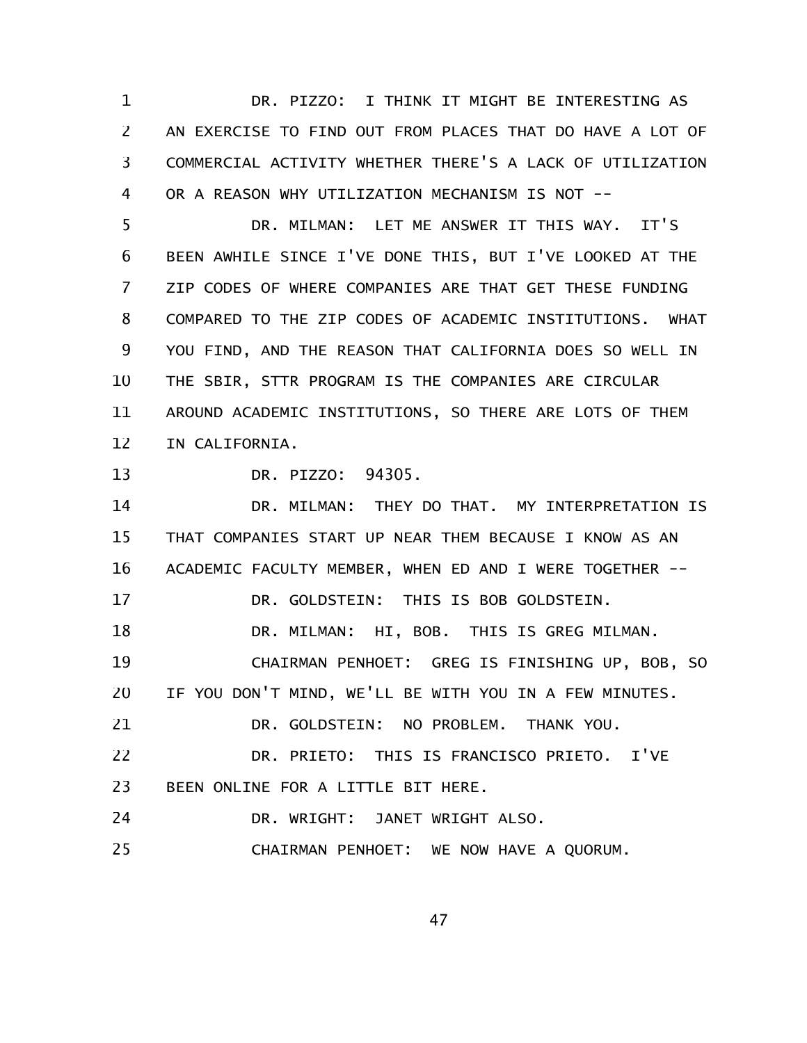DR. PIZZO: I THINK IT MIGHT BE INTERESTING AS AN EXERCISE TO FIND OUT FROM PLACES THAT DO HAVE A LOT OF COMMERCIAL ACTIVITY WHETHER THERE'S A LACK OF UTILIZATION OR A REASON WHY UTILIZATION MECHANISM IS NOT -- 1 2 3 4

DR. MILMAN: LET ME ANSWER IT THIS WAY. IT'S BEEN AWHILE SINCE I'VE DONE THIS, BUT I'VE LOOKED AT THE ZIP CODES OF WHERE COMPANIES ARE THAT GET THESE FUNDING COMPARED TO THE ZIP CODES OF ACADEMIC INSTITUTIONS. WHAT YOU FIND, AND THE REASON THAT CALIFORNIA DOES SO WELL IN THE SBIR, STTR PROGRAM IS THE COMPANIES ARE CIRCULAR AROUND ACADEMIC INSTITUTIONS, SO THERE ARE LOTS OF THEM IN CALIFORNIA. 5 6 7 8 9 10 11 12

DR. PIZZO: 94305. 13

DR. MILMAN: THEY DO THAT. MY INTERPRETATION IS THAT COMPANIES START UP NEAR THEM BECAUSE I KNOW AS AN ACADEMIC FACULTY MEMBER, WHEN ED AND I WERE TOGETHER -- DR. GOLDSTEIN: THIS IS BOB GOLDSTEIN. DR. MILMAN: HI, BOB. THIS IS GREG MILMAN. CHAIRMAN PENHOET: GREG IS FINISHING UP, BOB, SO IF YOU DON'T MIND, WE'LL BE WITH YOU IN A FEW MINUTES. DR. GOLDSTEIN: NO PROBLEM. THANK YOU. DR. PRIETO: THIS IS FRANCISCO PRIETO. I'VE BEEN ONLINE FOR A LITTLE BIT HERE. DR. WRIGHT: JANET WRIGHT ALSO. CHAIRMAN PENHOET: WE NOW HAVE A QUORUM. 14 15 16 17 18 19 20 21 22 23 24 25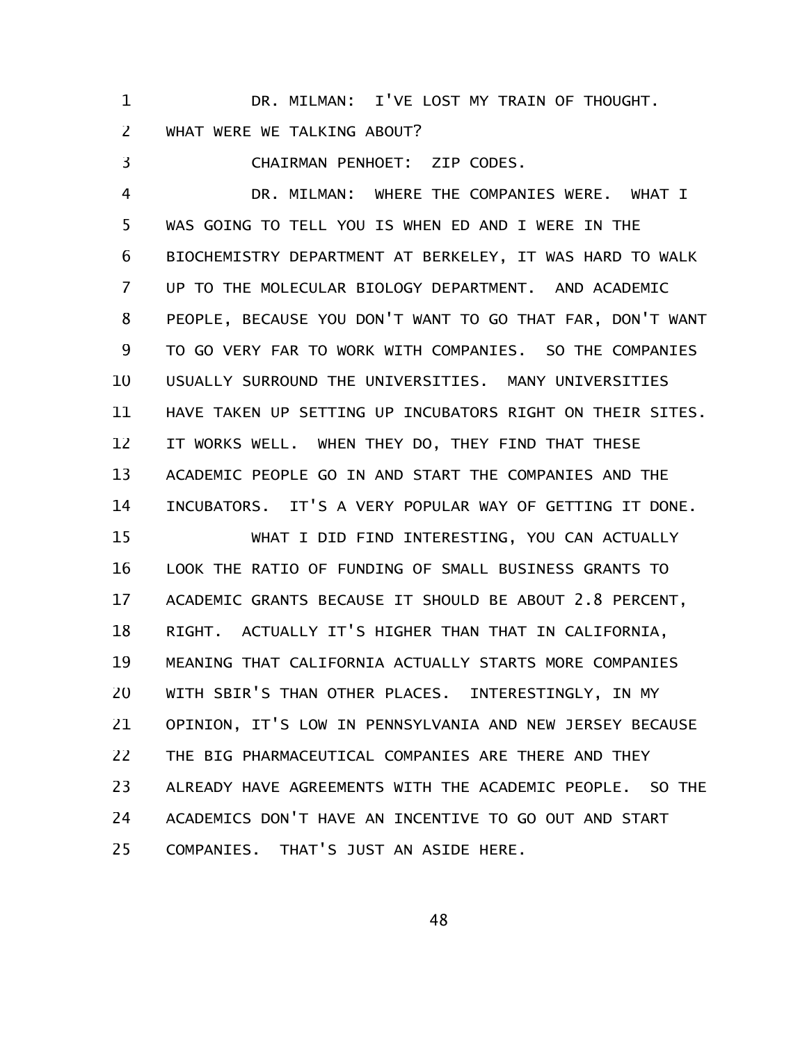DR. MILMAN: I'VE LOST MY TRAIN OF THOUGHT. WHAT WERE WE TALKING ABOUT? 1 2

CHAIRMAN PENHOET: ZIP CODES. DR. MILMAN: WHERE THE COMPANIES WERE. WHAT I WAS GOING TO TELL YOU IS WHEN ED AND I WERE IN THE BIOCHEMISTRY DEPARTMENT AT BERKELEY, IT WAS HARD TO WALK UP TO THE MOLECULAR BIOLOGY DEPARTMENT. AND ACADEMIC PEOPLE, BECAUSE YOU DON'T WANT TO GO THAT FAR, DON'T WANT TO GO VERY FAR TO WORK WITH COMPANIES. SO THE COMPANIES USUALLY SURROUND THE UNIVERSITIES. MANY UNIVERSITIES HAVE TAKEN UP SETTING UP INCUBATORS RIGHT ON THEIR SITES. IT WORKS WELL. WHEN THEY DO, THEY FIND THAT THESE ACADEMIC PEOPLE GO IN AND START THE COMPANIES AND THE INCUBATORS. IT'S A VERY POPULAR WAY OF GETTING IT DONE. WHAT I DID FIND INTERESTING, YOU CAN ACTUALLY LOOK THE RATIO OF FUNDING OF SMALL BUSINESS GRANTS TO ACADEMIC GRANTS BECAUSE IT SHOULD BE ABOUT 2.8 PERCENT, RIGHT. ACTUALLY IT'S HIGHER THAN THAT IN CALIFORNIA, MEANING THAT CALIFORNIA ACTUALLY STARTS MORE COMPANIES WITH SBIR'S THAN OTHER PLACES. INTERESTINGLY, IN MY OPINION, IT'S LOW IN PENNSYLVANIA AND NEW JERSEY BECAUSE THE BIG PHARMACEUTICAL COMPANIES ARE THERE AND THEY ALREADY HAVE AGREEMENTS WITH THE ACADEMIC PEOPLE. SO THE ACADEMICS DON'T HAVE AN INCENTIVE TO GO OUT AND START COMPANIES. THAT'S JUST AN ASIDE HERE. 3 4 5 6 7 8 9 10 11 12 13 14 15 16 17 18 19 20 21 22 23 24 25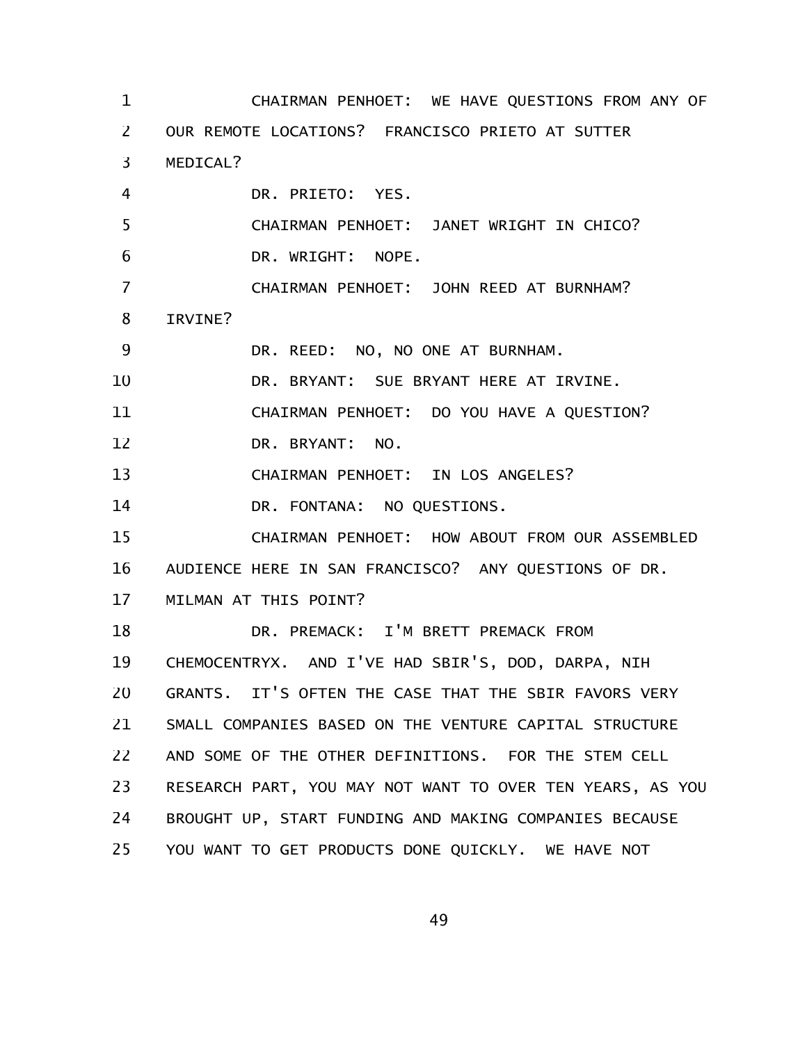CHAIRMAN PENHOET: WE HAVE QUESTIONS FROM ANY OF OUR REMOTE LOCATIONS? FRANCISCO PRIETO AT SUTTER MEDICAL? DR. PRIETO: YES. CHAIRMAN PENHOET: JANET WRIGHT IN CHICO? DR. WRIGHT: NOPE. CHAIRMAN PENHOET: JOHN REED AT BURNHAM? IRVINE? DR. REED: NO, NO ONE AT BURNHAM. DR. BRYANT: SUE BRYANT HERE AT IRVINE. CHAIRMAN PENHOET: DO YOU HAVE A QUESTION? DR. BRYANT: NO. CHAIRMAN PENHOET: IN LOS ANGELES? DR. FONTANA: NO QUESTIONS. CHAIRMAN PENHOET: HOW ABOUT FROM OUR ASSEMBLED AUDIENCE HERE IN SAN FRANCISCO? ANY QUESTIONS OF DR. MILMAN AT THIS POINT? DR. PREMACK: I'M BRETT PREMACK FROM CHEMOCENTRYX. AND I'VE HAD SBIR'S, DOD, DARPA, NIH GRANTS. IT'S OFTEN THE CASE THAT THE SBIR FAVORS VERY SMALL COMPANIES BASED ON THE VENTURE CAPITAL STRUCTURE AND SOME OF THE OTHER DEFINITIONS. FOR THE STEM CELL RESEARCH PART, YOU MAY NOT WANT TO OVER TEN YEARS, AS YOU BROUGHT UP, START FUNDING AND MAKING COMPANIES BECAUSE YOU WANT TO GET PRODUCTS DONE QUICKLY. WE HAVE NOT 1 2 3 4 5 6 7 8 9 10 11 12 13 14 15 16 17 18 19 20 21 22 23 24 25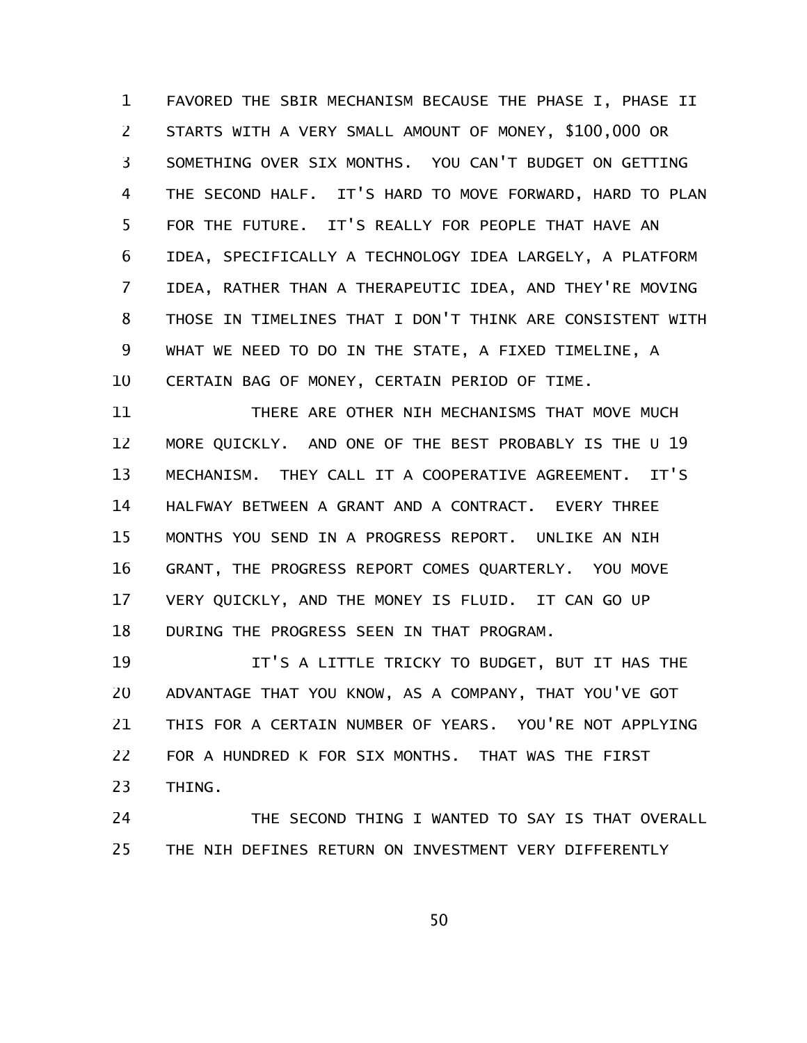FAVORED THE SBIR MECHANISM BECAUSE THE PHASE I, PHASE II STARTS WITH A VERY SMALL AMOUNT OF MONEY, \$100,000 OR SOMETHING OVER SIX MONTHS. YOU CAN'T BUDGET ON GETTING THE SECOND HALF. IT'S HARD TO MOVE FORWARD, HARD TO PLAN FOR THE FUTURE. IT'S REALLY FOR PEOPLE THAT HAVE AN IDEA, SPECIFICALLY A TECHNOLOGY IDEA LARGELY, A PLATFORM IDEA, RATHER THAN A THERAPEUTIC IDEA, AND THEY'RE MOVING THOSE IN TIMELINES THAT I DON'T THINK ARE CONSISTENT WITH WHAT WE NEED TO DO IN THE STATE, A FIXED TIMELINE, A CERTAIN BAG OF MONEY, CERTAIN PERIOD OF TIME. 1 2 3 4 5 6 7 8 9 10

THERE ARE OTHER NIH MECHANISMS THAT MOVE MUCH MORE QUICKLY. AND ONE OF THE BEST PROBABLY IS THE U 19 MECHANISM. THEY CALL IT A COOPERATIVE AGREEMENT. IT'S HALFWAY BETWEEN A GRANT AND A CONTRACT. EVERY THREE MONTHS YOU SEND IN A PROGRESS REPORT. UNLIKE AN NIH GRANT, THE PROGRESS REPORT COMES QUARTERLY. YOU MOVE VERY QUICKLY, AND THE MONEY IS FLUID. IT CAN GO UP DURING THE PROGRESS SEEN IN THAT PROGRAM. 11 12 13 14 15 16 17 18

IT'S A LITTLE TRICKY TO BUDGET, BUT IT HAS THE ADVANTAGE THAT YOU KNOW, AS A COMPANY, THAT YOU'VE GOT THIS FOR A CERTAIN NUMBER OF YEARS. YOU'RE NOT APPLYING FOR A HUNDRED K FOR SIX MONTHS. THAT WAS THE FIRST THING. 19 20 21 22 23

THE SECOND THING I WANTED TO SAY IS THAT OVERALL THE NIH DEFINES RETURN ON INVESTMENT VERY DIFFERENTLY 24 25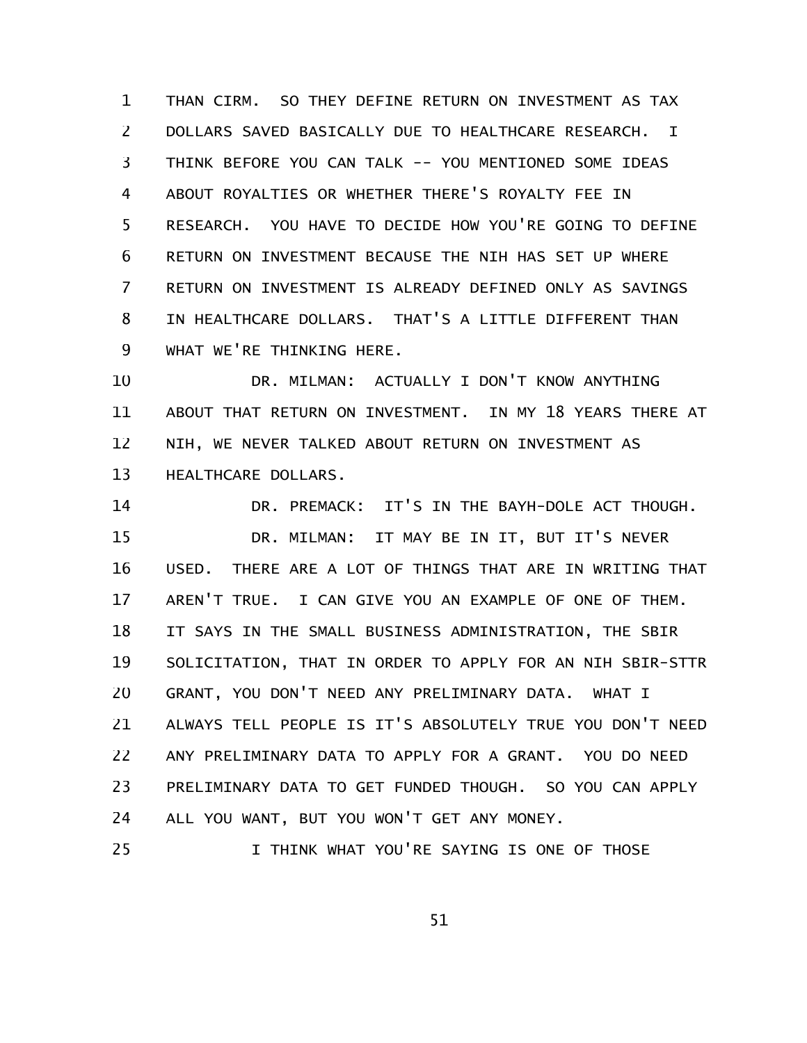THAN CIRM. SO THEY DEFINE RETURN ON INVESTMENT AS TAX DOLLARS SAVED BASICALLY DUE TO HEALTHCARE RESEARCH. I THINK BEFORE YOU CAN TALK -- YOU MENTIONED SOME IDEAS ABOUT ROYALTIES OR WHETHER THERE'S ROYALTY FEE IN RESEARCH. YOU HAVE TO DECIDE HOW YOU'RE GOING TO DEFINE RETURN ON INVESTMENT BECAUSE THE NIH HAS SET UP WHERE RETURN ON INVESTMENT IS ALREADY DEFINED ONLY AS SAVINGS IN HEALTHCARE DOLLARS. THAT'S A LITTLE DIFFERENT THAN WHAT WE'RE THINKING HERE. 1 2 3 4 5 6 7 8 9

DR. MILMAN: ACTUALLY I DON'T KNOW ANYTHING ABOUT THAT RETURN ON INVESTMENT. IN MY 18 YEARS THERE AT NIH, WE NEVER TALKED ABOUT RETURN ON INVESTMENT AS HEALTHCARE DOLLARS. 10 11 12 13

DR. PREMACK: IT'S IN THE BAYH-DOLE ACT THOUGH. DR. MILMAN: IT MAY BE IN IT, BUT IT'S NEVER USED. THERE ARE A LOT OF THINGS THAT ARE IN WRITING THAT AREN'T TRUE. I CAN GIVE YOU AN EXAMPLE OF ONE OF THEM. IT SAYS IN THE SMALL BUSINESS ADMINISTRATION, THE SBIR SOLICITATION, THAT IN ORDER TO APPLY FOR AN NIH SBIR-STTR GRANT, YOU DON'T NEED ANY PRELIMINARY DATA. WHAT I ALWAYS TELL PEOPLE IS IT'S ABSOLUTELY TRUE YOU DON'T NEED ANY PRELIMINARY DATA TO APPLY FOR A GRANT. YOU DO NEED PRELIMINARY DATA TO GET FUNDED THOUGH. SO YOU CAN APPLY ALL YOU WANT, BUT YOU WON'T GET ANY MONEY. 14 15 16 17 18 19 20 21 22 23 24

I THINK WHAT YOU'RE SAYING IS ONE OF THOSE 25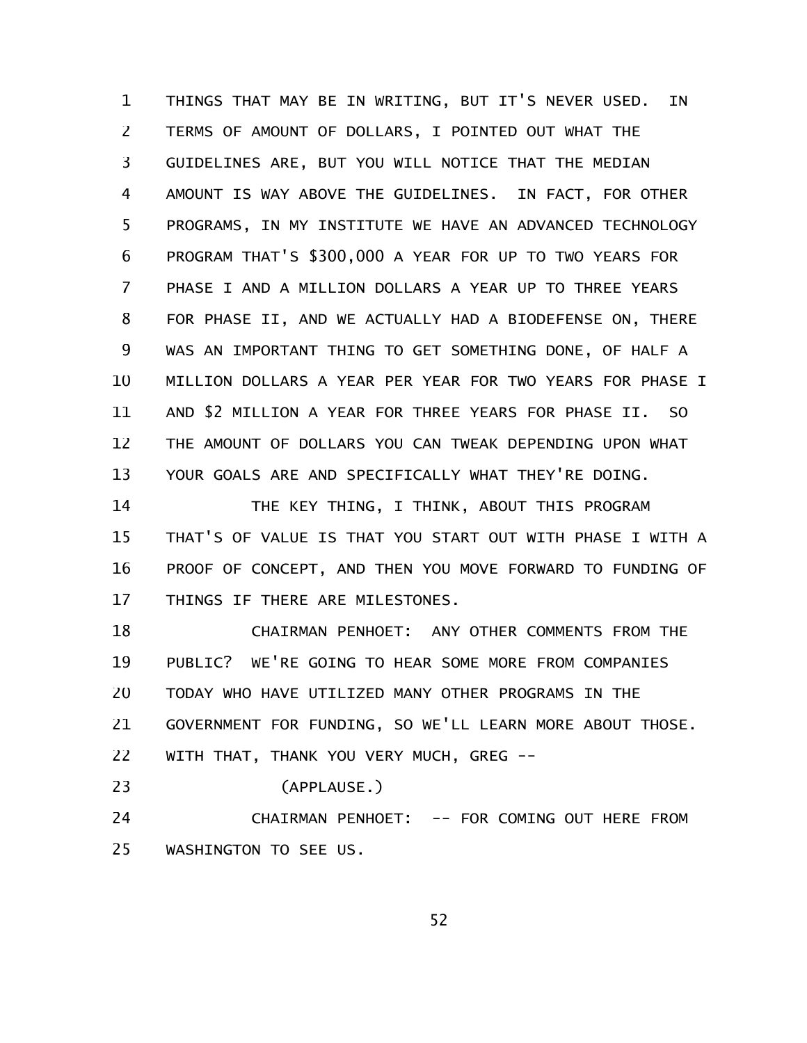THINGS THAT MAY BE IN WRITING, BUT IT'S NEVER USED. IN TERMS OF AMOUNT OF DOLLARS, I POINTED OUT WHAT THE GUIDELINES ARE, BUT YOU WILL NOTICE THAT THE MEDIAN AMOUNT IS WAY ABOVE THE GUIDELINES. IN FACT, FOR OTHER PROGRAMS, IN MY INSTITUTE WE HAVE AN ADVANCED TECHNOLOGY PROGRAM THAT'S \$300,000 A YEAR FOR UP TO TWO YEARS FOR PHASE I AND A MILLION DOLLARS A YEAR UP TO THREE YEARS FOR PHASE II, AND WE ACTUALLY HAD A BIODEFENSE ON, THERE WAS AN IMPORTANT THING TO GET SOMETHING DONE, OF HALF A MILLION DOLLARS A YEAR PER YEAR FOR TWO YEARS FOR PHASE I AND \$2 MILLION A YEAR FOR THREE YEARS FOR PHASE II. SO THE AMOUNT OF DOLLARS YOU CAN TWEAK DEPENDING UPON WHAT YOUR GOALS ARE AND SPECIFICALLY WHAT THEY'RE DOING. 1 2 3 4 5 6 7 8 9 10 11 12 13

THE KEY THING, I THINK, ABOUT THIS PROGRAM THAT'S OF VALUE IS THAT YOU START OUT WITH PHASE I WITH A PROOF OF CONCEPT, AND THEN YOU MOVE FORWARD TO FUNDING OF THINGS IF THERE ARE MILESTONES. 14 15 16 17

CHAIRMAN PENHOET: ANY OTHER COMMENTS FROM THE PUBLIC? WE'RE GOING TO HEAR SOME MORE FROM COMPANIES TODAY WHO HAVE UTILIZED MANY OTHER PROGRAMS IN THE GOVERNMENT FOR FUNDING, SO WE'LL LEARN MORE ABOUT THOSE. WITH THAT, THANK YOU VERY MUCH, GREG --18 19 20 21 22

(APPLAUSE.) 23

CHAIRMAN PENHOET: -- FOR COMING OUT HERE FROM WASHINGTON TO SEE US. 24 25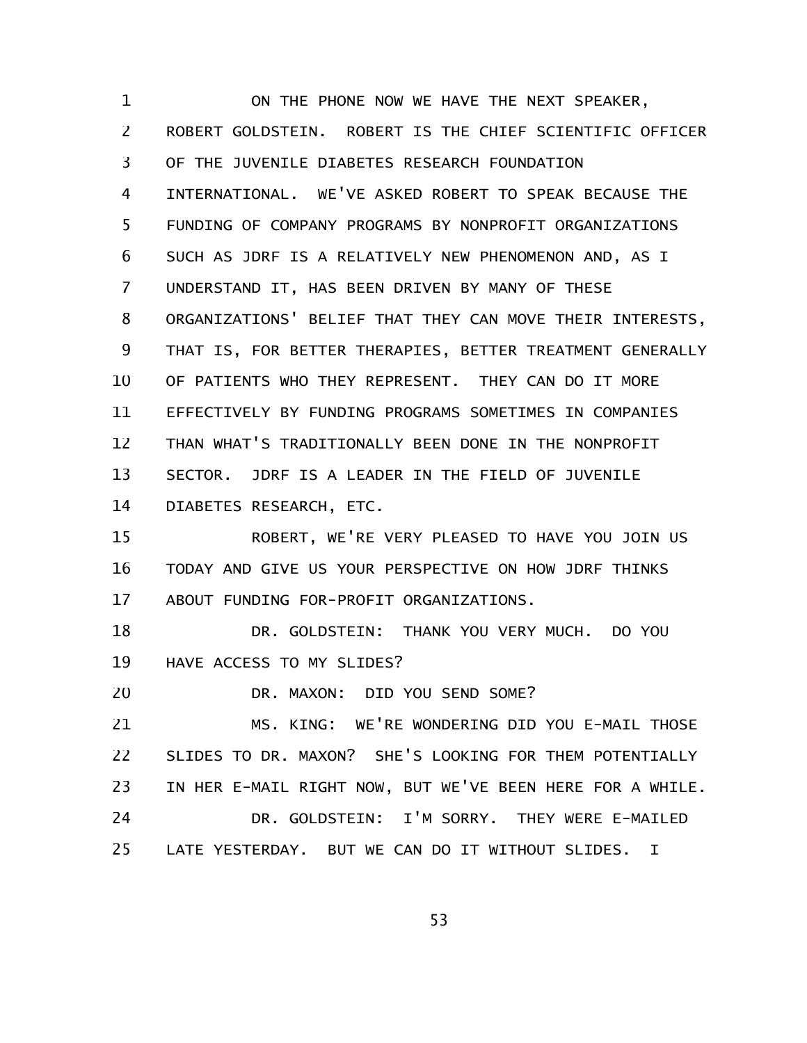ON THE PHONE NOW WE HAVE THE NEXT SPEAKER, ROBERT GOLDSTEIN. ROBERT IS THE CHIEF SCIENTIFIC OFFICER OF THE JUVENILE DIABETES RESEARCH FOUNDATION INTERNATIONAL. WE'VE ASKED ROBERT TO SPEAK BECAUSE THE FUNDING OF COMPANY PROGRAMS BY NONPROFIT ORGANIZATIONS SUCH AS JDRF IS A RELATIVELY NEW PHENOMENON AND, AS I UNDERSTAND IT, HAS BEEN DRIVEN BY MANY OF THESE ORGANIZATIONS' BELIEF THAT THEY CAN MOVE THEIR INTERESTS, THAT IS, FOR BETTER THERAPIES, BETTER TREATMENT GENERALLY OF PATIENTS WHO THEY REPRESENT. THEY CAN DO IT MORE EFFECTIVELY BY FUNDING PROGRAMS SOMETIMES IN COMPANIES THAN WHAT'S TRADITIONALLY BEEN DONE IN THE NONPROFIT SECTOR. JDRF IS A LEADER IN THE FIELD OF JUVENILE DIABETES RESEARCH, ETC. ROBERT, WE'RE VERY PLEASED TO HAVE YOU JOIN US TODAY AND GIVE US YOUR PERSPECTIVE ON HOW JDRF THINKS ABOUT FUNDING FOR-PROFIT ORGANIZATIONS. DR. GOLDSTEIN: THANK YOU VERY MUCH. DO YOU HAVE ACCESS TO MY SLIDES? DR. MAXON: DID YOU SEND SOME? MS. KING: WE'RE WONDERING DID YOU E-MAIL THOSE SLIDES TO DR. MAXON? SHE'S LOOKING FOR THEM POTENTIALLY IN HER E-MAIL RIGHT NOW, BUT WE'VE BEEN HERE FOR A WHILE. DR. GOLDSTEIN: I'M SORRY. THEY WERE E-MAILED LATE YESTERDAY. BUT WE CAN DO IT WITHOUT SLIDES. I 1 2 3 4 5 6 7 8 9 10 11 12 13 14 15 16 17 18 19 20 21 22 23 24 25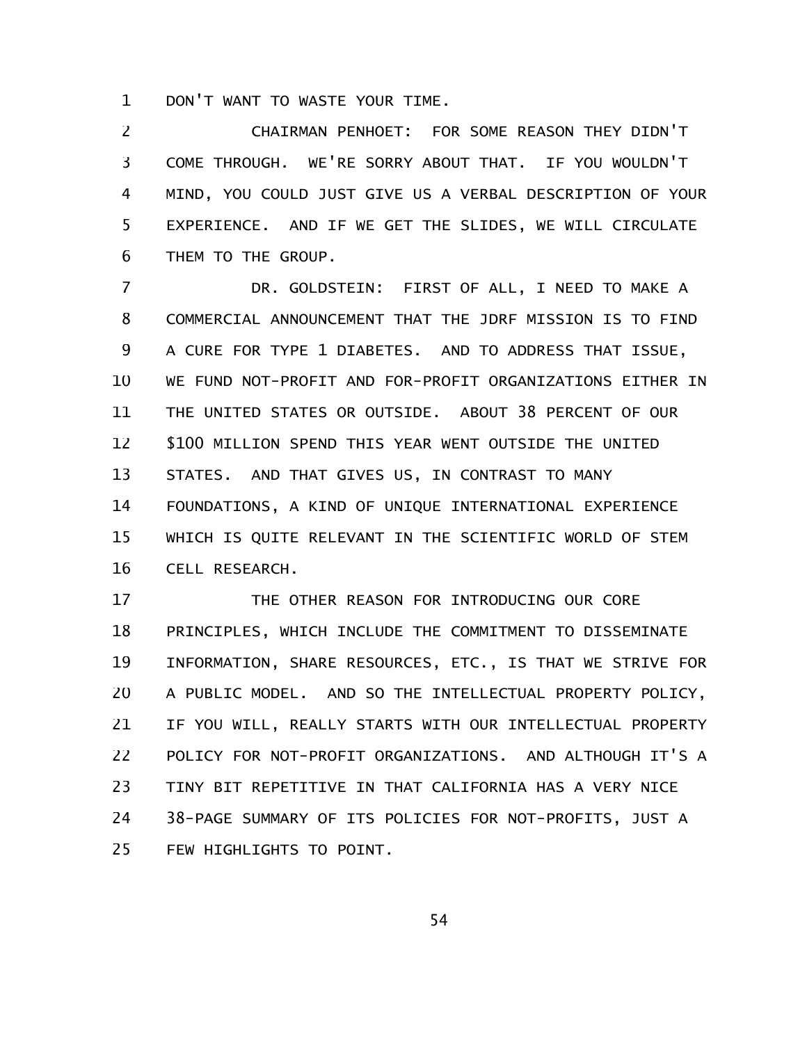DON'T WANT TO WASTE YOUR TIME. 1

CHAIRMAN PENHOET: FOR SOME REASON THEY DIDN'T COME THROUGH. WE'RE SORRY ABOUT THAT. IF YOU WOULDN'T MIND, YOU COULD JUST GIVE US A VERBAL DESCRIPTION OF YOUR EXPERIENCE. AND IF WE GET THE SLIDES, WE WILL CIRCULATE THEM TO THE GROUP. 2 3 4 5 6

DR. GOLDSTEIN: FIRST OF ALL, I NEED TO MAKE A COMMERCIAL ANNOUNCEMENT THAT THE JDRF MISSION IS TO FIND A CURE FOR TYPE 1 DIABETES. AND TO ADDRESS THAT ISSUE, WE FUND NOT-PROFIT AND FOR-PROFIT ORGANIZATIONS EITHER IN THE UNITED STATES OR OUTSIDE. ABOUT 38 PERCENT OF OUR \$100 MILLION SPEND THIS YEAR WENT OUTSIDE THE UNITED STATES. AND THAT GIVES US, IN CONTRAST TO MANY FOUNDATIONS, A KIND OF UNIQUE INTERNATIONAL EXPERIENCE WHICH IS QUITE RELEVANT IN THE SCIENTIFIC WORLD OF STEM CELL RESEARCH. 7 8 9 10 11 12 13 14 15 16

THE OTHER REASON FOR INTRODUCING OUR CORE PRINCIPLES, WHICH INCLUDE THE COMMITMENT TO DISSEMINATE INFORMATION, SHARE RESOURCES, ETC., IS THAT WE STRIVE FOR A PUBLIC MODEL. AND SO THE INTELLECTUAL PROPERTY POLICY, IF YOU WILL, REALLY STARTS WITH OUR INTELLECTUAL PROPERTY POLICY FOR NOT-PROFIT ORGANIZATIONS. AND ALTHOUGH IT'S A TINY BIT REPETITIVE IN THAT CALIFORNIA HAS A VERY NICE 38-PAGE SUMMARY OF ITS POLICIES FOR NOT-PROFITS, JUST A FEW HIGHLIGHTS TO POINT. 17 18 19 20 21 22 23 24 25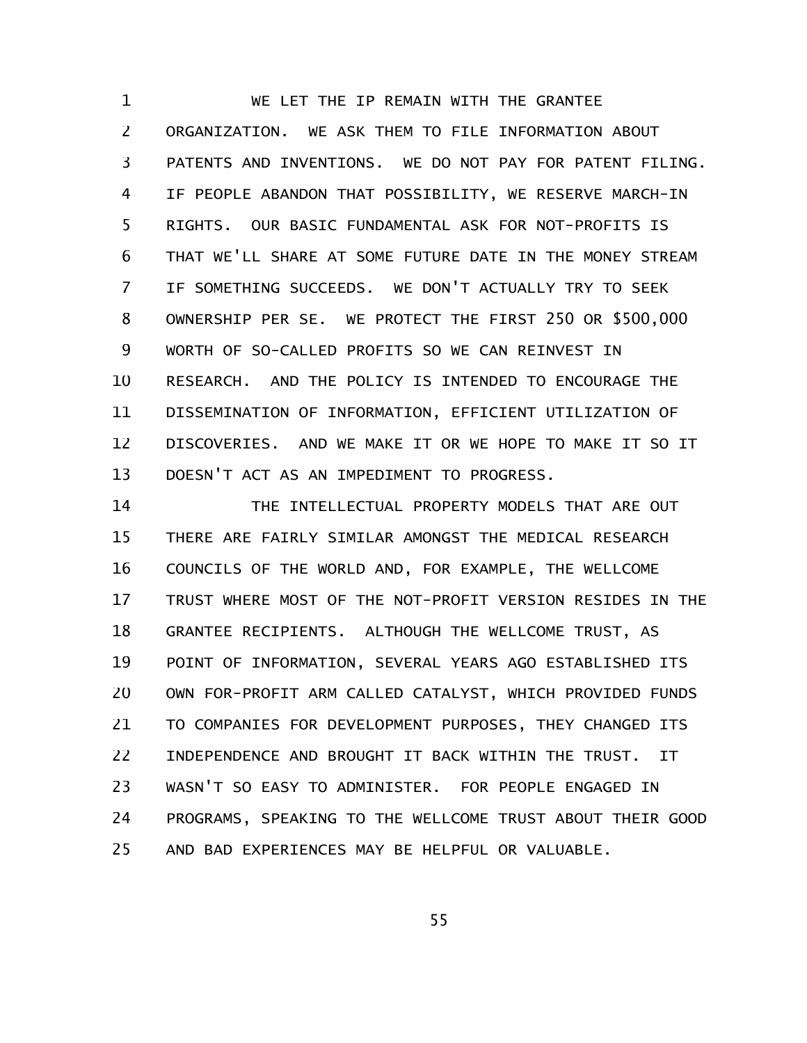WE LET THE IP REMAIN WITH THE GRANTEE ORGANIZATION. WE ASK THEM TO FILE INFORMATION ABOUT PATENTS AND INVENTIONS. WE DO NOT PAY FOR PATENT FILING. IF PEOPLE ABANDON THAT POSSIBILITY, WE RESERVE MARCH-IN RIGHTS. OUR BASIC FUNDAMENTAL ASK FOR NOT-PROFITS IS THAT WE'LL SHARE AT SOME FUTURE DATE IN THE MONEY STREAM IF SOMETHING SUCCEEDS. WE DON'T ACTUALLY TRY TO SEEK OWNERSHIP PER SE. WE PROTECT THE FIRST 250 OR \$500,000 WORTH OF SO-CALLED PROFITS SO WE CAN REINVEST IN RESEARCH. AND THE POLICY IS INTENDED TO ENCOURAGE THE DISSEMINATION OF INFORMATION, EFFICIENT UTILIZATION OF DISCOVERIES. AND WE MAKE IT OR WE HOPE TO MAKE IT SO IT DOESN'T ACT AS AN IMPEDIMENT TO PROGRESS. 1 2 3 4 5 6 7 8 9 10 11 12 13

THE INTELLECTUAL PROPERTY MODELS THAT ARE OUT THERE ARE FAIRLY SIMILAR AMONGST THE MEDICAL RESEARCH COUNCILS OF THE WORLD AND, FOR EXAMPLE, THE WELLCOME TRUST WHERE MOST OF THE NOT-PROFIT VERSION RESIDES IN THE GRANTEE RECIPIENTS. ALTHOUGH THE WELLCOME TRUST, AS POINT OF INFORMATION, SEVERAL YEARS AGO ESTABLISHED ITS OWN FOR-PROFIT ARM CALLED CATALYST, WHICH PROVIDED FUNDS TO COMPANIES FOR DEVELOPMENT PURPOSES, THEY CHANGED ITS INDEPENDENCE AND BROUGHT IT BACK WITHIN THE TRUST. IT WASN'T SO EASY TO ADMINISTER. FOR PEOPLE ENGAGED IN PROGRAMS, SPEAKING TO THE WELLCOME TRUST ABOUT THEIR GOOD AND BAD EXPERIENCES MAY BE HELPFUL OR VALUABLE. 14 15 16 17 18 19 20 21 22 23 24 25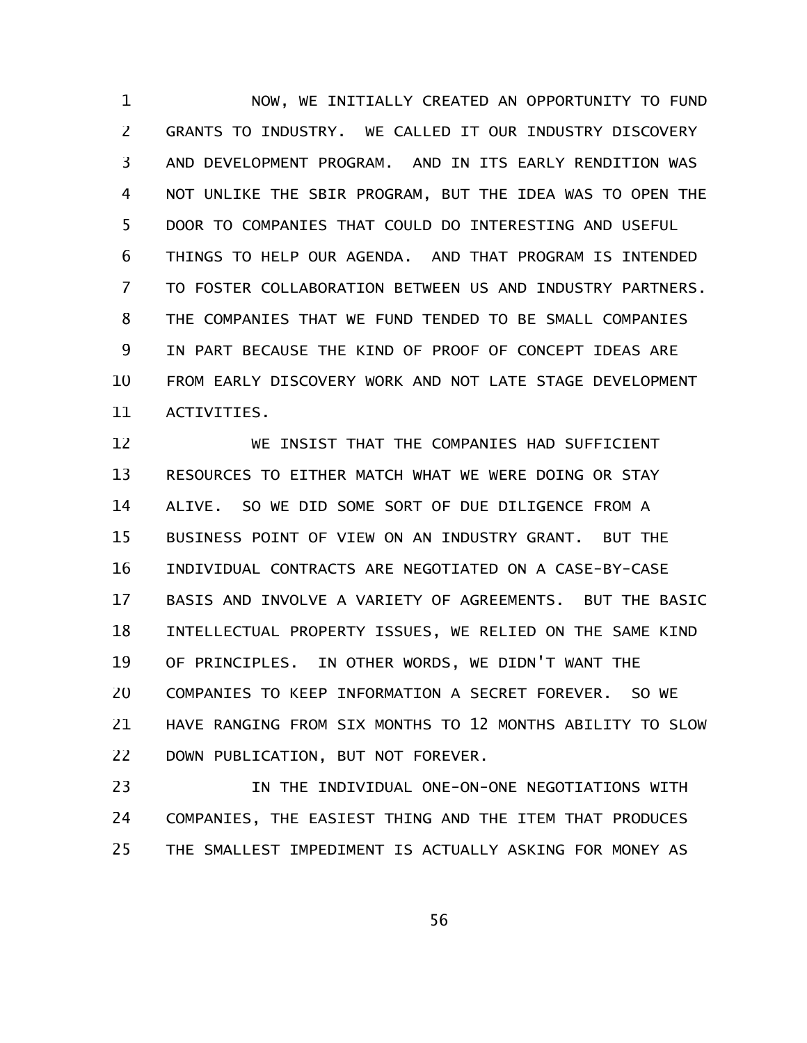NOW, WE INITIALLY CREATED AN OPPORTUNITY TO FUND GRANTS TO INDUSTRY. WE CALLED IT OUR INDUSTRY DISCOVERY AND DEVELOPMENT PROGRAM. AND IN ITS EARLY RENDITION WAS NOT UNLIKE THE SBIR PROGRAM, BUT THE IDEA WAS TO OPEN THE DOOR TO COMPANIES THAT COULD DO INTERESTING AND USEFUL THINGS TO HELP OUR AGENDA. AND THAT PROGRAM IS INTENDED TO FOSTER COLLABORATION BETWEEN US AND INDUSTRY PARTNERS. THE COMPANIES THAT WE FUND TENDED TO BE SMALL COMPANIES IN PART BECAUSE THE KIND OF PROOF OF CONCEPT IDEAS ARE FROM EARLY DISCOVERY WORK AND NOT LATE STAGE DEVELOPMENT ACTIVITIES. 1 2 3 4 5 6 7 8 9 10 11

WE INSIST THAT THE COMPANIES HAD SUFFICIENT RESOURCES TO EITHER MATCH WHAT WE WERE DOING OR STAY ALIVE. SO WE DID SOME SORT OF DUE DILIGENCE FROM A BUSINESS POINT OF VIEW ON AN INDUSTRY GRANT. BUT THE INDIVIDUAL CONTRACTS ARE NEGOTIATED ON A CASE-BY-CASE BASIS AND INVOLVE A VARIETY OF AGREEMENTS. BUT THE BASIC INTELLECTUAL PROPERTY ISSUES, WE RELIED ON THE SAME KIND OF PRINCIPLES. IN OTHER WORDS, WE DIDN'T WANT THE COMPANIES TO KEEP INFORMATION A SECRET FOREVER. SO WE HAVE RANGING FROM SIX MONTHS TO 12 MONTHS ABILITY TO SLOW DOWN PUBLICATION, BUT NOT FOREVER. 12 13 14 15 16 17 18 19 20 21 22

IN THE INDIVIDUAL ONE-ON-ONE NEGOTIATIONS WITH COMPANIES, THE EASIEST THING AND THE ITEM THAT PRODUCES THE SMALLEST IMPEDIMENT IS ACTUALLY ASKING FOR MONEY AS 23 24 25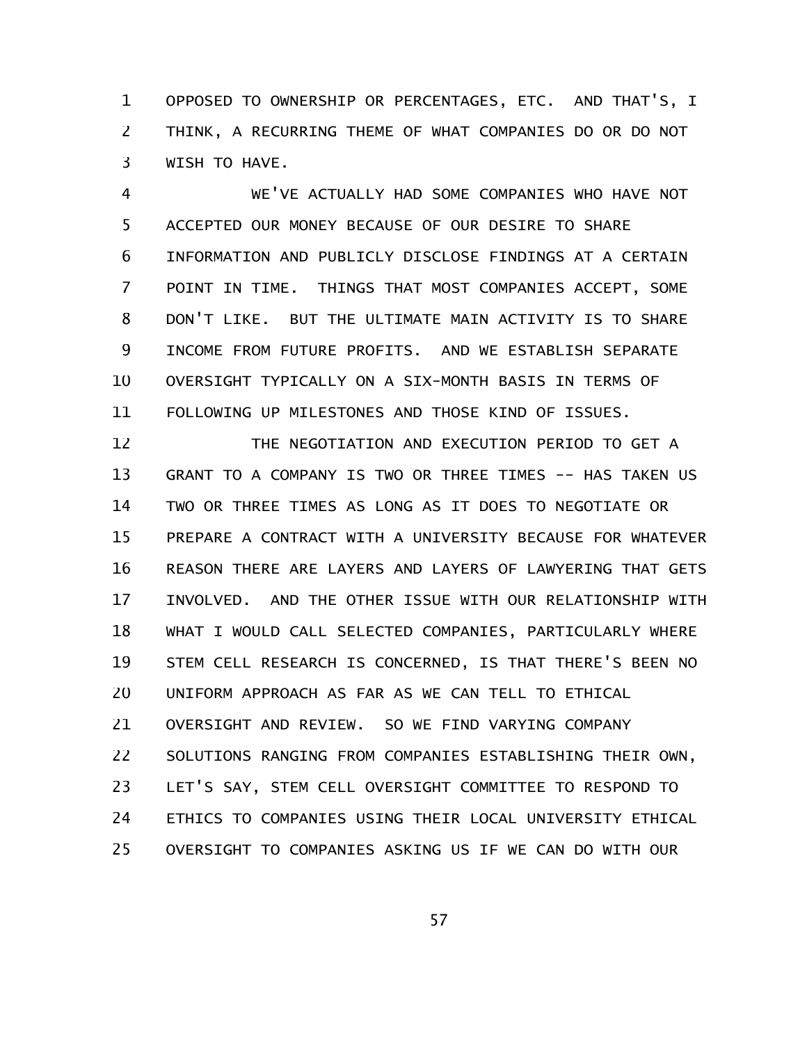OPPOSED TO OWNERSHIP OR PERCENTAGES, ETC. AND THAT'S, I THINK, A RECURRING THEME OF WHAT COMPANIES DO OR DO NOT WISH TO HAVE. 1 2 3

WE'VE ACTUALLY HAD SOME COMPANIES WHO HAVE NOT ACCEPTED OUR MONEY BECAUSE OF OUR DESIRE TO SHARE INFORMATION AND PUBLICLY DISCLOSE FINDINGS AT A CERTAIN POINT IN TIME. THINGS THAT MOST COMPANIES ACCEPT, SOME DON'T LIKE. BUT THE ULTIMATE MAIN ACTIVITY IS TO SHARE INCOME FROM FUTURE PROFITS. AND WE ESTABLISH SEPARATE OVERSIGHT TYPICALLY ON A SIX-MONTH BASIS IN TERMS OF FOLLOWING UP MILESTONES AND THOSE KIND OF ISSUES. 4 5 6 7 8 9 10 11

THE NEGOTIATION AND EXECUTION PERIOD TO GET A GRANT TO A COMPANY IS TWO OR THREE TIMES -- HAS TAKEN US TWO OR THREE TIMES AS LONG AS IT DOES TO NEGOTIATE OR PREPARE A CONTRACT WITH A UNIVERSITY BECAUSE FOR WHATEVER REASON THERE ARE LAYERS AND LAYERS OF LAWYERING THAT GETS INVOLVED. AND THE OTHER ISSUE WITH OUR RELATIONSHIP WITH WHAT I WOULD CALL SELECTED COMPANIES, PARTICULARLY WHERE STEM CELL RESEARCH IS CONCERNED, IS THAT THERE'S BEEN NO UNIFORM APPROACH AS FAR AS WE CAN TELL TO ETHICAL OVERSIGHT AND REVIEW. SO WE FIND VARYING COMPANY SOLUTIONS RANGING FROM COMPANIES ESTABLISHING THEIR OWN, LET'S SAY, STEM CELL OVERSIGHT COMMITTEE TO RESPOND TO ETHICS TO COMPANIES USING THEIR LOCAL UNIVERSITY ETHICAL OVERSIGHT TO COMPANIES ASKING US IF WE CAN DO WITH OUR 12 13 14 15 16 17 18 19 20 21 22 23 24 25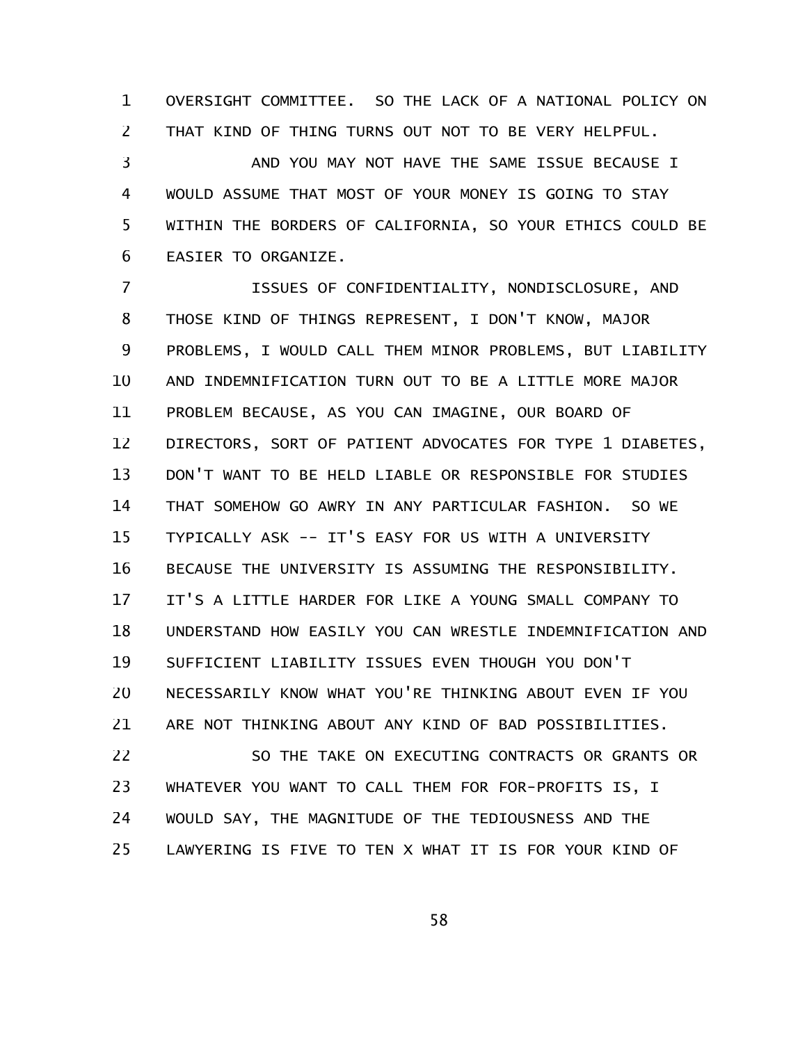OVERSIGHT COMMITTEE. SO THE LACK OF A NATIONAL POLICY ON THAT KIND OF THING TURNS OUT NOT TO BE VERY HELPFUL. 1 2

AND YOU MAY NOT HAVE THE SAME ISSUE BECAUSE I WOULD ASSUME THAT MOST OF YOUR MONEY IS GOING TO STAY WITHIN THE BORDERS OF CALIFORNIA, SO YOUR ETHICS COULD BE EASIER TO ORGANIZE. 3 4 5 6

ISSUES OF CONFIDENTIALITY, NONDISCLOSURE, AND THOSE KIND OF THINGS REPRESENT, I DON'T KNOW, MAJOR PROBLEMS, I WOULD CALL THEM MINOR PROBLEMS, BUT LIABILITY AND INDEMNIFICATION TURN OUT TO BE A LITTLE MORE MAJOR PROBLEM BECAUSE, AS YOU CAN IMAGINE, OUR BOARD OF DIRECTORS, SORT OF PATIENT ADVOCATES FOR TYPE 1 DIABETES, DON'T WANT TO BE HELD LIABLE OR RESPONSIBLE FOR STUDIES THAT SOMEHOW GO AWRY IN ANY PARTICULAR FASHION. SO WE TYPICALLY ASK -- IT'S EASY FOR US WITH A UNIVERSITY BECAUSE THE UNIVERSITY IS ASSUMING THE RESPONSIBILITY. IT'S A LITTLE HARDER FOR LIKE A YOUNG SMALL COMPANY TO UNDERSTAND HOW EASILY YOU CAN WRESTLE INDEMNIFICATION AND SUFFICIENT LIABILITY ISSUES EVEN THOUGH YOU DON'T NECESSARILY KNOW WHAT YOU'RE THINKING ABOUT EVEN IF YOU ARE NOT THINKING ABOUT ANY KIND OF BAD POSSIBILITIES. 7 8 9 10 11 12 13 14 15 16 17 18 19 20 21

SO THE TAKE ON EXECUTING CONTRACTS OR GRANTS OR WHATEVER YOU WANT TO CALL THEM FOR FOR-PROFITS IS, I WOULD SAY, THE MAGNITUDE OF THE TEDIOUSNESS AND THE LAWYERING IS FIVE TO TEN X WHAT IT IS FOR YOUR KIND OF 22 23 24 25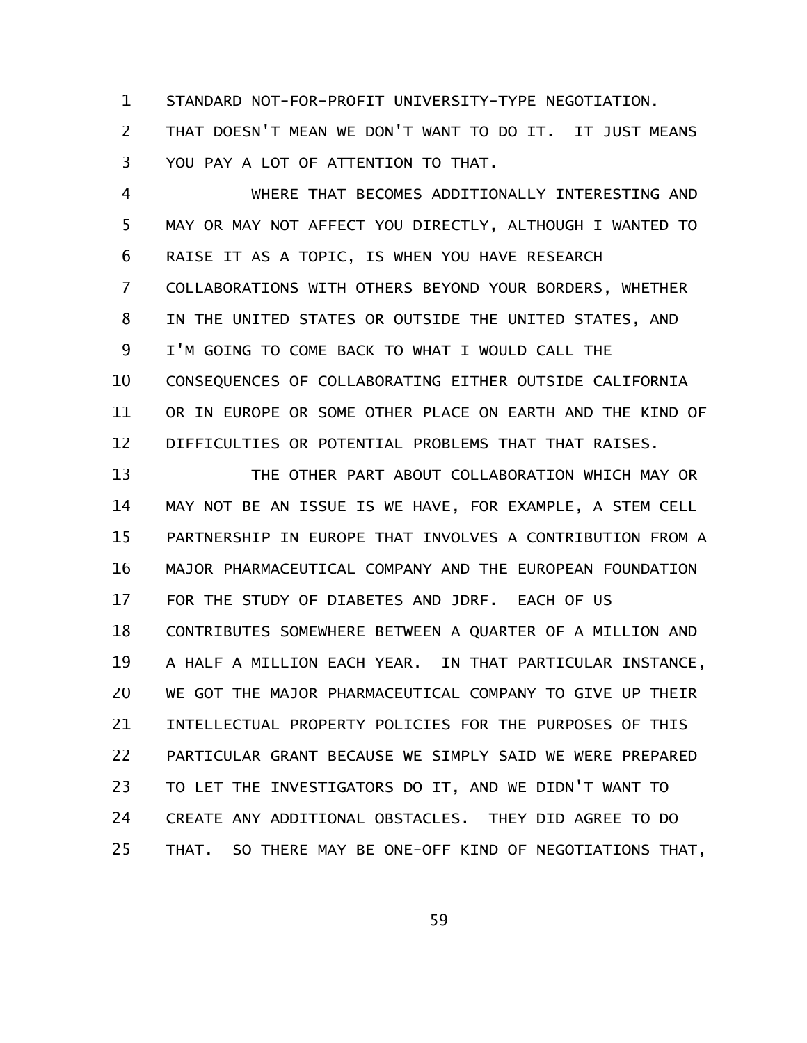STANDARD NOT-FOR-PROFIT UNIVERSITY-TYPE NEGOTIATION. 1

THAT DOESN'T MEAN WE DON'T WANT TO DO IT. IT JUST MEANS YOU PAY A LOT OF ATTENTION TO THAT. 2 3

WHERE THAT BECOMES ADDITIONALLY INTERESTING AND MAY OR MAY NOT AFFECT YOU DIRECTLY, ALTHOUGH I WANTED TO RAISE IT AS A TOPIC, IS WHEN YOU HAVE RESEARCH COLLABORATIONS WITH OTHERS BEYOND YOUR BORDERS, WHETHER IN THE UNITED STATES OR OUTSIDE THE UNITED STATES, AND I'M GOING TO COME BACK TO WHAT I WOULD CALL THE CONSEQUENCES OF COLLABORATING EITHER OUTSIDE CALIFORNIA OR IN EUROPE OR SOME OTHER PLACE ON EARTH AND THE KIND OF DIFFICULTIES OR POTENTIAL PROBLEMS THAT THAT RAISES. 4 5 6 7 8 9 10 11 12

THE OTHER PART ABOUT COLLABORATION WHICH MAY OR MAY NOT BE AN ISSUE IS WE HAVE, FOR EXAMPLE, A STEM CELL PARTNERSHIP IN EUROPE THAT INVOLVES A CONTRIBUTION FROM A MAJOR PHARMACEUTICAL COMPANY AND THE EUROPEAN FOUNDATION FOR THE STUDY OF DIABETES AND JDRF. EACH OF US CONTRIBUTES SOMEWHERE BETWEEN A QUARTER OF A MILLION AND A HALF A MILLION EACH YEAR. IN THAT PARTICULAR INSTANCE, WE GOT THE MAJOR PHARMACEUTICAL COMPANY TO GIVE UP THEIR INTELLECTUAL PROPERTY POLICIES FOR THE PURPOSES OF THIS PARTICULAR GRANT BECAUSE WE SIMPLY SAID WE WERE PREPARED TO LET THE INVESTIGATORS DO IT, AND WE DIDN'T WANT TO CREATE ANY ADDITIONAL OBSTACLES. THEY DID AGREE TO DO THAT. SO THERE MAY BE ONE-OFF KIND OF NEGOTIATIONS THAT, 13 14 15 16 17 18 19 20 21 22 23 24 25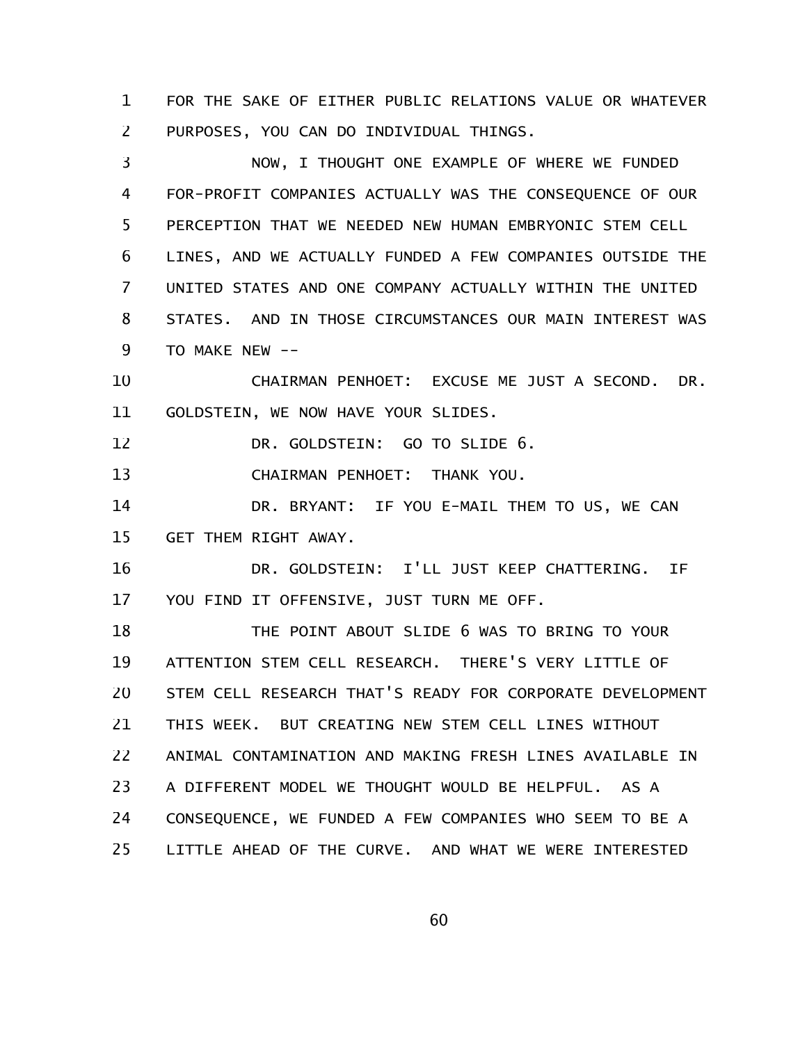FOR THE SAKE OF EITHER PUBLIC RELATIONS VALUE OR WHATEVER PURPOSES, YOU CAN DO INDIVIDUAL THINGS. 1 2

NOW, I THOUGHT ONE EXAMPLE OF WHERE WE FUNDED FOR-PROFIT COMPANIES ACTUALLY WAS THE CONSEQUENCE OF OUR PERCEPTION THAT WE NEEDED NEW HUMAN EMBRYONIC STEM CELL LINES, AND WE ACTUALLY FUNDED A FEW COMPANIES OUTSIDE THE UNITED STATES AND ONE COMPANY ACTUALLY WITHIN THE UNITED STATES. AND IN THOSE CIRCUMSTANCES OUR MAIN INTEREST WAS TO MAKE NEW -- 3 4 5 6 7 8 9

CHAIRMAN PENHOET: EXCUSE ME JUST A SECOND. DR. GOLDSTEIN, WE NOW HAVE YOUR SLIDES. 10 11

DR. GOLDSTEIN: GO TO SLIDE 6. 12

CHAIRMAN PENHOET: THANK YOU. 13

DR. BRYANT: IF YOU E-MAIL THEM TO US, WE CAN GET THEM RIGHT AWAY. 14 15

DR. GOLDSTEIN: I'LL JUST KEEP CHATTERING. IF YOU FIND IT OFFENSIVE, JUST TURN ME OFF. 16 17

THE POINT ABOUT SLIDE 6 WAS TO BRING TO YOUR ATTENTION STEM CELL RESEARCH. THERE'S VERY LITTLE OF STEM CELL RESEARCH THAT'S READY FOR CORPORATE DEVELOPMENT THIS WEEK. BUT CREATING NEW STEM CELL LINES WITHOUT ANIMAL CONTAMINATION AND MAKING FRESH LINES AVAILABLE IN A DIFFERENT MODEL WE THOUGHT WOULD BE HELPFUL. AS A CONSEQUENCE, WE FUNDED A FEW COMPANIES WHO SEEM TO BE A LITTLE AHEAD OF THE CURVE. AND WHAT WE WERE INTERESTED 18 19 20 21 22 23 24 25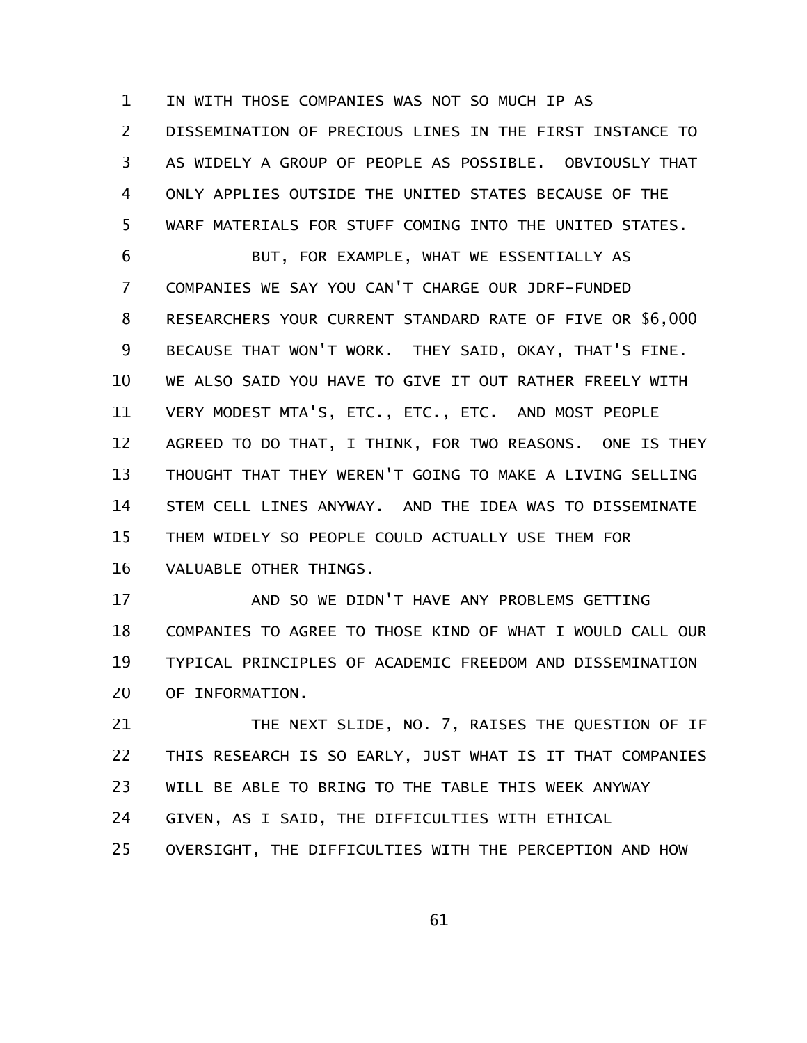IN WITH THOSE COMPANIES WAS NOT SO MUCH IP AS DISSEMINATION OF PRECIOUS LINES IN THE FIRST INSTANCE TO AS WIDELY A GROUP OF PEOPLE AS POSSIBLE. OBVIOUSLY THAT ONLY APPLIES OUTSIDE THE UNITED STATES BECAUSE OF THE WARF MATERIALS FOR STUFF COMING INTO THE UNITED STATES. 1 2 3 4 5

BUT, FOR EXAMPLE, WHAT WE ESSENTIALLY AS COMPANIES WE SAY YOU CAN'T CHARGE OUR JDRF-FUNDED RESEARCHERS YOUR CURRENT STANDARD RATE OF FIVE OR \$6,000 BECAUSE THAT WON'T WORK. THEY SAID, OKAY, THAT'S FINE. WE ALSO SAID YOU HAVE TO GIVE IT OUT RATHER FREELY WITH VERY MODEST MTA'S, ETC., ETC., ETC. AND MOST PEOPLE AGREED TO DO THAT, I THINK, FOR TWO REASONS. ONE IS THEY THOUGHT THAT THEY WEREN'T GOING TO MAKE A LIVING SELLING STEM CELL LINES ANYWAY. AND THE IDEA WAS TO DISSEMINATE THEM WIDELY SO PEOPLE COULD ACTUALLY USE THEM FOR VALUABLE OTHER THINGS. 6 7 8 9 10 11 12 13 14 15 16

AND SO WE DIDN'T HAVE ANY PROBLEMS GETTING COMPANIES TO AGREE TO THOSE KIND OF WHAT I WOULD CALL OUR TYPICAL PRINCIPLES OF ACADEMIC FREEDOM AND DISSEMINATION OF INFORMATION. 17 18 19 20

THE NEXT SLIDE, NO. 7, RAISES THE QUESTION OF IF THIS RESEARCH IS SO EARLY, JUST WHAT IS IT THAT COMPANIES WILL BE ABLE TO BRING TO THE TABLE THIS WEEK ANYWAY GIVEN, AS I SAID, THE DIFFICULTIES WITH ETHICAL OVERSIGHT, THE DIFFICULTIES WITH THE PERCEPTION AND HOW 21 22 23 24 25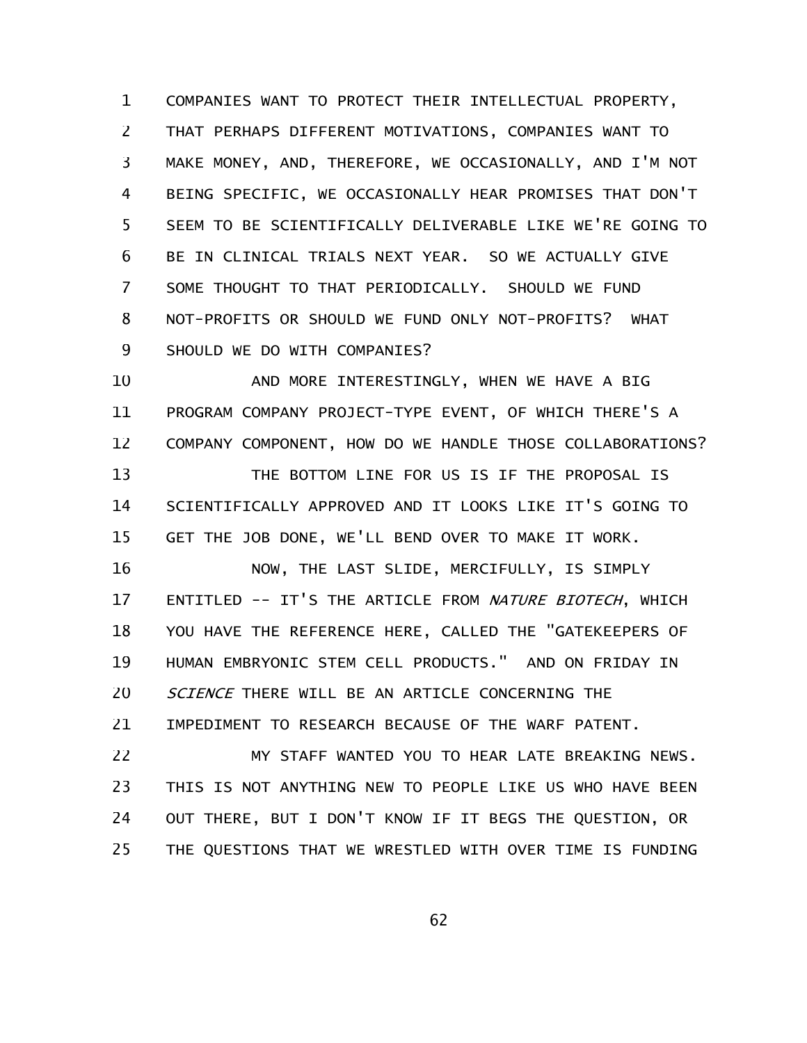COMPANIES WANT TO PROTECT THEIR INTELLECTUAL PROPERTY, THAT PERHAPS DIFFERENT MOTIVATIONS, COMPANIES WANT TO MAKE MONEY, AND, THEREFORE, WE OCCASIONALLY, AND I'M NOT BEING SPECIFIC, WE OCCASIONALLY HEAR PROMISES THAT DON'T SEEM TO BE SCIENTIFICALLY DELIVERABLE LIKE WE'RE GOING TO BE IN CLINICAL TRIALS NEXT YEAR. SO WE ACTUALLY GIVE SOME THOUGHT TO THAT PERIODICALLY. SHOULD WE FUND NOT-PROFITS OR SHOULD WE FUND ONLY NOT-PROFITS? WHAT SHOULD WE DO WITH COMPANIES? 1 2 3 4 5 6 7 8 9

AND MORE INTERESTINGLY, WHEN WE HAVE A BIG PROGRAM COMPANY PROJECT-TYPE EVENT, OF WHICH THERE'S A COMPANY COMPONENT, HOW DO WE HANDLE THOSE COLLABORATIONS? THE BOTTOM LINE FOR US IS IF THE PROPOSAL IS SCIENTIFICALLY APPROVED AND IT LOOKS LIKE IT'S GOING TO GET THE JOB DONE, WE'LL BEND OVER TO MAKE IT WORK. 10 11 12 13 14 15

NOW, THE LAST SLIDE, MERCIFULLY, IS SIMPLY ENTITLED -- IT'S THE ARTICLE FROM NATURE BIOTECH, WHICH YOU HAVE THE REFERENCE HERE, CALLED THE "GATEKEEPERS OF HUMAN EMBRYONIC STEM CELL PRODUCTS." AND ON FRIDAY IN SCIENCE THERE WILL BE AN ARTICLE CONCERNING THE 16 17 18 19 20

IMPEDIMENT TO RESEARCH BECAUSE OF THE WARF PATENT. 21

MY STAFF WANTED YOU TO HEAR LATE BREAKING NEWS. THIS IS NOT ANYTHING NEW TO PEOPLE LIKE US WHO HAVE BEEN OUT THERE, BUT I DON'T KNOW IF IT BEGS THE QUESTION, OR THE QUESTIONS THAT WE WRESTLED WITH OVER TIME IS FUNDING 22 23 24 25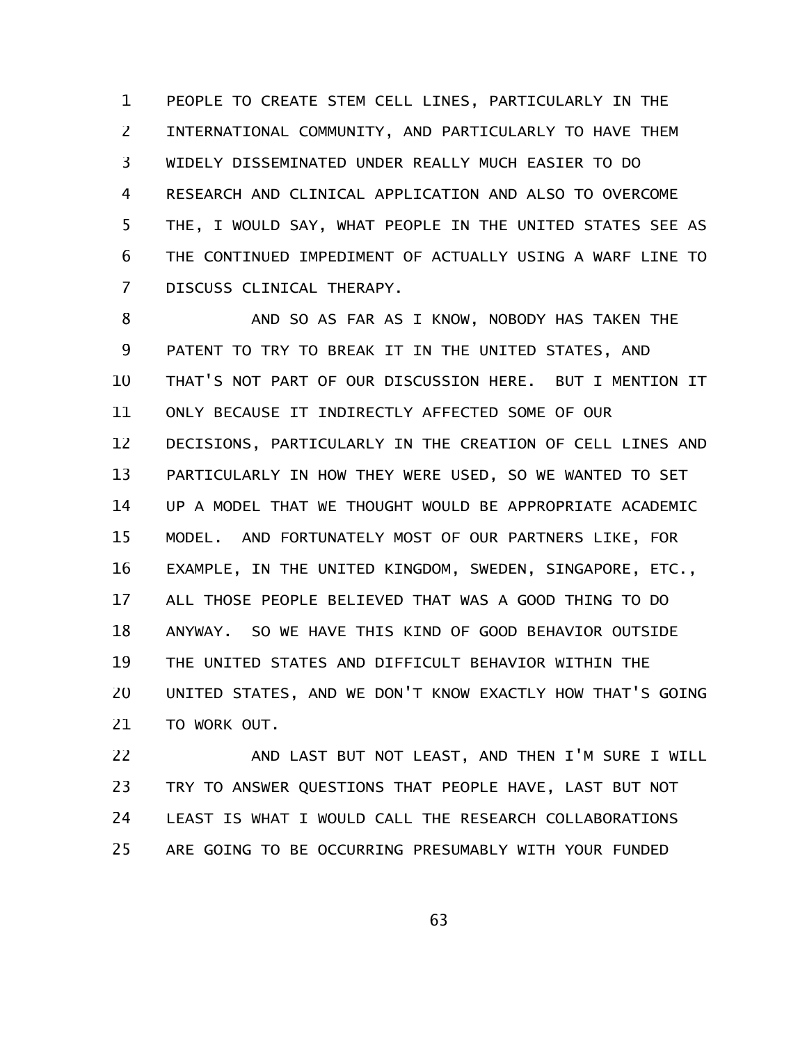PEOPLE TO CREATE STEM CELL LINES, PARTICULARLY IN THE INTERNATIONAL COMMUNITY, AND PARTICULARLY TO HAVE THEM WIDELY DISSEMINATED UNDER REALLY MUCH EASIER TO DO RESEARCH AND CLINICAL APPLICATION AND ALSO TO OVERCOME THE, I WOULD SAY, WHAT PEOPLE IN THE UNITED STATES SEE AS THE CONTINUED IMPEDIMENT OF ACTUALLY USING A WARF LINE TO DISCUSS CLINICAL THERAPY. 1 2 3 4 5 6 7

AND SO AS FAR AS I KNOW, NOBODY HAS TAKEN THE PATENT TO TRY TO BREAK IT IN THE UNITED STATES, AND THAT'S NOT PART OF OUR DISCUSSION HERE. BUT I MENTION IT ONLY BECAUSE IT INDIRECTLY AFFECTED SOME OF OUR DECISIONS, PARTICULARLY IN THE CREATION OF CELL LINES AND PARTICULARLY IN HOW THEY WERE USED, SO WE WANTED TO SET UP A MODEL THAT WE THOUGHT WOULD BE APPROPRIATE ACADEMIC MODEL. AND FORTUNATELY MOST OF OUR PARTNERS LIKE, FOR EXAMPLE, IN THE UNITED KINGDOM, SWEDEN, SINGAPORE, ETC., ALL THOSE PEOPLE BELIEVED THAT WAS A GOOD THING TO DO ANYWAY. SO WE HAVE THIS KIND OF GOOD BEHAVIOR OUTSIDE THE UNITED STATES AND DIFFICULT BEHAVIOR WITHIN THE UNITED STATES, AND WE DON'T KNOW EXACTLY HOW THAT'S GOING TO WORK OUT. 8 9 10 11 12 13 14 15 16 17 18 19 20 21

AND LAST BUT NOT LEAST, AND THEN I'M SURE I WILL TRY TO ANSWER QUESTIONS THAT PEOPLE HAVE, LAST BUT NOT LEAST IS WHAT I WOULD CALL THE RESEARCH COLLABORATIONS ARE GOING TO BE OCCURRING PRESUMABLY WITH YOUR FUNDED 22 23 24 25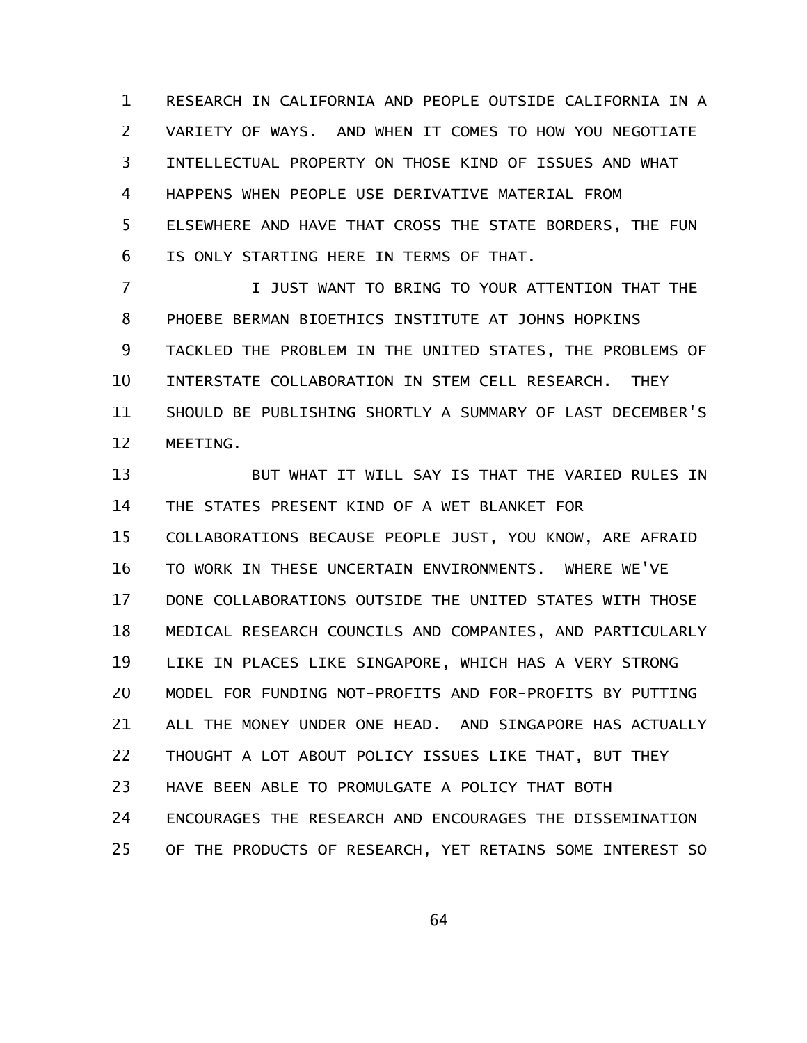RESEARCH IN CALIFORNIA AND PEOPLE OUTSIDE CALIFORNIA IN A VARIETY OF WAYS. AND WHEN IT COMES TO HOW YOU NEGOTIATE INTELLECTUAL PROPERTY ON THOSE KIND OF ISSUES AND WHAT HAPPENS WHEN PEOPLE USE DERIVATIVE MATERIAL FROM ELSEWHERE AND HAVE THAT CROSS THE STATE BORDERS, THE FUN IS ONLY STARTING HERE IN TERMS OF THAT. 1 2 3 4 5 6

I JUST WANT TO BRING TO YOUR ATTENTION THAT THE PHOEBE BERMAN BIOETHICS INSTITUTE AT JOHNS HOPKINS TACKLED THE PROBLEM IN THE UNITED STATES, THE PROBLEMS OF INTERSTATE COLLABORATION IN STEM CELL RESEARCH. THEY SHOULD BE PUBLISHING SHORTLY A SUMMARY OF LAST DECEMBER'S MEETING. 7 8 9 10 11 12

BUT WHAT IT WILL SAY IS THAT THE VARIED RULES IN THE STATES PRESENT KIND OF A WET BLANKET FOR COLLABORATIONS BECAUSE PEOPLE JUST, YOU KNOW, ARE AFRAID TO WORK IN THESE UNCERTAIN ENVIRONMENTS. WHERE WE'VE DONE COLLABORATIONS OUTSIDE THE UNITED STATES WITH THOSE MEDICAL RESEARCH COUNCILS AND COMPANIES, AND PARTICULARLY LIKE IN PLACES LIKE SINGAPORE, WHICH HAS A VERY STRONG MODEL FOR FUNDING NOT-PROFITS AND FOR-PROFITS BY PUTTING ALL THE MONEY UNDER ONE HEAD. AND SINGAPORE HAS ACTUALLY THOUGHT A LOT ABOUT POLICY ISSUES LIKE THAT, BUT THEY HAVE BEEN ABLE TO PROMULGATE A POLICY THAT BOTH ENCOURAGES THE RESEARCH AND ENCOURAGES THE DISSEMINATION OF THE PRODUCTS OF RESEARCH, YET RETAINS SOME INTEREST SO 13 14 15 16 17 18 19 20 21 22 23 24 25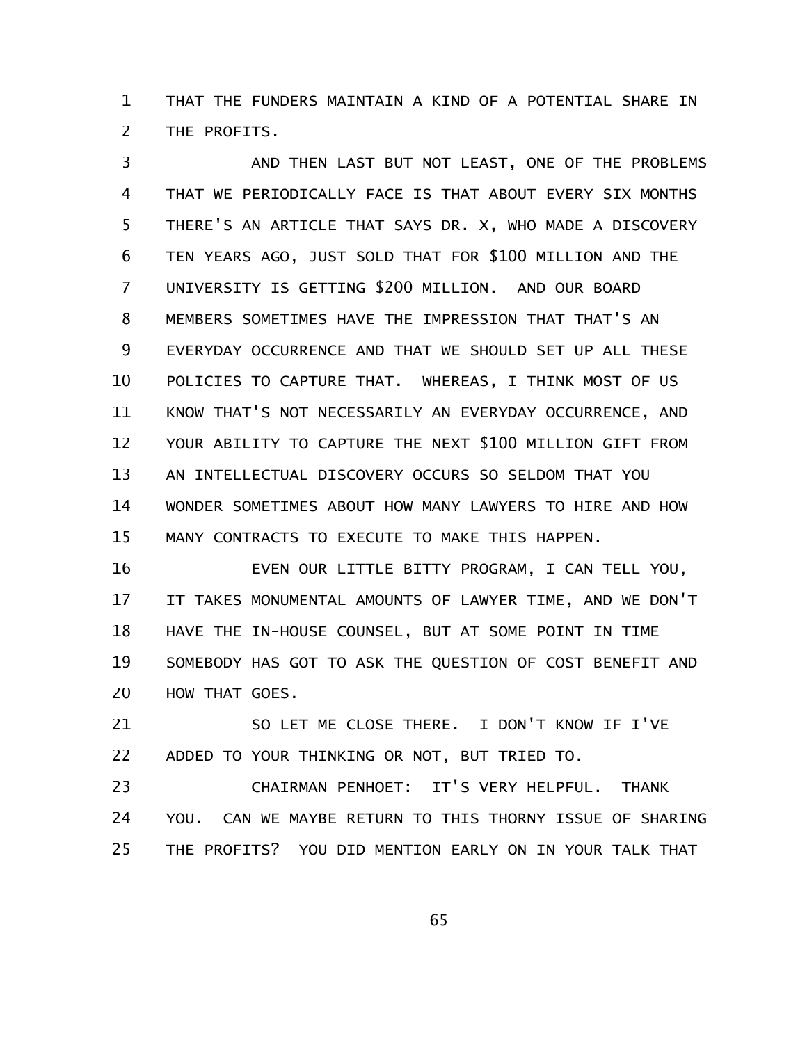THAT THE FUNDERS MAINTAIN A KIND OF A POTENTIAL SHARE IN THE PROFITS. 1 2

AND THEN LAST BUT NOT LEAST, ONE OF THE PROBLEMS THAT WE PERIODICALLY FACE IS THAT ABOUT EVERY SIX MONTHS THERE'S AN ARTICLE THAT SAYS DR. X, WHO MADE A DISCOVERY TEN YEARS AGO, JUST SOLD THAT FOR \$100 MILLION AND THE UNIVERSITY IS GETTING \$200 MILLION. AND OUR BOARD MEMBERS SOMETIMES HAVE THE IMPRESSION THAT THAT'S AN EVERYDAY OCCURRENCE AND THAT WE SHOULD SET UP ALL THESE POLICIES TO CAPTURE THAT. WHEREAS, I THINK MOST OF US KNOW THAT'S NOT NECESSARILY AN EVERYDAY OCCURRENCE, AND YOUR ABILITY TO CAPTURE THE NEXT \$100 MILLION GIFT FROM AN INTELLECTUAL DISCOVERY OCCURS SO SELDOM THAT YOU WONDER SOMETIMES ABOUT HOW MANY LAWYERS TO HIRE AND HOW MANY CONTRACTS TO EXECUTE TO MAKE THIS HAPPEN. 3 4 5 6 7 8 9 10 11 12 13 14 15

EVEN OUR LITTLE BITTY PROGRAM, I CAN TELL YOU, IT TAKES MONUMENTAL AMOUNTS OF LAWYER TIME, AND WE DON'T HAVE THE IN-HOUSE COUNSEL, BUT AT SOME POINT IN TIME SOMEBODY HAS GOT TO ASK THE QUESTION OF COST BENEFIT AND HOW THAT GOES. 16 17 18 19 20

SO LET ME CLOSE THERE. I DON'T KNOW IF I'VE ADDED TO YOUR THINKING OR NOT, BUT TRIED TO. 21 22

CHAIRMAN PENHOET: IT'S VERY HELPFUL. THANK YOU. CAN WE MAYBE RETURN TO THIS THORNY ISSUE OF SHARING THE PROFITS? YOU DID MENTION EARLY ON IN YOUR TALK THAT 23 24 25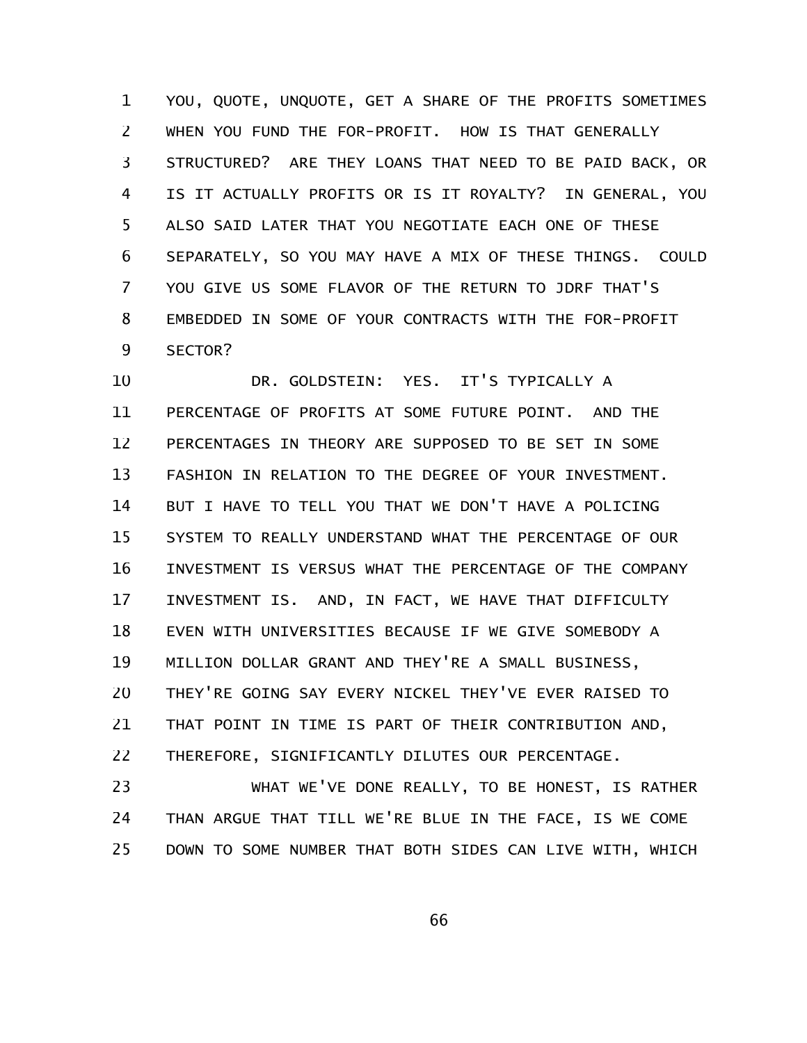YOU, QUOTE, UNQUOTE, GET A SHARE OF THE PROFITS SOMETIMES WHEN YOU FUND THE FOR-PROFIT. HOW IS THAT GENERALLY STRUCTURED? ARE THEY LOANS THAT NEED TO BE PAID BACK, OR IS IT ACTUALLY PROFITS OR IS IT ROYALTY? IN GENERAL, YOU ALSO SAID LATER THAT YOU NEGOTIATE EACH ONE OF THESE SEPARATELY, SO YOU MAY HAVE A MIX OF THESE THINGS. COULD YOU GIVE US SOME FLAVOR OF THE RETURN TO JDRF THAT'S EMBEDDED IN SOME OF YOUR CONTRACTS WITH THE FOR-PROFIT SECTOR? 1 2 3 4 5 6 7 8 9

DR. GOLDSTEIN: YES. IT'S TYPICALLY A PERCENTAGE OF PROFITS AT SOME FUTURE POINT. AND THE PERCENTAGES IN THEORY ARE SUPPOSED TO BE SET IN SOME FASHION IN RELATION TO THE DEGREE OF YOUR INVESTMENT. BUT I HAVE TO TELL YOU THAT WE DON'T HAVE A POLICING SYSTEM TO REALLY UNDERSTAND WHAT THE PERCENTAGE OF OUR INVESTMENT IS VERSUS WHAT THE PERCENTAGE OF THE COMPANY INVESTMENT IS. AND, IN FACT, WE HAVE THAT DIFFICULTY EVEN WITH UNIVERSITIES BECAUSE IF WE GIVE SOMEBODY A MILLION DOLLAR GRANT AND THEY'RE A SMALL BUSINESS, THEY'RE GOING SAY EVERY NICKEL THEY'VE EVER RAISED TO THAT POINT IN TIME IS PART OF THEIR CONTRIBUTION AND, THEREFORE, SIGNIFICANTLY DILUTES OUR PERCENTAGE. 10 11 12 13 14 15 16 17 18 19 20 21 22

WHAT WE'VE DONE REALLY, TO BE HONEST, IS RATHER THAN ARGUE THAT TILL WE'RE BLUE IN THE FACE, IS WE COME DOWN TO SOME NUMBER THAT BOTH SIDES CAN LIVE WITH, WHICH 23 24 25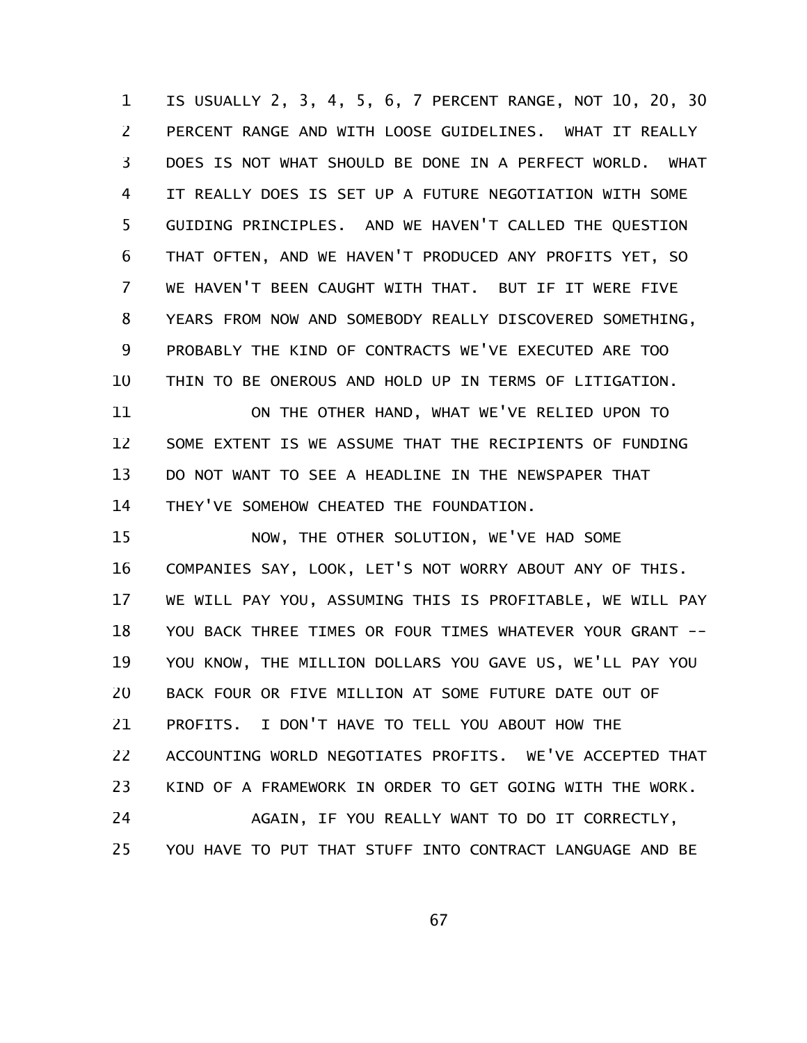IS USUALLY 2, 3, 4, 5, 6, 7 PERCENT RANGE, NOT 10, 20, 30 PERCENT RANGE AND WITH LOOSE GUIDELINES. WHAT IT REALLY DOES IS NOT WHAT SHOULD BE DONE IN A PERFECT WORLD. WHAT IT REALLY DOES IS SET UP A FUTURE NEGOTIATION WITH SOME GUIDING PRINCIPLES. AND WE HAVEN'T CALLED THE QUESTION THAT OFTEN, AND WE HAVEN'T PRODUCED ANY PROFITS YET, SO WE HAVEN'T BEEN CAUGHT WITH THAT. BUT IF IT WERE FIVE YEARS FROM NOW AND SOMEBODY REALLY DISCOVERED SOMETHING, PROBABLY THE KIND OF CONTRACTS WE'VE EXECUTED ARE TOO THIN TO BE ONEROUS AND HOLD UP IN TERMS OF LITIGATION. 1 2 3 4 5 6 7 8 9 10

ON THE OTHER HAND, WHAT WE'VE RELIED UPON TO SOME EXTENT IS WE ASSUME THAT THE RECIPIENTS OF FUNDING DO NOT WANT TO SEE A HEADLINE IN THE NEWSPAPER THAT THEY'VE SOMEHOW CHEATED THE FOUNDATION. 11 12 13 14

NOW, THE OTHER SOLUTION, WE'VE HAD SOME COMPANIES SAY, LOOK, LET'S NOT WORRY ABOUT ANY OF THIS. WE WILL PAY YOU, ASSUMING THIS IS PROFITABLE, WE WILL PAY YOU BACK THREE TIMES OR FOUR TIMES WHATEVER YOUR GRANT --YOU KNOW, THE MILLION DOLLARS YOU GAVE US, WE'LL PAY YOU BACK FOUR OR FIVE MILLION AT SOME FUTURE DATE OUT OF PROFITS. I DON'T HAVE TO TELL YOU ABOUT HOW THE ACCOUNTING WORLD NEGOTIATES PROFITS. WE'VE ACCEPTED THAT KIND OF A FRAMEWORK IN ORDER TO GET GOING WITH THE WORK. AGAIN, IF YOU REALLY WANT TO DO IT CORRECTLY, 15 16 17 18 19 20 21 22 23 24

YOU HAVE TO PUT THAT STUFF INTO CONTRACT LANGUAGE AND BE 25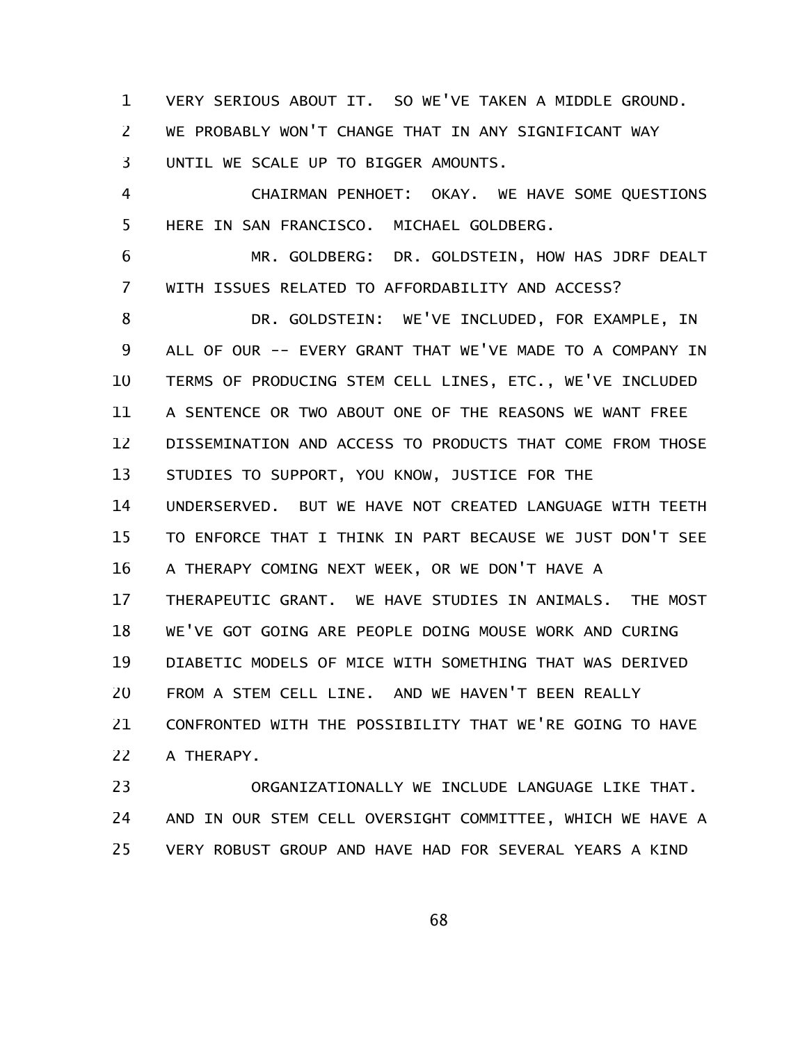VERY SERIOUS ABOUT IT. SO WE'VE TAKEN A MIDDLE GROUND. WE PROBABLY WON'T CHANGE THAT IN ANY SIGNIFICANT WAY UNTIL WE SCALE UP TO BIGGER AMOUNTS. 1 2 3

CHAIRMAN PENHOET: OKAY. WE HAVE SOME QUESTIONS HERE IN SAN FRANCISCO. MICHAEL GOLDBERG. 4 5

MR. GOLDBERG: DR. GOLDSTEIN, HOW HAS JDRF DEALT WITH ISSUES RELATED TO AFFORDABILITY AND ACCESS? 6 7

DR. GOLDSTEIN: WE'VE INCLUDED, FOR EXAMPLE, IN ALL OF OUR -- EVERY GRANT THAT WE'VE MADE TO A COMPANY IN TERMS OF PRODUCING STEM CELL LINES, ETC., WE'VE INCLUDED A SENTENCE OR TWO ABOUT ONE OF THE REASONS WE WANT FREE DISSEMINATION AND ACCESS TO PRODUCTS THAT COME FROM THOSE STUDIES TO SUPPORT, YOU KNOW, JUSTICE FOR THE UNDERSERVED. BUT WE HAVE NOT CREATED LANGUAGE WITH TEETH TO ENFORCE THAT I THINK IN PART BECAUSE WE JUST DON'T SEE A THERAPY COMING NEXT WEEK, OR WE DON'T HAVE A THERAPEUTIC GRANT. WE HAVE STUDIES IN ANIMALS. THE MOST WE'VE GOT GOING ARE PEOPLE DOING MOUSE WORK AND CURING DIABETIC MODELS OF MICE WITH SOMETHING THAT WAS DERIVED FROM A STEM CELL LINE. AND WE HAVEN'T BEEN REALLY CONFRONTED WITH THE POSSIBILITY THAT WE'RE GOING TO HAVE A THERAPY. 8 9 10 11 12 13 14 15 16 17 18 19 20 21 22

ORGANIZATIONALLY WE INCLUDE LANGUAGE LIKE THAT. AND IN OUR STEM CELL OVERSIGHT COMMITTEE, WHICH WE HAVE A VERY ROBUST GROUP AND HAVE HAD FOR SEVERAL YEARS A KIND 23 24 25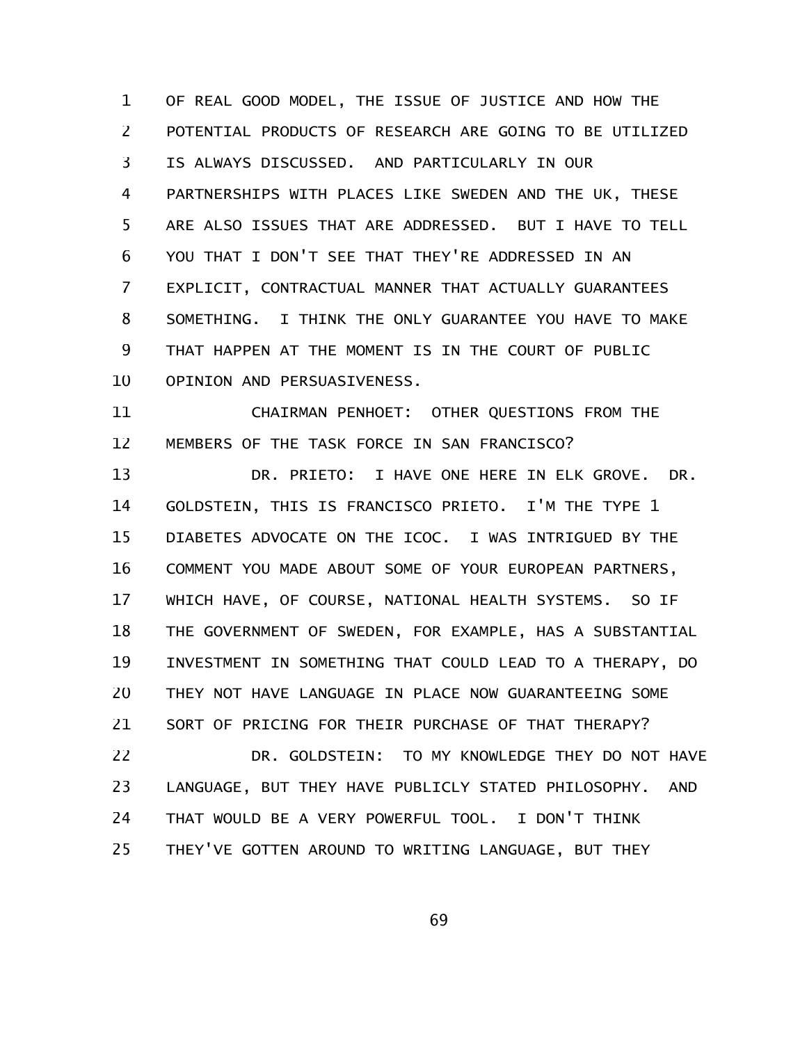OF REAL GOOD MODEL, THE ISSUE OF JUSTICE AND HOW THE POTENTIAL PRODUCTS OF RESEARCH ARE GOING TO BE UTILIZED IS ALWAYS DISCUSSED. AND PARTICULARLY IN OUR PARTNERSHIPS WITH PLACES LIKE SWEDEN AND THE UK, THESE ARE ALSO ISSUES THAT ARE ADDRESSED. BUT I HAVE TO TELL YOU THAT I DON'T SEE THAT THEY'RE ADDRESSED IN AN EXPLICIT, CONTRACTUAL MANNER THAT ACTUALLY GUARANTEES SOMETHING. I THINK THE ONLY GUARANTEE YOU HAVE TO MAKE THAT HAPPEN AT THE MOMENT IS IN THE COURT OF PUBLIC OPINION AND PERSUASIVENESS. 1 2 3 4 5 6 7 8 9 10

CHAIRMAN PENHOET: OTHER QUESTIONS FROM THE MEMBERS OF THE TASK FORCE IN SAN FRANCISCO? 11 12

DR. PRIETO: I HAVE ONE HERE IN ELK GROVE. DR. GOLDSTEIN, THIS IS FRANCISCO PRIETO. I'M THE TYPE 1 DIABETES ADVOCATE ON THE ICOC. I WAS INTRIGUED BY THE COMMENT YOU MADE ABOUT SOME OF YOUR EUROPEAN PARTNERS, WHICH HAVE, OF COURSE, NATIONAL HEALTH SYSTEMS. SO IF THE GOVERNMENT OF SWEDEN, FOR EXAMPLE, HAS A SUBSTANTIAL INVESTMENT IN SOMETHING THAT COULD LEAD TO A THERAPY, DO THEY NOT HAVE LANGUAGE IN PLACE NOW GUARANTEEING SOME SORT OF PRICING FOR THEIR PURCHASE OF THAT THERAPY? DR. GOLDSTEIN: TO MY KNOWLEDGE THEY DO NOT HAVE 13 14 15 16 17 18 19 20 21 22

LANGUAGE, BUT THEY HAVE PUBLICLY STATED PHILOSOPHY. AND THAT WOULD BE A VERY POWERFUL TOOL. I DON'T THINK THEY'VE GOTTEN AROUND TO WRITING LANGUAGE, BUT THEY 23 24 25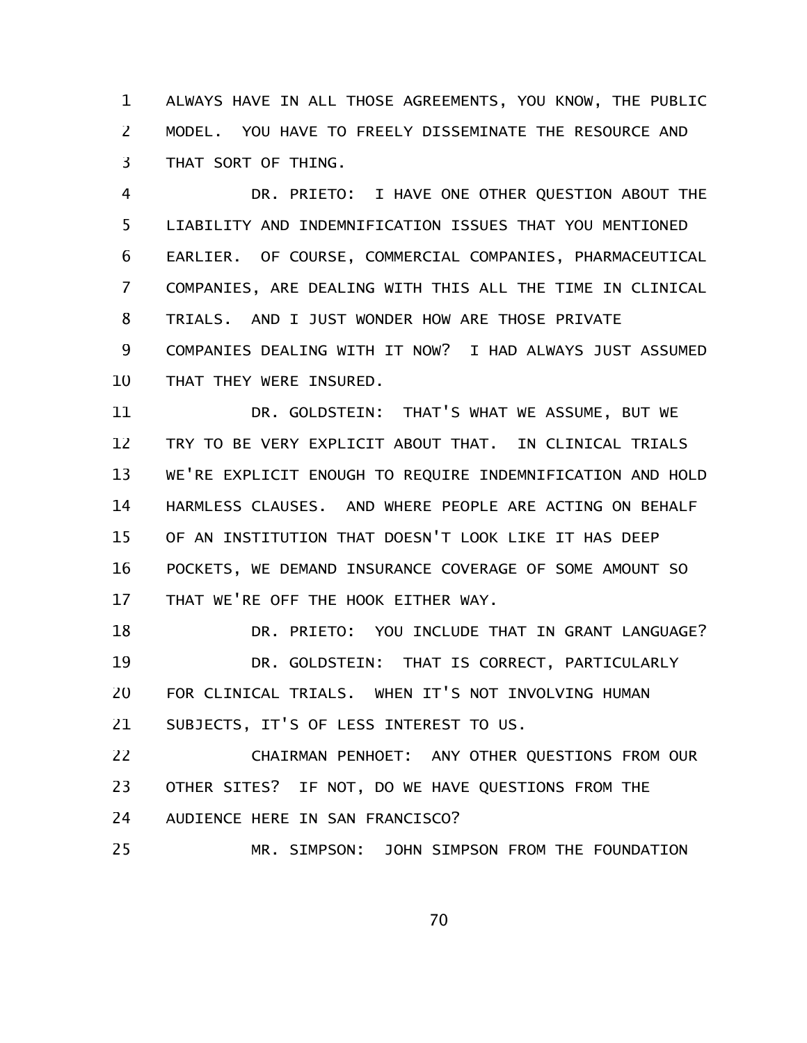ALWAYS HAVE IN ALL THOSE AGREEMENTS, YOU KNOW, THE PUBLIC MODEL. YOU HAVE TO FREELY DISSEMINATE THE RESOURCE AND THAT SORT OF THING. 1 2 3

DR. PRIETO: I HAVE ONE OTHER QUESTION ABOUT THE LIABILITY AND INDEMNIFICATION ISSUES THAT YOU MENTIONED EARLIER. OF COURSE, COMMERCIAL COMPANIES, PHARMACEUTICAL COMPANIES, ARE DEALING WITH THIS ALL THE TIME IN CLINICAL TRIALS. AND I JUST WONDER HOW ARE THOSE PRIVATE COMPANIES DEALING WITH IT NOW? I HAD ALWAYS JUST ASSUMED THAT THEY WERE INSURED. 4 5 6 7 8 9 10

DR. GOLDSTEIN: THAT'S WHAT WE ASSUME, BUT WE TRY TO BE VERY EXPLICIT ABOUT THAT. IN CLINICAL TRIALS WE'RE EXPLICIT ENOUGH TO REQUIRE INDEMNIFICATION AND HOLD HARMLESS CLAUSES. AND WHERE PEOPLE ARE ACTING ON BEHALF OF AN INSTITUTION THAT DOESN'T LOOK LIKE IT HAS DEEP POCKETS, WE DEMAND INSURANCE COVERAGE OF SOME AMOUNT SO THAT WE'RE OFF THE HOOK EITHER WAY. 11 12 13 14 15 16 17

DR. PRIETO: YOU INCLUDE THAT IN GRANT LANGUAGE? DR. GOLDSTEIN: THAT IS CORRECT, PARTICULARLY FOR CLINICAL TRIALS. WHEN IT'S NOT INVOLVING HUMAN SUBJECTS, IT'S OF LESS INTEREST TO US. 18 19 20 21

CHAIRMAN PENHOET: ANY OTHER QUESTIONS FROM OUR OTHER SITES? IF NOT, DO WE HAVE QUESTIONS FROM THE AUDIENCE HERE IN SAN FRANCISCO? MR. SIMPSON: JOHN SIMPSON FROM THE FOUNDATION 22 23 24 25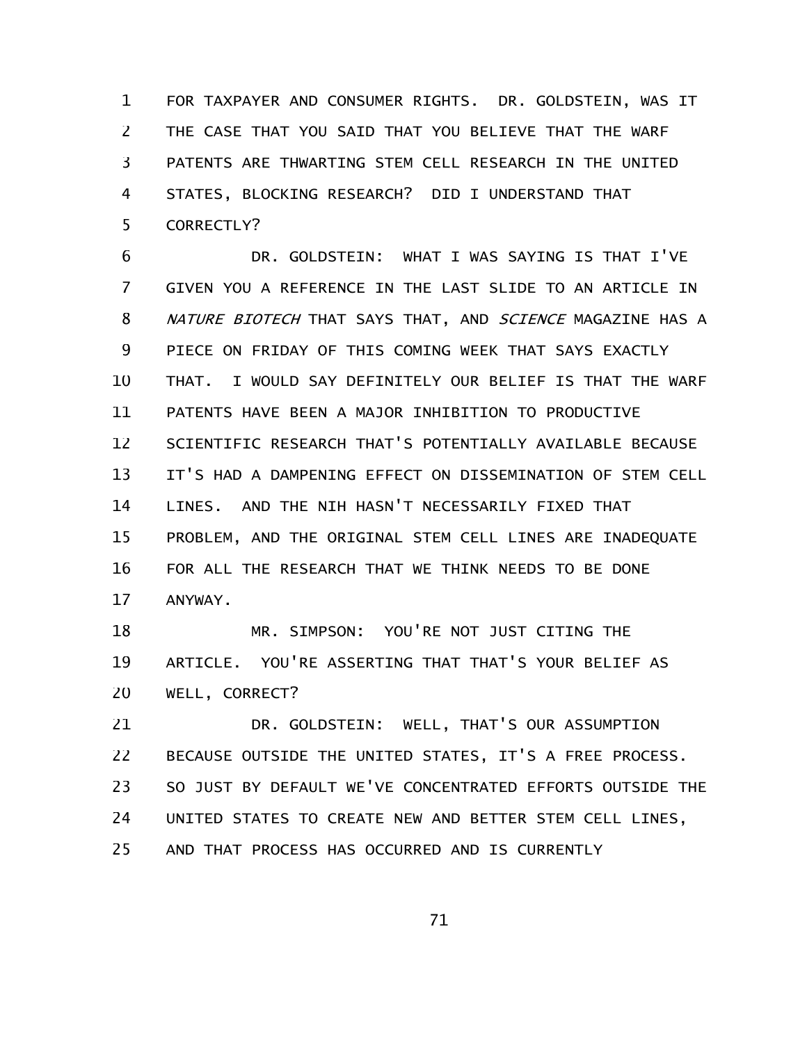FOR TAXPAYER AND CONSUMER RIGHTS. DR. GOLDSTEIN, WAS IT THE CASE THAT YOU SAID THAT YOU BELIEVE THAT THE WARF PATENTS ARE THWARTING STEM CELL RESEARCH IN THE UNITED STATES, BLOCKING RESEARCH? DID I UNDERSTAND THAT CORRECTLY? 1 2 3 4 5

DR. GOLDSTEIN: WHAT I WAS SAYING IS THAT I'VE GIVEN YOU A REFERENCE IN THE LAST SLIDE TO AN ARTICLE IN NATURE BIOTECH THAT SAYS THAT, AND SCIENCE MAGAZINE HAS A PIECE ON FRIDAY OF THIS COMING WEEK THAT SAYS EXACTLY THAT. I WOULD SAY DEFINITELY OUR BELIEF IS THAT THE WARF PATENTS HAVE BEEN A MAJOR INHIBITION TO PRODUCTIVE SCIENTIFIC RESEARCH THAT'S POTENTIALLY AVAILABLE BECAUSE IT'S HAD A DAMPENING EFFECT ON DISSEMINATION OF STEM CELL LINES. AND THE NIH HASN'T NECESSARILY FIXED THAT PROBLEM, AND THE ORIGINAL STEM CELL LINES ARE INADEQUATE FOR ALL THE RESEARCH THAT WE THINK NEEDS TO BE DONE ANYWAY. 6 7 8 9 10 11 12 13 14 15 16 17

MR. SIMPSON: YOU'RE NOT JUST CITING THE ARTICLE. YOU'RE ASSERTING THAT THAT'S YOUR BELIEF AS WELL, CORRECT? 18 19 20

DR. GOLDSTEIN: WELL, THAT'S OUR ASSUMPTION BECAUSE OUTSIDE THE UNITED STATES, IT'S A FREE PROCESS. SO JUST BY DEFAULT WE'VE CONCENTRATED EFFORTS OUTSIDE THE UNITED STATES TO CREATE NEW AND BETTER STEM CELL LINES, AND THAT PROCESS HAS OCCURRED AND IS CURRENTLY 21 22 23 24 25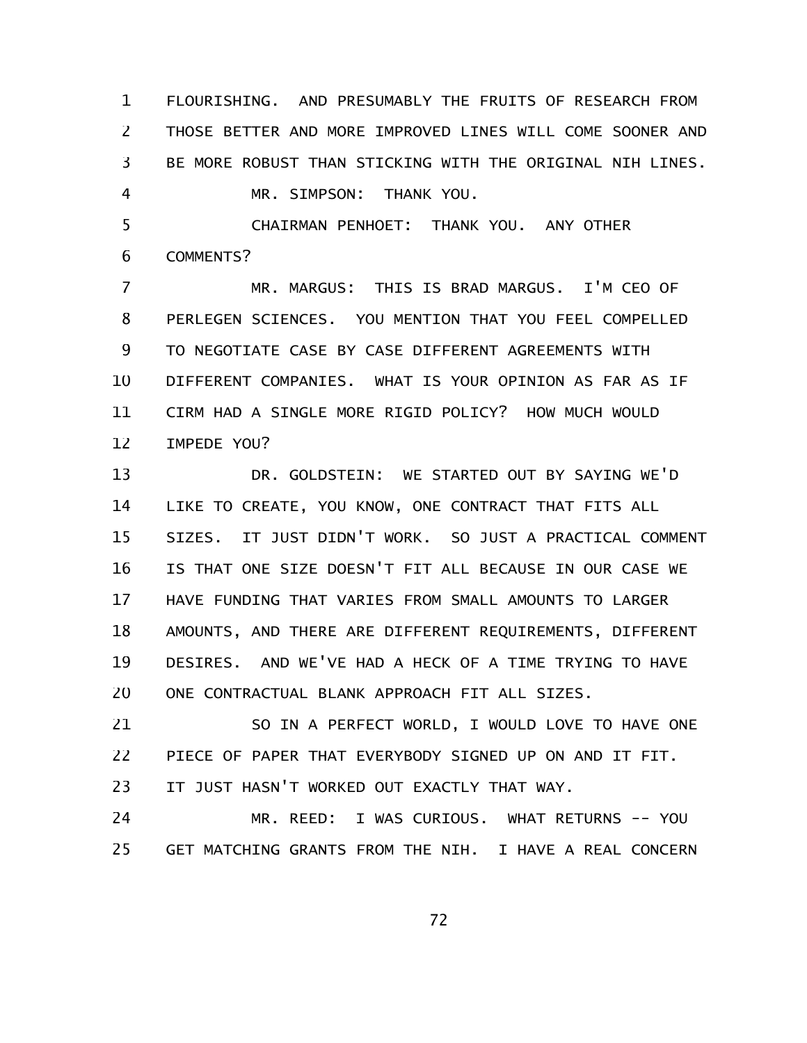FLOURISHING. AND PRESUMABLY THE FRUITS OF RESEARCH FROM THOSE BETTER AND MORE IMPROVED LINES WILL COME SOONER AND BE MORE ROBUST THAN STICKING WITH THE ORIGINAL NIH LINES. MR. SIMPSON: THANK YOU. CHAIRMAN PENHOET: THANK YOU. ANY OTHER 1 2 3 4 5

COMMENTS? 6

MR. MARGUS: THIS IS BRAD MARGUS. I'M CEO OF PERLEGEN SCIENCES. YOU MENTION THAT YOU FEEL COMPELLED TO NEGOTIATE CASE BY CASE DIFFERENT AGREEMENTS WITH DIFFERENT COMPANIES. WHAT IS YOUR OPINION AS FAR AS IF CIRM HAD A SINGLE MORE RIGID POLICY? HOW MUCH WOULD IMPEDE YOU? 7 8 9 10 11 12

DR. GOLDSTEIN: WE STARTED OUT BY SAYING WE'D LIKE TO CREATE, YOU KNOW, ONE CONTRACT THAT FITS ALL SIZES. IT JUST DIDN'T WORK. SO JUST A PRACTICAL COMMENT IS THAT ONE SIZE DOESN'T FIT ALL BECAUSE IN OUR CASE WE HAVE FUNDING THAT VARIES FROM SMALL AMOUNTS TO LARGER AMOUNTS, AND THERE ARE DIFFERENT REQUIREMENTS, DIFFERENT DESIRES. AND WE'VE HAD A HECK OF A TIME TRYING TO HAVE ONE CONTRACTUAL BLANK APPROACH FIT ALL SIZES. 13 14 15 16 17 18 19 20

SO IN A PERFECT WORLD, I WOULD LOVE TO HAVE ONE PIECE OF PAPER THAT EVERYBODY SIGNED UP ON AND IT FIT. IT JUST HASN'T WORKED OUT EXACTLY THAT WAY. 21 22 23

MR. REED: I WAS CURIOUS. WHAT RETURNS -- YOU GET MATCHING GRANTS FROM THE NIH. I HAVE A REAL CONCERN 24 25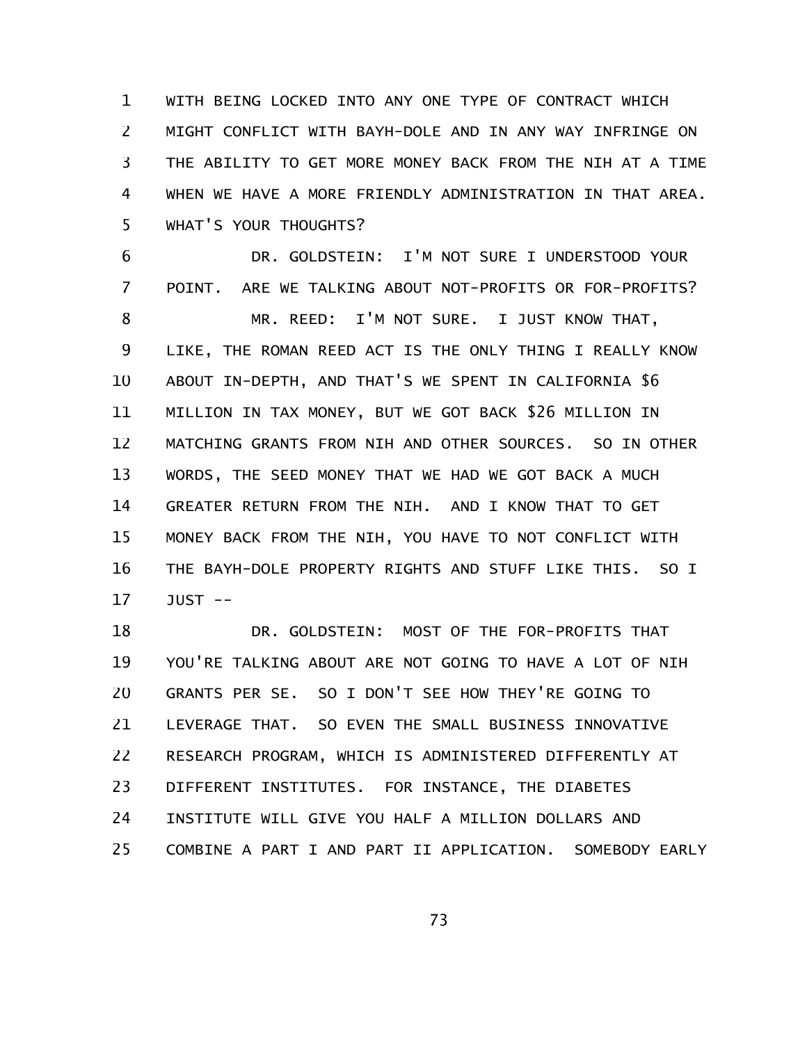WITH BEING LOCKED INTO ANY ONE TYPE OF CONTRACT WHICH MIGHT CONFLICT WITH BAYH-DOLE AND IN ANY WAY INFRINGE ON THE ABILITY TO GET MORE MONEY BACK FROM THE NIH AT A TIME WHEN WE HAVE A MORE FRIENDLY ADMINISTRATION IN THAT AREA. WHAT'S YOUR THOUGHTS? 1 2 3 4 5

DR. GOLDSTEIN: I'M NOT SURE I UNDERSTOOD YOUR POINT. ARE WE TALKING ABOUT NOT-PROFITS OR FOR-PROFITS? MR. REED: I'M NOT SURE. I JUST KNOW THAT, LIKE, THE ROMAN REED ACT IS THE ONLY THING I REALLY KNOW ABOUT IN-DEPTH, AND THAT'S WE SPENT IN CALIFORNIA \$6 MILLION IN TAX MONEY, BUT WE GOT BACK \$26 MILLION IN MATCHING GRANTS FROM NIH AND OTHER SOURCES. SO IN OTHER WORDS, THE SEED MONEY THAT WE HAD WE GOT BACK A MUCH GREATER RETURN FROM THE NIH. AND I KNOW THAT TO GET MONEY BACK FROM THE NIH, YOU HAVE TO NOT CONFLICT WITH THE BAYH-DOLE PROPERTY RIGHTS AND STUFF LIKE THIS. SO I JUST -- 6 7 8 9 10 11 12 13 14 15 16 17

DR. GOLDSTEIN: MOST OF THE FOR-PROFITS THAT YOU'RE TALKING ABOUT ARE NOT GOING TO HAVE A LOT OF NIH GRANTS PER SE. SO I DON'T SEE HOW THEY'RE GOING TO LEVERAGE THAT. SO EVEN THE SMALL BUSINESS INNOVATIVE RESEARCH PROGRAM, WHICH IS ADMINISTERED DIFFERENTLY AT DIFFERENT INSTITUTES. FOR INSTANCE, THE DIABETES INSTITUTE WILL GIVE YOU HALF A MILLION DOLLARS AND COMBINE A PART I AND PART II APPLICATION. SOMEBODY EARLY 18 19 20 21 22 23 24 25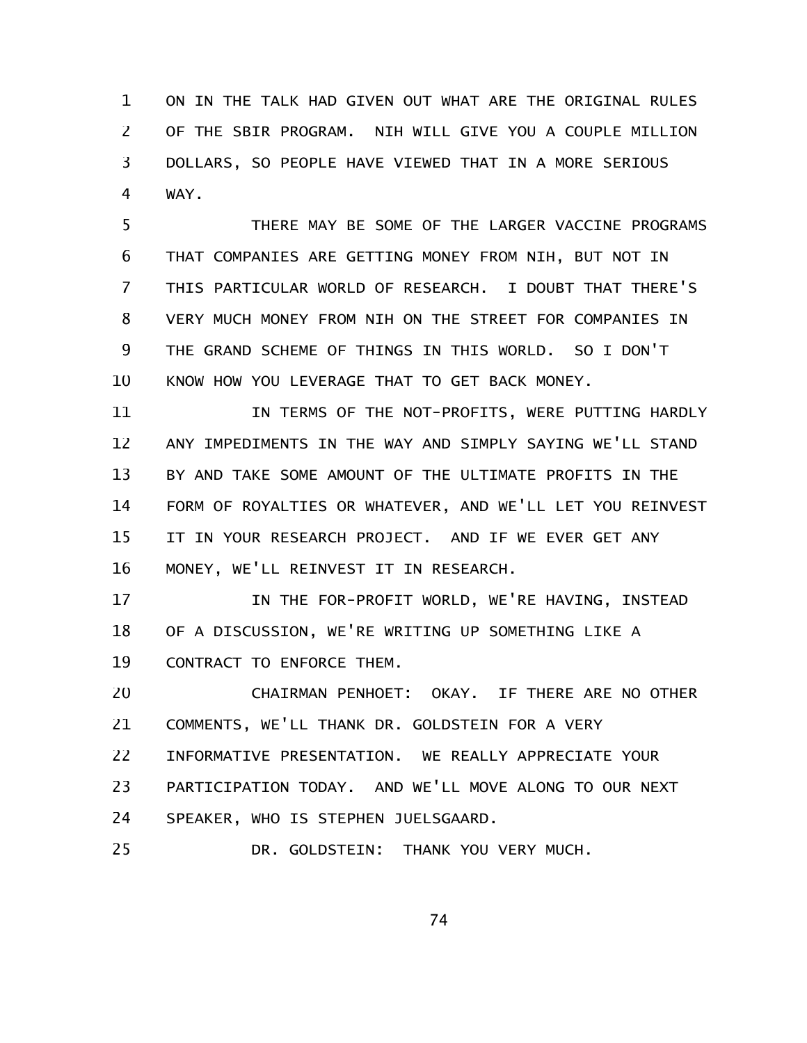ON IN THE TALK HAD GIVEN OUT WHAT ARE THE ORIGINAL RULES OF THE SBIR PROGRAM. NIH WILL GIVE YOU A COUPLE MILLION DOLLARS, SO PEOPLE HAVE VIEWED THAT IN A MORE SERIOUS WAY. 1 2 3 4

THERE MAY BE SOME OF THE LARGER VACCINE PROGRAMS THAT COMPANIES ARE GETTING MONEY FROM NIH, BUT NOT IN THIS PARTICULAR WORLD OF RESEARCH. I DOUBT THAT THERE'S VERY MUCH MONEY FROM NIH ON THE STREET FOR COMPANIES IN THE GRAND SCHEME OF THINGS IN THIS WORLD. SO I DON'T KNOW HOW YOU LEVERAGE THAT TO GET BACK MONEY. 5 6 7 8 9 10

IN TERMS OF THE NOT-PROFITS, WERE PUTTING HARDLY ANY IMPEDIMENTS IN THE WAY AND SIMPLY SAYING WE'LL STAND BY AND TAKE SOME AMOUNT OF THE ULTIMATE PROFITS IN THE FORM OF ROYALTIES OR WHATEVER, AND WE'LL LET YOU REINVEST IT IN YOUR RESEARCH PROJECT. AND IF WE EVER GET ANY MONEY, WE'LL REINVEST IT IN RESEARCH. 11 12 13 14 15 16

IN THE FOR-PROFIT WORLD, WE'RE HAVING, INSTEAD OF A DISCUSSION, WE'RE WRITING UP SOMETHING LIKE A CONTRACT TO ENFORCE THEM. 17 18 19

CHAIRMAN PENHOET: OKAY. IF THERE ARE NO OTHER COMMENTS, WE'LL THANK DR. GOLDSTEIN FOR A VERY INFORMATIVE PRESENTATION. WE REALLY APPRECIATE YOUR PARTICIPATION TODAY. AND WE'LL MOVE ALONG TO OUR NEXT SPEAKER, WHO IS STEPHEN JUELSGAARD. DR. GOLDSTEIN: THANK YOU VERY MUCH. 20 21 22 23 24 25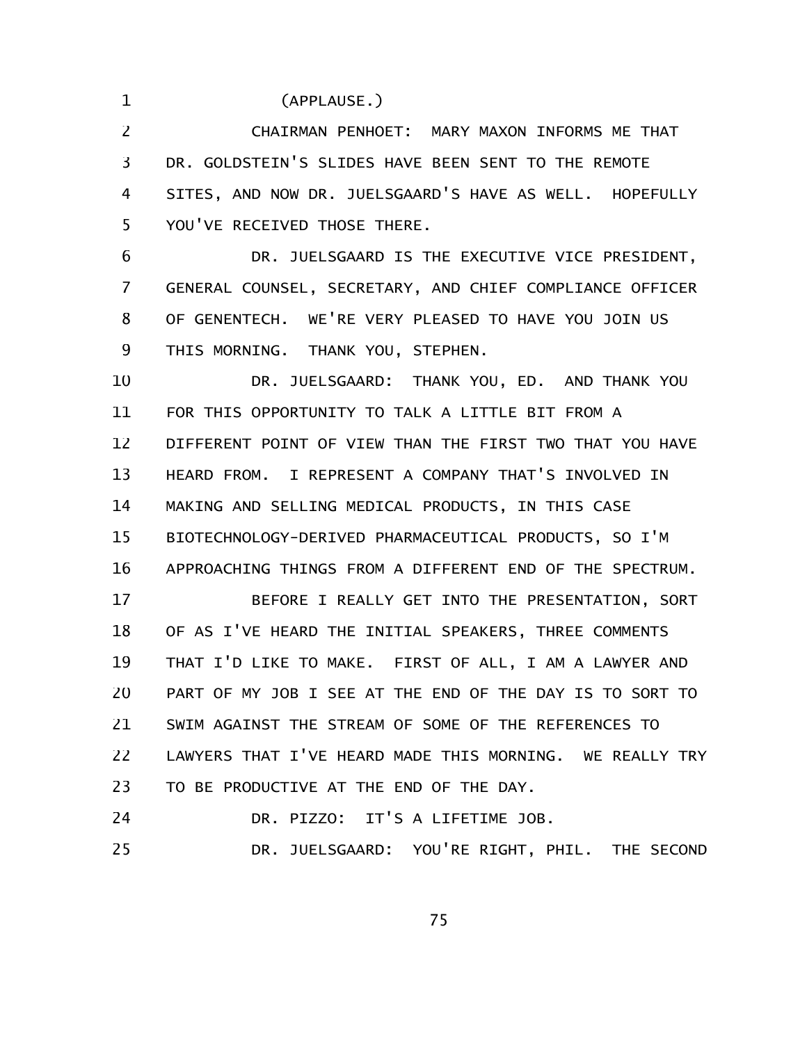(APPLAUSE.)

1

CHAIRMAN PENHOET: MARY MAXON INFORMS ME THAT DR. GOLDSTEIN'S SLIDES HAVE BEEN SENT TO THE REMOTE SITES, AND NOW DR. JUELSGAARD'S HAVE AS WELL. HOPEFULLY YOU'VE RECEIVED THOSE THERE. 2 3 4 5

DR. JUELSGAARD IS THE EXECUTIVE VICE PRESIDENT, GENERAL COUNSEL, SECRETARY, AND CHIEF COMPLIANCE OFFICER OF GENENTECH. WE'RE VERY PLEASED TO HAVE YOU JOIN US THIS MORNING. THANK YOU, STEPHEN. 6 7 8 9

DR. JUELSGAARD: THANK YOU, ED. AND THANK YOU FOR THIS OPPORTUNITY TO TALK A LITTLE BIT FROM A DIFFERENT POINT OF VIEW THAN THE FIRST TWO THAT YOU HAVE HEARD FROM. I REPRESENT A COMPANY THAT'S INVOLVED IN MAKING AND SELLING MEDICAL PRODUCTS, IN THIS CASE BIOTECHNOLOGY-DERIVED PHARMACEUTICAL PRODUCTS, SO I'M APPROACHING THINGS FROM A DIFFERENT END OF THE SPECTRUM. 10 11 12 13 14 15 16

BEFORE I REALLY GET INTO THE PRESENTATION, SORT OF AS I'VE HEARD THE INITIAL SPEAKERS, THREE COMMENTS THAT I'D LIKE TO MAKE. FIRST OF ALL, I AM A LAWYER AND PART OF MY JOB I SEE AT THE END OF THE DAY IS TO SORT TO SWIM AGAINST THE STREAM OF SOME OF THE REFERENCES TO LAWYERS THAT I'VE HEARD MADE THIS MORNING. WE REALLY TRY TO BE PRODUCTIVE AT THE END OF THE DAY. 17 18 19 20 21 22 23

DR. PIZZO: IT'S A LIFETIME JOB. 24

DR. JUELSGAARD: YOU'RE RIGHT, PHIL. THE SECOND 25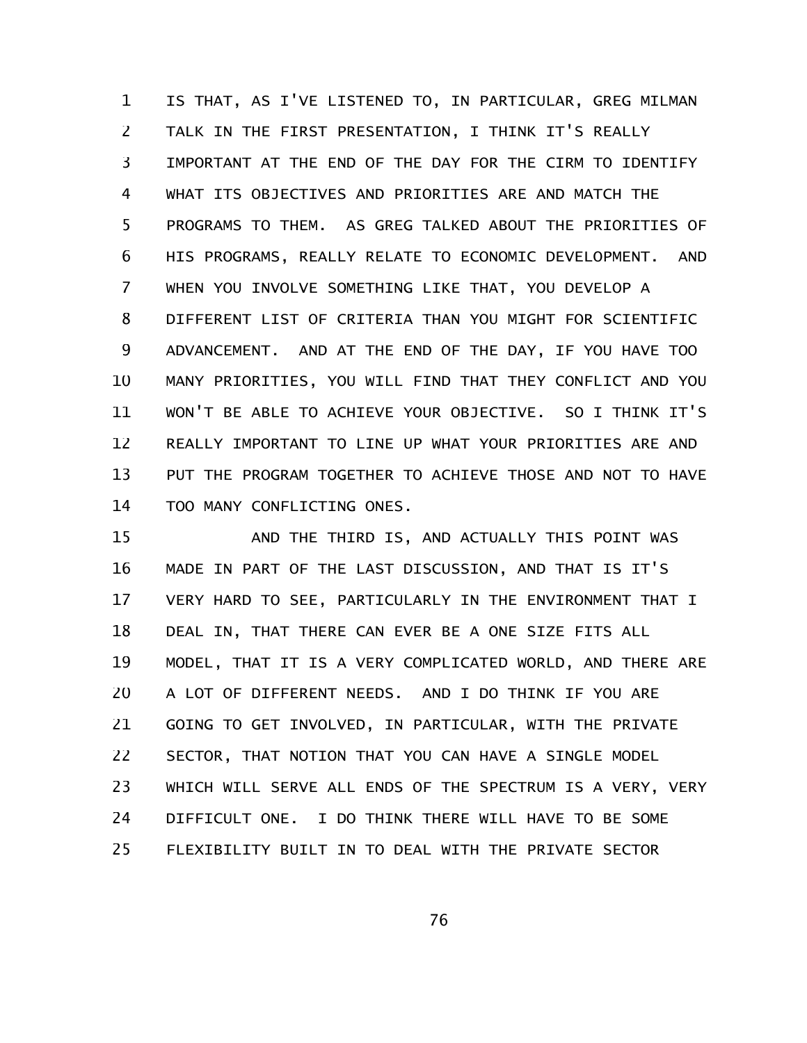IS THAT, AS I'VE LISTENED TO, IN PARTICULAR, GREG MILMAN TALK IN THE FIRST PRESENTATION, I THINK IT'S REALLY IMPORTANT AT THE END OF THE DAY FOR THE CIRM TO IDENTIFY WHAT ITS OBJECTIVES AND PRIORITIES ARE AND MATCH THE PROGRAMS TO THEM. AS GREG TALKED ABOUT THE PRIORITIES OF HIS PROGRAMS, REALLY RELATE TO ECONOMIC DEVELOPMENT. AND WHEN YOU INVOLVE SOMETHING LIKE THAT, YOU DEVELOP A DIFFERENT LIST OF CRITERIA THAN YOU MIGHT FOR SCIENTIFIC ADVANCEMENT. AND AT THE END OF THE DAY, IF YOU HAVE TOO MANY PRIORITIES, YOU WILL FIND THAT THEY CONFLICT AND YOU WON'T BE ABLE TO ACHIEVE YOUR OBJECTIVE. SO I THINK IT'S REALLY IMPORTANT TO LINE UP WHAT YOUR PRIORITIES ARE AND PUT THE PROGRAM TOGETHER TO ACHIEVE THOSE AND NOT TO HAVE TOO MANY CONFLICTING ONES. 1 2 3 4 5 6 7 8 9 10 11 12 13 14

AND THE THIRD IS, AND ACTUALLY THIS POINT WAS MADE IN PART OF THE LAST DISCUSSION, AND THAT IS IT'S VERY HARD TO SEE, PARTICULARLY IN THE ENVIRONMENT THAT I DEAL IN, THAT THERE CAN EVER BE A ONE SIZE FITS ALL MODEL, THAT IT IS A VERY COMPLICATED WORLD, AND THERE ARE A LOT OF DIFFERENT NEEDS. AND I DO THINK IF YOU ARE GOING TO GET INVOLVED, IN PARTICULAR, WITH THE PRIVATE SECTOR, THAT NOTION THAT YOU CAN HAVE A SINGLE MODEL WHICH WILL SERVE ALL ENDS OF THE SPECTRUM IS A VERY, VERY DIFFICULT ONE. I DO THINK THERE WILL HAVE TO BE SOME FLEXIBILITY BUILT IN TO DEAL WITH THE PRIVATE SECTOR 15 16 17 18 19 20 21 22 23 24 25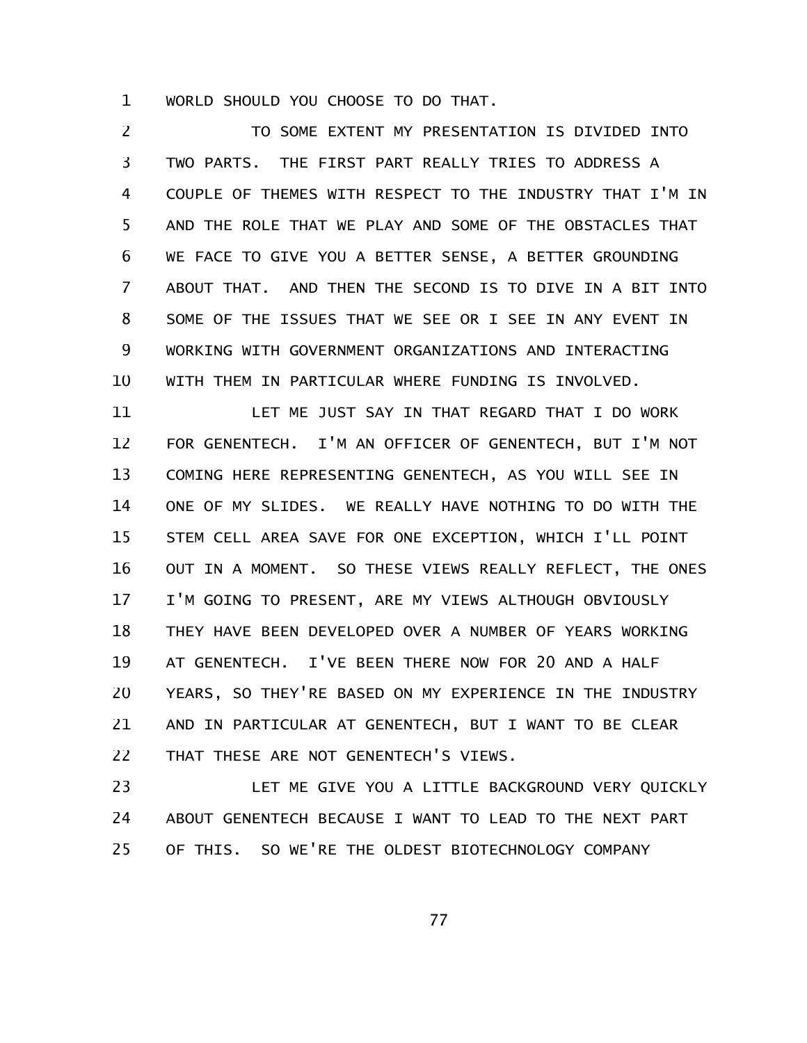WORLD SHOULD YOU CHOOSE TO DO THAT. 1

TO SOME EXTENT MY PRESENTATION IS DIVIDED INTO TWO PARTS. THE FIRST PART REALLY TRIES TO ADDRESS A COUPLE OF THEMES WITH RESPECT TO THE INDUSTRY THAT I'M IN AND THE ROLE THAT WE PLAY AND SOME OF THE OBSTACLES THAT WE FACE TO GIVE YOU A BETTER SENSE, A BETTER GROUNDING ABOUT THAT. AND THEN THE SECOND IS TO DIVE IN A BIT INTO SOME OF THE ISSUES THAT WE SEE OR I SEE IN ANY EVENT IN WORKING WITH GOVERNMENT ORGANIZATIONS AND INTERACTING WITH THEM IN PARTICULAR WHERE FUNDING IS INVOLVED. 2 3 4 5 6 7 8 9 10

LET ME JUST SAY IN THAT REGARD THAT I DO WORK FOR GENENTECH. I'M AN OFFICER OF GENENTECH, BUT I'M NOT COMING HERE REPRESENTING GENENTECH, AS YOU WILL SEE IN ONE OF MY SLIDES. WE REALLY HAVE NOTHING TO DO WITH THE STEM CELL AREA SAVE FOR ONE EXCEPTION, WHICH I'LL POINT OUT IN A MOMENT. SO THESE VIEWS REALLY REFLECT, THE ONES I'M GOING TO PRESENT, ARE MY VIEWS ALTHOUGH OBVIOUSLY THEY HAVE BEEN DEVELOPED OVER A NUMBER OF YEARS WORKING AT GENENTECH. I'VE BEEN THERE NOW FOR 20 AND A HALF YEARS, SO THEY'RE BASED ON MY EXPERIENCE IN THE INDUSTRY AND IN PARTICULAR AT GENENTECH, BUT I WANT TO BE CLEAR THAT THESE ARE NOT GENENTECH'S VIEWS. 11 12 13 14 15 16 17 18 19 20 21 22

LET ME GIVE YOU A LITTLE BACKGROUND VERY QUICKLY ABOUT GENENTECH BECAUSE I WANT TO LEAD TO THE NEXT PART OF THIS. SO WE'RE THE OLDEST BIOTECHNOLOGY COMPANY 23 24 25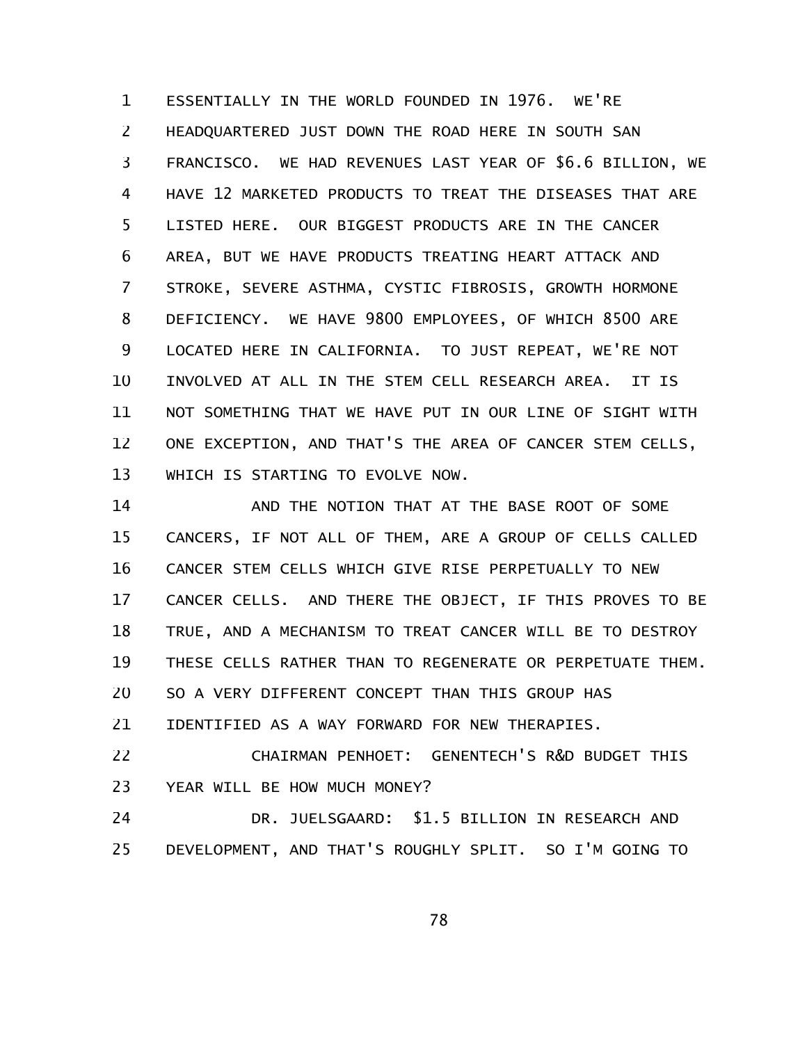ESSENTIALLY IN THE WORLD FOUNDED IN 1976. WE'RE HEADQUARTERED JUST DOWN THE ROAD HERE IN SOUTH SAN FRANCISCO. WE HAD REVENUES LAST YEAR OF \$6.6 BILLION, WE HAVE 12 MARKETED PRODUCTS TO TREAT THE DISEASES THAT ARE LISTED HERE. OUR BIGGEST PRODUCTS ARE IN THE CANCER AREA, BUT WE HAVE PRODUCTS TREATING HEART ATTACK AND STROKE, SEVERE ASTHMA, CYSTIC FIBROSIS, GROWTH HORMONE DEFICIENCY. WE HAVE 9800 EMPLOYEES, OF WHICH 8500 ARE LOCATED HERE IN CALIFORNIA. TO JUST REPEAT, WE'RE NOT INVOLVED AT ALL IN THE STEM CELL RESEARCH AREA. IT IS NOT SOMETHING THAT WE HAVE PUT IN OUR LINE OF SIGHT WITH ONE EXCEPTION, AND THAT'S THE AREA OF CANCER STEM CELLS, WHICH IS STARTING TO EVOLVE NOW. 1 2 3 4 5 6 7 8 9 10 11 12 13

AND THE NOTION THAT AT THE BASE ROOT OF SOME CANCERS, IF NOT ALL OF THEM, ARE A GROUP OF CELLS CALLED CANCER STEM CELLS WHICH GIVE RISE PERPETUALLY TO NEW CANCER CELLS. AND THERE THE OBJECT, IF THIS PROVES TO BE TRUE, AND A MECHANISM TO TREAT CANCER WILL BE TO DESTROY THESE CELLS RATHER THAN TO REGENERATE OR PERPETUATE THEM. SO A VERY DIFFERENT CONCEPT THAN THIS GROUP HAS IDENTIFIED AS A WAY FORWARD FOR NEW THERAPIES. 14 15 16 17 18 19 20 21

CHAIRMAN PENHOET: GENENTECH'S R&D BUDGET THIS YEAR WILL BE HOW MUCH MONEY? 22 23

DR. JUELSGAARD: \$1.5 BILLION IN RESEARCH AND DEVELOPMENT, AND THAT'S ROUGHLY SPLIT. SO I'M GOING TO 24 25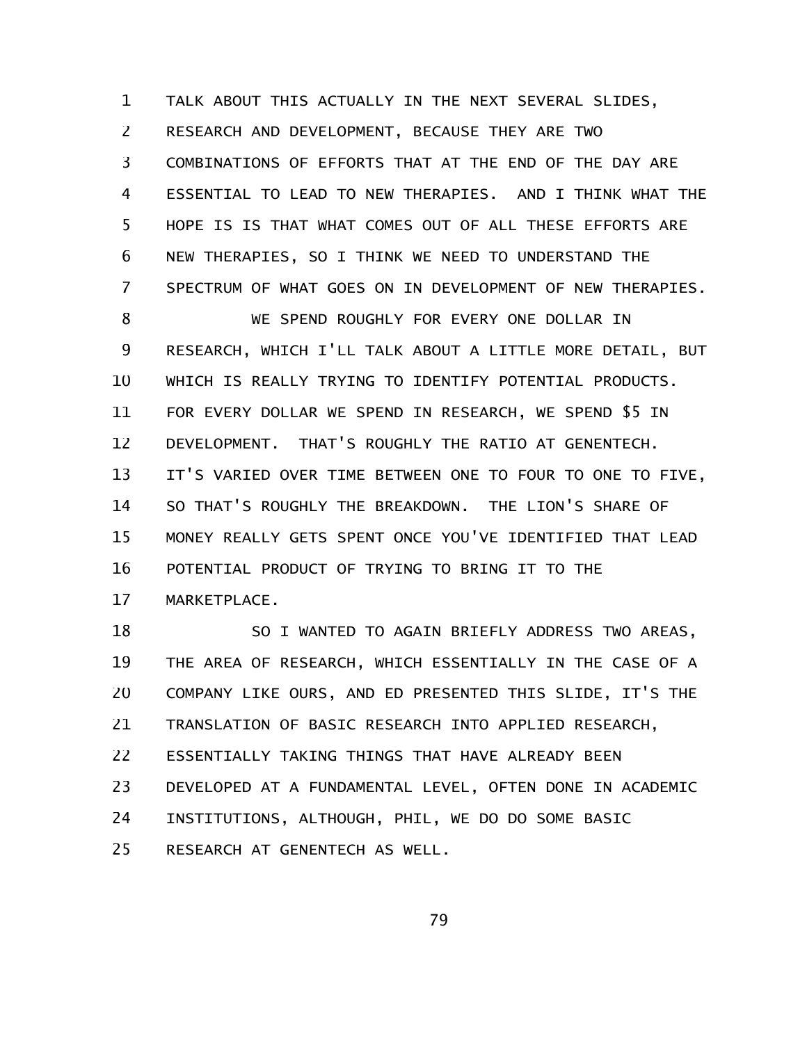TALK ABOUT THIS ACTUALLY IN THE NEXT SEVERAL SLIDES, RESEARCH AND DEVELOPMENT, BECAUSE THEY ARE TWO COMBINATIONS OF EFFORTS THAT AT THE END OF THE DAY ARE ESSENTIAL TO LEAD TO NEW THERAPIES. AND I THINK WHAT THE HOPE IS IS THAT WHAT COMES OUT OF ALL THESE EFFORTS ARE NEW THERAPIES, SO I THINK WE NEED TO UNDERSTAND THE SPECTRUM OF WHAT GOES ON IN DEVELOPMENT OF NEW THERAPIES. WE SPEND ROUGHLY FOR EVERY ONE DOLLAR IN RESEARCH, WHICH I'LL TALK ABOUT A LITTLE MORE DETAIL, BUT WHICH IS REALLY TRYING TO IDENTIFY POTENTIAL PRODUCTS. FOR EVERY DOLLAR WE SPEND IN RESEARCH, WE SPEND \$5 IN DEVELOPMENT. THAT'S ROUGHLY THE RATIO AT GENENTECH. IT'S VARIED OVER TIME BETWEEN ONE TO FOUR TO ONE TO FIVE, SO THAT'S ROUGHLY THE BREAKDOWN. THE LION'S SHARE OF MONEY REALLY GETS SPENT ONCE YOU'VE IDENTIFIED THAT LEAD POTENTIAL PRODUCT OF TRYING TO BRING IT TO THE MARKETPLACE. 1 2 3 4 5 6 7 8 9 10 11 12 13 14 15 16 17

SO I WANTED TO AGAIN BRIEFLY ADDRESS TWO AREAS, THE AREA OF RESEARCH, WHICH ESSENTIALLY IN THE CASE OF A COMPANY LIKE OURS, AND ED PRESENTED THIS SLIDE, IT'S THE TRANSLATION OF BASIC RESEARCH INTO APPLIED RESEARCH, ESSENTIALLY TAKING THINGS THAT HAVE ALREADY BEEN DEVELOPED AT A FUNDAMENTAL LEVEL, OFTEN DONE IN ACADEMIC INSTITUTIONS, ALTHOUGH, PHIL, WE DO DO SOME BASIC RESEARCH AT GENENTECH AS WELL. 18 19 20 21 22 23 24 25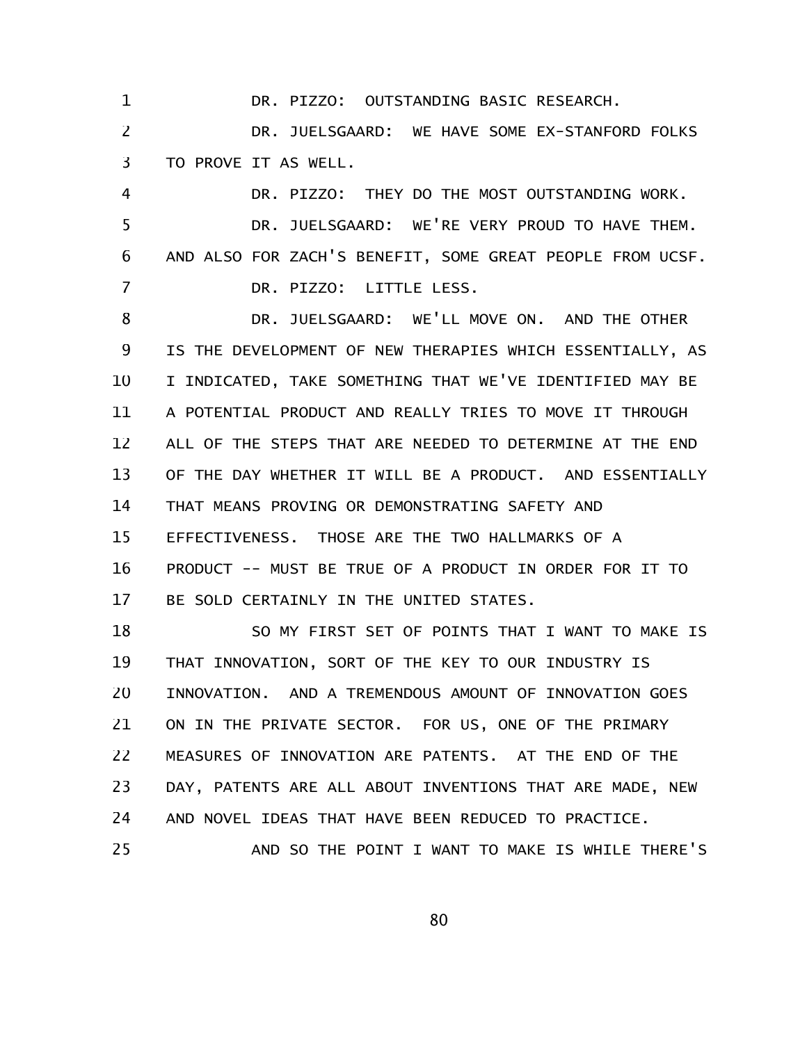DR. PIZZO: OUTSTANDING BASIC RESEARCH.

1

DR. JUELSGAARD: WE HAVE SOME EX-STANFORD FOLKS TO PROVE IT AS WELL. 2 3

DR. PIZZO: THEY DO THE MOST OUTSTANDING WORK. DR. JUELSGAARD: WE'RE VERY PROUD TO HAVE THEM. AND ALSO FOR ZACH'S BENEFIT, SOME GREAT PEOPLE FROM UCSF. DR. PIZZO: LITTLE LESS. 4 5 6 7

DR. JUELSGAARD: WE'LL MOVE ON. AND THE OTHER IS THE DEVELOPMENT OF NEW THERAPIES WHICH ESSENTIALLY, AS I INDICATED, TAKE SOMETHING THAT WE'VE IDENTIFIED MAY BE A POTENTIAL PRODUCT AND REALLY TRIES TO MOVE IT THROUGH ALL OF THE STEPS THAT ARE NEEDED TO DETERMINE AT THE END OF THE DAY WHETHER IT WILL BE A PRODUCT. AND ESSENTIALLY THAT MEANS PROVING OR DEMONSTRATING SAFETY AND EFFECTIVENESS. THOSE ARE THE TWO HALLMARKS OF A PRODUCT -- MUST BE TRUE OF A PRODUCT IN ORDER FOR IT TO BE SOLD CERTAINLY IN THE UNITED STATES. 8 9 10 11 12 13 14 15 16 17

SO MY FIRST SET OF POINTS THAT I WANT TO MAKE IS THAT INNOVATION, SORT OF THE KEY TO OUR INDUSTRY IS INNOVATION. AND A TREMENDOUS AMOUNT OF INNOVATION GOES ON IN THE PRIVATE SECTOR. FOR US, ONE OF THE PRIMARY MEASURES OF INNOVATION ARE PATENTS. AT THE END OF THE DAY, PATENTS ARE ALL ABOUT INVENTIONS THAT ARE MADE, NEW AND NOVEL IDEAS THAT HAVE BEEN REDUCED TO PRACTICE. AND SO THE POINT I WANT TO MAKE IS WHILE THERE'S 18 19 20 21 22 23 24 25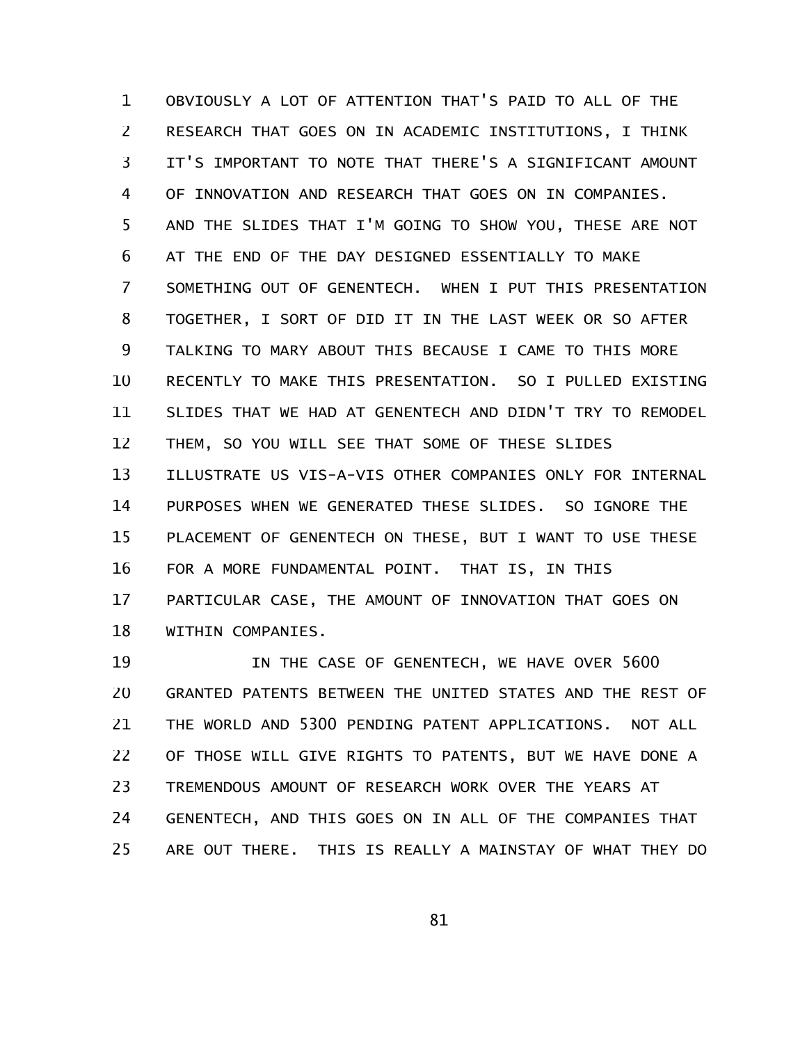OBVIOUSLY A LOT OF ATTENTION THAT'S PAID TO ALL OF THE RESEARCH THAT GOES ON IN ACADEMIC INSTITUTIONS, I THINK IT'S IMPORTANT TO NOTE THAT THERE'S A SIGNIFICANT AMOUNT OF INNOVATION AND RESEARCH THAT GOES ON IN COMPANIES. AND THE SLIDES THAT I'M GOING TO SHOW YOU, THESE ARE NOT AT THE END OF THE DAY DESIGNED ESSENTIALLY TO MAKE SOMETHING OUT OF GENENTECH. WHEN I PUT THIS PRESENTATION TOGETHER, I SORT OF DID IT IN THE LAST WEEK OR SO AFTER TALKING TO MARY ABOUT THIS BECAUSE I CAME TO THIS MORE RECENTLY TO MAKE THIS PRESENTATION. SO I PULLED EXISTING SLIDES THAT WE HAD AT GENENTECH AND DIDN'T TRY TO REMODEL THEM, SO YOU WILL SEE THAT SOME OF THESE SLIDES ILLUSTRATE US VIS-A-VIS OTHER COMPANIES ONLY FOR INTERNAL PURPOSES WHEN WE GENERATED THESE SLIDES. SO IGNORE THE PLACEMENT OF GENENTECH ON THESE, BUT I WANT TO USE THESE FOR A MORE FUNDAMENTAL POINT. THAT IS, IN THIS PARTICULAR CASE, THE AMOUNT OF INNOVATION THAT GOES ON WITHIN COMPANIES. 1 2 3 4 5 6 7 8 9 10 11 12 13 14 15 16 17 18

IN THE CASE OF GENENTECH, WE HAVE OVER 5600 GRANTED PATENTS BETWEEN THE UNITED STATES AND THE REST OF THE WORLD AND 5300 PENDING PATENT APPLICATIONS. NOT ALL OF THOSE WILL GIVE RIGHTS TO PATENTS, BUT WE HAVE DONE A TREMENDOUS AMOUNT OF RESEARCH WORK OVER THE YEARS AT GENENTECH, AND THIS GOES ON IN ALL OF THE COMPANIES THAT ARE OUT THERE. THIS IS REALLY A MAINSTAY OF WHAT THEY DO 19 20 21 22 23 24 25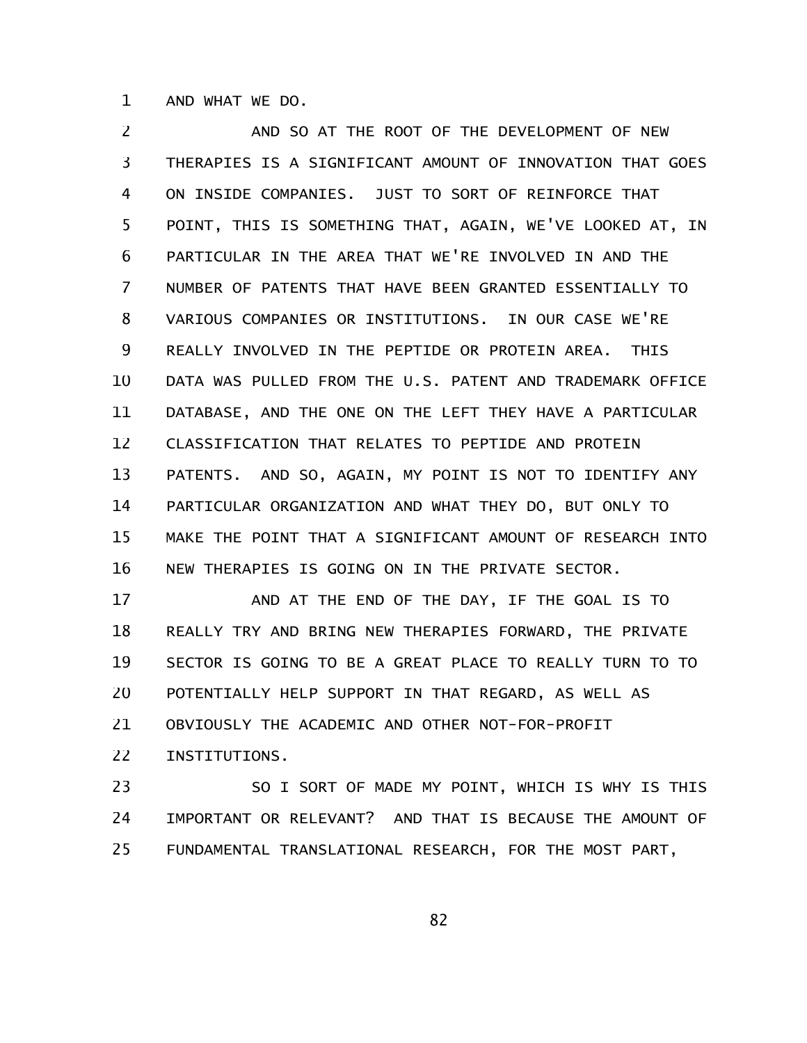AND WHAT WE DO. 1

AND SO AT THE ROOT OF THE DEVELOPMENT OF NEW THERAPIES IS A SIGNIFICANT AMOUNT OF INNOVATION THAT GOES ON INSIDE COMPANIES. JUST TO SORT OF REINFORCE THAT POINT, THIS IS SOMETHING THAT, AGAIN, WE'VE LOOKED AT, IN PARTICULAR IN THE AREA THAT WE'RE INVOLVED IN AND THE NUMBER OF PATENTS THAT HAVE BEEN GRANTED ESSENTIALLY TO VARIOUS COMPANIES OR INSTITUTIONS. IN OUR CASE WE'RE REALLY INVOLVED IN THE PEPTIDE OR PROTEIN AREA. THIS DATA WAS PULLED FROM THE U.S. PATENT AND TRADEMARK OFFICE DATABASE, AND THE ONE ON THE LEFT THEY HAVE A PARTICULAR CLASSIFICATION THAT RELATES TO PEPTIDE AND PROTEIN PATENTS. AND SO, AGAIN, MY POINT IS NOT TO IDENTIFY ANY PARTICULAR ORGANIZATION AND WHAT THEY DO, BUT ONLY TO MAKE THE POINT THAT A SIGNIFICANT AMOUNT OF RESEARCH INTO NEW THERAPIES IS GOING ON IN THE PRIVATE SECTOR. 2 3 4 5 6 7 8 9 10 11 12 13 14 15 16

AND AT THE END OF THE DAY, IF THE GOAL IS TO REALLY TRY AND BRING NEW THERAPIES FORWARD, THE PRIVATE SECTOR IS GOING TO BE A GREAT PLACE TO REALLY TURN TO TO POTENTIALLY HELP SUPPORT IN THAT REGARD, AS WELL AS OBVIOUSLY THE ACADEMIC AND OTHER NOT-FOR-PROFIT INSTITUTIONS. 17 18 19 20 21 22

SO I SORT OF MADE MY POINT, WHICH IS WHY IS THIS IMPORTANT OR RELEVANT? AND THAT IS BECAUSE THE AMOUNT OF FUNDAMENTAL TRANSLATIONAL RESEARCH, FOR THE MOST PART, 23 24 25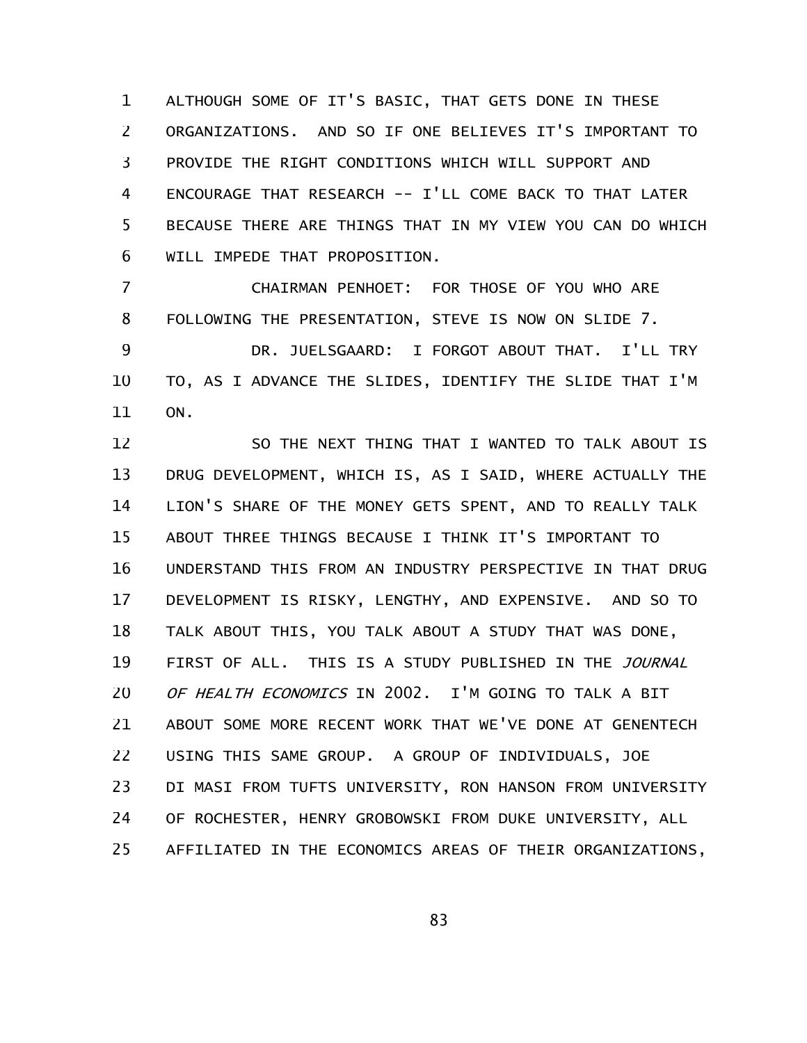ALTHOUGH SOME OF IT'S BASIC, THAT GETS DONE IN THESE ORGANIZATIONS. AND SO IF ONE BELIEVES IT'S IMPORTANT TO PROVIDE THE RIGHT CONDITIONS WHICH WILL SUPPORT AND ENCOURAGE THAT RESEARCH -- I'LL COME BACK TO THAT LATER BECAUSE THERE ARE THINGS THAT IN MY VIEW YOU CAN DO WHICH WILL IMPEDE THAT PROPOSITION. 1 2 3 4 5 6

CHAIRMAN PENHOET: FOR THOSE OF YOU WHO ARE FOLLOWING THE PRESENTATION, STEVE IS NOW ON SLIDE 7. DR. JUELSGAARD: I FORGOT ABOUT THAT. I'LL TRY TO, AS I ADVANCE THE SLIDES, IDENTIFY THE SLIDE THAT I'M ON. 7 8 9 10 11

SO THE NEXT THING THAT I WANTED TO TALK ABOUT IS DRUG DEVELOPMENT, WHICH IS, AS I SAID, WHERE ACTUALLY THE LION'S SHARE OF THE MONEY GETS SPENT, AND TO REALLY TALK ABOUT THREE THINGS BECAUSE I THINK IT'S IMPORTANT TO UNDERSTAND THIS FROM AN INDUSTRY PERSPECTIVE IN THAT DRUG DEVELOPMENT IS RISKY, LENGTHY, AND EXPENSIVE. AND SO TO TALK ABOUT THIS, YOU TALK ABOUT A STUDY THAT WAS DONE, FIRST OF ALL. THIS IS A STUDY PUBLISHED IN THE JOURNAL OF HEALTH ECONOMICS IN 2002. I'M GOING TO TALK A BIT ABOUT SOME MORE RECENT WORK THAT WE'VE DONE AT GENENTECH USING THIS SAME GROUP. A GROUP OF INDIVIDUALS, JOE DI MASI FROM TUFTS UNIVERSITY, RON HANSON FROM UNIVERSITY OF ROCHESTER, HENRY GROBOWSKI FROM DUKE UNIVERSITY, ALL AFFILIATED IN THE ECONOMICS AREAS OF THEIR ORGANIZATIONS, 12 13 14 15 16 17 18 19 20 21 22 23 24 25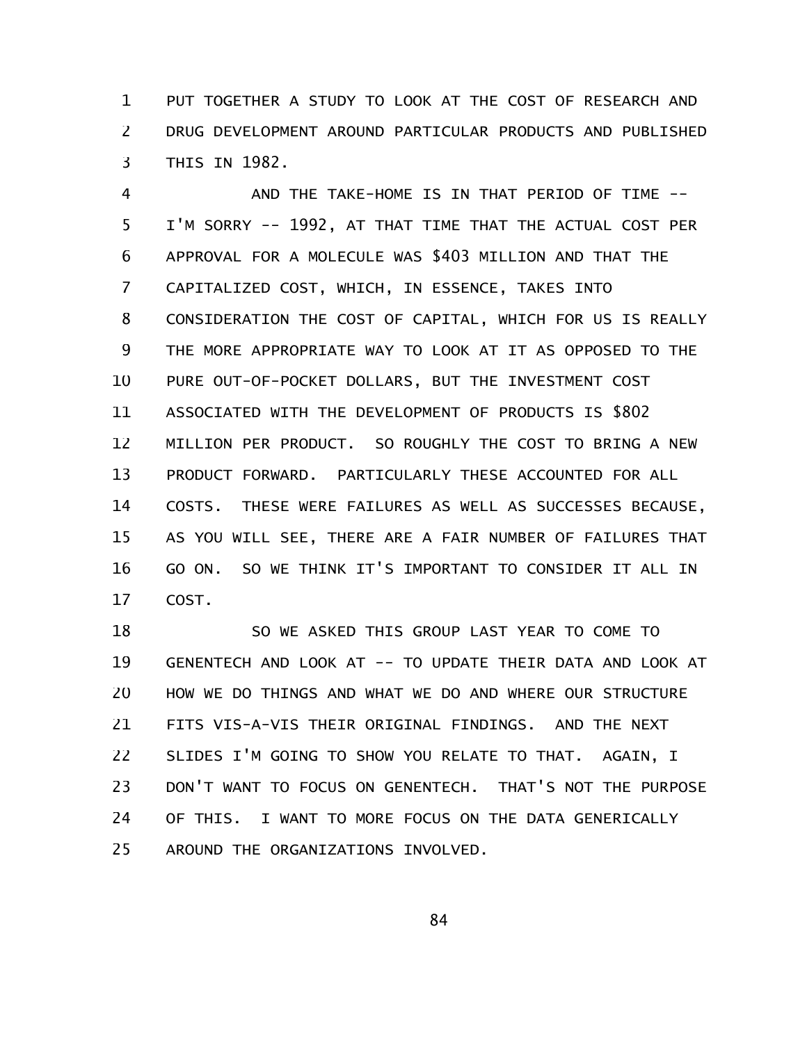PUT TOGETHER A STUDY TO LOOK AT THE COST OF RESEARCH AND DRUG DEVELOPMENT AROUND PARTICULAR PRODUCTS AND PUBLISHED THIS IN 1982. 1 2 3

AND THE TAKE-HOME IS IN THAT PERIOD OF TIME -- I'M SORRY -- 1992, AT THAT TIME THAT THE ACTUAL COST PER APPROVAL FOR A MOLECULE WAS \$403 MILLION AND THAT THE CAPITALIZED COST, WHICH, IN ESSENCE, TAKES INTO CONSIDERATION THE COST OF CAPITAL, WHICH FOR US IS REALLY THE MORE APPROPRIATE WAY TO LOOK AT IT AS OPPOSED TO THE PURE OUT-OF-POCKET DOLLARS, BUT THE INVESTMENT COST ASSOCIATED WITH THE DEVELOPMENT OF PRODUCTS IS \$802 MILLION PER PRODUCT. SO ROUGHLY THE COST TO BRING A NEW PRODUCT FORWARD. PARTICULARLY THESE ACCOUNTED FOR ALL COSTS. THESE WERE FAILURES AS WELL AS SUCCESSES BECAUSE, AS YOU WILL SEE, THERE ARE A FAIR NUMBER OF FAILURES THAT GO ON. SO WE THINK IT'S IMPORTANT TO CONSIDER IT ALL IN COST. 4 5 6 7 8 9 10 11 12 13 14 15 16 17

SO WE ASKED THIS GROUP LAST YEAR TO COME TO GENENTECH AND LOOK AT -- TO UPDATE THEIR DATA AND LOOK AT HOW WE DO THINGS AND WHAT WE DO AND WHERE OUR STRUCTURE FITS VIS-A-VIS THEIR ORIGINAL FINDINGS. AND THE NEXT SLIDES I'M GOING TO SHOW YOU RELATE TO THAT. AGAIN, I DON'T WANT TO FOCUS ON GENENTECH. THAT'S NOT THE PURPOSE OF THIS. I WANT TO MORE FOCUS ON THE DATA GENERICALLY AROUND THE ORGANIZATIONS INVOLVED. 18 19 20 21 22 23 24 25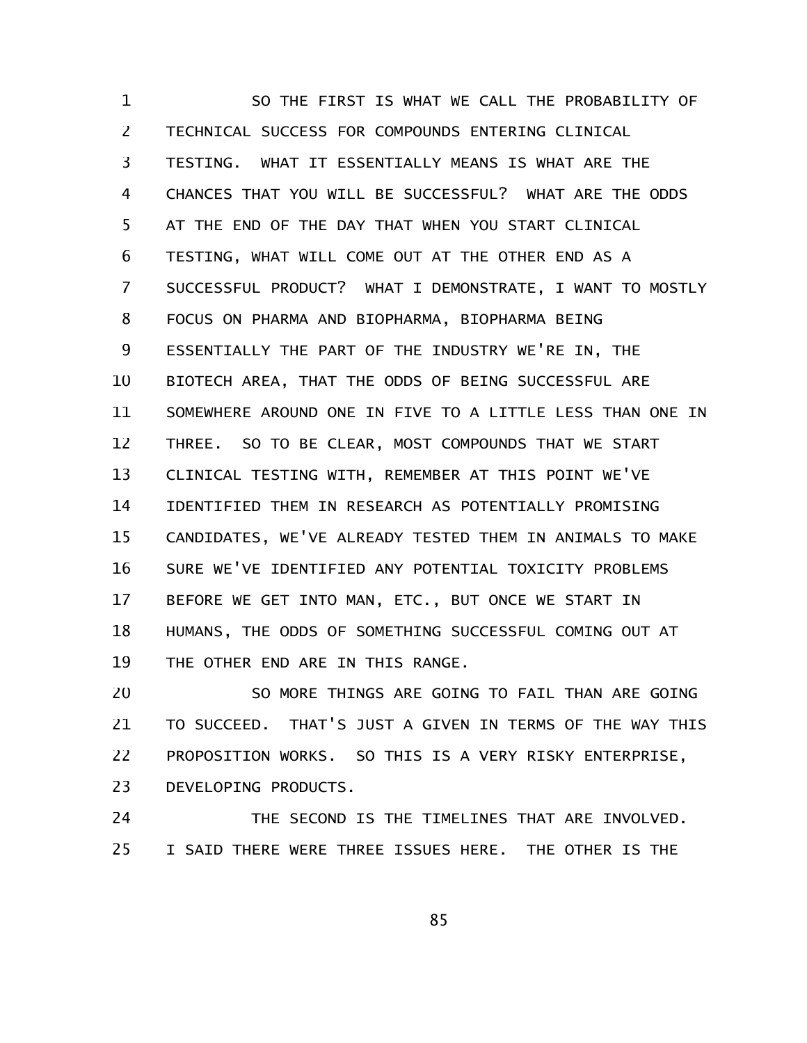SO THE FIRST IS WHAT WE CALL THE PROBABILITY OF TECHNICAL SUCCESS FOR COMPOUNDS ENTERING CLINICAL TESTING. WHAT IT ESSENTIALLY MEANS IS WHAT ARE THE CHANCES THAT YOU WILL BE SUCCESSFUL? WHAT ARE THE ODDS AT THE END OF THE DAY THAT WHEN YOU START CLINICAL TESTING, WHAT WILL COME OUT AT THE OTHER END AS A SUCCESSFUL PRODUCT? WHAT I DEMONSTRATE, I WANT TO MOSTLY FOCUS ON PHARMA AND BIOPHARMA, BIOPHARMA BEING ESSENTIALLY THE PART OF THE INDUSTRY WE'RE IN, THE BIOTECH AREA, THAT THE ODDS OF BEING SUCCESSFUL ARE SOMEWHERE AROUND ONE IN FIVE TO A LITTLE LESS THAN ONE IN THREE. SO TO BE CLEAR, MOST COMPOUNDS THAT WE START CLINICAL TESTING WITH, REMEMBER AT THIS POINT WE'VE IDENTIFIED THEM IN RESEARCH AS POTENTIALLY PROMISING CANDIDATES, WE'VE ALREADY TESTED THEM IN ANIMALS TO MAKE SURE WE'VE IDENTIFIED ANY POTENTIAL TOXICITY PROBLEMS BEFORE WE GET INTO MAN, ETC., BUT ONCE WE START IN HUMANS, THE ODDS OF SOMETHING SUCCESSFUL COMING OUT AT THE OTHER END ARE IN THIS RANGE. 1 2 3 4 5 6 7 8 9 10 11 12 13 14 15 16 17 18 19

SO MORE THINGS ARE GOING TO FAIL THAN ARE GOING TO SUCCEED. THAT'S JUST A GIVEN IN TERMS OF THE WAY THIS PROPOSITION WORKS. SO THIS IS A VERY RISKY ENTERPRISE, DEVELOPING PRODUCTS. 20 21 22 23

THE SECOND IS THE TIMELINES THAT ARE INVOLVED. I SAID THERE WERE THREE ISSUES HERE. THE OTHER IS THE 24 25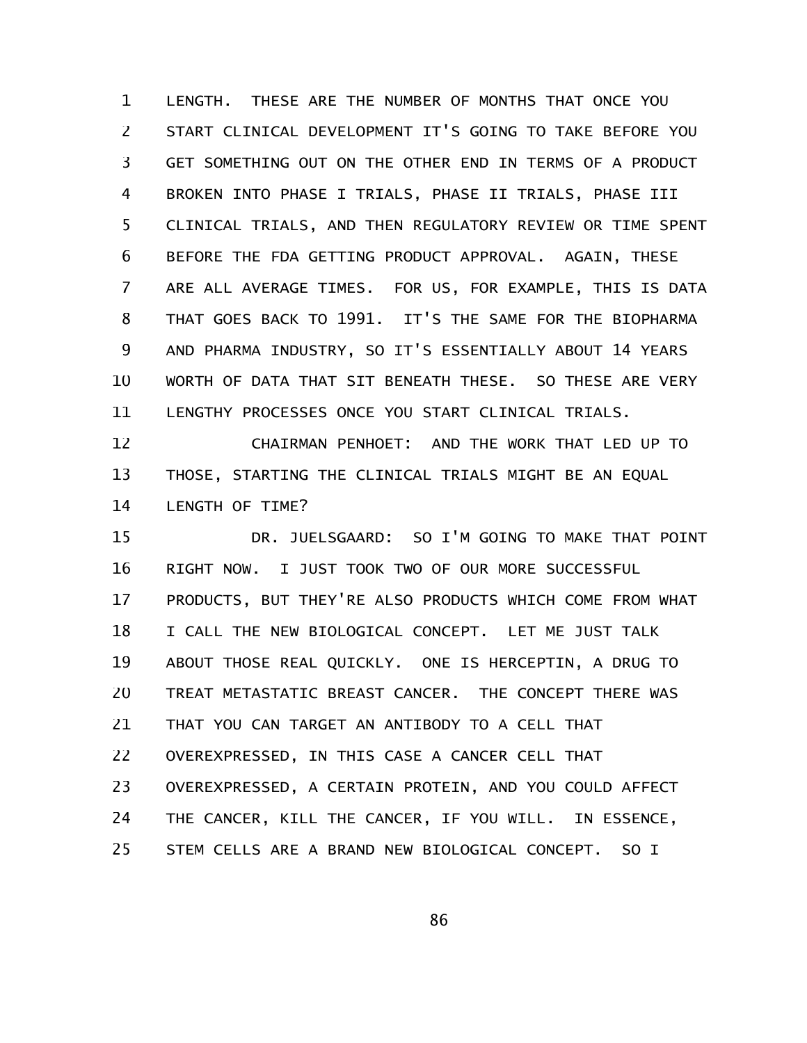LENGTH. THESE ARE THE NUMBER OF MONTHS THAT ONCE YOU START CLINICAL DEVELOPMENT IT'S GOING TO TAKE BEFORE YOU GET SOMETHING OUT ON THE OTHER END IN TERMS OF A PRODUCT BROKEN INTO PHASE I TRIALS, PHASE II TRIALS, PHASE III CLINICAL TRIALS, AND THEN REGULATORY REVIEW OR TIME SPENT BEFORE THE FDA GETTING PRODUCT APPROVAL. AGAIN, THESE ARE ALL AVERAGE TIMES. FOR US, FOR EXAMPLE, THIS IS DATA THAT GOES BACK TO 1991. IT'S THE SAME FOR THE BIOPHARMA AND PHARMA INDUSTRY, SO IT'S ESSENTIALLY ABOUT 14 YEARS WORTH OF DATA THAT SIT BENEATH THESE. SO THESE ARE VERY LENGTHY PROCESSES ONCE YOU START CLINICAL TRIALS. 1 2 3 4 5 6 7 8 9 10 11

CHAIRMAN PENHOET: AND THE WORK THAT LED UP TO THOSE, STARTING THE CLINICAL TRIALS MIGHT BE AN EQUAL LENGTH OF TIME? 12 13 14

DR. JUELSGAARD: SO I'M GOING TO MAKE THAT POINT RIGHT NOW. I JUST TOOK TWO OF OUR MORE SUCCESSFUL PRODUCTS, BUT THEY'RE ALSO PRODUCTS WHICH COME FROM WHAT I CALL THE NEW BIOLOGICAL CONCEPT. LET ME JUST TALK ABOUT THOSE REAL QUICKLY. ONE IS HERCEPTIN, A DRUG TO TREAT METASTATIC BREAST CANCER. THE CONCEPT THERE WAS THAT YOU CAN TARGET AN ANTIBODY TO A CELL THAT OVEREXPRESSED, IN THIS CASE A CANCER CELL THAT OVEREXPRESSED, A CERTAIN PROTEIN, AND YOU COULD AFFECT THE CANCER, KILL THE CANCER, IF YOU WILL. IN ESSENCE, STEM CELLS ARE A BRAND NEW BIOLOGICAL CONCEPT. SO I 15 16 17 18 19 20 21 22 23 24 25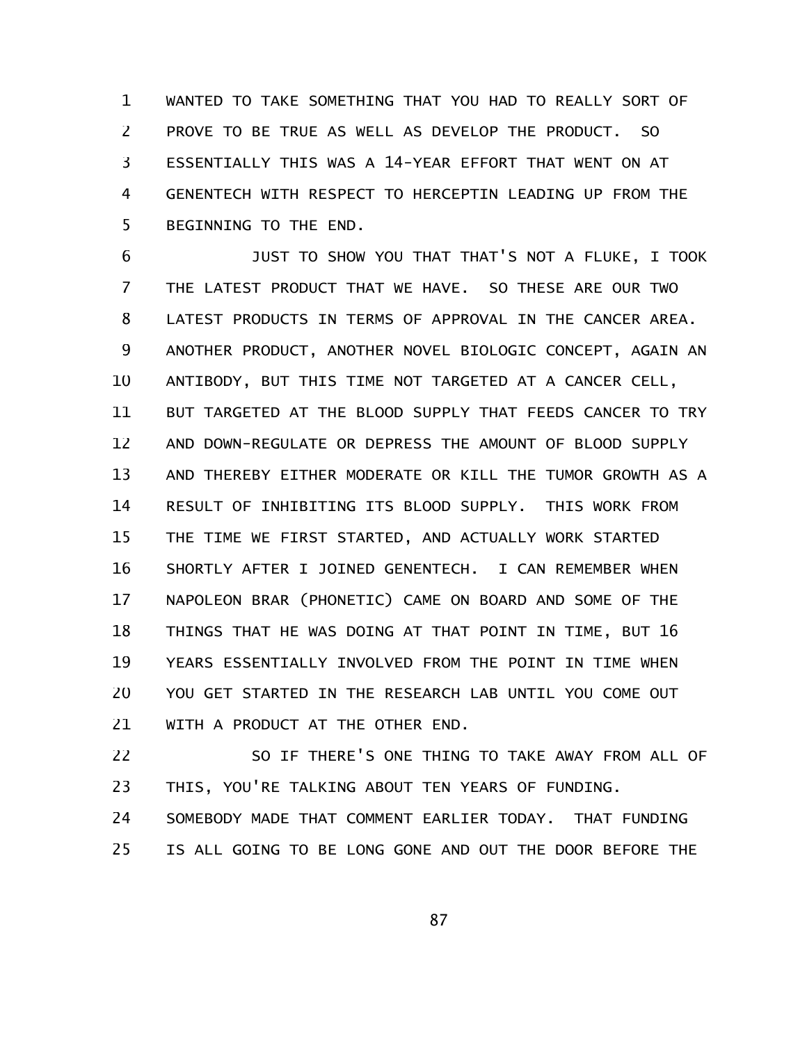WANTED TO TAKE SOMETHING THAT YOU HAD TO REALLY SORT OF PROVE TO BE TRUE AS WELL AS DEVELOP THE PRODUCT. SO ESSENTIALLY THIS WAS A 14-YEAR EFFORT THAT WENT ON AT GENENTECH WITH RESPECT TO HERCEPTIN LEADING UP FROM THE BEGINNING TO THE END. 1 2 3 4 5

JUST TO SHOW YOU THAT THAT'S NOT A FLUKE, I TOOK THE LATEST PRODUCT THAT WE HAVE. SO THESE ARE OUR TWO LATEST PRODUCTS IN TERMS OF APPROVAL IN THE CANCER AREA. ANOTHER PRODUCT, ANOTHER NOVEL BIOLOGIC CONCEPT, AGAIN AN ANTIBODY, BUT THIS TIME NOT TARGETED AT A CANCER CELL, BUT TARGETED AT THE BLOOD SUPPLY THAT FEEDS CANCER TO TRY AND DOWN-REGULATE OR DEPRESS THE AMOUNT OF BLOOD SUPPLY AND THEREBY EITHER MODERATE OR KILL THE TUMOR GROWTH AS A RESULT OF INHIBITING ITS BLOOD SUPPLY. THIS WORK FROM THE TIME WE FIRST STARTED, AND ACTUALLY WORK STARTED SHORTLY AFTER I JOINED GENENTECH. I CAN REMEMBER WHEN NAPOLEON BRAR (PHONETIC) CAME ON BOARD AND SOME OF THE THINGS THAT HE WAS DOING AT THAT POINT IN TIME, BUT 16 YEARS ESSENTIALLY INVOLVED FROM THE POINT IN TIME WHEN YOU GET STARTED IN THE RESEARCH LAB UNTIL YOU COME OUT WITH A PRODUCT AT THE OTHER END. 6 7 8 9 10 11 12 13 14 15 16 17 18 19 20 21

SO IF THERE'S ONE THING TO TAKE AWAY FROM ALL OF THIS, YOU'RE TALKING ABOUT TEN YEARS OF FUNDING. 22 23

SOMEBODY MADE THAT COMMENT EARLIER TODAY. THAT FUNDING IS ALL GOING TO BE LONG GONE AND OUT THE DOOR BEFORE THE 24 25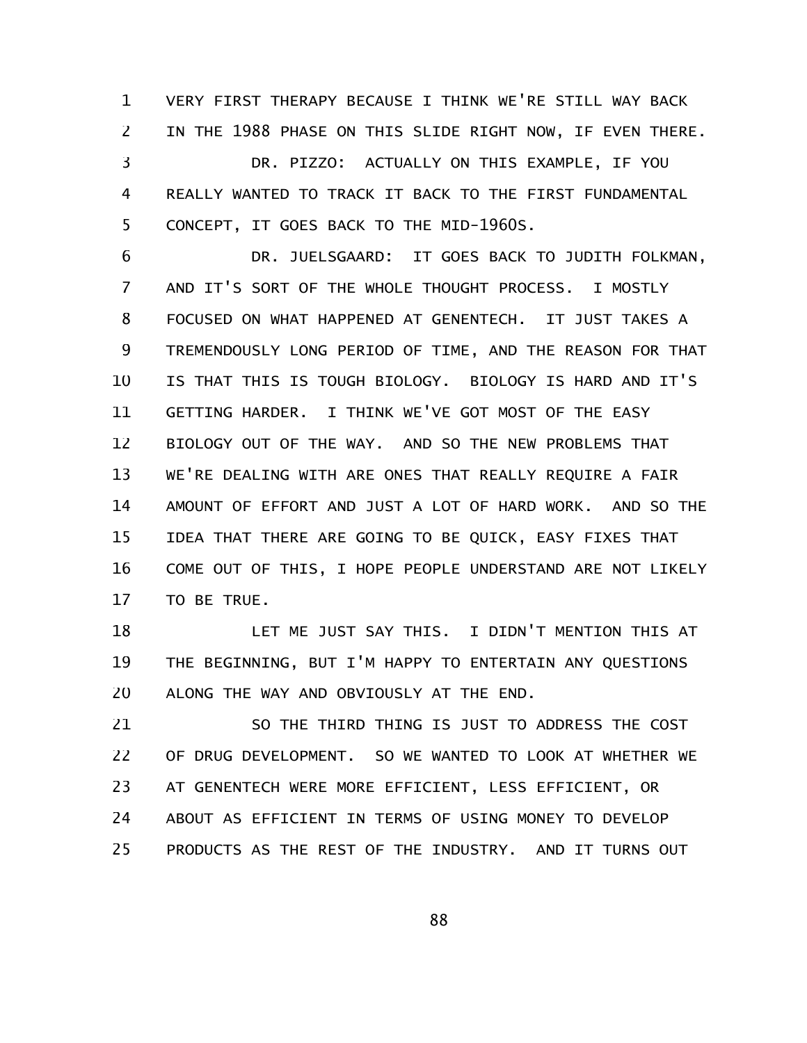VERY FIRST THERAPY BECAUSE I THINK WE'RE STILL WAY BACK IN THE 1988 PHASE ON THIS SLIDE RIGHT NOW, IF EVEN THERE. DR. PIZZO: ACTUALLY ON THIS EXAMPLE, IF YOU REALLY WANTED TO TRACK IT BACK TO THE FIRST FUNDAMENTAL CONCEPT, IT GOES BACK TO THE MID-1960S. 1 2 3 4 5

DR. JUELSGAARD: IT GOES BACK TO JUDITH FOLKMAN, AND IT'S SORT OF THE WHOLE THOUGHT PROCESS. I MOSTLY FOCUSED ON WHAT HAPPENED AT GENENTECH. IT JUST TAKES A TREMENDOUSLY LONG PERIOD OF TIME, AND THE REASON FOR THAT IS THAT THIS IS TOUGH BIOLOGY. BIOLOGY IS HARD AND IT'S GETTING HARDER. I THINK WE'VE GOT MOST OF THE EASY BIOLOGY OUT OF THE WAY. AND SO THE NEW PROBLEMS THAT WE'RE DEALING WITH ARE ONES THAT REALLY REQUIRE A FAIR AMOUNT OF EFFORT AND JUST A LOT OF HARD WORK. AND SO THE IDEA THAT THERE ARE GOING TO BE QUICK, EASY FIXES THAT COME OUT OF THIS, I HOPE PEOPLE UNDERSTAND ARE NOT LIKELY TO BE TRUE. 6 7 8 9 10 11 12 13 14 15 16 17

LET ME JUST SAY THIS. I DIDN'T MENTION THIS AT THE BEGINNING, BUT I'M HAPPY TO ENTERTAIN ANY QUESTIONS ALONG THE WAY AND OBVIOUSLY AT THE END. 18 19 20

SO THE THIRD THING IS JUST TO ADDRESS THE COST OF DRUG DEVELOPMENT. SO WE WANTED TO LOOK AT WHETHER WE AT GENENTECH WERE MORE EFFICIENT, LESS EFFICIENT, OR ABOUT AS EFFICIENT IN TERMS OF USING MONEY TO DEVELOP PRODUCTS AS THE REST OF THE INDUSTRY. AND IT TURNS OUT 21 22 23 24 25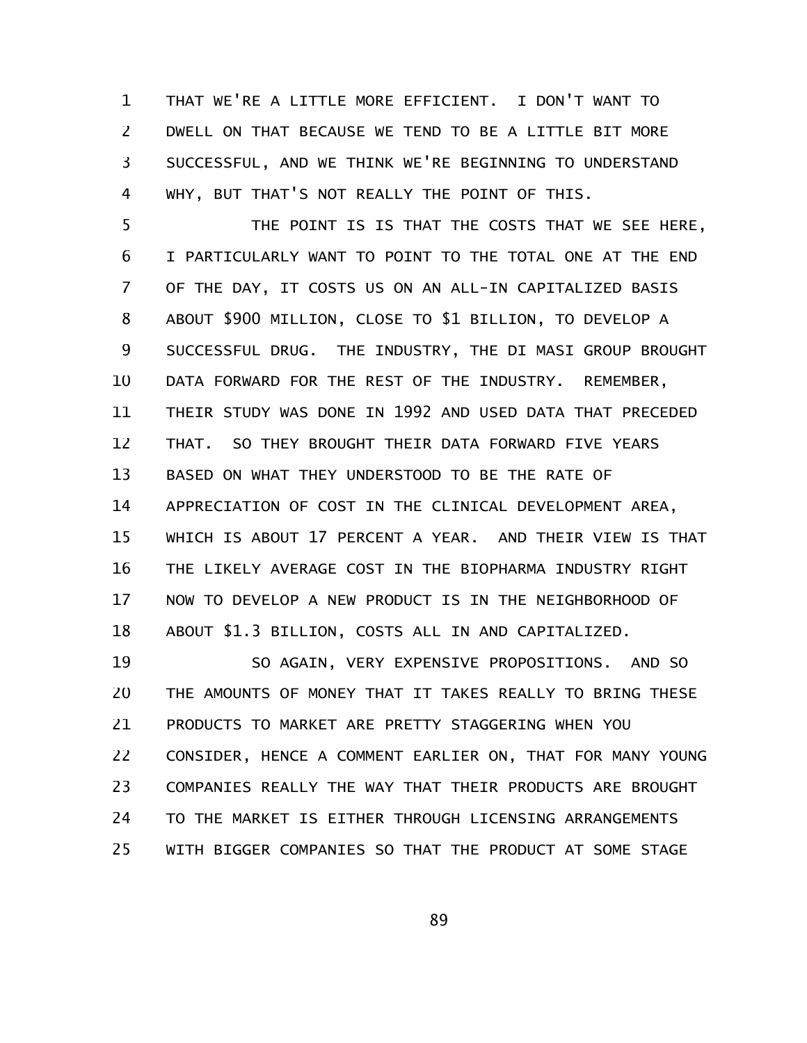THAT WE'RE A LITTLE MORE EFFICIENT. I DON'T WANT TO DWELL ON THAT BECAUSE WE TEND TO BE A LITTLE BIT MORE SUCCESSFUL, AND WE THINK WE'RE BEGINNING TO UNDERSTAND WHY, BUT THAT'S NOT REALLY THE POINT OF THIS. 1 2 3 4

THE POINT IS IS THAT THE COSTS THAT WE SEE HERE, I PARTICULARLY WANT TO POINT TO THE TOTAL ONE AT THE END OF THE DAY, IT COSTS US ON AN ALL-IN CAPITALIZED BASIS ABOUT \$900 MILLION, CLOSE TO \$1 BILLION, TO DEVELOP A SUCCESSFUL DRUG. THE INDUSTRY, THE DI MASI GROUP BROUGHT DATA FORWARD FOR THE REST OF THE INDUSTRY. REMEMBER, THEIR STUDY WAS DONE IN 1992 AND USED DATA THAT PRECEDED THAT. SO THEY BROUGHT THEIR DATA FORWARD FIVE YEARS BASED ON WHAT THEY UNDERSTOOD TO BE THE RATE OF APPRECIATION OF COST IN THE CLINICAL DEVELOPMENT AREA, WHICH IS ABOUT 17 PERCENT A YEAR. AND THEIR VIEW IS THAT THE LIKELY AVERAGE COST IN THE BIOPHARMA INDUSTRY RIGHT NOW TO DEVELOP A NEW PRODUCT IS IN THE NEIGHBORHOOD OF ABOUT \$1.3 BILLION, COSTS ALL IN AND CAPITALIZED. 5 6 7 8 9 10 11 12 13 14 15 16 17 18

SO AGAIN, VERY EXPENSIVE PROPOSITIONS. AND SO THE AMOUNTS OF MONEY THAT IT TAKES REALLY TO BRING THESE PRODUCTS TO MARKET ARE PRETTY STAGGERING WHEN YOU CONSIDER, HENCE A COMMENT EARLIER ON, THAT FOR MANY YOUNG COMPANIES REALLY THE WAY THAT THEIR PRODUCTS ARE BROUGHT TO THE MARKET IS EITHER THROUGH LICENSING ARRANGEMENTS WITH BIGGER COMPANIES SO THAT THE PRODUCT AT SOME STAGE 19 20 21 22 23 24 25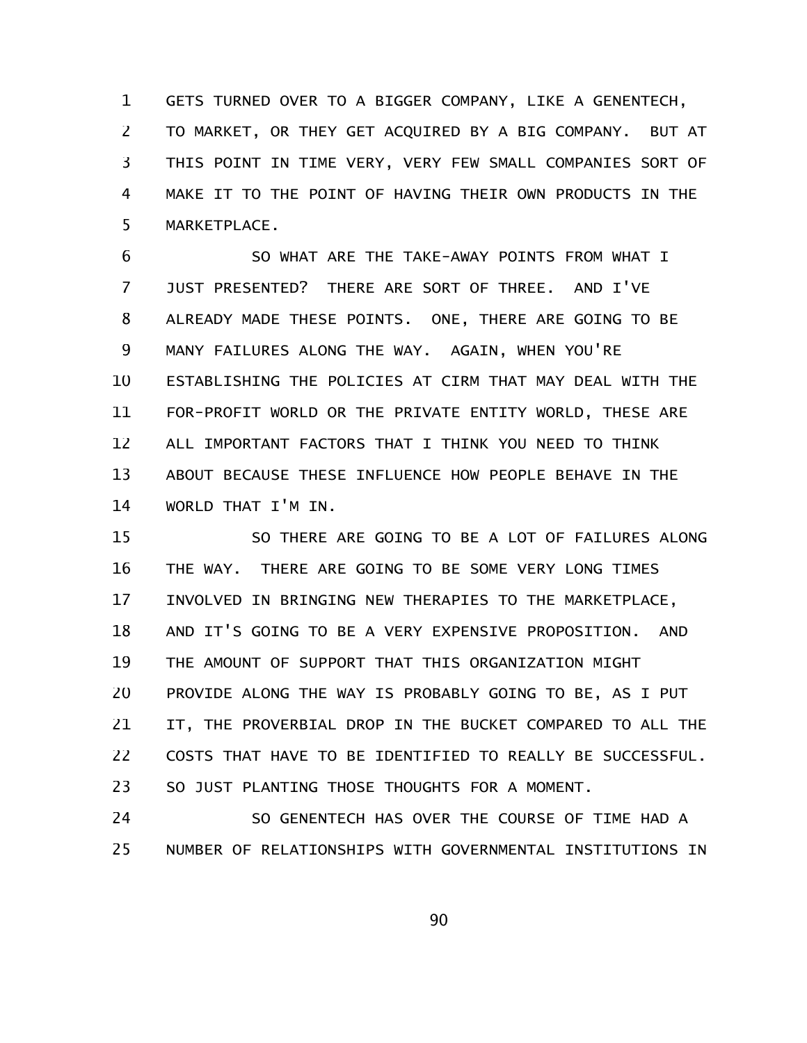GETS TURNED OVER TO A BIGGER COMPANY, LIKE A GENENTECH, TO MARKET, OR THEY GET ACQUIRED BY A BIG COMPANY. BUT AT THIS POINT IN TIME VERY, VERY FEW SMALL COMPANIES SORT OF MAKE IT TO THE POINT OF HAVING THEIR OWN PRODUCTS IN THE MARKETPLACE. 1 2 3 4 5

SO WHAT ARE THE TAKE-AWAY POINTS FROM WHAT I JUST PRESENTED? THERE ARE SORT OF THREE. AND I'VE ALREADY MADE THESE POINTS. ONE, THERE ARE GOING TO BE MANY FAILURES ALONG THE WAY. AGAIN, WHEN YOU'RE ESTABLISHING THE POLICIES AT CIRM THAT MAY DEAL WITH THE FOR-PROFIT WORLD OR THE PRIVATE ENTITY WORLD, THESE ARE ALL IMPORTANT FACTORS THAT I THINK YOU NEED TO THINK ABOUT BECAUSE THESE INFLUENCE HOW PEOPLE BEHAVE IN THE WORLD THAT I'M IN. 6 7 8 9 10 11 12 13 14

SO THERE ARE GOING TO BE A LOT OF FAILURES ALONG THE WAY. THERE ARE GOING TO BE SOME VERY LONG TIMES INVOLVED IN BRINGING NEW THERAPIES TO THE MARKETPLACE, AND IT'S GOING TO BE A VERY EXPENSIVE PROPOSITION. AND THE AMOUNT OF SUPPORT THAT THIS ORGANIZATION MIGHT PROVIDE ALONG THE WAY IS PROBABLY GOING TO BE, AS I PUT IT, THE PROVERBIAL DROP IN THE BUCKET COMPARED TO ALL THE COSTS THAT HAVE TO BE IDENTIFIED TO REALLY BE SUCCESSFUL. SO JUST PLANTING THOSE THOUGHTS FOR A MOMENT. 15 16 17 18 19 20 21 22 23

SO GENENTECH HAS OVER THE COURSE OF TIME HAD A NUMBER OF RELATIONSHIPS WITH GOVERNMENTAL INSTITUTIONS IN 24 25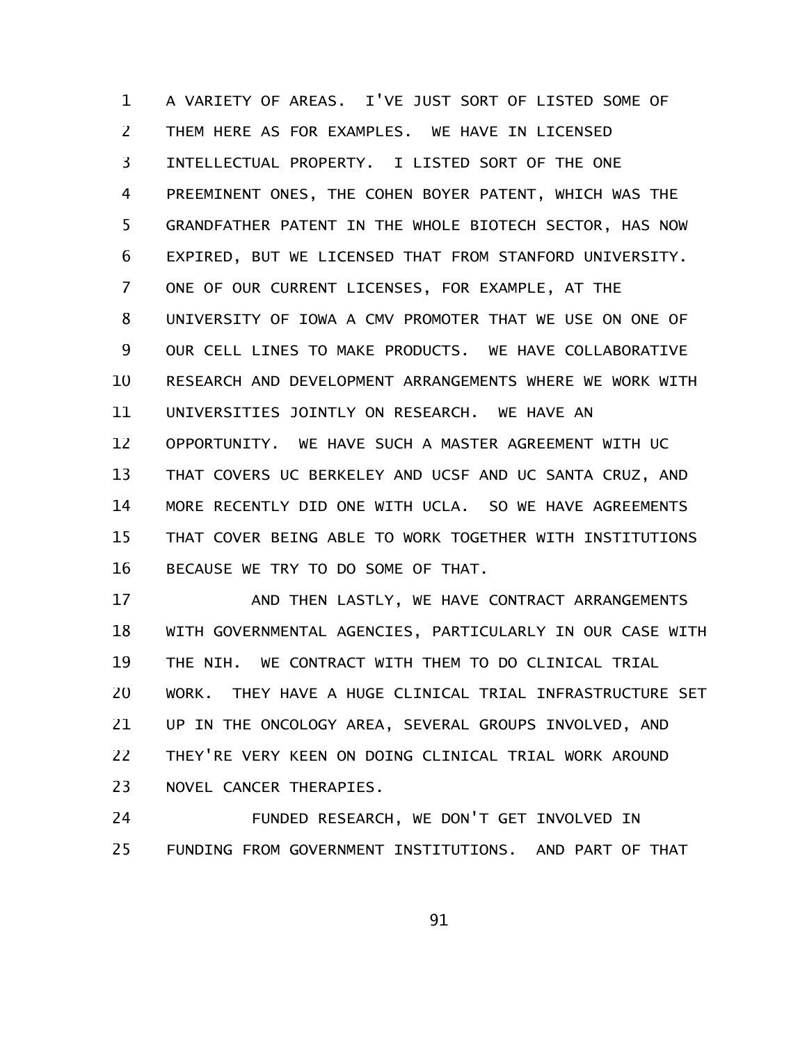A VARIETY OF AREAS. I'VE JUST SORT OF LISTED SOME OF THEM HERE AS FOR EXAMPLES. WE HAVE IN LICENSED INTELLECTUAL PROPERTY. I LISTED SORT OF THE ONE PREEMINENT ONES, THE COHEN BOYER PATENT, WHICH WAS THE GRANDFATHER PATENT IN THE WHOLE BIOTECH SECTOR, HAS NOW EXPIRED, BUT WE LICENSED THAT FROM STANFORD UNIVERSITY. ONE OF OUR CURRENT LICENSES, FOR EXAMPLE, AT THE UNIVERSITY OF IOWA A CMV PROMOTER THAT WE USE ON ONE OF OUR CELL LINES TO MAKE PRODUCTS. WE HAVE COLLABORATIVE RESEARCH AND DEVELOPMENT ARRANGEMENTS WHERE WE WORK WITH UNIVERSITIES JOINTLY ON RESEARCH. WE HAVE AN OPPORTUNITY. WE HAVE SUCH A MASTER AGREEMENT WITH UC THAT COVERS UC BERKELEY AND UCSF AND UC SANTA CRUZ, AND MORE RECENTLY DID ONE WITH UCLA. SO WE HAVE AGREEMENTS THAT COVER BEING ABLE TO WORK TOGETHER WITH INSTITUTIONS BECAUSE WE TRY TO DO SOME OF THAT. 1 2 3 4 5 6 7 8 9 10 11 12 13 14 15 16

AND THEN LASTLY, WE HAVE CONTRACT ARRANGEMENTS WITH GOVERNMENTAL AGENCIES, PARTICULARLY IN OUR CASE WITH THE NIH. WE CONTRACT WITH THEM TO DO CLINICAL TRIAL WORK. THEY HAVE A HUGE CLINICAL TRIAL INFRASTRUCTURE SET UP IN THE ONCOLOGY AREA, SEVERAL GROUPS INVOLVED, AND THEY'RE VERY KEEN ON DOING CLINICAL TRIAL WORK AROUND NOVEL CANCER THERAPIES. 17 18 19 20 21 22 23

FUNDED RESEARCH, WE DON'T GET INVOLVED IN FUNDING FROM GOVERNMENT INSTITUTIONS. AND PART OF THAT 24 25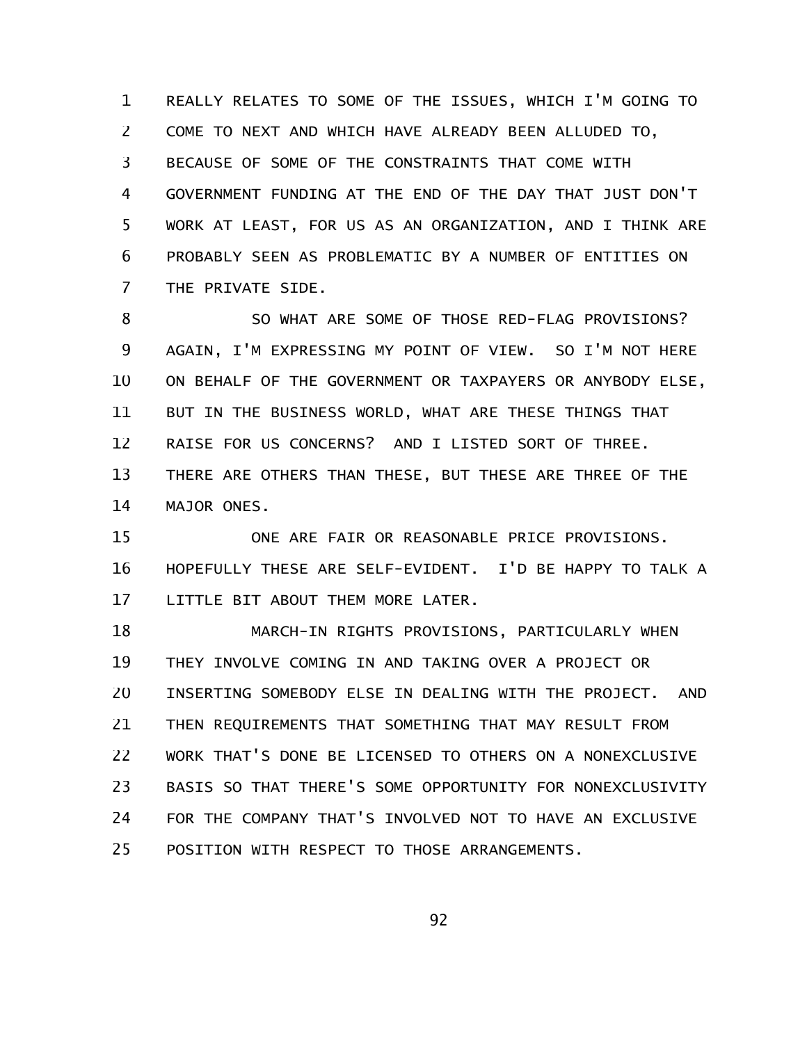REALLY RELATES TO SOME OF THE ISSUES, WHICH I'M GOING TO COME TO NEXT AND WHICH HAVE ALREADY BEEN ALLUDED TO, BECAUSE OF SOME OF THE CONSTRAINTS THAT COME WITH GOVERNMENT FUNDING AT THE END OF THE DAY THAT JUST DON'T WORK AT LEAST, FOR US AS AN ORGANIZATION, AND I THINK ARE PROBABLY SEEN AS PROBLEMATIC BY A NUMBER OF ENTITIES ON THE PRIVATE SIDE. 1 2 3 4 5 6 7

SO WHAT ARE SOME OF THOSE RED-FLAG PROVISIONS? AGAIN, I'M EXPRESSING MY POINT OF VIEW. SO I'M NOT HERE ON BEHALF OF THE GOVERNMENT OR TAXPAYERS OR ANYBODY ELSE, BUT IN THE BUSINESS WORLD, WHAT ARE THESE THINGS THAT RAISE FOR US CONCERNS? AND I LISTED SORT OF THREE. THERE ARE OTHERS THAN THESE, BUT THESE ARE THREE OF THE MAJOR ONES. 8 9 10 11 12 13 14

ONE ARE FAIR OR REASONABLE PRICE PROVISIONS. HOPEFULLY THESE ARE SELF-EVIDENT. I'D BE HAPPY TO TALK A LITTLE BIT ABOUT THEM MORE LATER. 15 16 17

MARCH-IN RIGHTS PROVISIONS, PARTICULARLY WHEN THEY INVOLVE COMING IN AND TAKING OVER A PROJECT OR INSERTING SOMEBODY ELSE IN DEALING WITH THE PROJECT. AND THEN REQUIREMENTS THAT SOMETHING THAT MAY RESULT FROM WORK THAT'S DONE BE LICENSED TO OTHERS ON A NONEXCLUSIVE BASIS SO THAT THERE'S SOME OPPORTUNITY FOR NONEXCLUSIVITY FOR THE COMPANY THAT'S INVOLVED NOT TO HAVE AN EXCLUSIVE POSITION WITH RESPECT TO THOSE ARRANGEMENTS. 18 19 20 21 22 23 24 25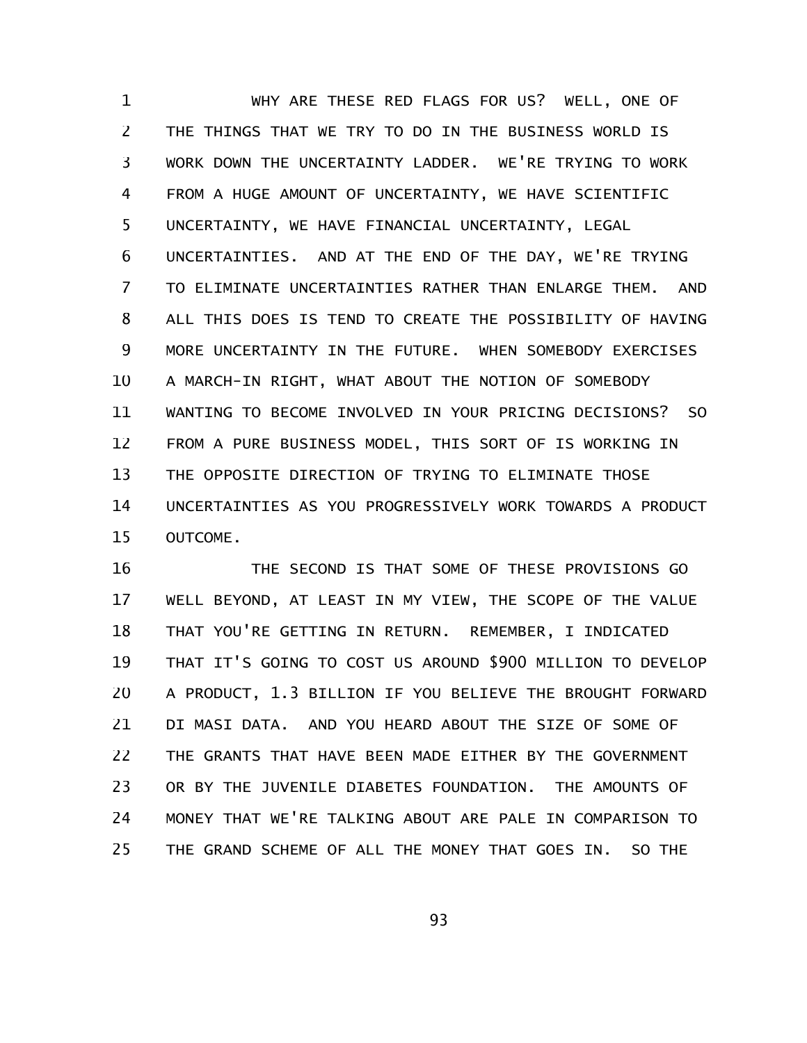WHY ARE THESE RED FLAGS FOR US? WELL, ONE OF THE THINGS THAT WE TRY TO DO IN THE BUSINESS WORLD IS WORK DOWN THE UNCERTAINTY LADDER. WE'RE TRYING TO WORK FROM A HUGE AMOUNT OF UNCERTAINTY, WE HAVE SCIENTIFIC UNCERTAINTY, WE HAVE FINANCIAL UNCERTAINTY, LEGAL UNCERTAINTIES. AND AT THE END OF THE DAY, WE'RE TRYING TO ELIMINATE UNCERTAINTIES RATHER THAN ENLARGE THEM. AND ALL THIS DOES IS TEND TO CREATE THE POSSIBILITY OF HAVING MORE UNCERTAINTY IN THE FUTURE. WHEN SOMEBODY EXERCISES A MARCH-IN RIGHT, WHAT ABOUT THE NOTION OF SOMEBODY WANTING TO BECOME INVOLVED IN YOUR PRICING DECISIONS? SO FROM A PURE BUSINESS MODEL, THIS SORT OF IS WORKING IN THE OPPOSITE DIRECTION OF TRYING TO ELIMINATE THOSE UNCERTAINTIES AS YOU PROGRESSIVELY WORK TOWARDS A PRODUCT OUTCOME. 1 2 3 4 5 6 7 8 9 10 11 12 13 14 15

THE SECOND IS THAT SOME OF THESE PROVISIONS GO WELL BEYOND, AT LEAST IN MY VIEW, THE SCOPE OF THE VALUE THAT YOU'RE GETTING IN RETURN. REMEMBER, I INDICATED THAT IT'S GOING TO COST US AROUND \$900 MILLION TO DEVELOP A PRODUCT, 1.3 BILLION IF YOU BELIEVE THE BROUGHT FORWARD DI MASI DATA. AND YOU HEARD ABOUT THE SIZE OF SOME OF THE GRANTS THAT HAVE BEEN MADE EITHER BY THE GOVERNMENT OR BY THE JUVENILE DIABETES FOUNDATION. THE AMOUNTS OF MONEY THAT WE'RE TALKING ABOUT ARE PALE IN COMPARISON TO THE GRAND SCHEME OF ALL THE MONEY THAT GOES IN. SO THE 16 17 18 19 20 21 22 23 24 25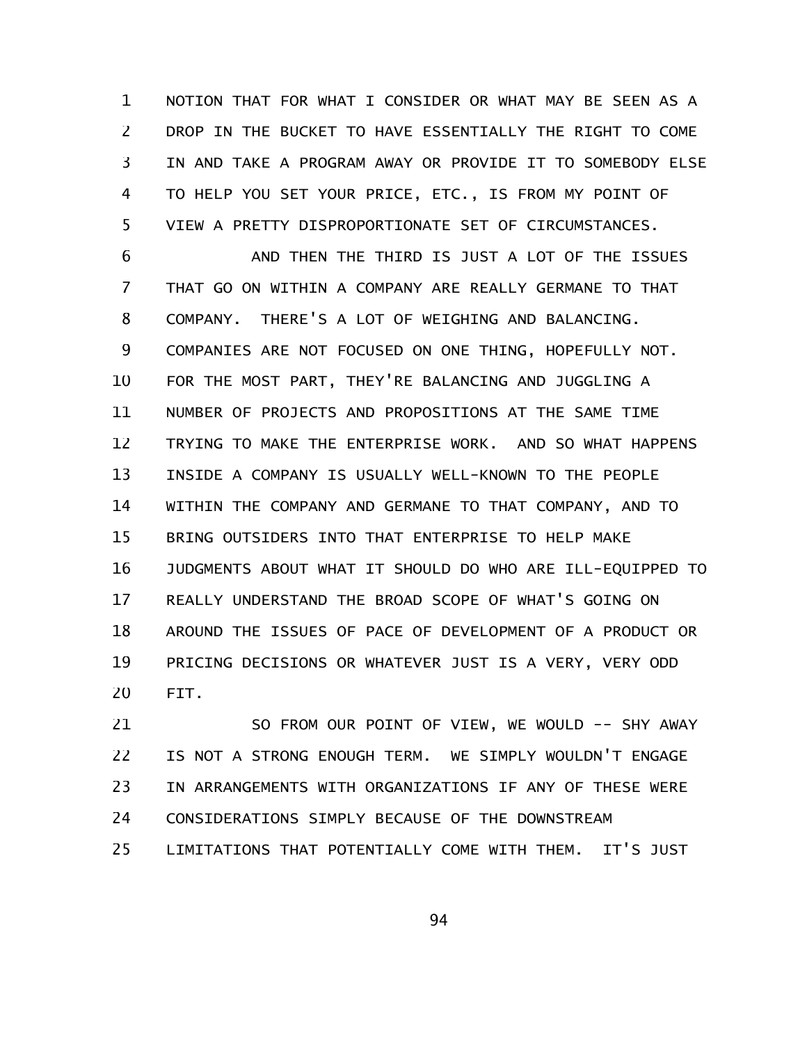NOTION THAT FOR WHAT I CONSIDER OR WHAT MAY BE SEEN AS A DROP IN THE BUCKET TO HAVE ESSENTIALLY THE RIGHT TO COME IN AND TAKE A PROGRAM AWAY OR PROVIDE IT TO SOMEBODY ELSE TO HELP YOU SET YOUR PRICE, ETC., IS FROM MY POINT OF VIEW A PRETTY DISPROPORTIONATE SET OF CIRCUMSTANCES. 1 2 3 4 5

AND THEN THE THIRD IS JUST A LOT OF THE ISSUES THAT GO ON WITHIN A COMPANY ARE REALLY GERMANE TO THAT COMPANY. THERE'S A LOT OF WEIGHING AND BALANCING. COMPANIES ARE NOT FOCUSED ON ONE THING, HOPEFULLY NOT. FOR THE MOST PART, THEY'RE BALANCING AND JUGGLING A NUMBER OF PROJECTS AND PROPOSITIONS AT THE SAME TIME TRYING TO MAKE THE ENTERPRISE WORK. AND SO WHAT HAPPENS INSIDE A COMPANY IS USUALLY WELL-KNOWN TO THE PEOPLE WITHIN THE COMPANY AND GERMANE TO THAT COMPANY, AND TO BRING OUTSIDERS INTO THAT ENTERPRISE TO HELP MAKE JUDGMENTS ABOUT WHAT IT SHOULD DO WHO ARE ILL-EQUIPPED TO REALLY UNDERSTAND THE BROAD SCOPE OF WHAT'S GOING ON AROUND THE ISSUES OF PACE OF DEVELOPMENT OF A PRODUCT OR PRICING DECISIONS OR WHATEVER JUST IS A VERY, VERY ODD FIT. 6 7 8 9 10 11 12 13 14 15 16 17 18 19 20

SO FROM OUR POINT OF VIEW, WE WOULD -- SHY AWAY IS NOT A STRONG ENOUGH TERM. WE SIMPLY WOULDN'T ENGAGE IN ARRANGEMENTS WITH ORGANIZATIONS IF ANY OF THESE WERE CONSIDERATIONS SIMPLY BECAUSE OF THE DOWNSTREAM LIMITATIONS THAT POTENTIALLY COME WITH THEM. IT'S JUST 21 22 23 24 25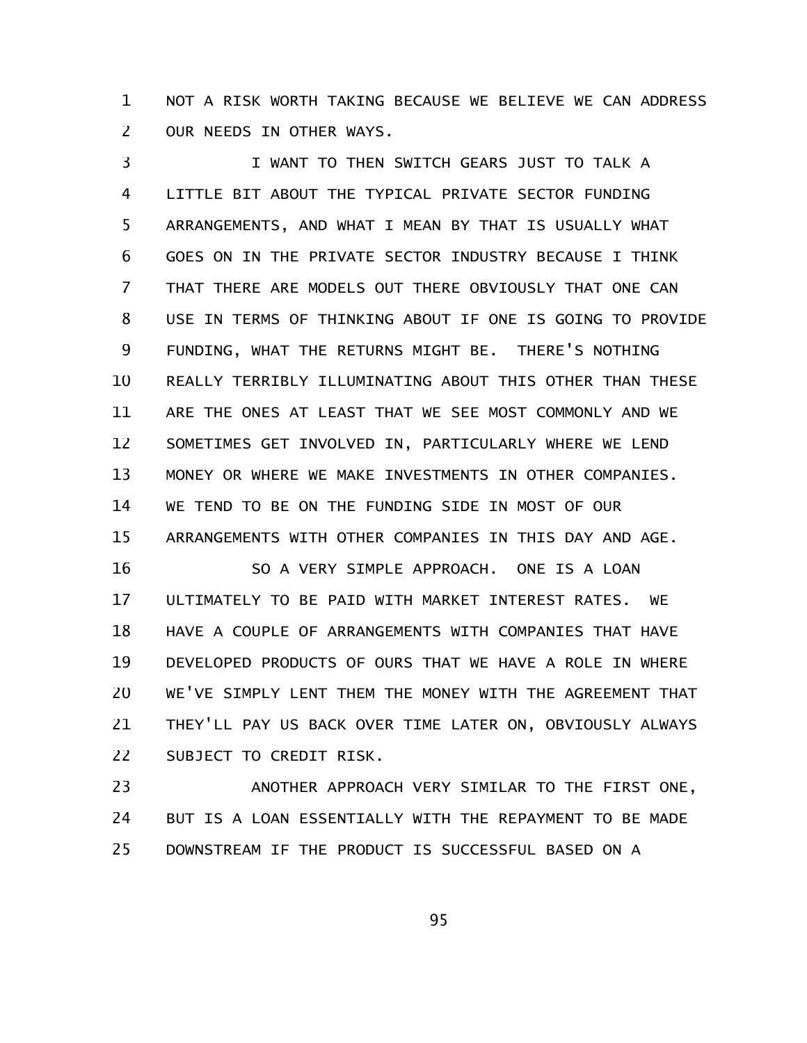NOT A RISK WORTH TAKING BECAUSE WE BELIEVE WE CAN ADDRESS OUR NEEDS IN OTHER WAYS. 1 2

I WANT TO THEN SWITCH GEARS JUST TO TALK A LITTLE BIT ABOUT THE TYPICAL PRIVATE SECTOR FUNDING ARRANGEMENTS, AND WHAT I MEAN BY THAT IS USUALLY WHAT GOES ON IN THE PRIVATE SECTOR INDUSTRY BECAUSE I THINK THAT THERE ARE MODELS OUT THERE OBVIOUSLY THAT ONE CAN USE IN TERMS OF THINKING ABOUT IF ONE IS GOING TO PROVIDE FUNDING, WHAT THE RETURNS MIGHT BE. THERE'S NOTHING REALLY TERRIBLY ILLUMINATING ABOUT THIS OTHER THAN THESE ARE THE ONES AT LEAST THAT WE SEE MOST COMMONLY AND WE SOMETIMES GET INVOLVED IN, PARTICULARLY WHERE WE LEND MONEY OR WHERE WE MAKE INVESTMENTS IN OTHER COMPANIES. WE TEND TO BE ON THE FUNDING SIDE IN MOST OF OUR ARRANGEMENTS WITH OTHER COMPANIES IN THIS DAY AND AGE. SO A VERY SIMPLE APPROACH. ONE IS A LOAN ULTIMATELY TO BE PAID WITH MARKET INTEREST RATES. WE 3 4 5 6 7 8 9 10 11 12 13 14 15 16 17

HAVE A COUPLE OF ARRANGEMENTS WITH COMPANIES THAT HAVE DEVELOPED PRODUCTS OF OURS THAT WE HAVE A ROLE IN WHERE WE'VE SIMPLY LENT THEM THE MONEY WITH THE AGREEMENT THAT THEY'LL PAY US BACK OVER TIME LATER ON, OBVIOUSLY ALWAYS SUBJECT TO CREDIT RISK. 18 19 20 21 22

ANOTHER APPROACH VERY SIMILAR TO THE FIRST ONE, BUT IS A LOAN ESSENTIALLY WITH THE REPAYMENT TO BE MADE DOWNSTREAM IF THE PRODUCT IS SUCCESSFUL BASED ON A 23 24 25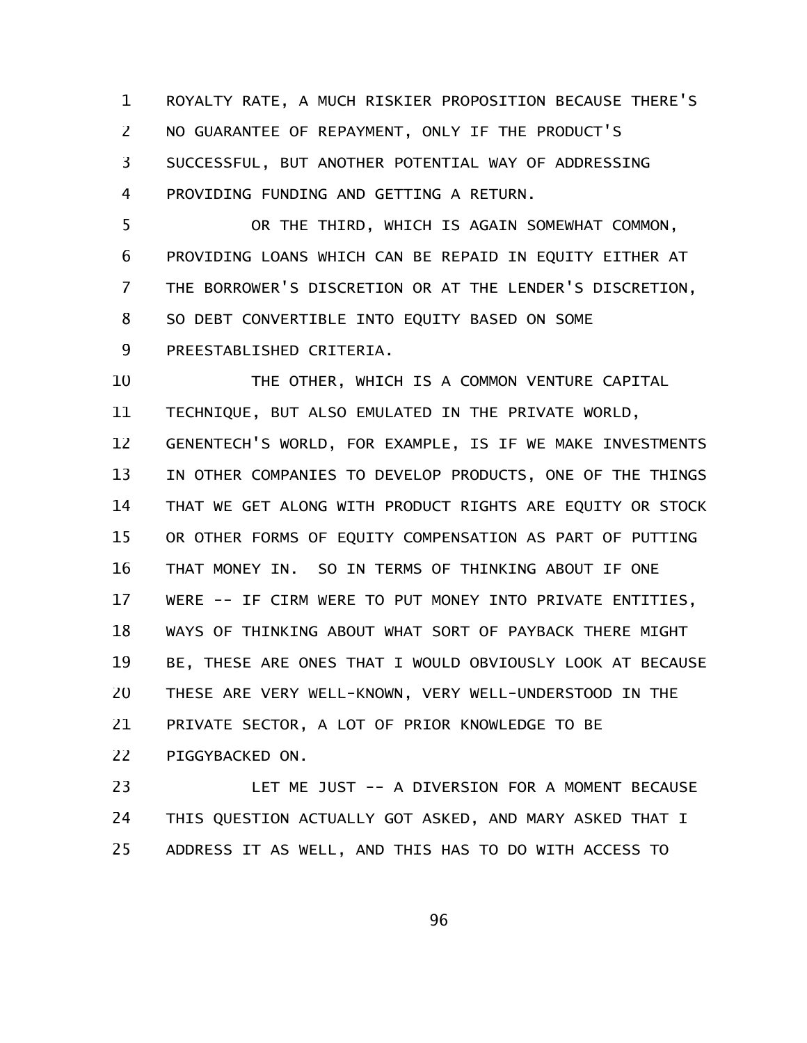ROYALTY RATE, A MUCH RISKIER PROPOSITION BECAUSE THERE'S NO GUARANTEE OF REPAYMENT, ONLY IF THE PRODUCT'S SUCCESSFUL, BUT ANOTHER POTENTIAL WAY OF ADDRESSING PROVIDING FUNDING AND GETTING A RETURN. 1 2 3 4

OR THE THIRD, WHICH IS AGAIN SOMEWHAT COMMON, PROVIDING LOANS WHICH CAN BE REPAID IN EQUITY EITHER AT THE BORROWER'S DISCRETION OR AT THE LENDER'S DISCRETION, SO DEBT CONVERTIBLE INTO EQUITY BASED ON SOME PREESTABLISHED CRITERIA. 5 6 7 8 9

THE OTHER, WHICH IS A COMMON VENTURE CAPITAL TECHNIQUE, BUT ALSO EMULATED IN THE PRIVATE WORLD, GENENTECH'S WORLD, FOR EXAMPLE, IS IF WE MAKE INVESTMENTS IN OTHER COMPANIES TO DEVELOP PRODUCTS, ONE OF THE THINGS THAT WE GET ALONG WITH PRODUCT RIGHTS ARE EQUITY OR STOCK OR OTHER FORMS OF EQUITY COMPENSATION AS PART OF PUTTING THAT MONEY IN. SO IN TERMS OF THINKING ABOUT IF ONE WERE -- IF CIRM WERE TO PUT MONEY INTO PRIVATE ENTITIES, WAYS OF THINKING ABOUT WHAT SORT OF PAYBACK THERE MIGHT BE, THESE ARE ONES THAT I WOULD OBVIOUSLY LOOK AT BECAUSE THESE ARE VERY WELL-KNOWN, VERY WELL-UNDERSTOOD IN THE PRIVATE SECTOR, A LOT OF PRIOR KNOWLEDGE TO BE PIGGYBACKED ON. 10 11 12 13 14 15 16 17 18 19 20 21 22

LET ME JUST -- A DIVERSION FOR A MOMENT BECAUSE THIS QUESTION ACTUALLY GOT ASKED, AND MARY ASKED THAT I ADDRESS IT AS WELL, AND THIS HAS TO DO WITH ACCESS TO 23 24 25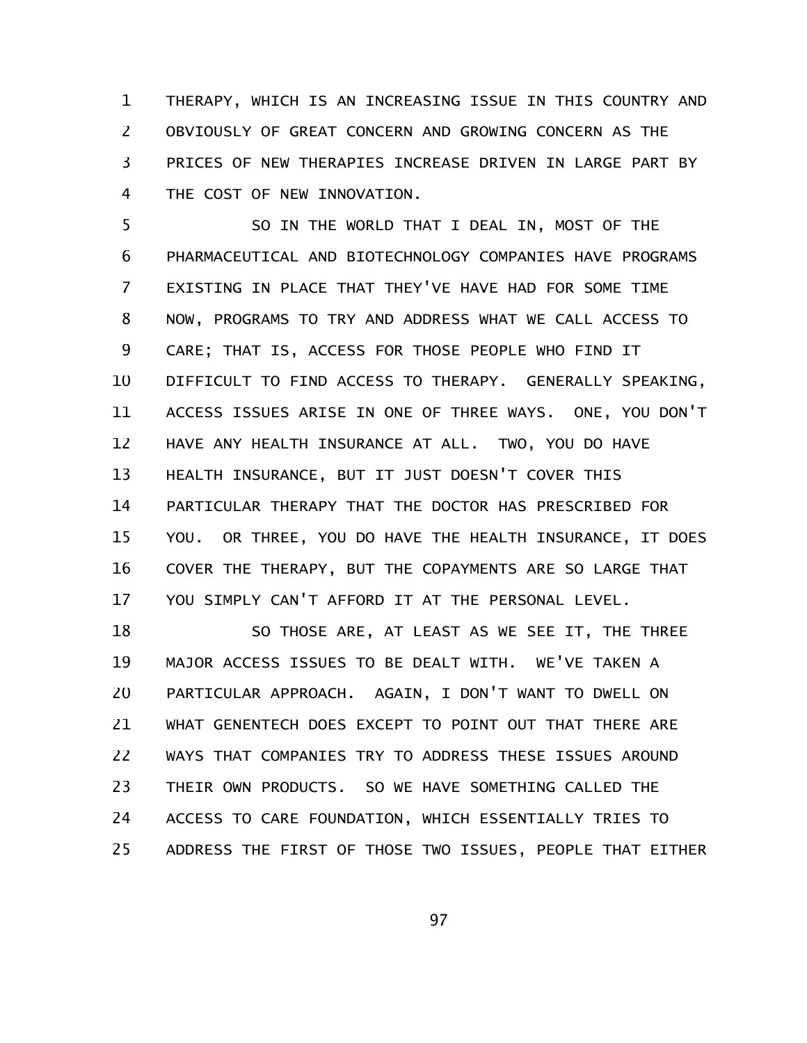THERAPY, WHICH IS AN INCREASING ISSUE IN THIS COUNTRY AND OBVIOUSLY OF GREAT CONCERN AND GROWING CONCERN AS THE PRICES OF NEW THERAPIES INCREASE DRIVEN IN LARGE PART BY THE COST OF NEW INNOVATION. 1 2 3 4

SO IN THE WORLD THAT I DEAL IN, MOST OF THE PHARMACEUTICAL AND BIOTECHNOLOGY COMPANIES HAVE PROGRAMS EXISTING IN PLACE THAT THEY'VE HAVE HAD FOR SOME TIME NOW, PROGRAMS TO TRY AND ADDRESS WHAT WE CALL ACCESS TO CARE; THAT IS, ACCESS FOR THOSE PEOPLE WHO FIND IT DIFFICULT TO FIND ACCESS TO THERAPY. GENERALLY SPEAKING, ACCESS ISSUES ARISE IN ONE OF THREE WAYS. ONE, YOU DON'T HAVE ANY HEALTH INSURANCE AT ALL. TWO, YOU DO HAVE HEALTH INSURANCE, BUT IT JUST DOESN'T COVER THIS PARTICULAR THERAPY THAT THE DOCTOR HAS PRESCRIBED FOR YOU. OR THREE, YOU DO HAVE THE HEALTH INSURANCE, IT DOES COVER THE THERAPY, BUT THE COPAYMENTS ARE SO LARGE THAT YOU SIMPLY CAN'T AFFORD IT AT THE PERSONAL LEVEL. 5 6 7 8 9 10 11 12 13 14 15 16 17

SO THOSE ARE, AT LEAST AS WE SEE IT, THE THREE MAJOR ACCESS ISSUES TO BE DEALT WITH. WE'VE TAKEN A PARTICULAR APPROACH. AGAIN, I DON'T WANT TO DWELL ON WHAT GENENTECH DOES EXCEPT TO POINT OUT THAT THERE ARE WAYS THAT COMPANIES TRY TO ADDRESS THESE ISSUES AROUND THEIR OWN PRODUCTS. SO WE HAVE SOMETHING CALLED THE ACCESS TO CARE FOUNDATION, WHICH ESSENTIALLY TRIES TO ADDRESS THE FIRST OF THOSE TWO ISSUES, PEOPLE THAT EITHER 18 19 20 21 22 23 24 25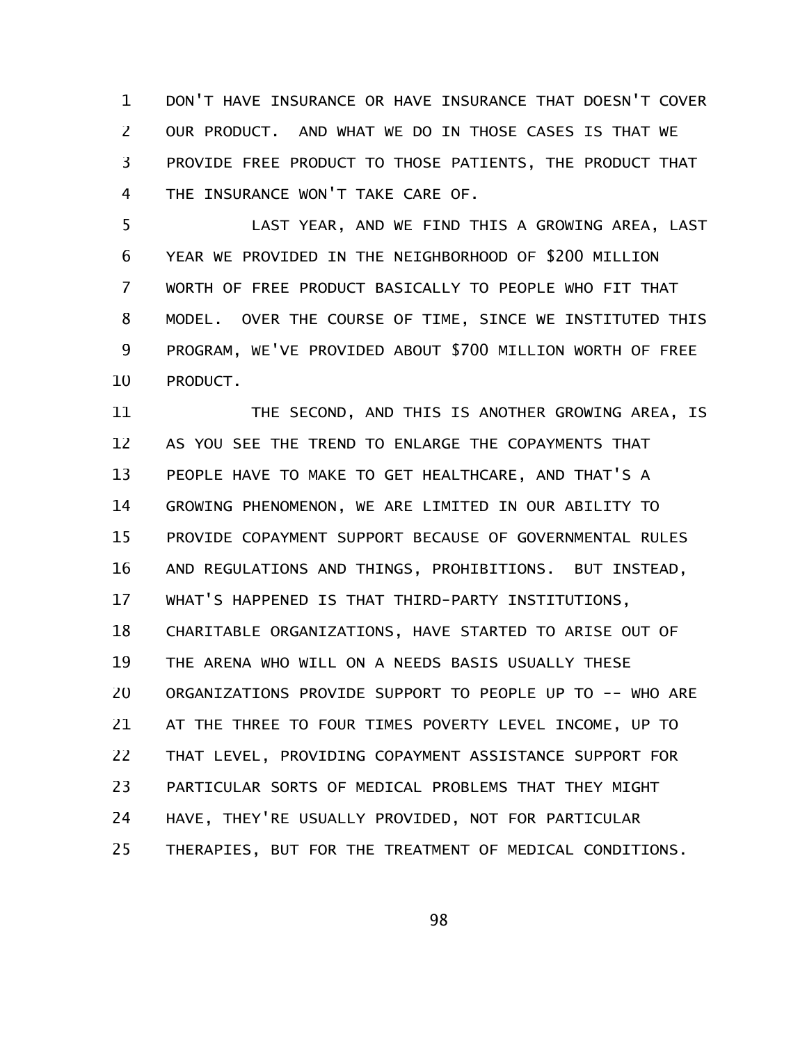DON'T HAVE INSURANCE OR HAVE INSURANCE THAT DOESN'T COVER OUR PRODUCT. AND WHAT WE DO IN THOSE CASES IS THAT WE PROVIDE FREE PRODUCT TO THOSE PATIENTS, THE PRODUCT THAT THE INSURANCE WON'T TAKE CARE OF. 1 2 3 4

LAST YEAR, AND WE FIND THIS A GROWING AREA, LAST YEAR WE PROVIDED IN THE NEIGHBORHOOD OF \$200 MILLION WORTH OF FREE PRODUCT BASICALLY TO PEOPLE WHO FIT THAT MODEL. OVER THE COURSE OF TIME, SINCE WE INSTITUTED THIS PROGRAM, WE'VE PROVIDED ABOUT \$700 MILLION WORTH OF FREE PRODUCT. 5 6 7 8 9 10

THE SECOND, AND THIS IS ANOTHER GROWING AREA, IS AS YOU SEE THE TREND TO ENLARGE THE COPAYMENTS THAT PEOPLE HAVE TO MAKE TO GET HEALTHCARE, AND THAT'S A GROWING PHENOMENON, WE ARE LIMITED IN OUR ABILITY TO PROVIDE COPAYMENT SUPPORT BECAUSE OF GOVERNMENTAL RULES AND REGULATIONS AND THINGS, PROHIBITIONS. BUT INSTEAD, WHAT'S HAPPENED IS THAT THIRD-PARTY INSTITUTIONS, CHARITABLE ORGANIZATIONS, HAVE STARTED TO ARISE OUT OF THE ARENA WHO WILL ON A NEEDS BASIS USUALLY THESE ORGANIZATIONS PROVIDE SUPPORT TO PEOPLE UP TO -- WHO ARE AT THE THREE TO FOUR TIMES POVERTY LEVEL INCOME, UP TO THAT LEVEL, PROVIDING COPAYMENT ASSISTANCE SUPPORT FOR PARTICULAR SORTS OF MEDICAL PROBLEMS THAT THEY MIGHT HAVE, THEY'RE USUALLY PROVIDED, NOT FOR PARTICULAR THERAPIES, BUT FOR THE TREATMENT OF MEDICAL CONDITIONS. 11 12 13 14 15 16 17 18 19 20 21 22 23 24 25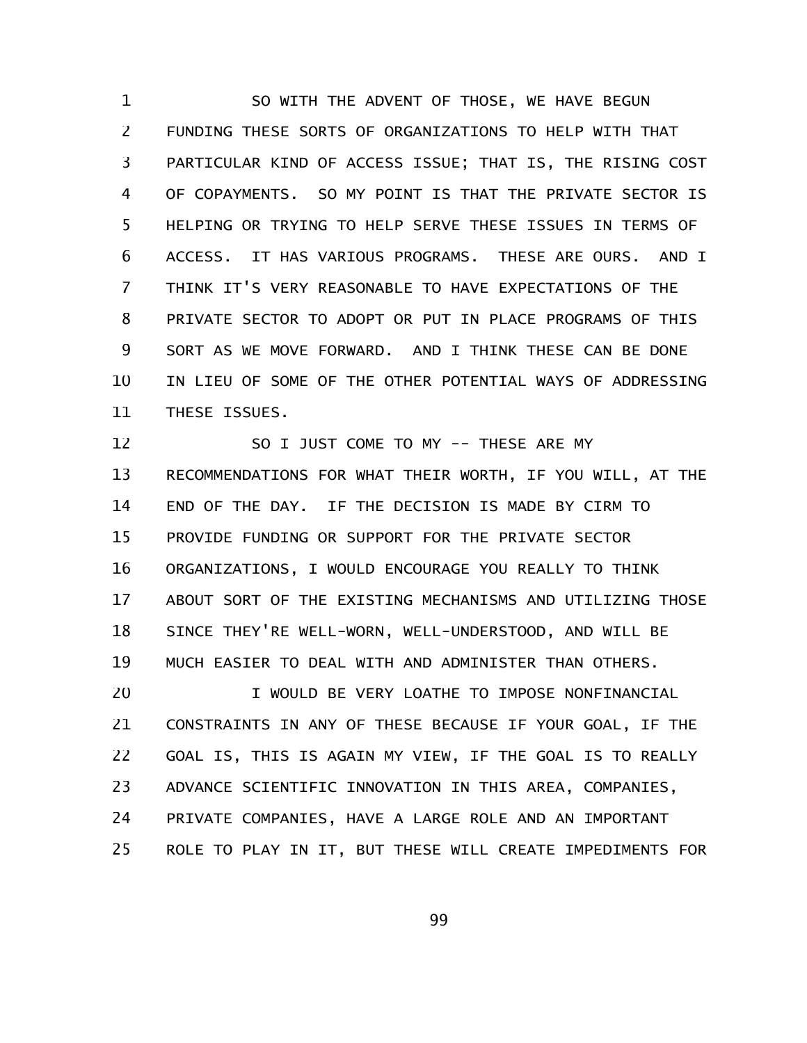SO WITH THE ADVENT OF THOSE, WE HAVE BEGUN FUNDING THESE SORTS OF ORGANIZATIONS TO HELP WITH THAT PARTICULAR KIND OF ACCESS ISSUE; THAT IS, THE RISING COST OF COPAYMENTS. SO MY POINT IS THAT THE PRIVATE SECTOR IS HELPING OR TRYING TO HELP SERVE THESE ISSUES IN TERMS OF ACCESS. IT HAS VARIOUS PROGRAMS. THESE ARE OURS. AND I THINK IT'S VERY REASONABLE TO HAVE EXPECTATIONS OF THE PRIVATE SECTOR TO ADOPT OR PUT IN PLACE PROGRAMS OF THIS SORT AS WE MOVE FORWARD. AND I THINK THESE CAN BE DONE IN LIEU OF SOME OF THE OTHER POTENTIAL WAYS OF ADDRESSING THESE ISSUES. 1 2 3 4 5 6 7 8 9 10 11

SO I JUST COME TO MY -- THESE ARE MY RECOMMENDATIONS FOR WHAT THEIR WORTH, IF YOU WILL, AT THE END OF THE DAY. IF THE DECISION IS MADE BY CIRM TO PROVIDE FUNDING OR SUPPORT FOR THE PRIVATE SECTOR ORGANIZATIONS, I WOULD ENCOURAGE YOU REALLY TO THINK ABOUT SORT OF THE EXISTING MECHANISMS AND UTILIZING THOSE SINCE THEY'RE WELL-WORN, WELL-UNDERSTOOD, AND WILL BE MUCH EASIER TO DEAL WITH AND ADMINISTER THAN OTHERS. 12 13 14 15 16 17 18 19

I WOULD BE VERY LOATHE TO IMPOSE NONFINANCIAL CONSTRAINTS IN ANY OF THESE BECAUSE IF YOUR GOAL, IF THE GOAL IS, THIS IS AGAIN MY VIEW, IF THE GOAL IS TO REALLY ADVANCE SCIENTIFIC INNOVATION IN THIS AREA, COMPANIES, PRIVATE COMPANIES, HAVE A LARGE ROLE AND AN IMPORTANT ROLE TO PLAY IN IT, BUT THESE WILL CREATE IMPEDIMENTS FOR 20 21 22 23 24 25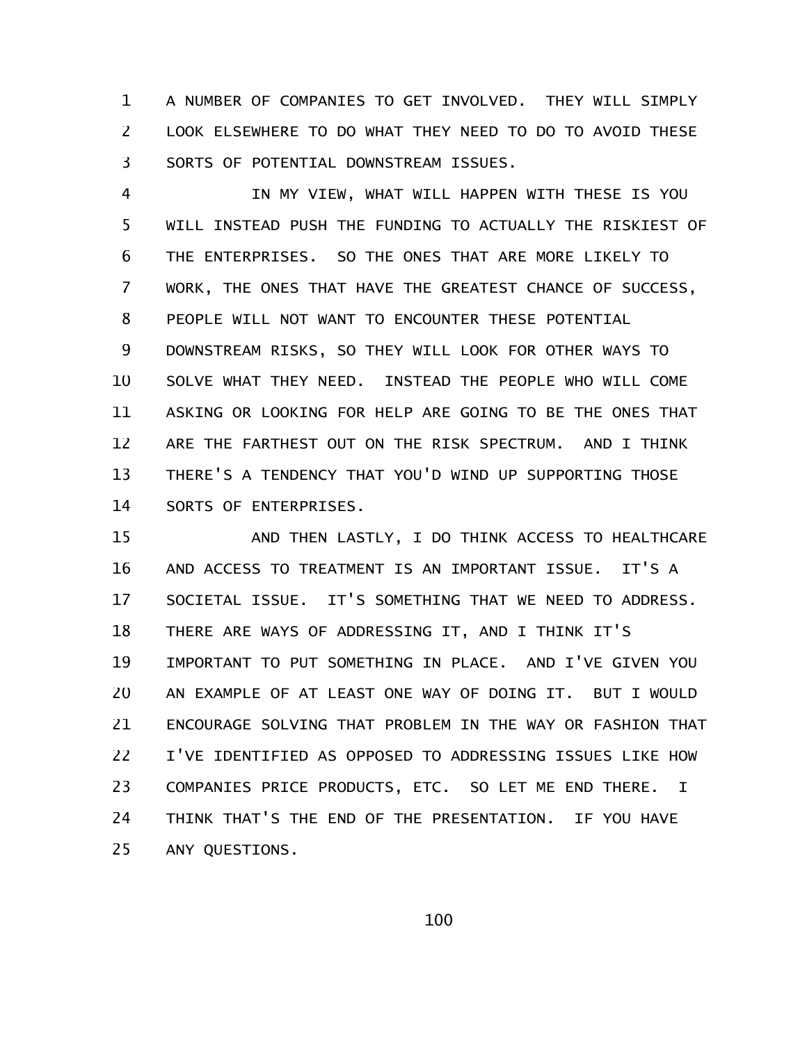A NUMBER OF COMPANIES TO GET INVOLVED. THEY WILL SIMPLY LOOK ELSEWHERE TO DO WHAT THEY NEED TO DO TO AVOID THESE SORTS OF POTENTIAL DOWNSTREAM ISSUES. 1 2 3

IN MY VIEW, WHAT WILL HAPPEN WITH THESE IS YOU WILL INSTEAD PUSH THE FUNDING TO ACTUALLY THE RISKIEST OF THE ENTERPRISES. SO THE ONES THAT ARE MORE LIKELY TO WORK, THE ONES THAT HAVE THE GREATEST CHANCE OF SUCCESS, PEOPLE WILL NOT WANT TO ENCOUNTER THESE POTENTIAL DOWNSTREAM RISKS, SO THEY WILL LOOK FOR OTHER WAYS TO SOLVE WHAT THEY NEED. INSTEAD THE PEOPLE WHO WILL COME ASKING OR LOOKING FOR HELP ARE GOING TO BE THE ONES THAT ARE THE FARTHEST OUT ON THE RISK SPECTRUM. AND I THINK THERE'S A TENDENCY THAT YOU'D WIND UP SUPPORTING THOSE SORTS OF ENTERPRISES. 4 5 6 7 8 9 10 11 12 13 14

AND THEN LASTLY, I DO THINK ACCESS TO HEALTHCARE AND ACCESS TO TREATMENT IS AN IMPORTANT ISSUE. IT'S A SOCIETAL ISSUE. IT'S SOMETHING THAT WE NEED TO ADDRESS. THERE ARE WAYS OF ADDRESSING IT, AND I THINK IT'S IMPORTANT TO PUT SOMETHING IN PLACE. AND I'VE GIVEN YOU AN EXAMPLE OF AT LEAST ONE WAY OF DOING IT. BUT I WOULD ENCOURAGE SOLVING THAT PROBLEM IN THE WAY OR FASHION THAT I'VE IDENTIFIED AS OPPOSED TO ADDRESSING ISSUES LIKE HOW COMPANIES PRICE PRODUCTS, ETC. SO LET ME END THERE. I THINK THAT'S THE END OF THE PRESENTATION. IF YOU HAVE ANY QUESTIONS. 15 16 17 18 19 20 21 22 23 24 25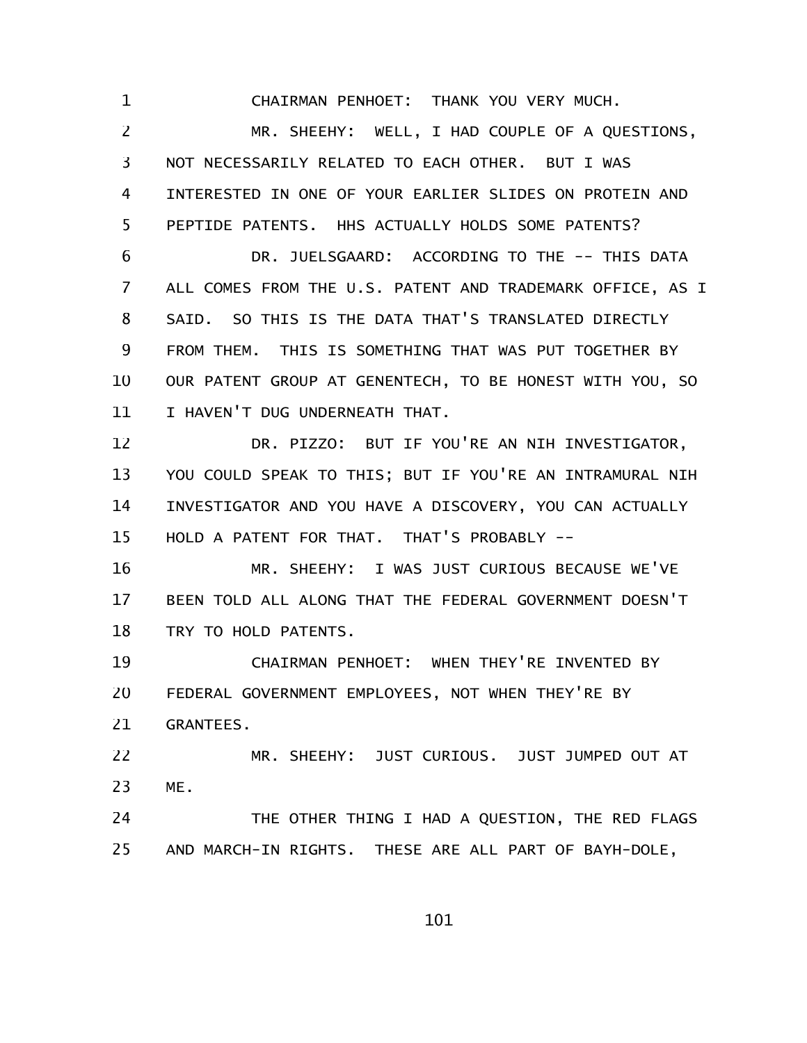CHAIRMAN PENHOET: THANK YOU VERY MUCH.

1

MR. SHEEHY: WELL, I HAD COUPLE OF A QUESTIONS, NOT NECESSARILY RELATED TO EACH OTHER. BUT I WAS INTERESTED IN ONE OF YOUR EARLIER SLIDES ON PROTEIN AND PEPTIDE PATENTS. HHS ACTUALLY HOLDS SOME PATENTS? 2 3 4 5

DR. JUELSGAARD: ACCORDING TO THE -- THIS DATA ALL COMES FROM THE U.S. PATENT AND TRADEMARK OFFICE, AS I SAID. SO THIS IS THE DATA THAT'S TRANSLATED DIRECTLY FROM THEM. THIS IS SOMETHING THAT WAS PUT TOGETHER BY OUR PATENT GROUP AT GENENTECH, TO BE HONEST WITH YOU, SO I HAVEN'T DUG UNDERNEATH THAT. 6 7 8 9 10 11

DR. PIZZO: BUT IF YOU'RE AN NIH INVESTIGATOR, YOU COULD SPEAK TO THIS; BUT IF YOU'RE AN INTRAMURAL NIH INVESTIGATOR AND YOU HAVE A DISCOVERY, YOU CAN ACTUALLY HOLD A PATENT FOR THAT. THAT'S PROBABLY -- 12 13 14 15

MR. SHEEHY: I WAS JUST CURIOUS BECAUSE WE'VE BEEN TOLD ALL ALONG THAT THE FEDERAL GOVERNMENT DOESN'T TRY TO HOLD PATENTS. 16 17 18

CHAIRMAN PENHOET: WHEN THEY'RE INVENTED BY FEDERAL GOVERNMENT EMPLOYEES, NOT WHEN THEY'RE BY GRANTEES. 19 20 21

MR. SHEEHY: JUST CURIOUS. JUST JUMPED OUT AT ME. 22 23

THE OTHER THING I HAD A QUESTION, THE RED FLAGS AND MARCH-IN RIGHTS. THESE ARE ALL PART OF BAYH-DOLE, 24 25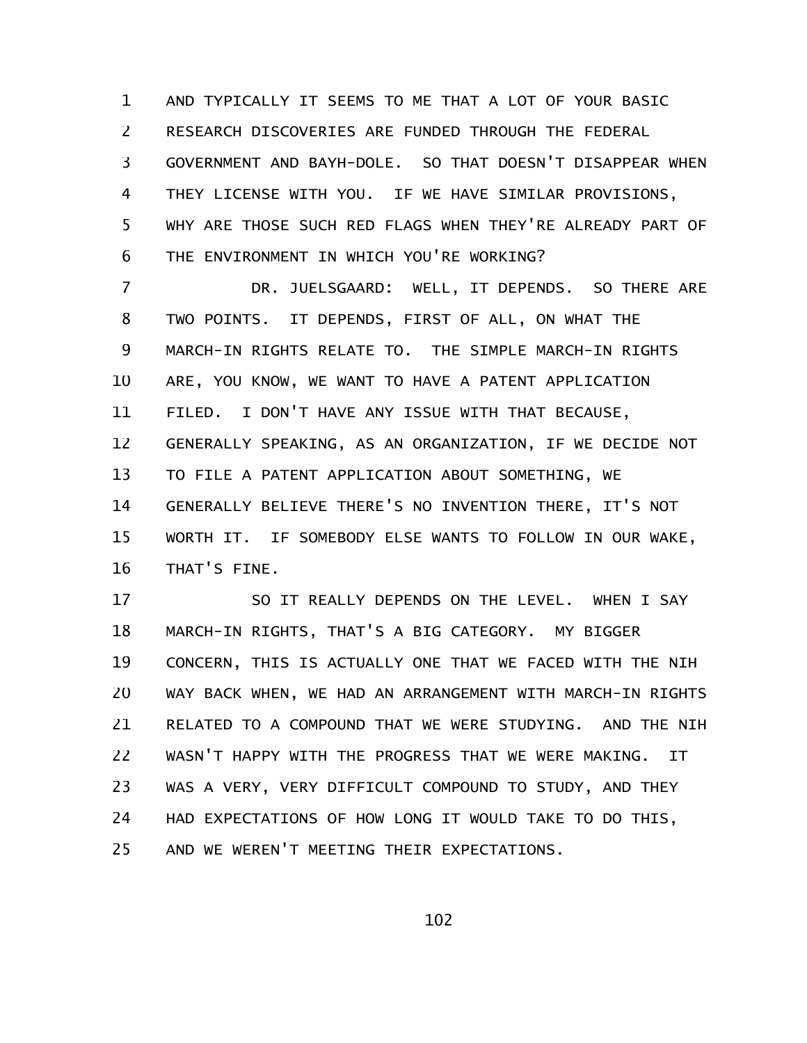AND TYPICALLY IT SEEMS TO ME THAT A LOT OF YOUR BASIC RESEARCH DISCOVERIES ARE FUNDED THROUGH THE FEDERAL GOVERNMENT AND BAYH-DOLE. SO THAT DOESN'T DISAPPEAR WHEN THEY LICENSE WITH YOU. IF WE HAVE SIMILAR PROVISIONS, WHY ARE THOSE SUCH RED FLAGS WHEN THEY'RE ALREADY PART OF THE ENVIRONMENT IN WHICH YOU'RE WORKING? 1 2 3 4 5 6

DR. JUELSGAARD: WELL, IT DEPENDS. SO THERE ARE TWO POINTS. IT DEPENDS, FIRST OF ALL, ON WHAT THE MARCH-IN RIGHTS RELATE TO. THE SIMPLE MARCH-IN RIGHTS ARE, YOU KNOW, WE WANT TO HAVE A PATENT APPLICATION FILED. I DON'T HAVE ANY ISSUE WITH THAT BECAUSE, GENERALLY SPEAKING, AS AN ORGANIZATION, IF WE DECIDE NOT TO FILE A PATENT APPLICATION ABOUT SOMETHING, WE GENERALLY BELIEVE THERE'S NO INVENTION THERE, IT'S NOT WORTH IT. IF SOMEBODY ELSE WANTS TO FOLLOW IN OUR WAKE, THAT'S FINE. 7 8 9 10 11 12 13 14 15 16

SO IT REALLY DEPENDS ON THE LEVEL. WHEN I SAY MARCH-IN RIGHTS, THAT'S A BIG CATEGORY. MY BIGGER CONCERN, THIS IS ACTUALLY ONE THAT WE FACED WITH THE NIH WAY BACK WHEN, WE HAD AN ARRANGEMENT WITH MARCH-IN RIGHTS RELATED TO A COMPOUND THAT WE WERE STUDYING. AND THE NIH WASN'T HAPPY WITH THE PROGRESS THAT WE WERE MAKING. IT WAS A VERY, VERY DIFFICULT COMPOUND TO STUDY, AND THEY HAD EXPECTATIONS OF HOW LONG IT WOULD TAKE TO DO THIS, AND WE WEREN'T MEETING THEIR EXPECTATIONS. 17 18 19 20 21 22 23 24 25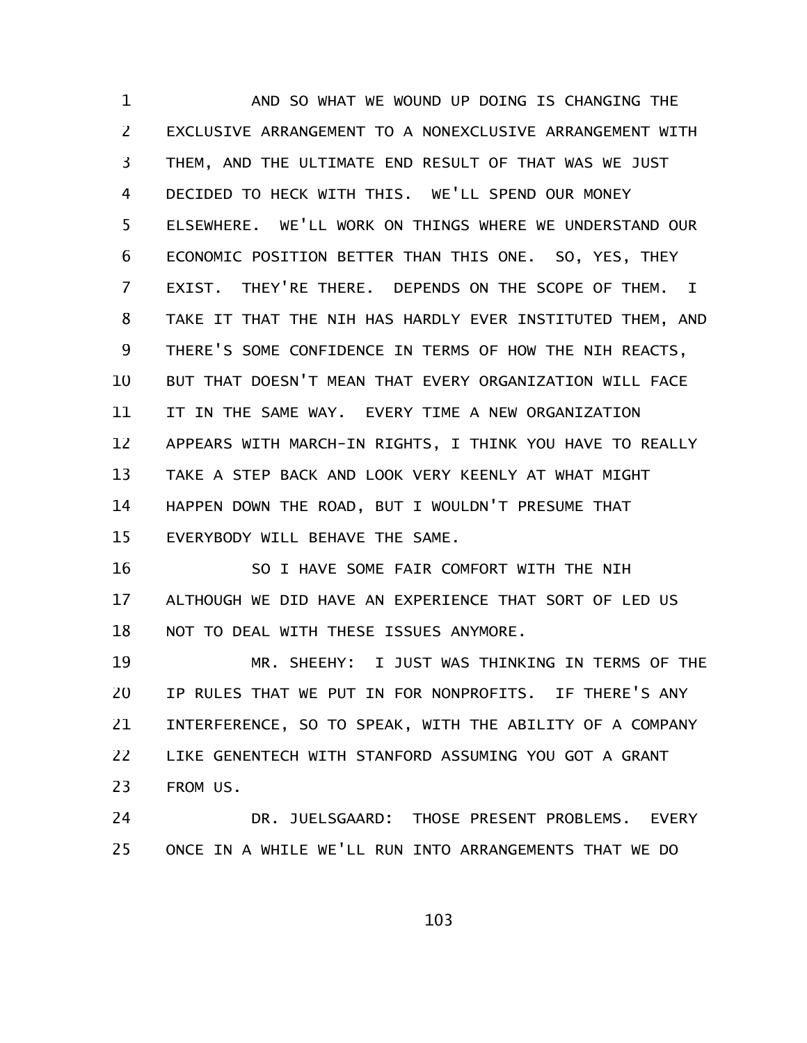AND SO WHAT WE WOUND UP DOING IS CHANGING THE EXCLUSIVE ARRANGEMENT TO A NONEXCLUSIVE ARRANGEMENT WITH THEM, AND THE ULTIMATE END RESULT OF THAT WAS WE JUST DECIDED TO HECK WITH THIS. WE'LL SPEND OUR MONEY ELSEWHERE. WE'LL WORK ON THINGS WHERE WE UNDERSTAND OUR ECONOMIC POSITION BETTER THAN THIS ONE. SO, YES, THEY EXIST. THEY'RE THERE. DEPENDS ON THE SCOPE OF THEM. I TAKE IT THAT THE NIH HAS HARDLY EVER INSTITUTED THEM, AND THERE'S SOME CONFIDENCE IN TERMS OF HOW THE NIH REACTS, BUT THAT DOESN'T MEAN THAT EVERY ORGANIZATION WILL FACE IT IN THE SAME WAY. EVERY TIME A NEW ORGANIZATION APPEARS WITH MARCH-IN RIGHTS, I THINK YOU HAVE TO REALLY TAKE A STEP BACK AND LOOK VERY KEENLY AT WHAT MIGHT HAPPEN DOWN THE ROAD, BUT I WOULDN'T PRESUME THAT EVERYBODY WILL BEHAVE THE SAME. 1 2 3 4 5 6 7 8 9 10 11 12 13 14 15

SO I HAVE SOME FAIR COMFORT WITH THE NIH ALTHOUGH WE DID HAVE AN EXPERIENCE THAT SORT OF LED US NOT TO DEAL WITH THESE ISSUES ANYMORE. 16 17 18

MR. SHEEHY: I JUST WAS THINKING IN TERMS OF THE IP RULES THAT WE PUT IN FOR NONPROFITS. IF THERE'S ANY INTERFERENCE, SO TO SPEAK, WITH THE ABILITY OF A COMPANY LIKE GENENTECH WITH STANFORD ASSUMING YOU GOT A GRANT FROM US. 19 20 21 22 23

DR. JUELSGAARD: THOSE PRESENT PROBLEMS. EVERY ONCE IN A WHILE WE'LL RUN INTO ARRANGEMENTS THAT WE DO 24 25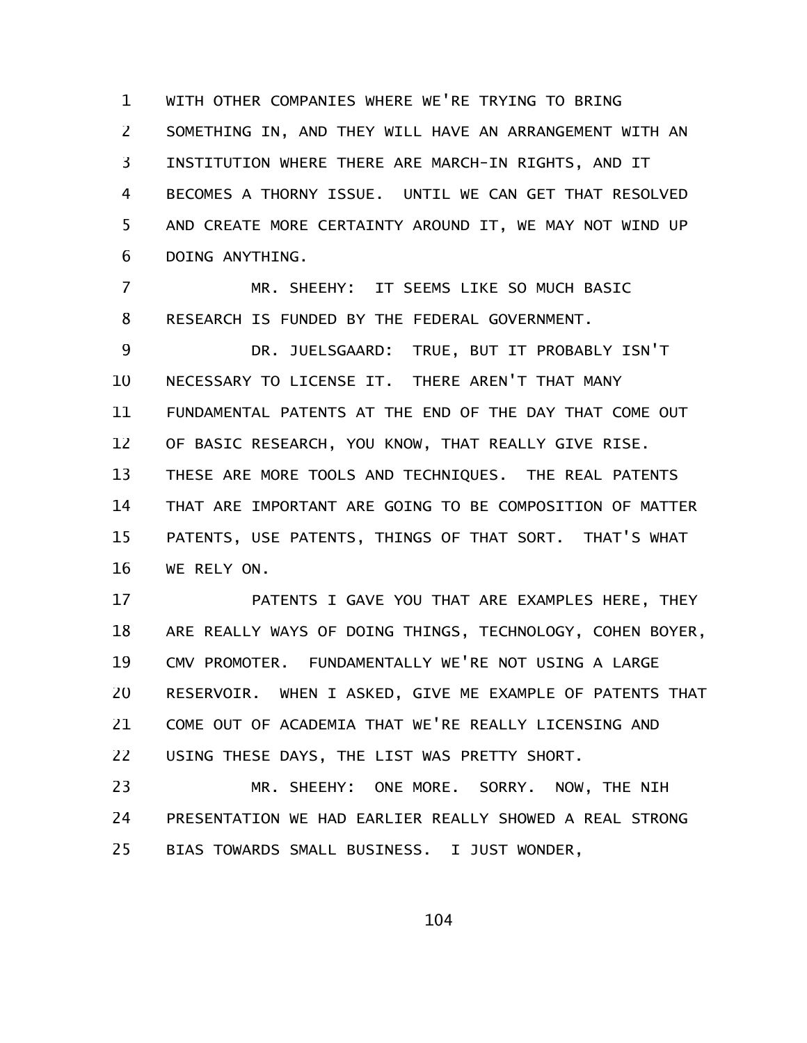WITH OTHER COMPANIES WHERE WE'RE TRYING TO BRING SOMETHING IN, AND THEY WILL HAVE AN ARRANGEMENT WITH AN INSTITUTION WHERE THERE ARE MARCH-IN RIGHTS, AND IT BECOMES A THORNY ISSUE. UNTIL WE CAN GET THAT RESOLVED AND CREATE MORE CERTAINTY AROUND IT, WE MAY NOT WIND UP DOING ANYTHING. 1 2 3 4 5 6

MR. SHEEHY: IT SEEMS LIKE SO MUCH BASIC RESEARCH IS FUNDED BY THE FEDERAL GOVERNMENT. 7 8

DR. JUELSGAARD: TRUE, BUT IT PROBABLY ISN'T NECESSARY TO LICENSE IT. THERE AREN'T THAT MANY FUNDAMENTAL PATENTS AT THE END OF THE DAY THAT COME OUT OF BASIC RESEARCH, YOU KNOW, THAT REALLY GIVE RISE. THESE ARE MORE TOOLS AND TECHNIQUES. THE REAL PATENTS THAT ARE IMPORTANT ARE GOING TO BE COMPOSITION OF MATTER PATENTS, USE PATENTS, THINGS OF THAT SORT. THAT'S WHAT WE RELY ON. 9 10 11 12 13 14 15 16

PATENTS I GAVE YOU THAT ARE EXAMPLES HERE, THEY ARE REALLY WAYS OF DOING THINGS, TECHNOLOGY, COHEN BOYER, CMV PROMOTER. FUNDAMENTALLY WE'RE NOT USING A LARGE RESERVOIR. WHEN I ASKED, GIVE ME EXAMPLE OF PATENTS THAT COME OUT OF ACADEMIA THAT WE'RE REALLY LICENSING AND USING THESE DAYS, THE LIST WAS PRETTY SHORT. 17 18 19 20 21 22

MR. SHEEHY: ONE MORE. SORRY. NOW, THE NIH PRESENTATION WE HAD EARLIER REALLY SHOWED A REAL STRONG BIAS TOWARDS SMALL BUSINESS. I JUST WONDER, 23 24 25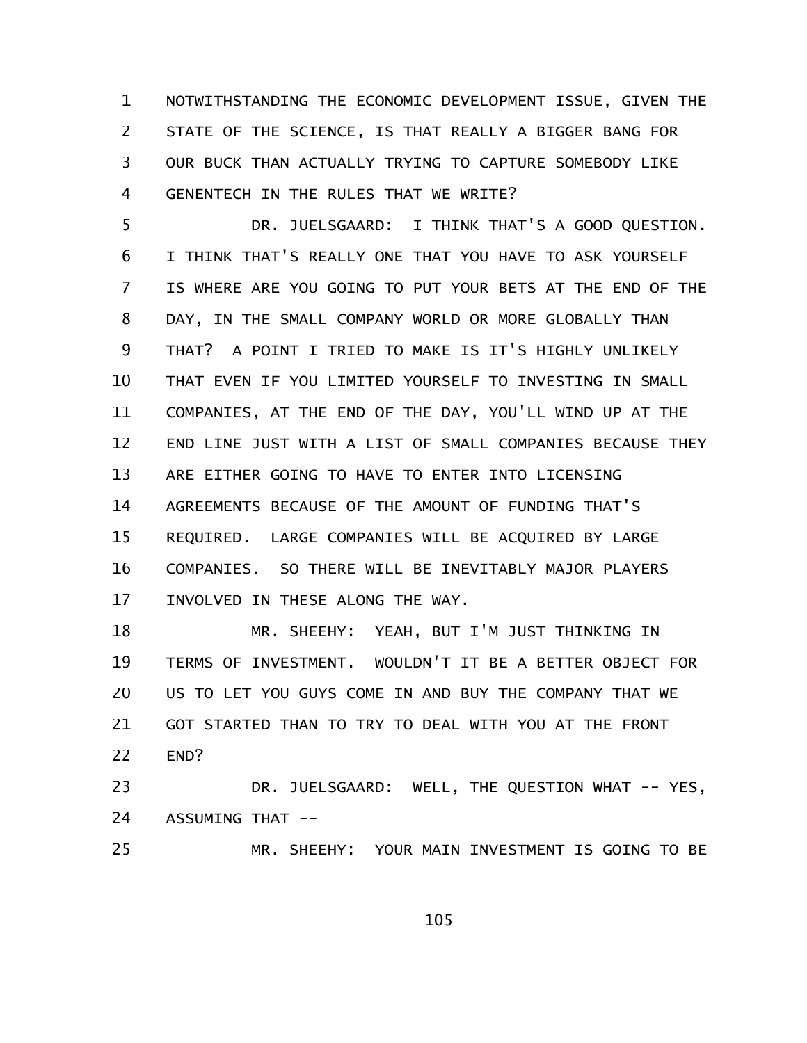NOTWITHSTANDING THE ECONOMIC DEVELOPMENT ISSUE, GIVEN THE STATE OF THE SCIENCE, IS THAT REALLY A BIGGER BANG FOR OUR BUCK THAN ACTUALLY TRYING TO CAPTURE SOMEBODY LIKE GENENTECH IN THE RULES THAT WE WRITE? 1 2 3 4

DR. JUELSGAARD: I THINK THAT'S A GOOD QUESTION. I THINK THAT'S REALLY ONE THAT YOU HAVE TO ASK YOURSELF IS WHERE ARE YOU GOING TO PUT YOUR BETS AT THE END OF THE DAY, IN THE SMALL COMPANY WORLD OR MORE GLOBALLY THAN THAT? A POINT I TRIED TO MAKE IS IT'S HIGHLY UNLIKELY THAT EVEN IF YOU LIMITED YOURSELF TO INVESTING IN SMALL COMPANIES, AT THE END OF THE DAY, YOU'LL WIND UP AT THE END LINE JUST WITH A LIST OF SMALL COMPANIES BECAUSE THEY ARE EITHER GOING TO HAVE TO ENTER INTO LICENSING AGREEMENTS BECAUSE OF THE AMOUNT OF FUNDING THAT'S REQUIRED. LARGE COMPANIES WILL BE ACQUIRED BY LARGE COMPANIES. SO THERE WILL BE INEVITABLY MAJOR PLAYERS INVOLVED IN THESE ALONG THE WAY. 5 6 7 8 9 10 11 12 13 14 15 16 17

MR. SHEEHY: YEAH, BUT I'M JUST THINKING IN TERMS OF INVESTMENT. WOULDN'T IT BE A BETTER OBJECT FOR US TO LET YOU GUYS COME IN AND BUY THE COMPANY THAT WE GOT STARTED THAN TO TRY TO DEAL WITH YOU AT THE FRONT END? 18 19 20 21 22

DR. JUELSGAARD: WELL, THE QUESTION WHAT -- YES, ASSUMING THAT -- 23 24

MR. SHEEHY: YOUR MAIN INVESTMENT IS GOING TO BE 25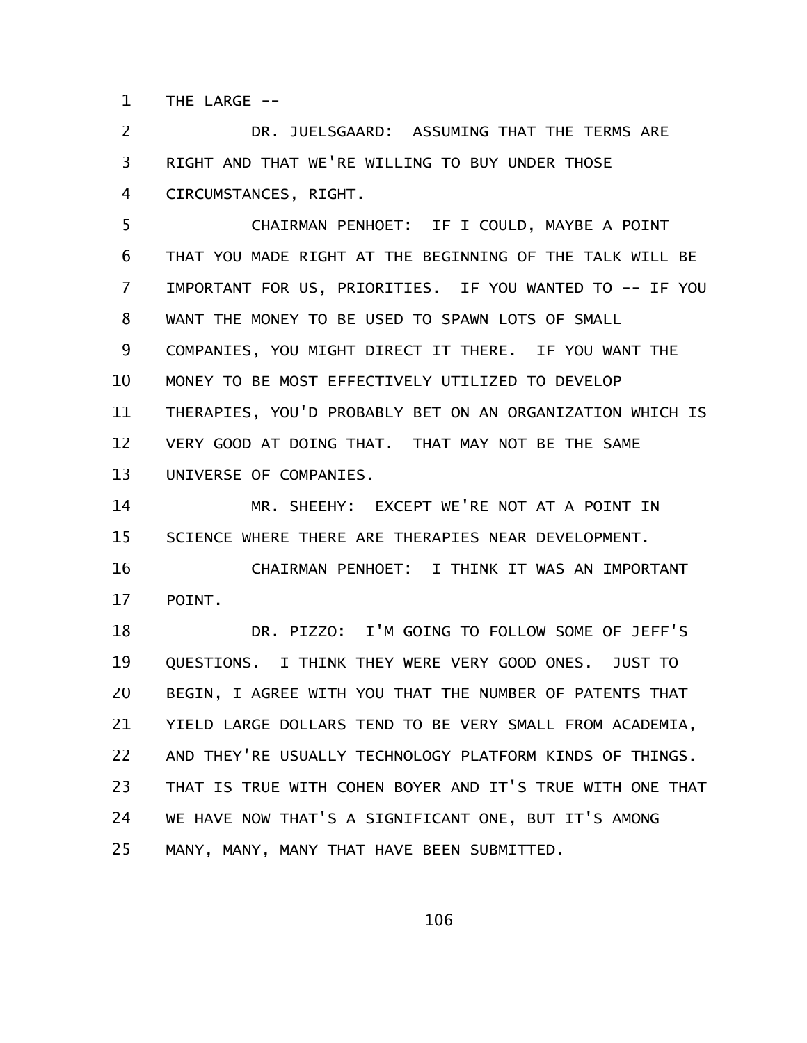THE LARGE  $--$ 1

DR. JUELSGAARD: ASSUMING THAT THE TERMS ARE RIGHT AND THAT WE'RE WILLING TO BUY UNDER THOSE CIRCUMSTANCES, RIGHT. 2 3 4

CHAIRMAN PENHOET: IF I COULD, MAYBE A POINT THAT YOU MADE RIGHT AT THE BEGINNING OF THE TALK WILL BE IMPORTANT FOR US, PRIORITIES. IF YOU WANTED TO -- IF YOU WANT THE MONEY TO BE USED TO SPAWN LOTS OF SMALL COMPANIES, YOU MIGHT DIRECT IT THERE. IF YOU WANT THE MONEY TO BE MOST EFFECTIVELY UTILIZED TO DEVELOP THERAPIES, YOU'D PROBABLY BET ON AN ORGANIZATION WHICH IS VERY GOOD AT DOING THAT. THAT MAY NOT BE THE SAME UNIVERSE OF COMPANIES. 5 6 7 8 9 10 11 12 13

MR. SHEEHY: EXCEPT WE'RE NOT AT A POINT IN SCIENCE WHERE THERE ARE THERAPIES NEAR DEVELOPMENT. 14 15

CHAIRMAN PENHOET: I THINK IT WAS AN IMPORTANT POINT. 16 17

DR. PIZZO: I'M GOING TO FOLLOW SOME OF JEFF'S QUESTIONS. I THINK THEY WERE VERY GOOD ONES. JUST TO BEGIN, I AGREE WITH YOU THAT THE NUMBER OF PATENTS THAT YIELD LARGE DOLLARS TEND TO BE VERY SMALL FROM ACADEMIA, AND THEY'RE USUALLY TECHNOLOGY PLATFORM KINDS OF THINGS. THAT IS TRUE WITH COHEN BOYER AND IT'S TRUE WITH ONE THAT WE HAVE NOW THAT'S A SIGNIFICANT ONE, BUT IT'S AMONG MANY, MANY, MANY THAT HAVE BEEN SUBMITTED. 18 19 20 21 22 23 24 25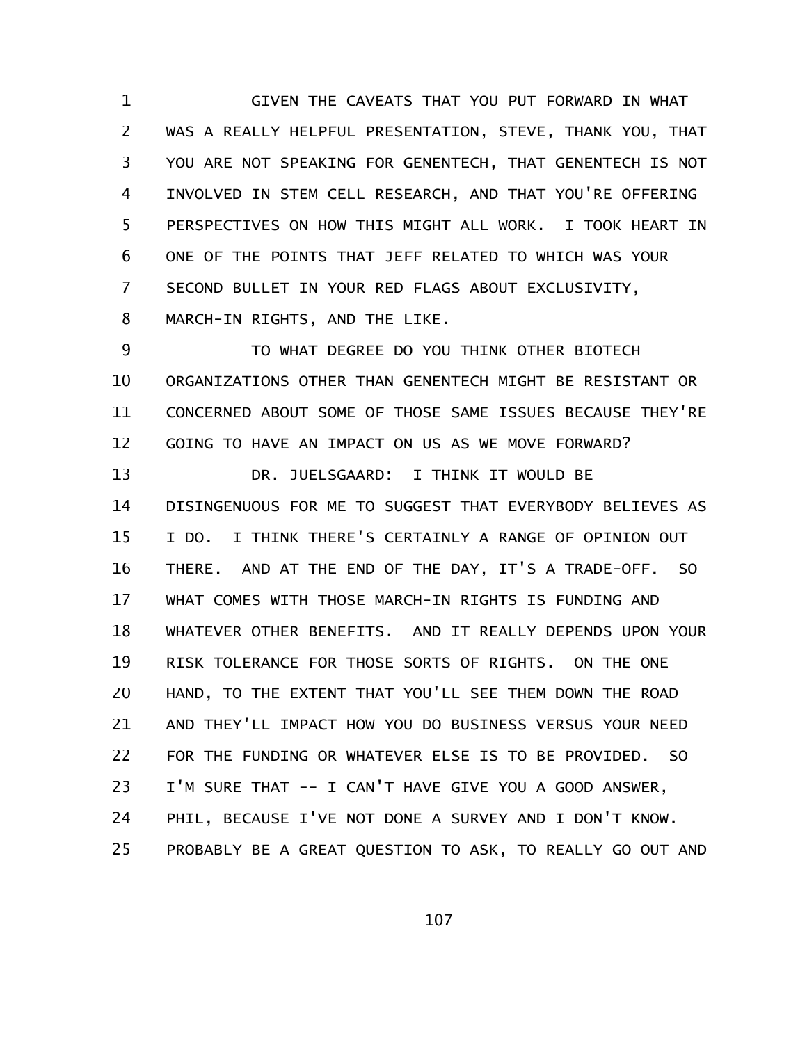GIVEN THE CAVEATS THAT YOU PUT FORWARD IN WHAT WAS A REALLY HELPFUL PRESENTATION, STEVE, THANK YOU, THAT YOU ARE NOT SPEAKING FOR GENENTECH, THAT GENENTECH IS NOT INVOLVED IN STEM CELL RESEARCH, AND THAT YOU'RE OFFERING PERSPECTIVES ON HOW THIS MIGHT ALL WORK. I TOOK HEART IN ONE OF THE POINTS THAT JEFF RELATED TO WHICH WAS YOUR SECOND BULLET IN YOUR RED FLAGS ABOUT EXCLUSIVITY, MARCH-IN RIGHTS, AND THE LIKE. 1 2 3 4 5 6 7 8

TO WHAT DEGREE DO YOU THINK OTHER BIOTECH ORGANIZATIONS OTHER THAN GENENTECH MIGHT BE RESISTANT OR CONCERNED ABOUT SOME OF THOSE SAME ISSUES BECAUSE THEY'RE GOING TO HAVE AN IMPACT ON US AS WE MOVE FORWARD? DR. JUELSGAARD: I THINK IT WOULD BE DISINGENUOUS FOR ME TO SUGGEST THAT EVERYBODY BELIEVES AS I DO. I THINK THERE'S CERTAINLY A RANGE OF OPINION OUT THERE. AND AT THE END OF THE DAY, IT'S A TRADE-OFF. SO WHAT COMES WITH THOSE MARCH-IN RIGHTS IS FUNDING AND WHATEVER OTHER BENEFITS. AND IT REALLY DEPENDS UPON YOUR RISK TOLERANCE FOR THOSE SORTS OF RIGHTS. ON THE ONE HAND, TO THE EXTENT THAT YOU'LL SEE THEM DOWN THE ROAD AND THEY'LL IMPACT HOW YOU DO BUSINESS VERSUS YOUR NEED FOR THE FUNDING OR WHATEVER ELSE IS TO BE PROVIDED. SO I'M SURE THAT -- I CAN'T HAVE GIVE YOU A GOOD ANSWER, PHIL, BECAUSE I'VE NOT DONE A SURVEY AND I DON'T KNOW. PROBABLY BE A GREAT QUESTION TO ASK, TO REALLY GO OUT AND 9 10 11 12 13 14 15 16 17 18 19 20 21 22 23 24 25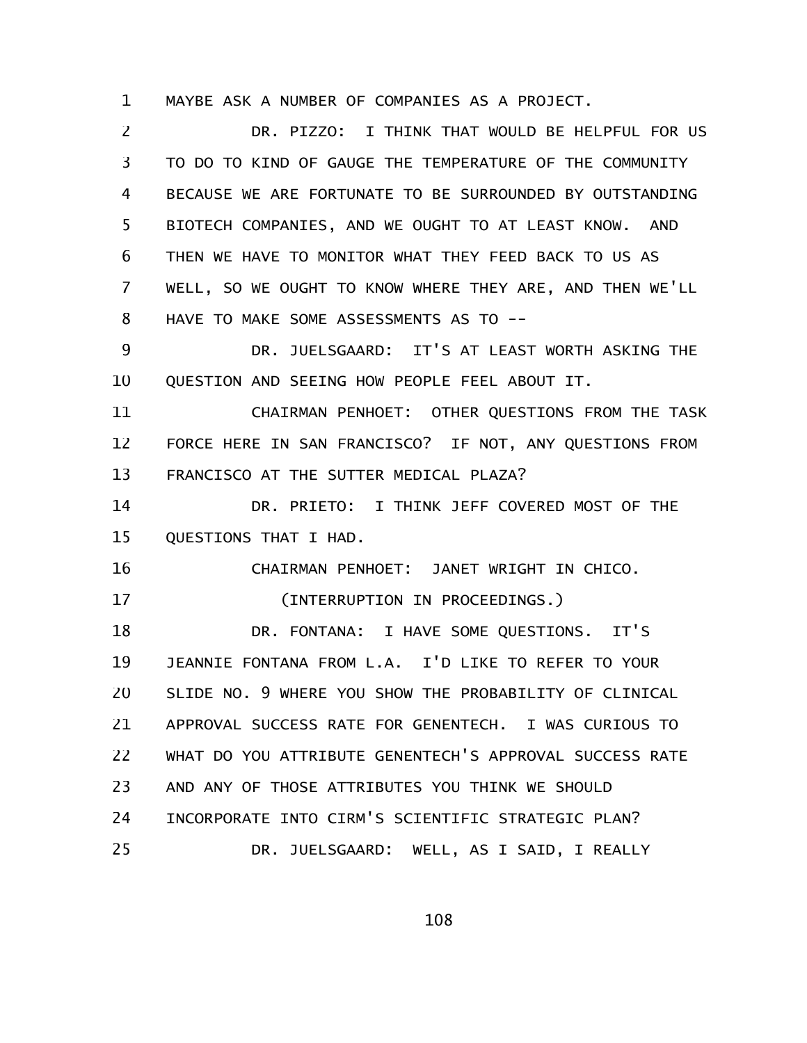MAYBE ASK A NUMBER OF COMPANIES AS A PROJECT. 1

DR. PIZZO: I THINK THAT WOULD BE HELPFUL FOR US TO DO TO KIND OF GAUGE THE TEMPERATURE OF THE COMMUNITY BECAUSE WE ARE FORTUNATE TO BE SURROUNDED BY OUTSTANDING BIOTECH COMPANIES, AND WE OUGHT TO AT LEAST KNOW. AND THEN WE HAVE TO MONITOR WHAT THEY FEED BACK TO US AS WELL, SO WE OUGHT TO KNOW WHERE THEY ARE, AND THEN WE'LL HAVE TO MAKE SOME ASSESSMENTS AS TO -- 2 3 4 5 6 7 8

DR. JUELSGAARD: IT'S AT LEAST WORTH ASKING THE QUESTION AND SEEING HOW PEOPLE FEEL ABOUT IT. 9 10

CHAIRMAN PENHOET: OTHER QUESTIONS FROM THE TASK FORCE HERE IN SAN FRANCISCO? IF NOT, ANY QUESTIONS FROM FRANCISCO AT THE SUTTER MEDICAL PLAZA? 11 12 13

DR. PRIETO: I THINK JEFF COVERED MOST OF THE QUESTIONS THAT I HAD. 14 15

CHAIRMAN PENHOET: JANET WRIGHT IN CHICO. (INTERRUPTION IN PROCEEDINGS.) DR. FONTANA: I HAVE SOME QUESTIONS. IT'S JEANNIE FONTANA FROM L.A. I'D LIKE TO REFER TO YOUR SLIDE NO. 9 WHERE YOU SHOW THE PROBABILITY OF CLINICAL APPROVAL SUCCESS RATE FOR GENENTECH. I WAS CURIOUS TO WHAT DO YOU ATTRIBUTE GENENTECH'S APPROVAL SUCCESS RATE AND ANY OF THOSE ATTRIBUTES YOU THINK WE SHOULD INCORPORATE INTO CIRM'S SCIENTIFIC STRATEGIC PLAN? DR. JUELSGAARD: WELL, AS I SAID, I REALLY 16 17 18 19 20 21 22 23 24 25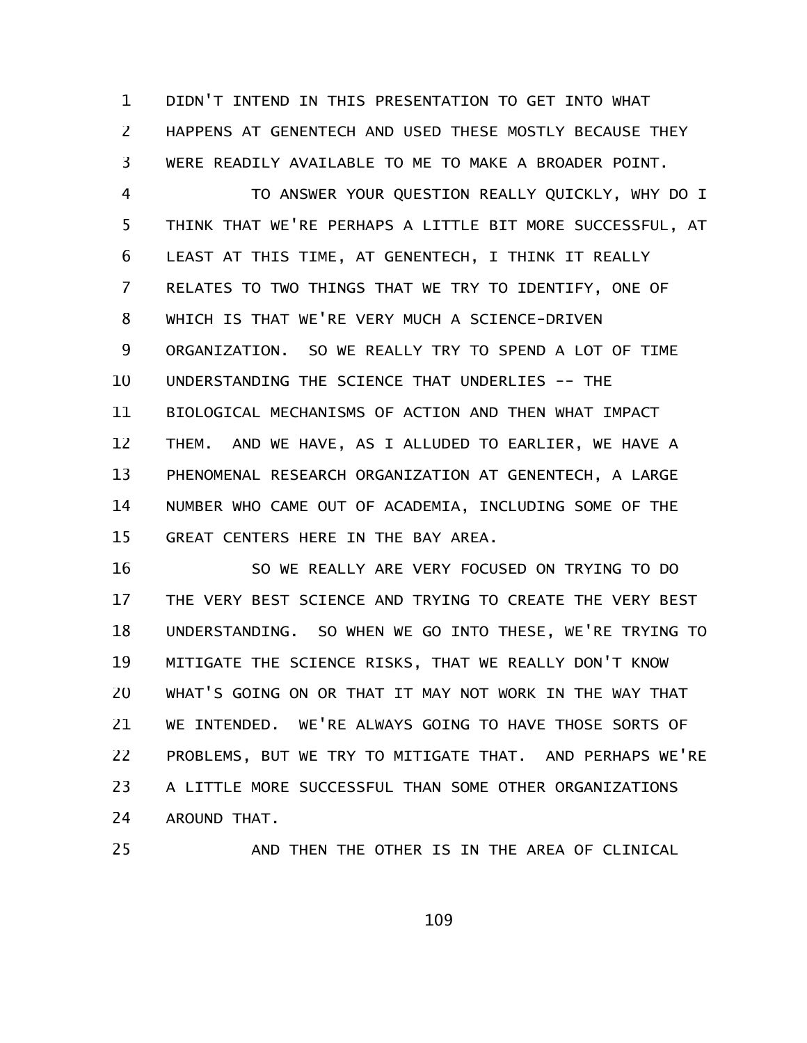DIDN'T INTEND IN THIS PRESENTATION TO GET INTO WHAT HAPPENS AT GENENTECH AND USED THESE MOSTLY BECAUSE THEY WERE READILY AVAILABLE TO ME TO MAKE A BROADER POINT. 1 2 3

TO ANSWER YOUR QUESTION REALLY QUICKLY, WHY DO I THINK THAT WE'RE PERHAPS A LITTLE BIT MORE SUCCESSFUL, AT LEAST AT THIS TIME, AT GENENTECH, I THINK IT REALLY RELATES TO TWO THINGS THAT WE TRY TO IDENTIFY, ONE OF WHICH IS THAT WE'RE VERY MUCH A SCIENCE-DRIVEN ORGANIZATION. SO WE REALLY TRY TO SPEND A LOT OF TIME UNDERSTANDING THE SCIENCE THAT UNDERLIES -- THE BIOLOGICAL MECHANISMS OF ACTION AND THEN WHAT IMPACT THEM. AND WE HAVE, AS I ALLUDED TO EARLIER, WE HAVE A PHENOMENAL RESEARCH ORGANIZATION AT GENENTECH, A LARGE NUMBER WHO CAME OUT OF ACADEMIA, INCLUDING SOME OF THE GREAT CENTERS HERE IN THE BAY AREA. 4 5 6 7 8 9 10 11 12 13 14 15

SO WE REALLY ARE VERY FOCUSED ON TRYING TO DO THE VERY BEST SCIENCE AND TRYING TO CREATE THE VERY BEST UNDERSTANDING. SO WHEN WE GO INTO THESE, WE'RE TRYING TO MITIGATE THE SCIENCE RISKS, THAT WE REALLY DON'T KNOW WHAT'S GOING ON OR THAT IT MAY NOT WORK IN THE WAY THAT WE INTENDED. WE'RE ALWAYS GOING TO HAVE THOSE SORTS OF PROBLEMS, BUT WE TRY TO MITIGATE THAT. AND PERHAPS WE'RE A LITTLE MORE SUCCESSFUL THAN SOME OTHER ORGANIZATIONS AROUND THAT. 16 17 18 19 20 21 22 23 24

25

AND THEN THE OTHER IS IN THE AREA OF CLINICAL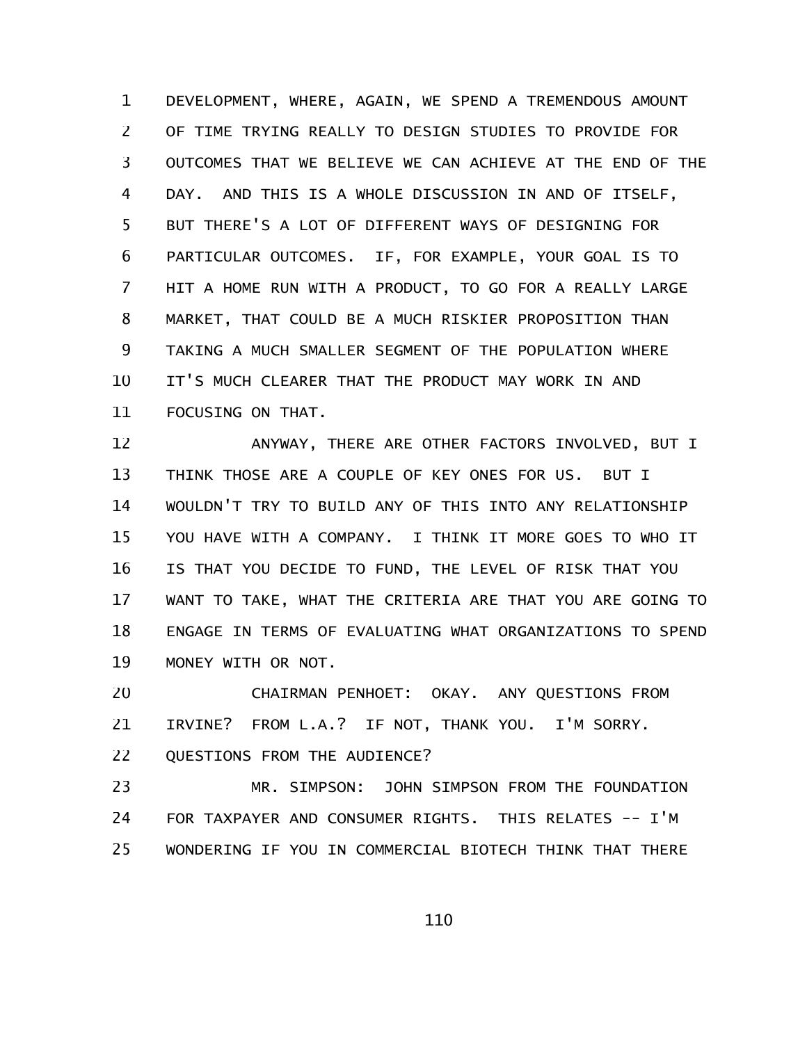DEVELOPMENT, WHERE, AGAIN, WE SPEND A TREMENDOUS AMOUNT OF TIME TRYING REALLY TO DESIGN STUDIES TO PROVIDE FOR OUTCOMES THAT WE BELIEVE WE CAN ACHIEVE AT THE END OF THE DAY. AND THIS IS A WHOLE DISCUSSION IN AND OF ITSELF, BUT THERE'S A LOT OF DIFFERENT WAYS OF DESIGNING FOR PARTICULAR OUTCOMES. IF, FOR EXAMPLE, YOUR GOAL IS TO HIT A HOME RUN WITH A PRODUCT, TO GO FOR A REALLY LARGE MARKET, THAT COULD BE A MUCH RISKIER PROPOSITION THAN TAKING A MUCH SMALLER SEGMENT OF THE POPULATION WHERE IT'S MUCH CLEARER THAT THE PRODUCT MAY WORK IN AND FOCUSING ON THAT. 1 2 3 4 5 6 7 8 9 10 11

ANYWAY, THERE ARE OTHER FACTORS INVOLVED, BUT I THINK THOSE ARE A COUPLE OF KEY ONES FOR US. BUT I WOULDN'T TRY TO BUILD ANY OF THIS INTO ANY RELATIONSHIP YOU HAVE WITH A COMPANY. I THINK IT MORE GOES TO WHO IT IS THAT YOU DECIDE TO FUND, THE LEVEL OF RISK THAT YOU WANT TO TAKE, WHAT THE CRITERIA ARE THAT YOU ARE GOING TO ENGAGE IN TERMS OF EVALUATING WHAT ORGANIZATIONS TO SPEND MONEY WITH OR NOT. 12 13 14 15 16 17 18 19

CHAIRMAN PENHOET: OKAY. ANY QUESTIONS FROM IRVINE? FROM L.A.? IF NOT, THANK YOU. I'M SORRY. 20 21

QUESTIONS FROM THE AUDIENCE? 22

MR. SIMPSON: JOHN SIMPSON FROM THE FOUNDATION FOR TAXPAYER AND CONSUMER RIGHTS. THIS RELATES -- I'M WONDERING IF YOU IN COMMERCIAL BIOTECH THINK THAT THERE 23 24 25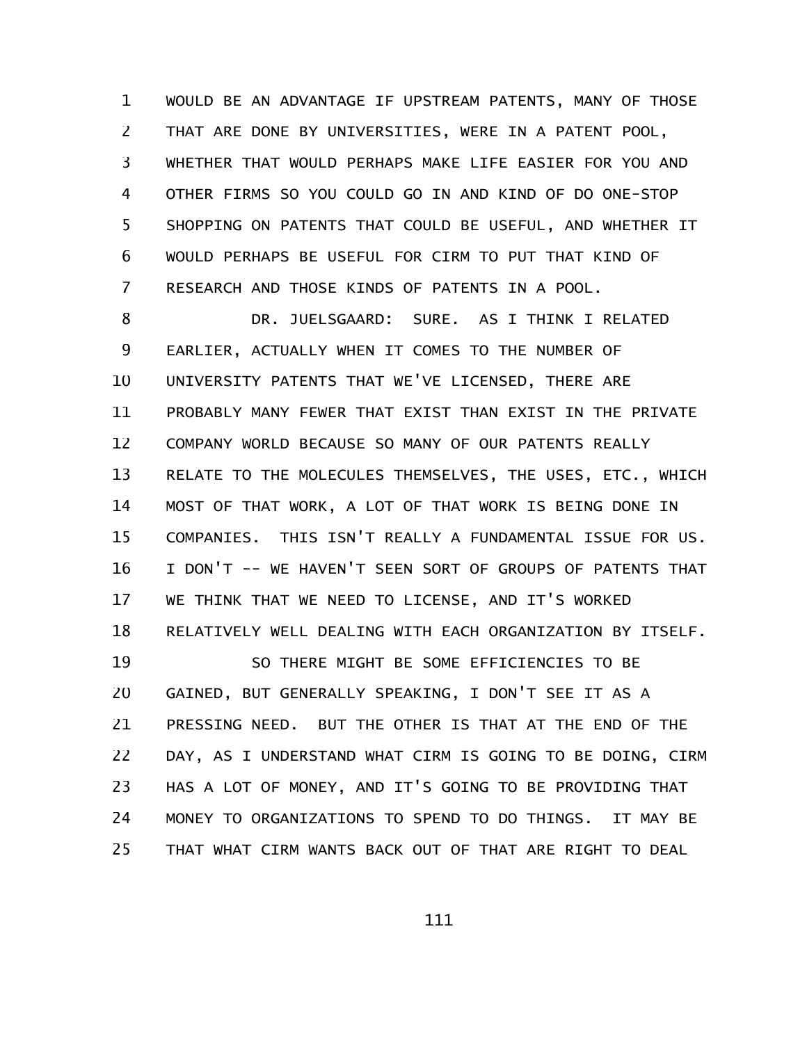WOULD BE AN ADVANTAGE IF UPSTREAM PATENTS, MANY OF THOSE THAT ARE DONE BY UNIVERSITIES, WERE IN A PATENT POOL, WHETHER THAT WOULD PERHAPS MAKE LIFE EASIER FOR YOU AND OTHER FIRMS SO YOU COULD GO IN AND KIND OF DO ONE-STOP SHOPPING ON PATENTS THAT COULD BE USEFUL, AND WHETHER IT WOULD PERHAPS BE USEFUL FOR CIRM TO PUT THAT KIND OF RESEARCH AND THOSE KINDS OF PATENTS IN A POOL. 1 2 3 4 5 6 7

DR. JUELSGAARD: SURE. AS I THINK I RELATED EARLIER, ACTUALLY WHEN IT COMES TO THE NUMBER OF UNIVERSITY PATENTS THAT WE'VE LICENSED, THERE ARE PROBABLY MANY FEWER THAT EXIST THAN EXIST IN THE PRIVATE COMPANY WORLD BECAUSE SO MANY OF OUR PATENTS REALLY RELATE TO THE MOLECULES THEMSELVES, THE USES, ETC., WHICH MOST OF THAT WORK, A LOT OF THAT WORK IS BEING DONE IN COMPANIES. THIS ISN'T REALLY A FUNDAMENTAL ISSUE FOR US. I DON'T -- WE HAVEN'T SEEN SORT OF GROUPS OF PATENTS THAT WE THINK THAT WE NEED TO LICENSE, AND IT'S WORKED RELATIVELY WELL DEALING WITH EACH ORGANIZATION BY ITSELF. SO THERE MIGHT BE SOME EFFICIENCIES TO BE GAINED, BUT GENERALLY SPEAKING, I DON'T SEE IT AS A PRESSING NEED. BUT THE OTHER IS THAT AT THE END OF THE DAY, AS I UNDERSTAND WHAT CIRM IS GOING TO BE DOING, CIRM HAS A LOT OF MONEY, AND IT'S GOING TO BE PROVIDING THAT MONEY TO ORGANIZATIONS TO SPEND TO DO THINGS. IT MAY BE THAT WHAT CIRM WANTS BACK OUT OF THAT ARE RIGHT TO DEAL 8 9 10 11 12 13 14 15 16 17 18 19 20 21 22 23 24 25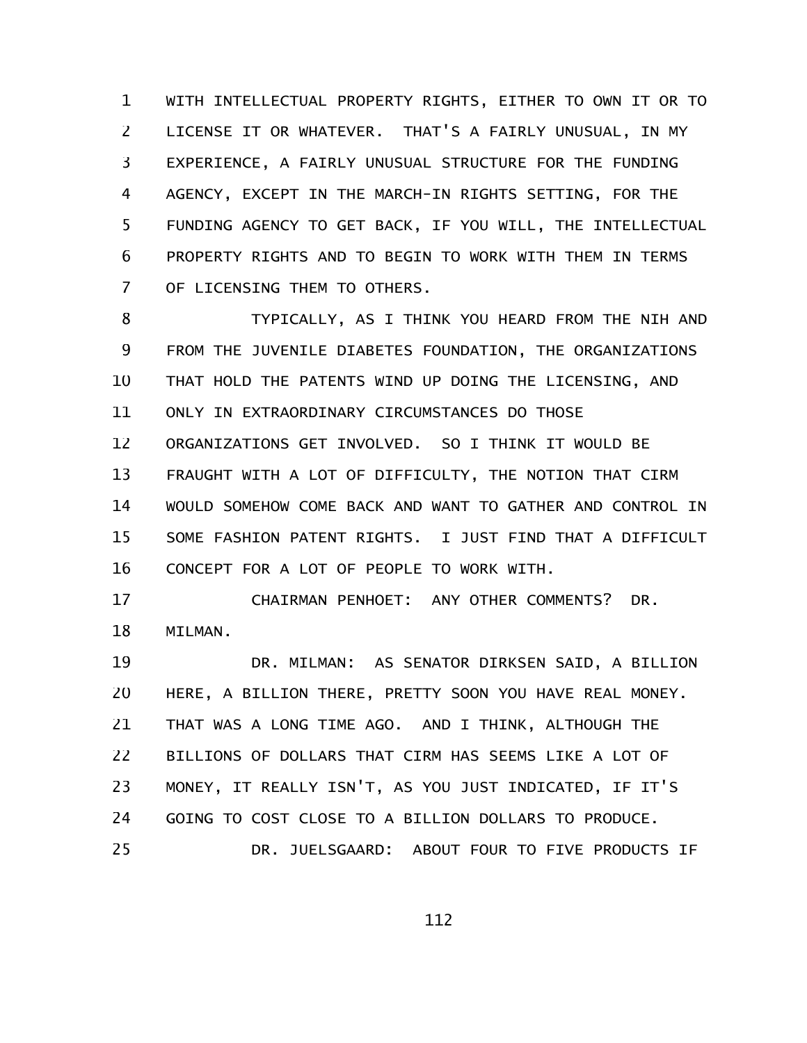WITH INTELLECTUAL PROPERTY RIGHTS, EITHER TO OWN IT OR TO LICENSE IT OR WHATEVER. THAT'S A FAIRLY UNUSUAL, IN MY EXPERIENCE, A FAIRLY UNUSUAL STRUCTURE FOR THE FUNDING AGENCY, EXCEPT IN THE MARCH-IN RIGHTS SETTING, FOR THE FUNDING AGENCY TO GET BACK, IF YOU WILL, THE INTELLECTUAL PROPERTY RIGHTS AND TO BEGIN TO WORK WITH THEM IN TERMS OF LICENSING THEM TO OTHERS. 1 2 3 4 5 6 7

TYPICALLY, AS I THINK YOU HEARD FROM THE NIH AND FROM THE JUVENILE DIABETES FOUNDATION, THE ORGANIZATIONS THAT HOLD THE PATENTS WIND UP DOING THE LICENSING, AND ONLY IN EXTRAORDINARY CIRCUMSTANCES DO THOSE ORGANIZATIONS GET INVOLVED. SO I THINK IT WOULD BE FRAUGHT WITH A LOT OF DIFFICULTY, THE NOTION THAT CIRM WOULD SOMEHOW COME BACK AND WANT TO GATHER AND CONTROL IN SOME FASHION PATENT RIGHTS. I JUST FIND THAT A DIFFICULT CONCEPT FOR A LOT OF PEOPLE TO WORK WITH. 8 9 10 11 12 13 14 15 16

CHAIRMAN PENHOET: ANY OTHER COMMENTS? DR. MILMAN. 17 18

DR. MILMAN: AS SENATOR DIRKSEN SAID, A BILLION HERE, A BILLION THERE, PRETTY SOON YOU HAVE REAL MONEY. THAT WAS A LONG TIME AGO. AND I THINK, ALTHOUGH THE BILLIONS OF DOLLARS THAT CIRM HAS SEEMS LIKE A LOT OF MONEY, IT REALLY ISN'T, AS YOU JUST INDICATED, IF IT'S GOING TO COST CLOSE TO A BILLION DOLLARS TO PRODUCE. DR. JUELSGAARD: ABOUT FOUR TO FIVE PRODUCTS IF 19 20 21 22 23 24 25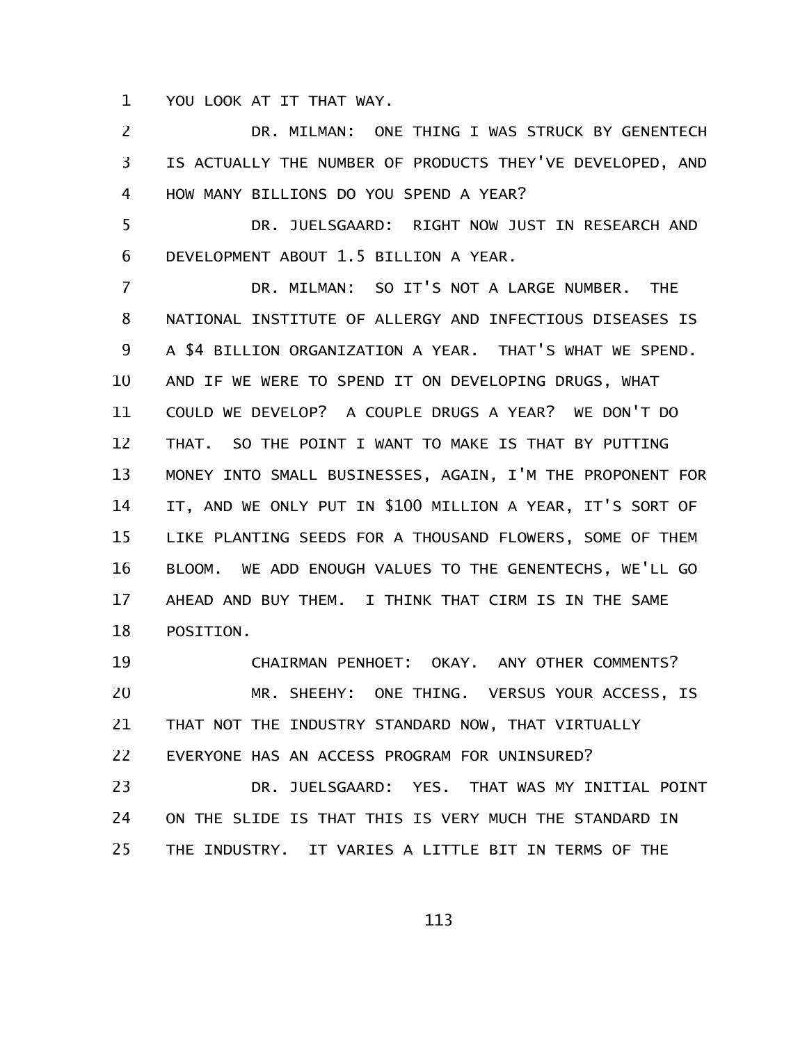YOU LOOK AT IT THAT WAY. 1

DR. MILMAN: ONE THING I WAS STRUCK BY GENENTECH IS ACTUALLY THE NUMBER OF PRODUCTS THEY'VE DEVELOPED, AND HOW MANY BILLIONS DO YOU SPEND A YEAR? 2 3 4

DR. JUELSGAARD: RIGHT NOW JUST IN RESEARCH AND DEVELOPMENT ABOUT 1.5 BILLION A YEAR. 5 6

DR. MILMAN: SO IT'S NOT A LARGE NUMBER. THE NATIONAL INSTITUTE OF ALLERGY AND INFECTIOUS DISEASES IS A \$4 BILLION ORGANIZATION A YEAR. THAT'S WHAT WE SPEND. AND IF WE WERE TO SPEND IT ON DEVELOPING DRUGS, WHAT COULD WE DEVELOP? A COUPLE DRUGS A YEAR? WE DON'T DO THAT. SO THE POINT I WANT TO MAKE IS THAT BY PUTTING MONEY INTO SMALL BUSINESSES, AGAIN, I'M THE PROPONENT FOR IT, AND WE ONLY PUT IN \$100 MILLION A YEAR, IT'S SORT OF LIKE PLANTING SEEDS FOR A THOUSAND FLOWERS, SOME OF THEM BLOOM. WE ADD ENOUGH VALUES TO THE GENENTECHS, WE'LL GO AHEAD AND BUY THEM. I THINK THAT CIRM IS IN THE SAME POSITION. 7 8 9 10 11 12 13 14 15 16 17 18

CHAIRMAN PENHOET: OKAY. ANY OTHER COMMENTS? MR. SHEEHY: ONE THING. VERSUS YOUR ACCESS, IS THAT NOT THE INDUSTRY STANDARD NOW, THAT VIRTUALLY EVERYONE HAS AN ACCESS PROGRAM FOR UNINSURED? 19 20 21 22

DR. JUELSGAARD: YES. THAT WAS MY INITIAL POINT ON THE SLIDE IS THAT THIS IS VERY MUCH THE STANDARD IN THE INDUSTRY. IT VARIES A LITTLE BIT IN TERMS OF THE 23 24 25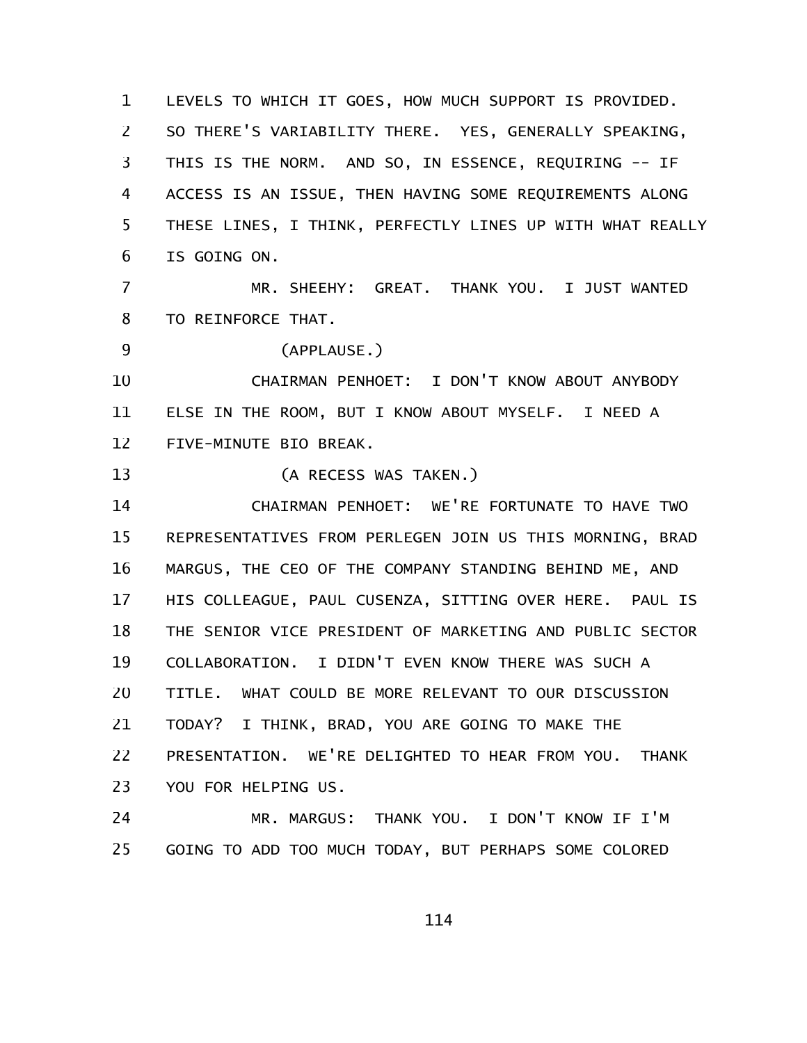LEVELS TO WHICH IT GOES, HOW MUCH SUPPORT IS PROVIDED. SO THERE'S VARIABILITY THERE. YES, GENERALLY SPEAKING, THIS IS THE NORM. AND SO, IN ESSENCE, REQUIRING -- IF ACCESS IS AN ISSUE, THEN HAVING SOME REQUIREMENTS ALONG THESE LINES, I THINK, PERFECTLY LINES UP WITH WHAT REALLY IS GOING ON. 1 2 3 4 5 6

MR. SHEEHY: GREAT. THANK YOU. I JUST WANTED TO REINFORCE THAT. 7 8

(APPLAUSE.) 9

CHAIRMAN PENHOET: I DON'T KNOW ABOUT ANYBODY ELSE IN THE ROOM, BUT I KNOW ABOUT MYSELF. I NEED A FIVE-MINUTE BIO BREAK. 10 11 12

(A RECESS WAS TAKEN.) 13

CHAIRMAN PENHOET: WE'RE FORTUNATE TO HAVE TWO REPRESENTATIVES FROM PERLEGEN JOIN US THIS MORNING, BRAD MARGUS, THE CEO OF THE COMPANY STANDING BEHIND ME, AND HIS COLLEAGUE, PAUL CUSENZA, SITTING OVER HERE. PAUL IS THE SENIOR VICE PRESIDENT OF MARKETING AND PUBLIC SECTOR COLLABORATION. I DIDN'T EVEN KNOW THERE WAS SUCH A TITLE. WHAT COULD BE MORE RELEVANT TO OUR DISCUSSION TODAY? I THINK, BRAD, YOU ARE GOING TO MAKE THE PRESENTATION. WE'RE DELIGHTED TO HEAR FROM YOU. THANK YOU FOR HELPING US. 14 15 16 17 18 19 20 21 22 23

MR. MARGUS: THANK YOU. I DON'T KNOW IF I'M GOING TO ADD TOO MUCH TODAY, BUT PERHAPS SOME COLORED 24 25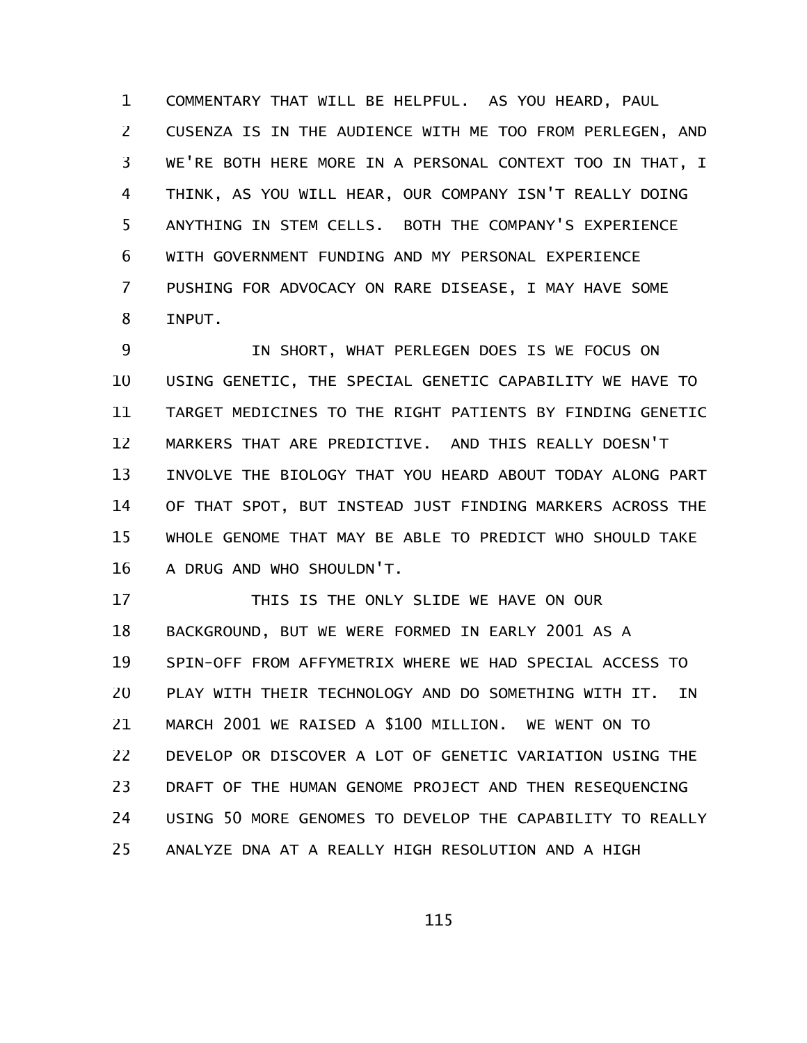COMMENTARY THAT WILL BE HELPFUL. AS YOU HEARD, PAUL CUSENZA IS IN THE AUDIENCE WITH ME TOO FROM PERLEGEN, AND WE'RE BOTH HERE MORE IN A PERSONAL CONTEXT TOO IN THAT, I THINK, AS YOU WILL HEAR, OUR COMPANY ISN'T REALLY DOING ANYTHING IN STEM CELLS. BOTH THE COMPANY'S EXPERIENCE WITH GOVERNMENT FUNDING AND MY PERSONAL EXPERIENCE PUSHING FOR ADVOCACY ON RARE DISEASE, I MAY HAVE SOME INPUT. 1 2 3 4 5 6 7 8

IN SHORT, WHAT PERLEGEN DOES IS WE FOCUS ON USING GENETIC, THE SPECIAL GENETIC CAPABILITY WE HAVE TO TARGET MEDICINES TO THE RIGHT PATIENTS BY FINDING GENETIC MARKERS THAT ARE PREDICTIVE. AND THIS REALLY DOESN'T INVOLVE THE BIOLOGY THAT YOU HEARD ABOUT TODAY ALONG PART OF THAT SPOT, BUT INSTEAD JUST FINDING MARKERS ACROSS THE WHOLE GENOME THAT MAY BE ABLE TO PREDICT WHO SHOULD TAKE A DRUG AND WHO SHOULDN'T. 9 10 11 12 13 14 15 16

THIS IS THE ONLY SLIDE WE HAVE ON OUR BACKGROUND, BUT WE WERE FORMED IN EARLY 2001 AS A SPIN-OFF FROM AFFYMETRIX WHERE WE HAD SPECIAL ACCESS TO PLAY WITH THEIR TECHNOLOGY AND DO SOMETHING WITH IT. IN MARCH 2001 WE RAISED A \$100 MILLION. WE WENT ON TO DEVELOP OR DISCOVER A LOT OF GENETIC VARIATION USING THE DRAFT OF THE HUMAN GENOME PROJECT AND THEN RESEQUENCING USING 50 MORE GENOMES TO DEVELOP THE CAPABILITY TO REALLY ANALYZE DNA AT A REALLY HIGH RESOLUTION AND A HIGH 17 18 19 20 21 22 23 24 25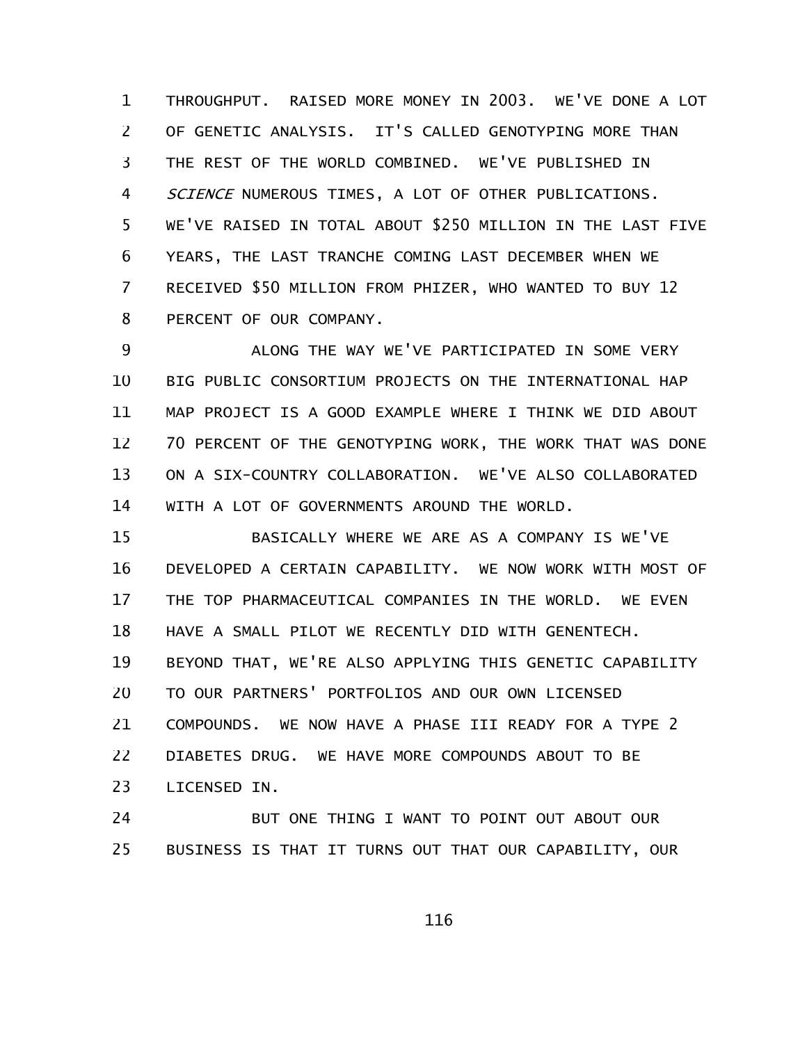THROUGHPUT. RAISED MORE MONEY IN 2003. WE'VE DONE A LOT OF GENETIC ANALYSIS. IT'S CALLED GENOTYPING MORE THAN THE REST OF THE WORLD COMBINED. WE'VE PUBLISHED IN SCIENCE NUMEROUS TIMES, A LOT OF OTHER PUBLICATIONS. WE'VE RAISED IN TOTAL ABOUT \$250 MILLION IN THE LAST FIVE YEARS, THE LAST TRANCHE COMING LAST DECEMBER WHEN WE RECEIVED \$50 MILLION FROM PHIZER, WHO WANTED TO BUY 12 PERCENT OF OUR COMPANY. 1 2 3 4 5 6 7 8

ALONG THE WAY WE'VE PARTICIPATED IN SOME VERY BIG PUBLIC CONSORTIUM PROJECTS ON THE INTERNATIONAL HAP MAP PROJECT IS A GOOD EXAMPLE WHERE I THINK WE DID ABOUT 70 PERCENT OF THE GENOTYPING WORK, THE WORK THAT WAS DONE ON A SIX-COUNTRY COLLABORATION. WE'VE ALSO COLLABORATED WITH A LOT OF GOVERNMENTS AROUND THE WORLD. 9 10 11 12 13 14

BASICALLY WHERE WE ARE AS A COMPANY IS WE'VE DEVELOPED A CERTAIN CAPABILITY. WE NOW WORK WITH MOST OF THE TOP PHARMACEUTICAL COMPANIES IN THE WORLD. WE EVEN HAVE A SMALL PILOT WE RECENTLY DID WITH GENENTECH. BEYOND THAT, WE'RE ALSO APPLYING THIS GENETIC CAPABILITY TO OUR PARTNERS' PORTFOLIOS AND OUR OWN LICENSED COMPOUNDS. WE NOW HAVE A PHASE III READY FOR A TYPE 2 DIABETES DRUG. WE HAVE MORE COMPOUNDS ABOUT TO BE LICENSED IN. 15 16 17 18 19 20 21 22 23

BUT ONE THING I WANT TO POINT OUT ABOUT OUR BUSINESS IS THAT IT TURNS OUT THAT OUR CAPABILITY, OUR 24 25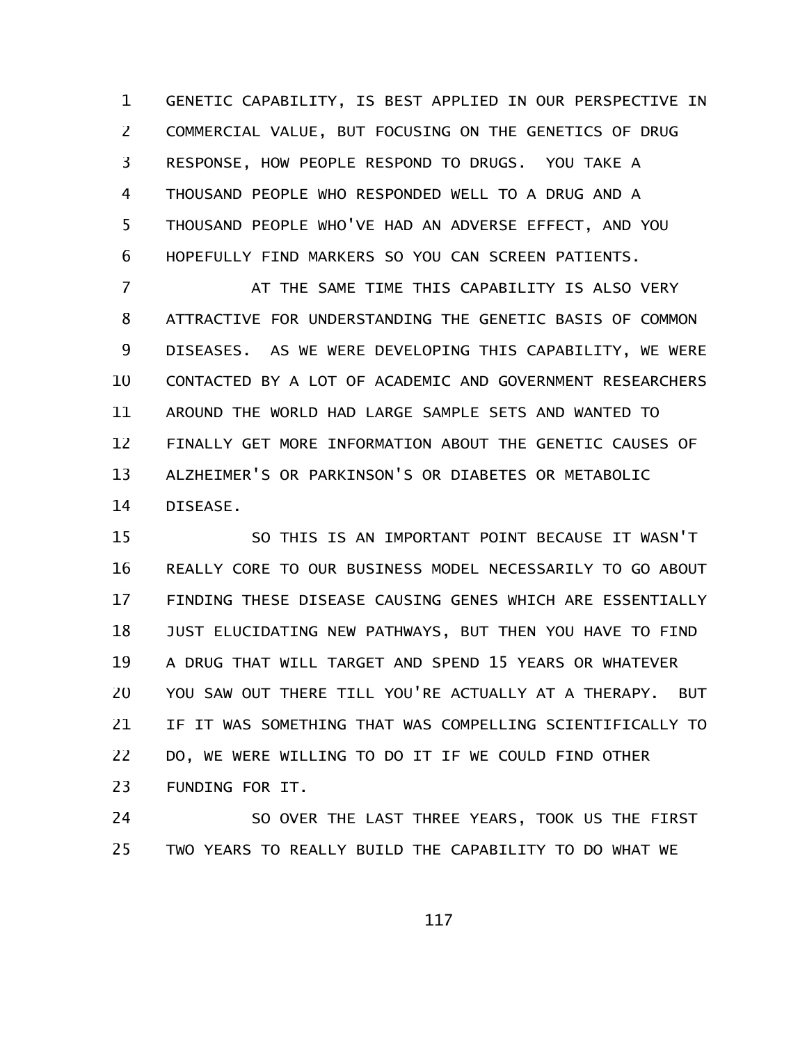GENETIC CAPABILITY, IS BEST APPLIED IN OUR PERSPECTIVE IN COMMERCIAL VALUE, BUT FOCUSING ON THE GENETICS OF DRUG RESPONSE, HOW PEOPLE RESPOND TO DRUGS. YOU TAKE A THOUSAND PEOPLE WHO RESPONDED WELL TO A DRUG AND A THOUSAND PEOPLE WHO'VE HAD AN ADVERSE EFFECT, AND YOU HOPEFULLY FIND MARKERS SO YOU CAN SCREEN PATIENTS. 1 2 3 4 5 6

AT THE SAME TIME THIS CAPABILITY IS ALSO VERY ATTRACTIVE FOR UNDERSTANDING THE GENETIC BASIS OF COMMON DISEASES. AS WE WERE DEVELOPING THIS CAPABILITY, WE WERE CONTACTED BY A LOT OF ACADEMIC AND GOVERNMENT RESEARCHERS AROUND THE WORLD HAD LARGE SAMPLE SETS AND WANTED TO FINALLY GET MORE INFORMATION ABOUT THE GENETIC CAUSES OF ALZHEIMER'S OR PARKINSON'S OR DIABETES OR METABOLIC DISEASE. 7 8 9 10 11 12 13 14

SO THIS IS AN IMPORTANT POINT BECAUSE IT WASN'T REALLY CORE TO OUR BUSINESS MODEL NECESSARILY TO GO ABOUT FINDING THESE DISEASE CAUSING GENES WHICH ARE ESSENTIALLY JUST ELUCIDATING NEW PATHWAYS, BUT THEN YOU HAVE TO FIND A DRUG THAT WILL TARGET AND SPEND 15 YEARS OR WHATEVER YOU SAW OUT THERE TILL YOU'RE ACTUALLY AT A THERAPY. BUT IF IT WAS SOMETHING THAT WAS COMPELLING SCIENTIFICALLY TO DO, WE WERE WILLING TO DO IT IF WE COULD FIND OTHER FUNDING FOR IT. 15 16 17 18 19 20 21 22 23

SO OVER THE LAST THREE YEARS, TOOK US THE FIRST TWO YEARS TO REALLY BUILD THE CAPABILITY TO DO WHAT WE 24 25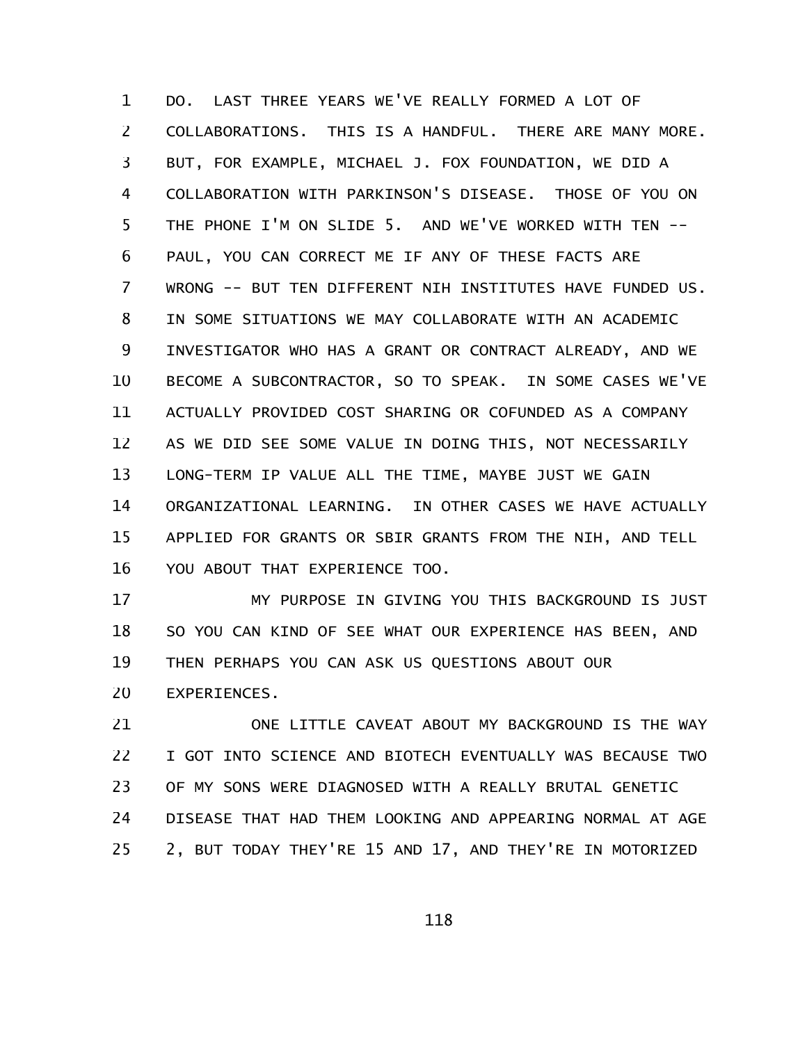DO. LAST THREE YEARS WE'VE REALLY FORMED A LOT OF COLLABORATIONS. THIS IS A HANDFUL. THERE ARE MANY MORE. BUT, FOR EXAMPLE, MICHAEL J. FOX FOUNDATION, WE DID A COLLABORATION WITH PARKINSON'S DISEASE. THOSE OF YOU ON THE PHONE I'M ON SLIDE 5. AND WE'VE WORKED WITH TEN -- PAUL, YOU CAN CORRECT ME IF ANY OF THESE FACTS ARE WRONG -- BUT TEN DIFFERENT NIH INSTITUTES HAVE FUNDED US. IN SOME SITUATIONS WE MAY COLLABORATE WITH AN ACADEMIC INVESTIGATOR WHO HAS A GRANT OR CONTRACT ALREADY, AND WE BECOME A SUBCONTRACTOR, SO TO SPEAK. IN SOME CASES WE'VE ACTUALLY PROVIDED COST SHARING OR COFUNDED AS A COMPANY AS WE DID SEE SOME VALUE IN DOING THIS, NOT NECESSARILY LONG-TERM IP VALUE ALL THE TIME, MAYBE JUST WE GAIN ORGANIZATIONAL LEARNING. IN OTHER CASES WE HAVE ACTUALLY APPLIED FOR GRANTS OR SBIR GRANTS FROM THE NIH, AND TELL YOU ABOUT THAT EXPERIENCE TOO. 1 2 3 4 5 6 7 8 9 10 11 12 13 14 15 16

MY PURPOSE IN GIVING YOU THIS BACKGROUND IS JUST SO YOU CAN KIND OF SEE WHAT OUR EXPERIENCE HAS BEEN, AND THEN PERHAPS YOU CAN ASK US QUESTIONS ABOUT OUR EXPERIENCES. 17 18 19 20

ONE LITTLE CAVEAT ABOUT MY BACKGROUND IS THE WAY I GOT INTO SCIENCE AND BIOTECH EVENTUALLY WAS BECAUSE TWO OF MY SONS WERE DIAGNOSED WITH A REALLY BRUTAL GENETIC DISEASE THAT HAD THEM LOOKING AND APPEARING NORMAL AT AGE 2, BUT TODAY THEY'RE 15 AND 17, AND THEY'RE IN MOTORIZED 21 22 23 24 25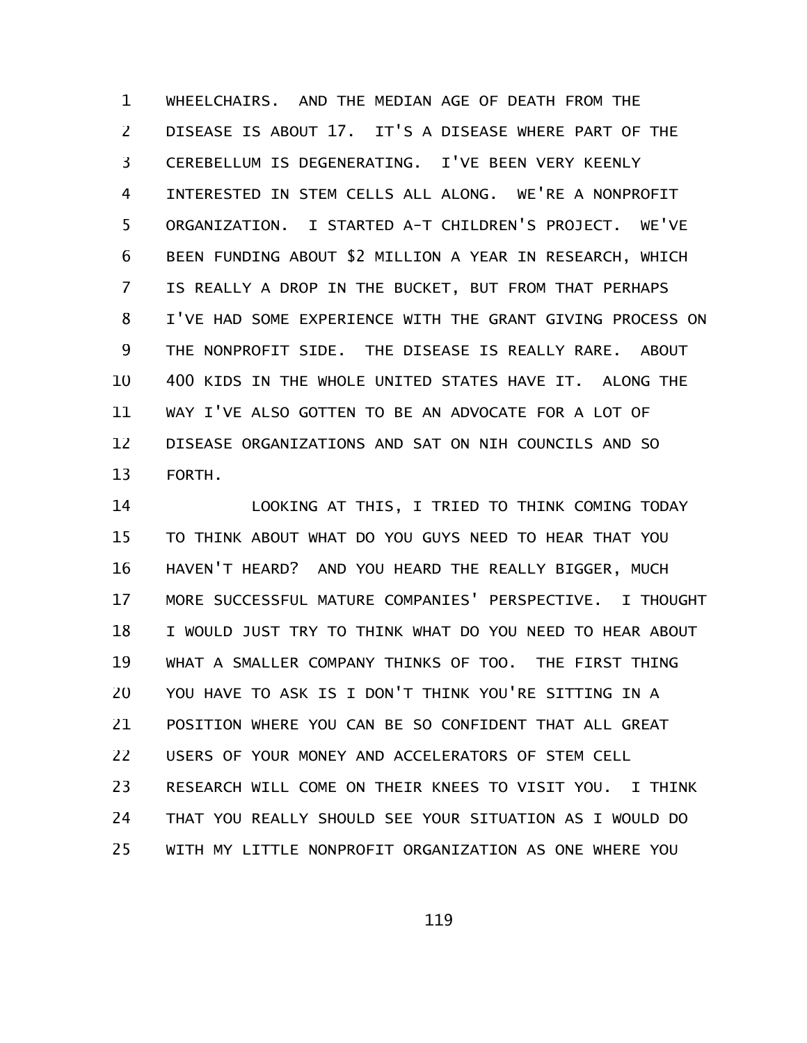WHEELCHAIRS. AND THE MEDIAN AGE OF DEATH FROM THE DISEASE IS ABOUT 17. IT'S A DISEASE WHERE PART OF THE CEREBELLUM IS DEGENERATING. I'VE BEEN VERY KEENLY INTERESTED IN STEM CELLS ALL ALONG. WE'RE A NONPROFIT ORGANIZATION. I STARTED A-T CHILDREN'S PROJECT. WE'VE BEEN FUNDING ABOUT \$2 MILLION A YEAR IN RESEARCH, WHICH IS REALLY A DROP IN THE BUCKET, BUT FROM THAT PERHAPS I'VE HAD SOME EXPERIENCE WITH THE GRANT GIVING PROCESS ON THE NONPROFIT SIDE. THE DISEASE IS REALLY RARE. ABOUT 400 KIDS IN THE WHOLE UNITED STATES HAVE IT. ALONG THE WAY I'VE ALSO GOTTEN TO BE AN ADVOCATE FOR A LOT OF DISEASE ORGANIZATIONS AND SAT ON NIH COUNCILS AND SO FORTH. 1 2 3 4 5 6 7 8 9 10 11 12 13

LOOKING AT THIS, I TRIED TO THINK COMING TODAY TO THINK ABOUT WHAT DO YOU GUYS NEED TO HEAR THAT YOU HAVEN'T HEARD? AND YOU HEARD THE REALLY BIGGER, MUCH MORE SUCCESSFUL MATURE COMPANIES' PERSPECTIVE. I THOUGHT I WOULD JUST TRY TO THINK WHAT DO YOU NEED TO HEAR ABOUT WHAT A SMALLER COMPANY THINKS OF TOO. THE FIRST THING YOU HAVE TO ASK IS I DON'T THINK YOU'RE SITTING IN A POSITION WHERE YOU CAN BE SO CONFIDENT THAT ALL GREAT USERS OF YOUR MONEY AND ACCELERATORS OF STEM CELL RESEARCH WILL COME ON THEIR KNEES TO VISIT YOU. I THINK THAT YOU REALLY SHOULD SEE YOUR SITUATION AS I WOULD DO WITH MY LITTLE NONPROFIT ORGANIZATION AS ONE WHERE YOU 14 15 16 17 18 19 20 21 22 23 24 25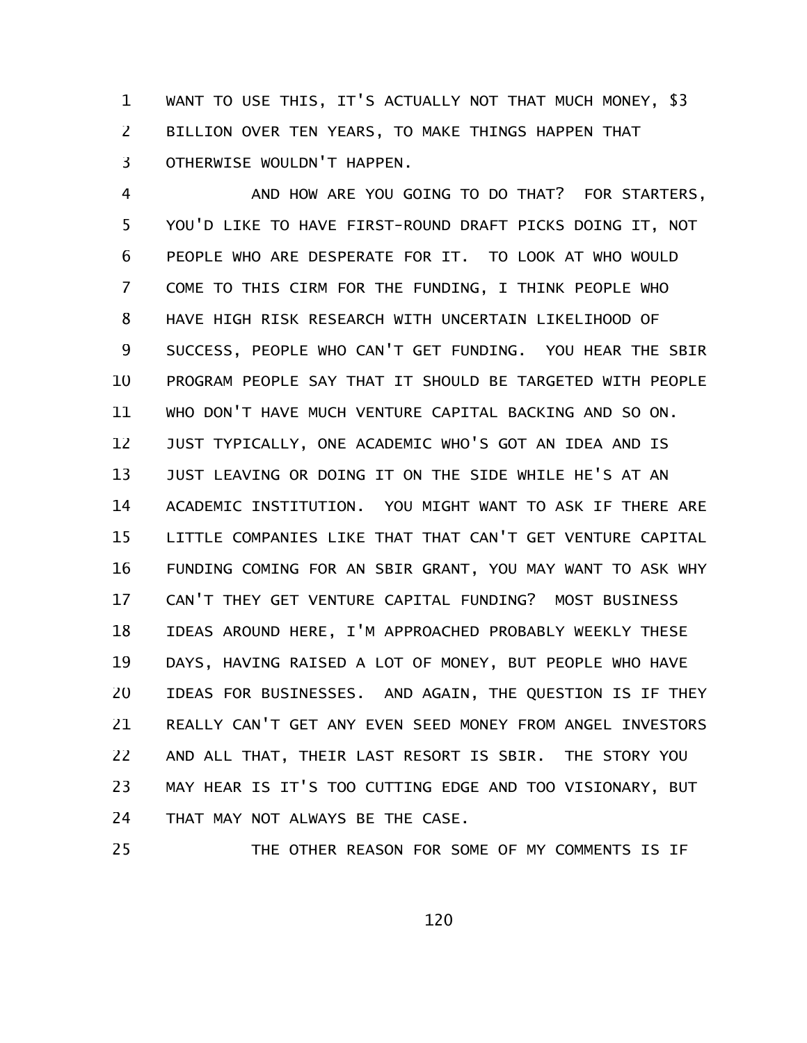WANT TO USE THIS, IT'S ACTUALLY NOT THAT MUCH MONEY, \$3 BILLION OVER TEN YEARS, TO MAKE THINGS HAPPEN THAT OTHERWISE WOULDN'T HAPPEN. 1 2 3

AND HOW ARE YOU GOING TO DO THAT? FOR STARTERS, YOU'D LIKE TO HAVE FIRST-ROUND DRAFT PICKS DOING IT, NOT PEOPLE WHO ARE DESPERATE FOR IT. TO LOOK AT WHO WOULD COME TO THIS CIRM FOR THE FUNDING, I THINK PEOPLE WHO HAVE HIGH RISK RESEARCH WITH UNCERTAIN LIKELIHOOD OF SUCCESS, PEOPLE WHO CAN'T GET FUNDING. YOU HEAR THE SBIR PROGRAM PEOPLE SAY THAT IT SHOULD BE TARGETED WITH PEOPLE WHO DON'T HAVE MUCH VENTURE CAPITAL BACKING AND SO ON. JUST TYPICALLY, ONE ACADEMIC WHO'S GOT AN IDEA AND IS JUST LEAVING OR DOING IT ON THE SIDE WHILE HE'S AT AN ACADEMIC INSTITUTION. YOU MIGHT WANT TO ASK IF THERE ARE LITTLE COMPANIES LIKE THAT THAT CAN'T GET VENTURE CAPITAL FUNDING COMING FOR AN SBIR GRANT, YOU MAY WANT TO ASK WHY CAN'T THEY GET VENTURE CAPITAL FUNDING? MOST BUSINESS IDEAS AROUND HERE, I'M APPROACHED PROBABLY WEEKLY THESE DAYS, HAVING RAISED A LOT OF MONEY, BUT PEOPLE WHO HAVE IDEAS FOR BUSINESSES. AND AGAIN, THE QUESTION IS IF THEY REALLY CAN'T GET ANY EVEN SEED MONEY FROM ANGEL INVESTORS AND ALL THAT, THEIR LAST RESORT IS SBIR. THE STORY YOU MAY HEAR IS IT'S TOO CUTTING EDGE AND TOO VISIONARY, BUT THAT MAY NOT ALWAYS BE THE CASE. 4 5 6 7 8 9 10 11 12 13 14 15 16 17 18 19 20 21 22 23 24

THE OTHER REASON FOR SOME OF MY COMMENTS IS IF 25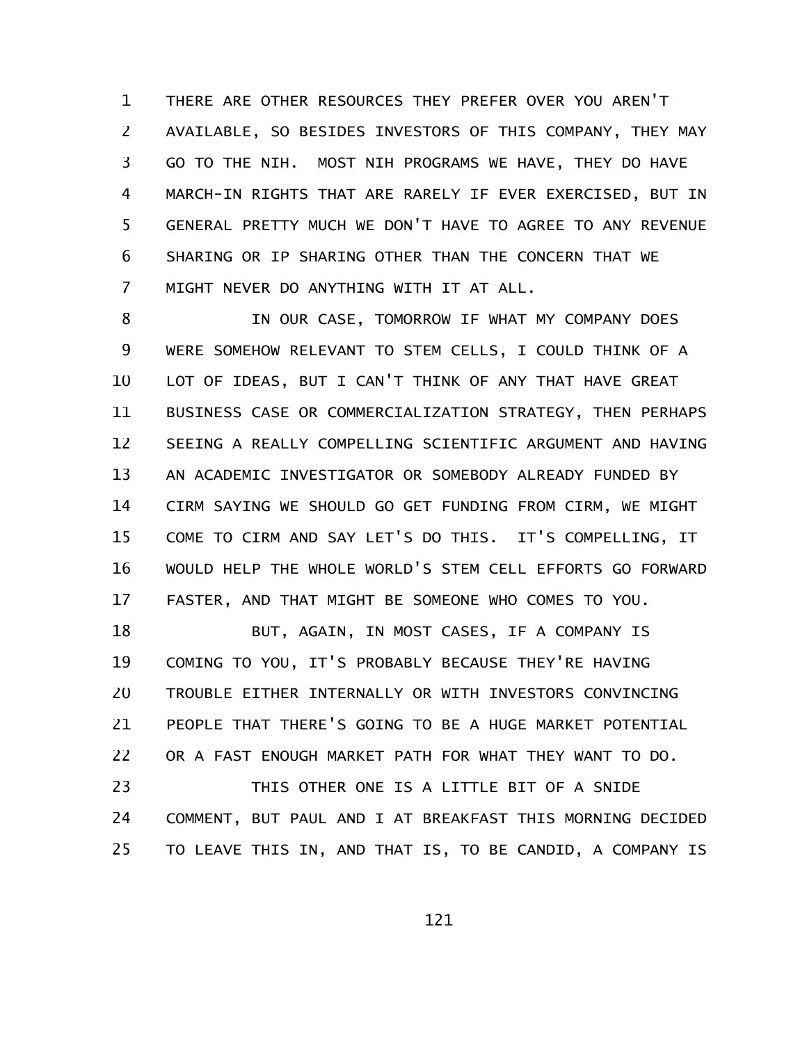THERE ARE OTHER RESOURCES THEY PREFER OVER YOU AREN'T AVAILABLE, SO BESIDES INVESTORS OF THIS COMPANY, THEY MAY GO TO THE NIH. MOST NIH PROGRAMS WE HAVE, THEY DO HAVE MARCH-IN RIGHTS THAT ARE RARELY IF EVER EXERCISED, BUT IN GENERAL PRETTY MUCH WE DON'T HAVE TO AGREE TO ANY REVENUE SHARING OR IP SHARING OTHER THAN THE CONCERN THAT WE MIGHT NEVER DO ANYTHING WITH IT AT ALL. 1 2 3 4 5 6 7

IN OUR CASE, TOMORROW IF WHAT MY COMPANY DOES WERE SOMEHOW RELEVANT TO STEM CELLS, I COULD THINK OF A LOT OF IDEAS, BUT I CAN'T THINK OF ANY THAT HAVE GREAT BUSINESS CASE OR COMMERCIALIZATION STRATEGY, THEN PERHAPS SEEING A REALLY COMPELLING SCIENTIFIC ARGUMENT AND HAVING AN ACADEMIC INVESTIGATOR OR SOMEBODY ALREADY FUNDED BY CIRM SAYING WE SHOULD GO GET FUNDING FROM CIRM, WE MIGHT COME TO CIRM AND SAY LET'S DO THIS. IT'S COMPELLING, IT WOULD HELP THE WHOLE WORLD'S STEM CELL EFFORTS GO FORWARD FASTER, AND THAT MIGHT BE SOMEONE WHO COMES TO YOU. 8 9 10 11 12 13 14 15 16 17

BUT, AGAIN, IN MOST CASES, IF A COMPANY IS COMING TO YOU, IT'S PROBABLY BECAUSE THEY'RE HAVING TROUBLE EITHER INTERNALLY OR WITH INVESTORS CONVINCING PEOPLE THAT THERE'S GOING TO BE A HUGE MARKET POTENTIAL OR A FAST ENOUGH MARKET PATH FOR WHAT THEY WANT TO DO. 18 19 20 21 22

THIS OTHER ONE IS A LITTLE BIT OF A SNIDE COMMENT, BUT PAUL AND I AT BREAKFAST THIS MORNING DECIDED TO LEAVE THIS IN, AND THAT IS, TO BE CANDID, A COMPANY IS 23 24 25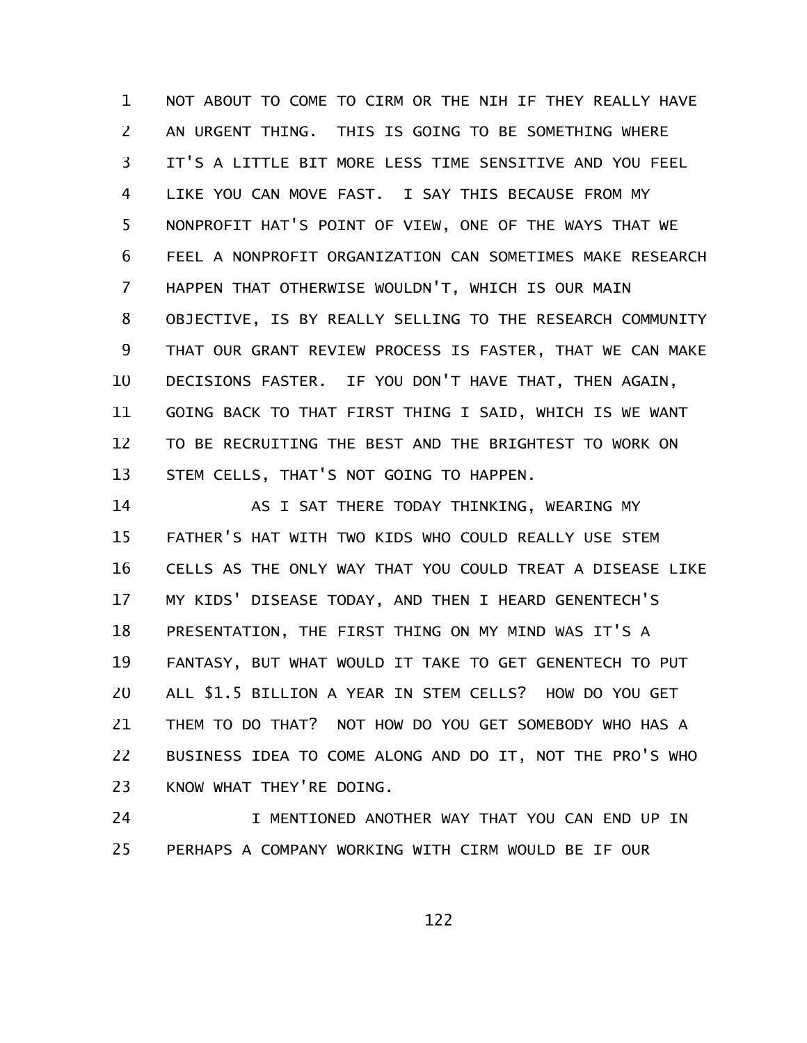NOT ABOUT TO COME TO CIRM OR THE NIH IF THEY REALLY HAVE AN URGENT THING. THIS IS GOING TO BE SOMETHING WHERE IT'S A LITTLE BIT MORE LESS TIME SENSITIVE AND YOU FEEL LIKE YOU CAN MOVE FAST. I SAY THIS BECAUSE FROM MY NONPROFIT HAT'S POINT OF VIEW, ONE OF THE WAYS THAT WE FEEL A NONPROFIT ORGANIZATION CAN SOMETIMES MAKE RESEARCH HAPPEN THAT OTHERWISE WOULDN'T, WHICH IS OUR MAIN OBJECTIVE, IS BY REALLY SELLING TO THE RESEARCH COMMUNITY THAT OUR GRANT REVIEW PROCESS IS FASTER, THAT WE CAN MAKE DECISIONS FASTER. IF YOU DON'T HAVE THAT, THEN AGAIN, GOING BACK TO THAT FIRST THING I SAID, WHICH IS WE WANT TO BE RECRUITING THE BEST AND THE BRIGHTEST TO WORK ON STEM CELLS, THAT'S NOT GOING TO HAPPEN. 1 2 3 4 5 6 7 8 9 10 11 12 13

AS I SAT THERE TODAY THINKING, WEARING MY FATHER'S HAT WITH TWO KIDS WHO COULD REALLY USE STEM CELLS AS THE ONLY WAY THAT YOU COULD TREAT A DISEASE LIKE MY KIDS' DISEASE TODAY, AND THEN I HEARD GENENTECH'S PRESENTATION, THE FIRST THING ON MY MIND WAS IT'S A FANTASY, BUT WHAT WOULD IT TAKE TO GET GENENTECH TO PUT ALL \$1.5 BILLION A YEAR IN STEM CELLS? HOW DO YOU GET THEM TO DO THAT? NOT HOW DO YOU GET SOMEBODY WHO HAS A BUSINESS IDEA TO COME ALONG AND DO IT, NOT THE PRO'S WHO KNOW WHAT THEY'RE DOING. 14 15 16 17 18 19 20 21 22 23

I MENTIONED ANOTHER WAY THAT YOU CAN END UP IN PERHAPS A COMPANY WORKING WITH CIRM WOULD BE IF OUR 24 25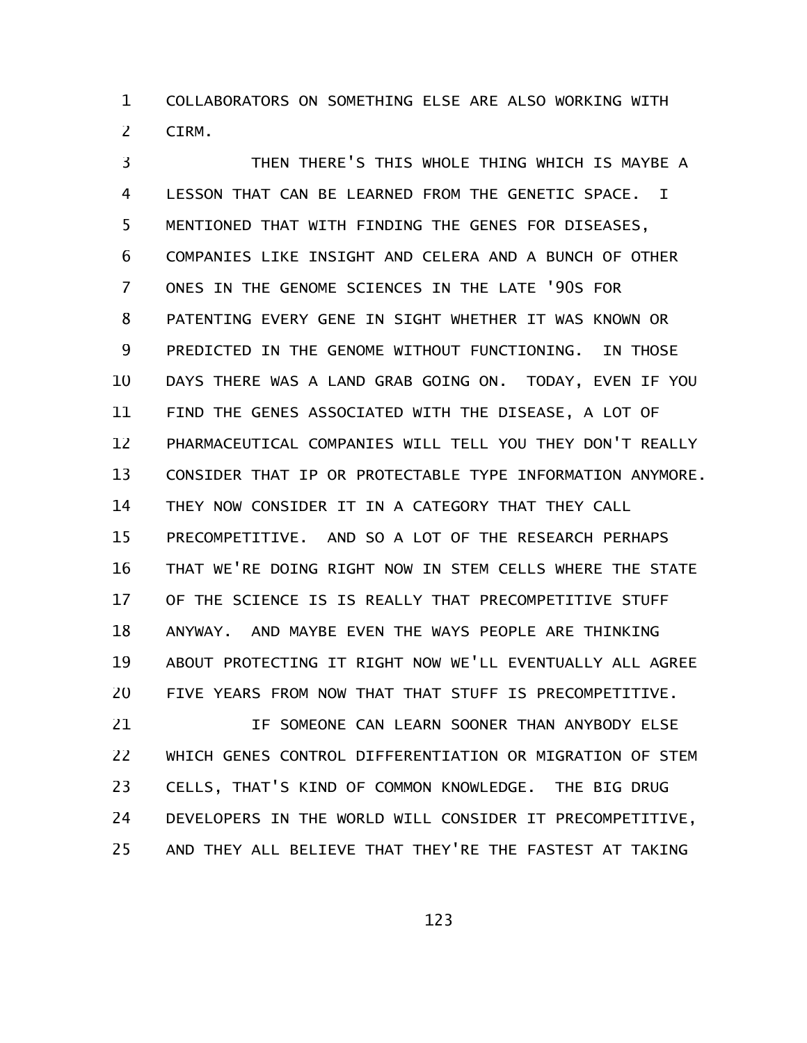COLLABORATORS ON SOMETHING ELSE ARE ALSO WORKING WITH CIRM. 1 2

THEN THERE'S THIS WHOLE THING WHICH IS MAYBE A LESSON THAT CAN BE LEARNED FROM THE GENETIC SPACE. I MENTIONED THAT WITH FINDING THE GENES FOR DISEASES, COMPANIES LIKE INSIGHT AND CELERA AND A BUNCH OF OTHER ONES IN THE GENOME SCIENCES IN THE LATE '90S FOR PATENTING EVERY GENE IN SIGHT WHETHER IT WAS KNOWN OR PREDICTED IN THE GENOME WITHOUT FUNCTIONING. IN THOSE DAYS THERE WAS A LAND GRAB GOING ON. TODAY, EVEN IF YOU FIND THE GENES ASSOCIATED WITH THE DISEASE, A LOT OF PHARMACEUTICAL COMPANIES WILL TELL YOU THEY DON'T REALLY CONSIDER THAT IP OR PROTECTABLE TYPE INFORMATION ANYMORE. THEY NOW CONSIDER IT IN A CATEGORY THAT THEY CALL PRECOMPETITIVE. AND SO A LOT OF THE RESEARCH PERHAPS THAT WE'RE DOING RIGHT NOW IN STEM CELLS WHERE THE STATE OF THE SCIENCE IS IS REALLY THAT PRECOMPETITIVE STUFF ANYWAY. AND MAYBE EVEN THE WAYS PEOPLE ARE THINKING ABOUT PROTECTING IT RIGHT NOW WE'LL EVENTUALLY ALL AGREE FIVE YEARS FROM NOW THAT THAT STUFF IS PRECOMPETITIVE. 3 4 5 6 7 8 9 10 11 12 13 14 15 16 17 18 19 20

IF SOMEONE CAN LEARN SOONER THAN ANYBODY ELSE WHICH GENES CONTROL DIFFERENTIATION OR MIGRATION OF STEM CELLS, THAT'S KIND OF COMMON KNOWLEDGE. THE BIG DRUG DEVELOPERS IN THE WORLD WILL CONSIDER IT PRECOMPETITIVE, AND THEY ALL BELIEVE THAT THEY'RE THE FASTEST AT TAKING 21 22 23 24 25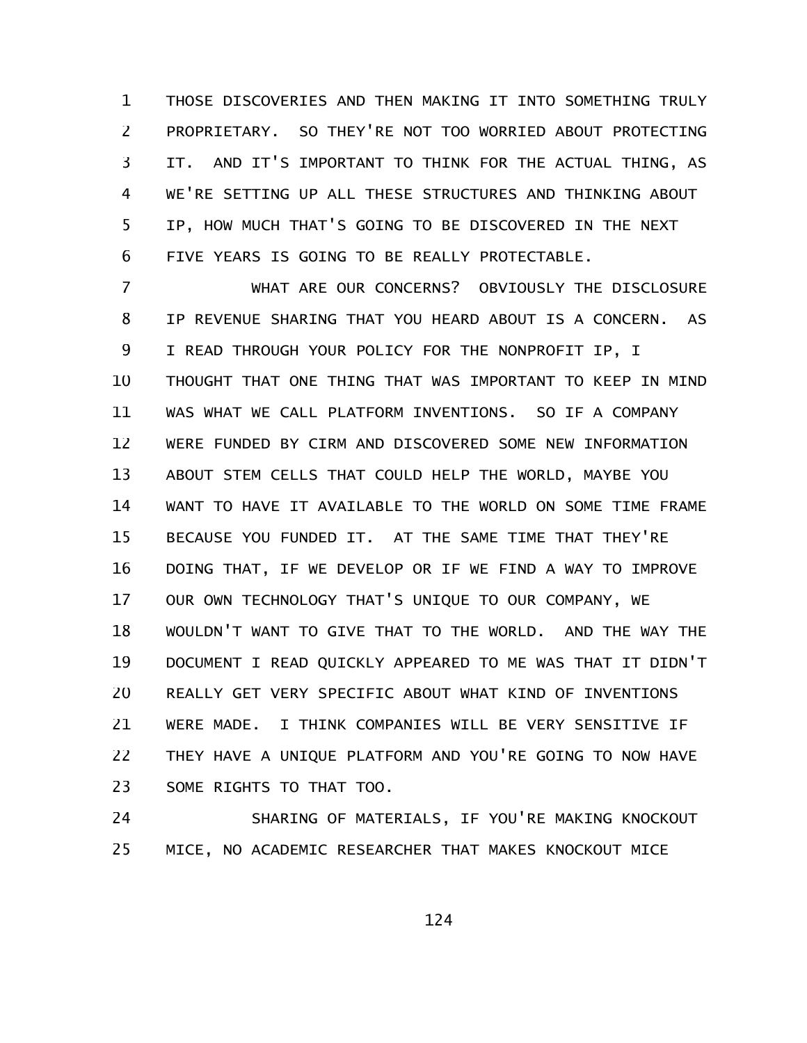THOSE DISCOVERIES AND THEN MAKING IT INTO SOMETHING TRULY PROPRIETARY. SO THEY'RE NOT TOO WORRIED ABOUT PROTECTING IT. AND IT'S IMPORTANT TO THINK FOR THE ACTUAL THING, AS WE'RE SETTING UP ALL THESE STRUCTURES AND THINKING ABOUT IP, HOW MUCH THAT'S GOING TO BE DISCOVERED IN THE NEXT FIVE YEARS IS GOING TO BE REALLY PROTECTABLE. 1 2 3 4 5 6

WHAT ARE OUR CONCERNS? OBVIOUSLY THE DISCLOSURE IP REVENUE SHARING THAT YOU HEARD ABOUT IS A CONCERN. AS I READ THROUGH YOUR POLICY FOR THE NONPROFIT IP, I THOUGHT THAT ONE THING THAT WAS IMPORTANT TO KEEP IN MIND WAS WHAT WE CALL PLATFORM INVENTIONS. SO IF A COMPANY WERE FUNDED BY CIRM AND DISCOVERED SOME NEW INFORMATION ABOUT STEM CELLS THAT COULD HELP THE WORLD, MAYBE YOU WANT TO HAVE IT AVAILABLE TO THE WORLD ON SOME TIME FRAME BECAUSE YOU FUNDED IT. AT THE SAME TIME THAT THEY'RE DOING THAT, IF WE DEVELOP OR IF WE FIND A WAY TO IMPROVE OUR OWN TECHNOLOGY THAT'S UNIQUE TO OUR COMPANY, WE WOULDN'T WANT TO GIVE THAT TO THE WORLD. AND THE WAY THE DOCUMENT I READ QUICKLY APPEARED TO ME WAS THAT IT DIDN'T REALLY GET VERY SPECIFIC ABOUT WHAT KIND OF INVENTIONS WERE MADE. I THINK COMPANIES WILL BE VERY SENSITIVE IF THEY HAVE A UNIQUE PLATFORM AND YOU'RE GOING TO NOW HAVE SOME RIGHTS TO THAT TOO. 7 8 9 10 11 12 13 14 15 16 17 18 19 20 21 22 23

SHARING OF MATERIALS, IF YOU'RE MAKING KNOCKOUT MICE, NO ACADEMIC RESEARCHER THAT MAKES KNOCKOUT MICE 24 25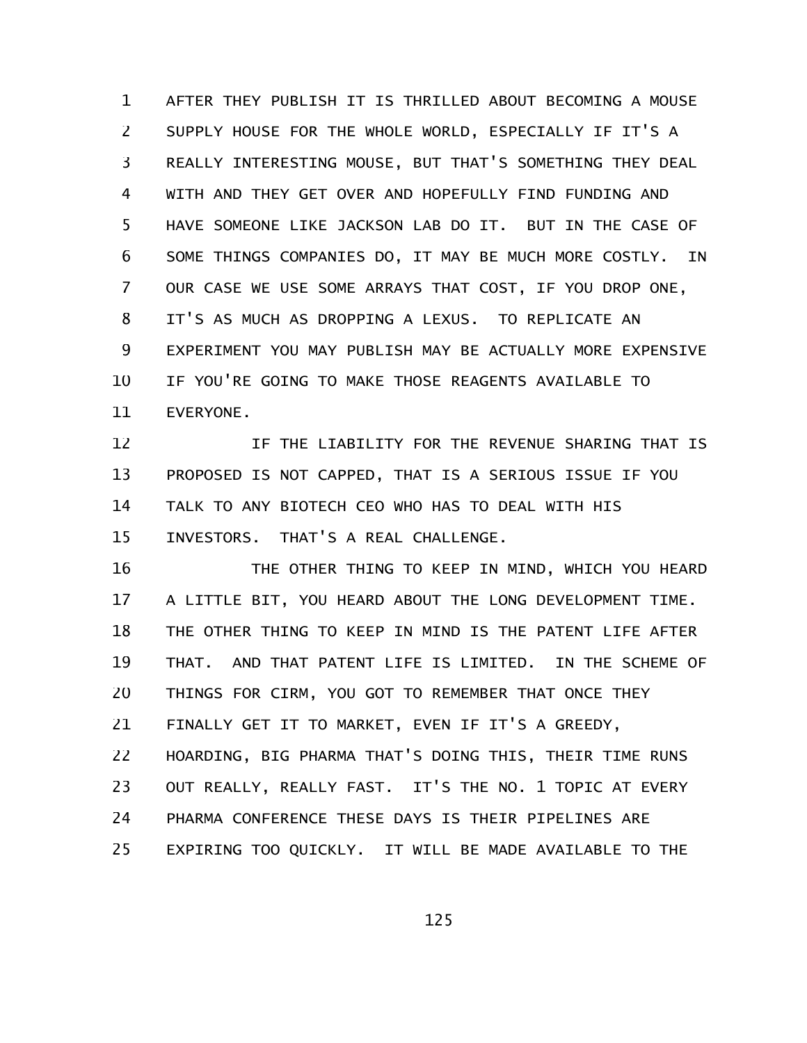AFTER THEY PUBLISH IT IS THRILLED ABOUT BECOMING A MOUSE SUPPLY HOUSE FOR THE WHOLE WORLD, ESPECIALLY IF IT'S A REALLY INTERESTING MOUSE, BUT THAT'S SOMETHING THEY DEAL WITH AND THEY GET OVER AND HOPEFULLY FIND FUNDING AND HAVE SOMEONE LIKE JACKSON LAB DO IT. BUT IN THE CASE OF SOME THINGS COMPANIES DO, IT MAY BE MUCH MORE COSTLY. IN OUR CASE WE USE SOME ARRAYS THAT COST, IF YOU DROP ONE, IT'S AS MUCH AS DROPPING A LEXUS. TO REPLICATE AN EXPERIMENT YOU MAY PUBLISH MAY BE ACTUALLY MORE EXPENSIVE IF YOU'RE GOING TO MAKE THOSE REAGENTS AVAILABLE TO EVERYONE. 1 2 3 4 5 6 7 8 9 10 11

IF THE LIABILITY FOR THE REVENUE SHARING THAT IS PROPOSED IS NOT CAPPED, THAT IS A SERIOUS ISSUE IF YOU TALK TO ANY BIOTECH CEO WHO HAS TO DEAL WITH HIS INVESTORS. THAT'S A REAL CHALLENGE. 12 13 14 15

THE OTHER THING TO KEEP IN MIND, WHICH YOU HEARD A LITTLE BIT, YOU HEARD ABOUT THE LONG DEVELOPMENT TIME. THE OTHER THING TO KEEP IN MIND IS THE PATENT LIFE AFTER THAT. AND THAT PATENT LIFE IS LIMITED. IN THE SCHEME OF THINGS FOR CIRM, YOU GOT TO REMEMBER THAT ONCE THEY FINALLY GET IT TO MARKET, EVEN IF IT'S A GREEDY, HOARDING, BIG PHARMA THAT'S DOING THIS, THEIR TIME RUNS OUT REALLY, REALLY FAST. IT'S THE NO. 1 TOPIC AT EVERY PHARMA CONFERENCE THESE DAYS IS THEIR PIPELINES ARE EXPIRING TOO QUICKLY. IT WILL BE MADE AVAILABLE TO THE 16 17 18 19 20 21 22 23 24 25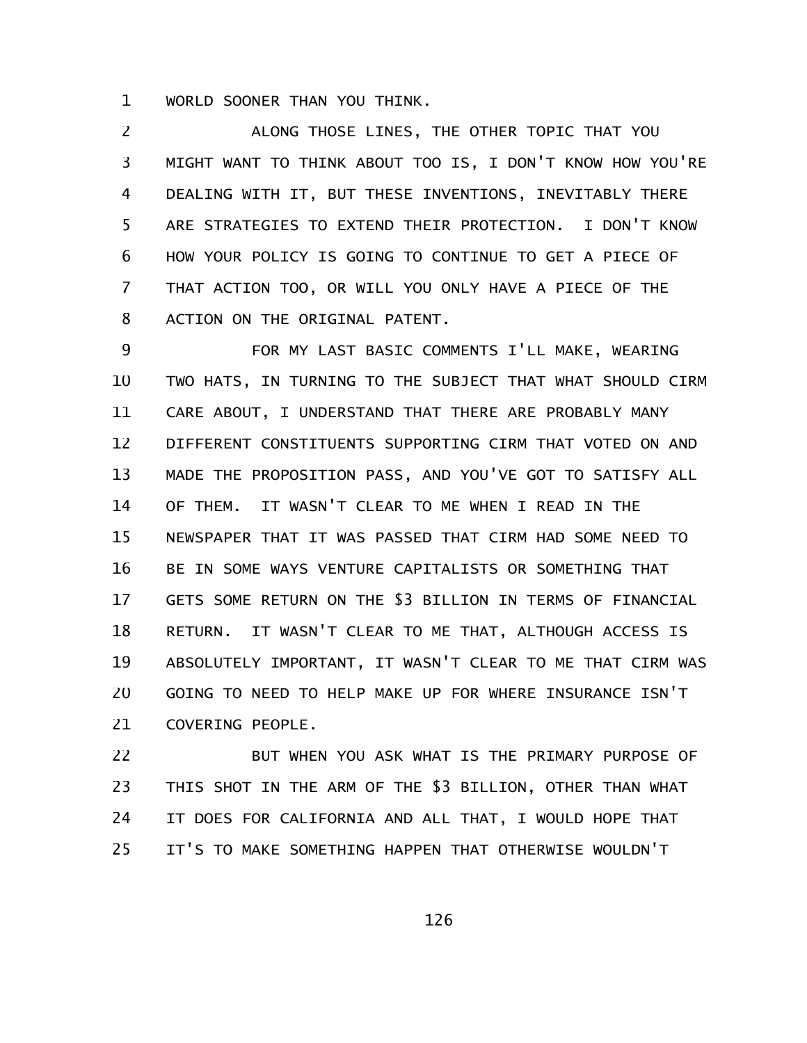WORLD SOONER THAN YOU THINK. 1

ALONG THOSE LINES, THE OTHER TOPIC THAT YOU MIGHT WANT TO THINK ABOUT TOO IS, I DON'T KNOW HOW YOU'RE DEALING WITH IT, BUT THESE INVENTIONS, INEVITABLY THERE ARE STRATEGIES TO EXTEND THEIR PROTECTION. I DON'T KNOW HOW YOUR POLICY IS GOING TO CONTINUE TO GET A PIECE OF THAT ACTION TOO, OR WILL YOU ONLY HAVE A PIECE OF THE ACTION ON THE ORIGINAL PATENT. 2 3 4 5 6 7 8

FOR MY LAST BASIC COMMENTS I'LL MAKE, WEARING TWO HATS, IN TURNING TO THE SUBJECT THAT WHAT SHOULD CIRM CARE ABOUT, I UNDERSTAND THAT THERE ARE PROBABLY MANY DIFFERENT CONSTITUENTS SUPPORTING CIRM THAT VOTED ON AND MADE THE PROPOSITION PASS, AND YOU'VE GOT TO SATISFY ALL OF THEM. IT WASN'T CLEAR TO ME WHEN I READ IN THE NEWSPAPER THAT IT WAS PASSED THAT CIRM HAD SOME NEED TO BE IN SOME WAYS VENTURE CAPITALISTS OR SOMETHING THAT GETS SOME RETURN ON THE \$3 BILLION IN TERMS OF FINANCIAL RETURN. IT WASN'T CLEAR TO ME THAT, ALTHOUGH ACCESS IS ABSOLUTELY IMPORTANT, IT WASN'T CLEAR TO ME THAT CIRM WAS GOING TO NEED TO HELP MAKE UP FOR WHERE INSURANCE ISN'T COVERING PEOPLE. 9 10 11 12 13 14 15 16 17 18 19 20 21

BUT WHEN YOU ASK WHAT IS THE PRIMARY PURPOSE OF THIS SHOT IN THE ARM OF THE \$3 BILLION, OTHER THAN WHAT IT DOES FOR CALIFORNIA AND ALL THAT, I WOULD HOPE THAT IT'S TO MAKE SOMETHING HAPPEN THAT OTHERWISE WOULDN'T 22 23 24 25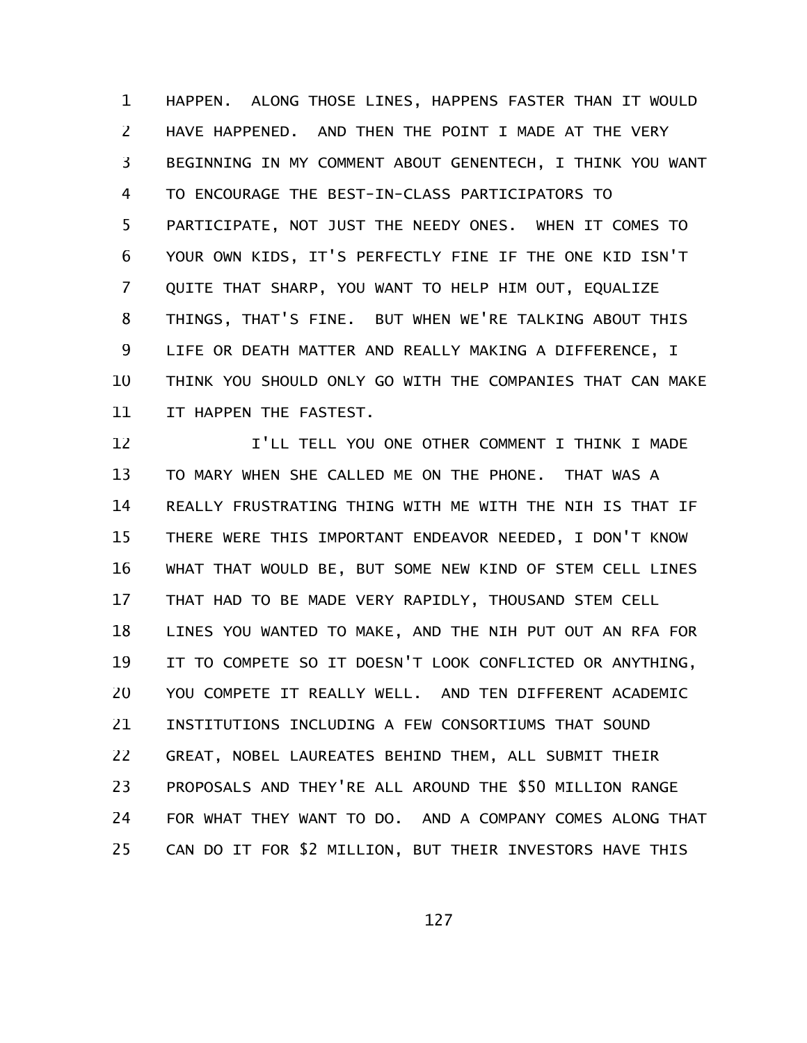HAPPEN. ALONG THOSE LINES, HAPPENS FASTER THAN IT WOULD HAVE HAPPENED. AND THEN THE POINT I MADE AT THE VERY BEGINNING IN MY COMMENT ABOUT GENENTECH, I THINK YOU WANT TO ENCOURAGE THE BEST-IN-CLASS PARTICIPATORS TO PARTICIPATE, NOT JUST THE NEEDY ONES. WHEN IT COMES TO YOUR OWN KIDS, IT'S PERFECTLY FINE IF THE ONE KID ISN'T QUITE THAT SHARP, YOU WANT TO HELP HIM OUT, EQUALIZE THINGS, THAT'S FINE. BUT WHEN WE'RE TALKING ABOUT THIS LIFE OR DEATH MATTER AND REALLY MAKING A DIFFERENCE, I THINK YOU SHOULD ONLY GO WITH THE COMPANIES THAT CAN MAKE IT HAPPEN THE FASTEST. 1 2 3 4 5 6 7 8 9 10 11

I'LL TELL YOU ONE OTHER COMMENT I THINK I MADE TO MARY WHEN SHE CALLED ME ON THE PHONE. THAT WAS A REALLY FRUSTRATING THING WITH ME WITH THE NIH IS THAT IF THERE WERE THIS IMPORTANT ENDEAVOR NEEDED, I DON'T KNOW WHAT THAT WOULD BE, BUT SOME NEW KIND OF STEM CELL LINES THAT HAD TO BE MADE VERY RAPIDLY, THOUSAND STEM CELL LINES YOU WANTED TO MAKE, AND THE NIH PUT OUT AN RFA FOR IT TO COMPETE SO IT DOESN'T LOOK CONFLICTED OR ANYTHING, YOU COMPETE IT REALLY WELL. AND TEN DIFFERENT ACADEMIC INSTITUTIONS INCLUDING A FEW CONSORTIUMS THAT SOUND GREAT, NOBEL LAUREATES BEHIND THEM, ALL SUBMIT THEIR PROPOSALS AND THEY'RE ALL AROUND THE \$50 MILLION RANGE FOR WHAT THEY WANT TO DO. AND A COMPANY COMES ALONG THAT CAN DO IT FOR \$2 MILLION, BUT THEIR INVESTORS HAVE THIS 12 13 14 15 16 17 18 19 20 21 22 23 24 25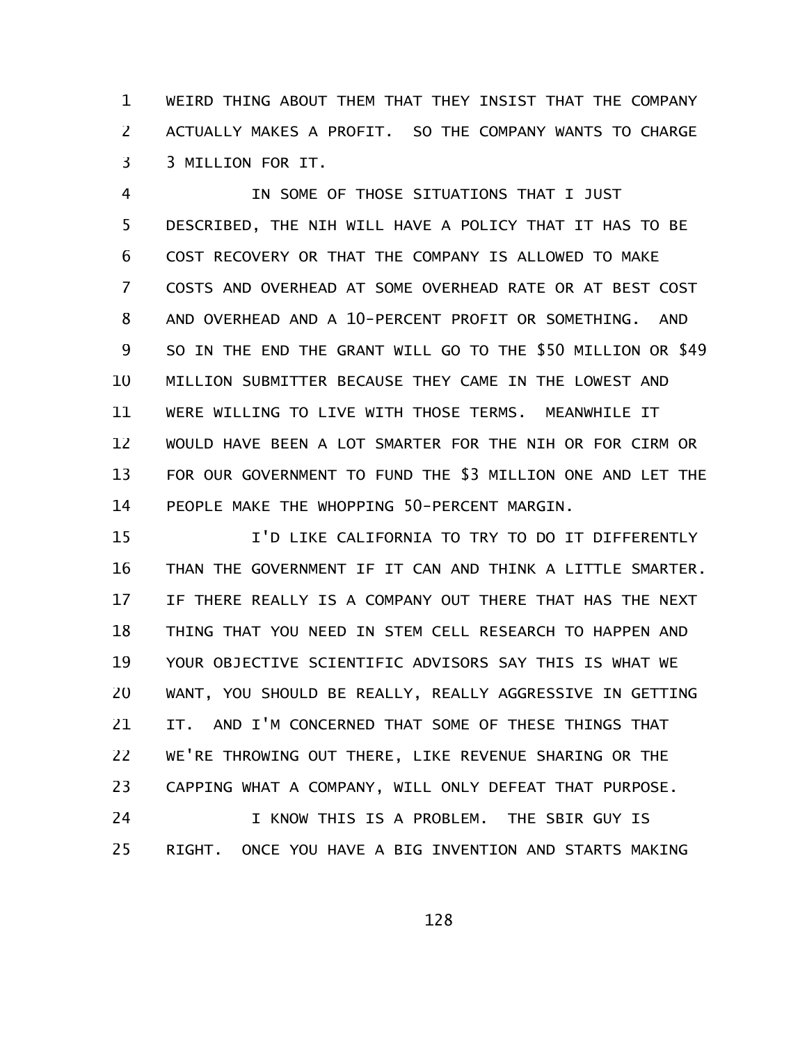WEIRD THING ABOUT THEM THAT THEY INSIST THAT THE COMPANY ACTUALLY MAKES A PROFIT. SO THE COMPANY WANTS TO CHARGE 3 MILLION FOR IT. 1 2 3

IN SOME OF THOSE SITUATIONS THAT I JUST DESCRIBED, THE NIH WILL HAVE A POLICY THAT IT HAS TO BE COST RECOVERY OR THAT THE COMPANY IS ALLOWED TO MAKE COSTS AND OVERHEAD AT SOME OVERHEAD RATE OR AT BEST COST AND OVERHEAD AND A 10-PERCENT PROFIT OR SOMETHING. AND SO IN THE END THE GRANT WILL GO TO THE \$50 MILLION OR \$49 MILLION SUBMITTER BECAUSE THEY CAME IN THE LOWEST AND WERE WILLING TO LIVE WITH THOSE TERMS. MEANWHILE IT WOULD HAVE BEEN A LOT SMARTER FOR THE NIH OR FOR CIRM OR FOR OUR GOVERNMENT TO FUND THE \$3 MILLION ONE AND LET THE PEOPLE MAKE THE WHOPPING 50-PERCENT MARGIN. 4 5 6 7 8 9 10 11 12 13 14

I'D LIKE CALIFORNIA TO TRY TO DO IT DIFFERENTLY THAN THE GOVERNMENT IF IT CAN AND THINK A LITTLE SMARTER. IF THERE REALLY IS A COMPANY OUT THERE THAT HAS THE NEXT THING THAT YOU NEED IN STEM CELL RESEARCH TO HAPPEN AND YOUR OBJECTIVE SCIENTIFIC ADVISORS SAY THIS IS WHAT WE WANT, YOU SHOULD BE REALLY, REALLY AGGRESSIVE IN GETTING IT. AND I'M CONCERNED THAT SOME OF THESE THINGS THAT WE'RE THROWING OUT THERE, LIKE REVENUE SHARING OR THE CAPPING WHAT A COMPANY, WILL ONLY DEFEAT THAT PURPOSE. I KNOW THIS IS A PROBLEM. THE SBIR GUY IS 15 16 17 18 19 20 21 22 23 24

RIGHT. ONCE YOU HAVE A BIG INVENTION AND STARTS MAKING 25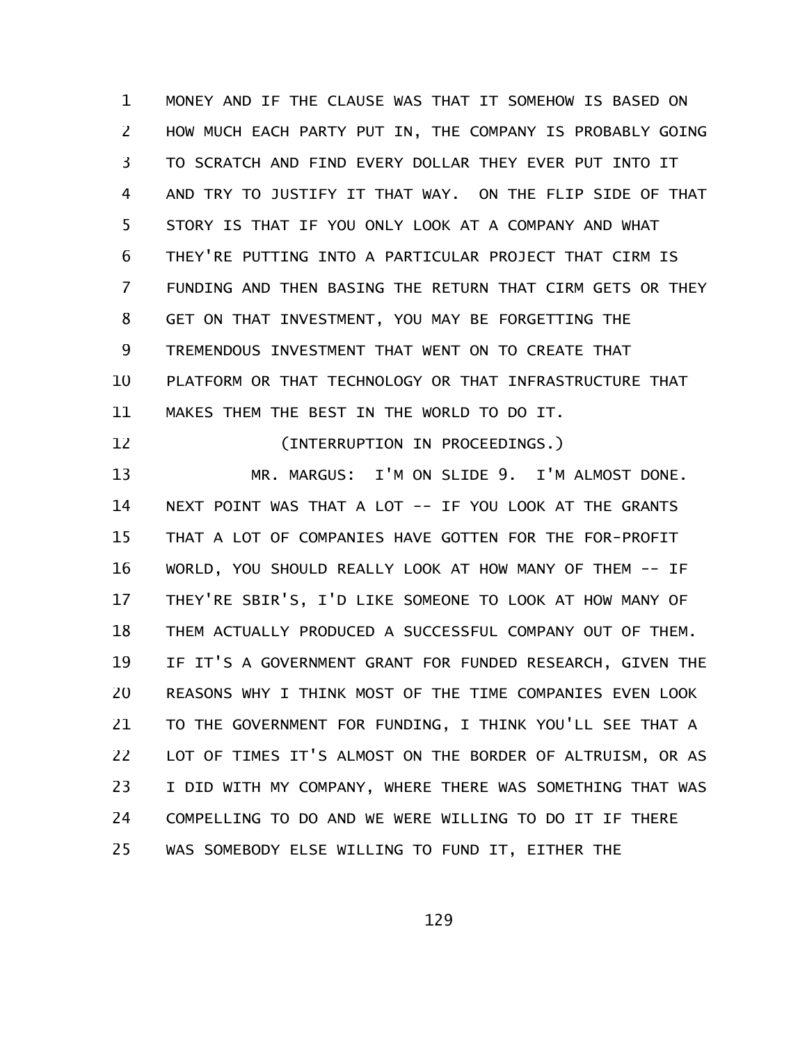MONEY AND IF THE CLAUSE WAS THAT IT SOMEHOW IS BASED ON HOW MUCH EACH PARTY PUT IN, THE COMPANY IS PROBABLY GOING TO SCRATCH AND FIND EVERY DOLLAR THEY EVER PUT INTO IT AND TRY TO JUSTIFY IT THAT WAY. ON THE FLIP SIDE OF THAT STORY IS THAT IF YOU ONLY LOOK AT A COMPANY AND WHAT THEY'RE PUTTING INTO A PARTICULAR PROJECT THAT CIRM IS FUNDING AND THEN BASING THE RETURN THAT CIRM GETS OR THEY GET ON THAT INVESTMENT, YOU MAY BE FORGETTING THE TREMENDOUS INVESTMENT THAT WENT ON TO CREATE THAT PLATFORM OR THAT TECHNOLOGY OR THAT INFRASTRUCTURE THAT MAKES THEM THE BEST IN THE WORLD TO DO IT. 1 2 3 4 5 6 7 8 9 10 11

12

(INTERRUPTION IN PROCEEDINGS.)

MR. MARGUS: I'M ON SLIDE 9. I'M ALMOST DONE. NEXT POINT WAS THAT A LOT -- IF YOU LOOK AT THE GRANTS THAT A LOT OF COMPANIES HAVE GOTTEN FOR THE FOR-PROFIT WORLD, YOU SHOULD REALLY LOOK AT HOW MANY OF THEM -- IF THEY'RE SBIR'S, I'D LIKE SOMEONE TO LOOK AT HOW MANY OF THEM ACTUALLY PRODUCED A SUCCESSFUL COMPANY OUT OF THEM. IF IT'S A GOVERNMENT GRANT FOR FUNDED RESEARCH, GIVEN THE REASONS WHY I THINK MOST OF THE TIME COMPANIES EVEN LOOK TO THE GOVERNMENT FOR FUNDING, I THINK YOU'LL SEE THAT A LOT OF TIMES IT'S ALMOST ON THE BORDER OF ALTRUISM, OR AS I DID WITH MY COMPANY, WHERE THERE WAS SOMETHING THAT WAS COMPELLING TO DO AND WE WERE WILLING TO DO IT IF THERE WAS SOMEBODY ELSE WILLING TO FUND IT, EITHER THE 13 14 15 16 17 18 19 20 21 22 23 24 25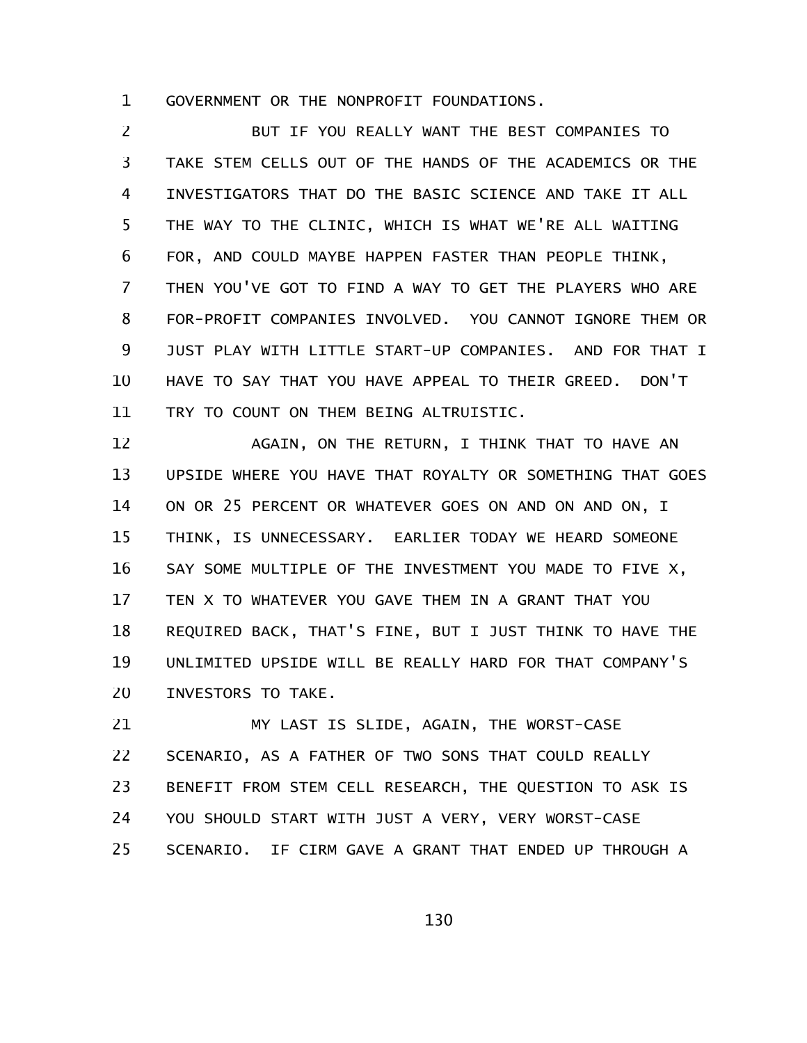GOVERNMENT OR THE NONPROFIT FOUNDATIONS. 1

BUT IF YOU REALLY WANT THE BEST COMPANIES TO TAKE STEM CELLS OUT OF THE HANDS OF THE ACADEMICS OR THE INVESTIGATORS THAT DO THE BASIC SCIENCE AND TAKE IT ALL THE WAY TO THE CLINIC, WHICH IS WHAT WE'RE ALL WAITING FOR, AND COULD MAYBE HAPPEN FASTER THAN PEOPLE THINK, THEN YOU'VE GOT TO FIND A WAY TO GET THE PLAYERS WHO ARE FOR-PROFIT COMPANIES INVOLVED. YOU CANNOT IGNORE THEM OR JUST PLAY WITH LITTLE START-UP COMPANIES. AND FOR THAT I HAVE TO SAY THAT YOU HAVE APPEAL TO THEIR GREED. DON'T TRY TO COUNT ON THEM BEING ALTRUISTIC. 2 3 4 5 6 7 8 9 10 11

AGAIN, ON THE RETURN, I THINK THAT TO HAVE AN UPSIDE WHERE YOU HAVE THAT ROYALTY OR SOMETHING THAT GOES ON OR 25 PERCENT OR WHATEVER GOES ON AND ON AND ON, I THINK, IS UNNECESSARY. EARLIER TODAY WE HEARD SOMEONE SAY SOME MULTIPLE OF THE INVESTMENT YOU MADE TO FIVE X, TEN X TO WHATEVER YOU GAVE THEM IN A GRANT THAT YOU REQUIRED BACK, THAT'S FINE, BUT I JUST THINK TO HAVE THE UNLIMITED UPSIDE WILL BE REALLY HARD FOR THAT COMPANY'S INVESTORS TO TAKE. 12 13 14 15 16 17 18 19 20

MY LAST IS SLIDE, AGAIN, THE WORST-CASE SCENARIO, AS A FATHER OF TWO SONS THAT COULD REALLY BENEFIT FROM STEM CELL RESEARCH, THE QUESTION TO ASK IS YOU SHOULD START WITH JUST A VERY, VERY WORST-CASE SCENARIO. IF CIRM GAVE A GRANT THAT ENDED UP THROUGH A 21 22 23 24 25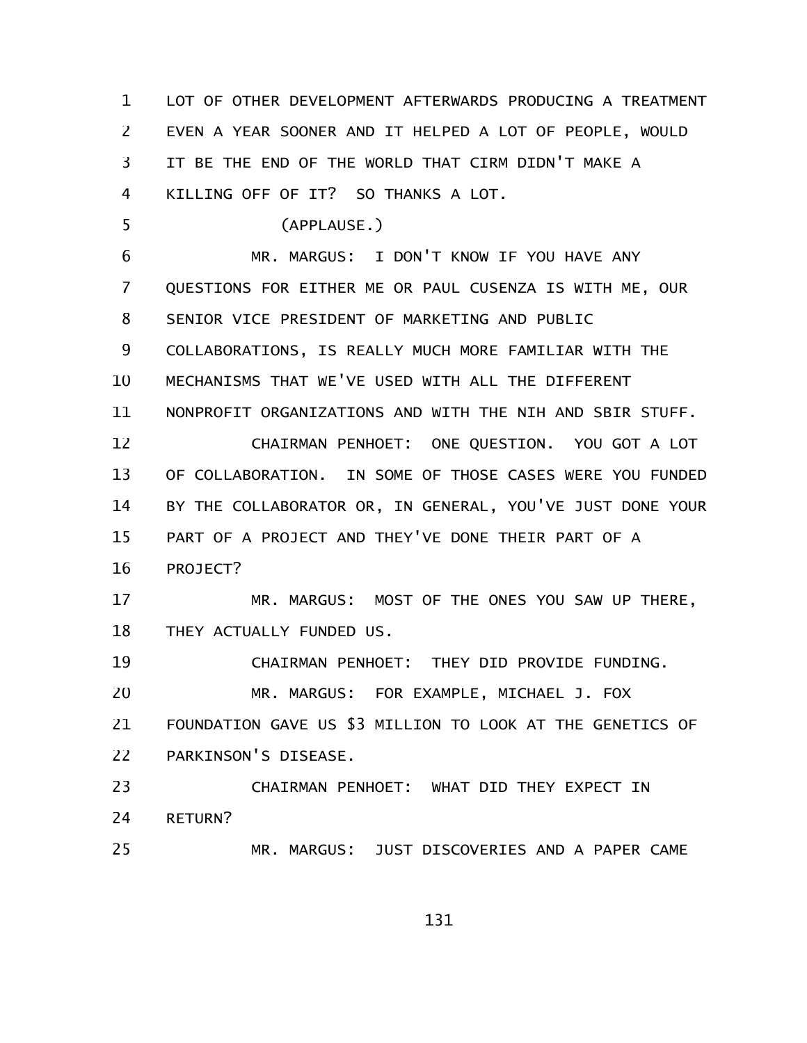LOT OF OTHER DEVELOPMENT AFTERWARDS PRODUCING A TREATMENT EVEN A YEAR SOONER AND IT HELPED A LOT OF PEOPLE, WOULD IT BE THE END OF THE WORLD THAT CIRM DIDN'T MAKE A KILLING OFF OF IT? SO THANKS A LOT. (APPLAUSE.) MR. MARGUS: I DON'T KNOW IF YOU HAVE ANY QUESTIONS FOR EITHER ME OR PAUL CUSENZA IS WITH ME, OUR SENIOR VICE PRESIDENT OF MARKETING AND PUBLIC COLLABORATIONS, IS REALLY MUCH MORE FAMILIAR WITH THE MECHANISMS THAT WE'VE USED WITH ALL THE DIFFERENT NONPROFIT ORGANIZATIONS AND WITH THE NIH AND SBIR STUFF. CHAIRMAN PENHOET: ONE QUESTION. YOU GOT A LOT OF COLLABORATION. IN SOME OF THOSE CASES WERE YOU FUNDED BY THE COLLABORATOR OR, IN GENERAL, YOU'VE JUST DONE YOUR PART OF A PROJECT AND THEY'VE DONE THEIR PART OF A PROJECT? MR. MARGUS: MOST OF THE ONES YOU SAW UP THERE, THEY ACTUALLY FUNDED US. CHAIRMAN PENHOET: THEY DID PROVIDE FUNDING. MR. MARGUS: FOR EXAMPLE, MICHAEL J. FOX FOUNDATION GAVE US \$3 MILLION TO LOOK AT THE GENETICS OF PARKINSON'S DISEASE. CHAIRMAN PENHOET: WHAT DID THEY EXPECT IN RETURN? MR. MARGUS: JUST DISCOVERIES AND A PAPER CAME 1 2 3 4 5 6 7 8 9 10 11 12 13 14 15 16 17 18 19 20 21 22 23 24 25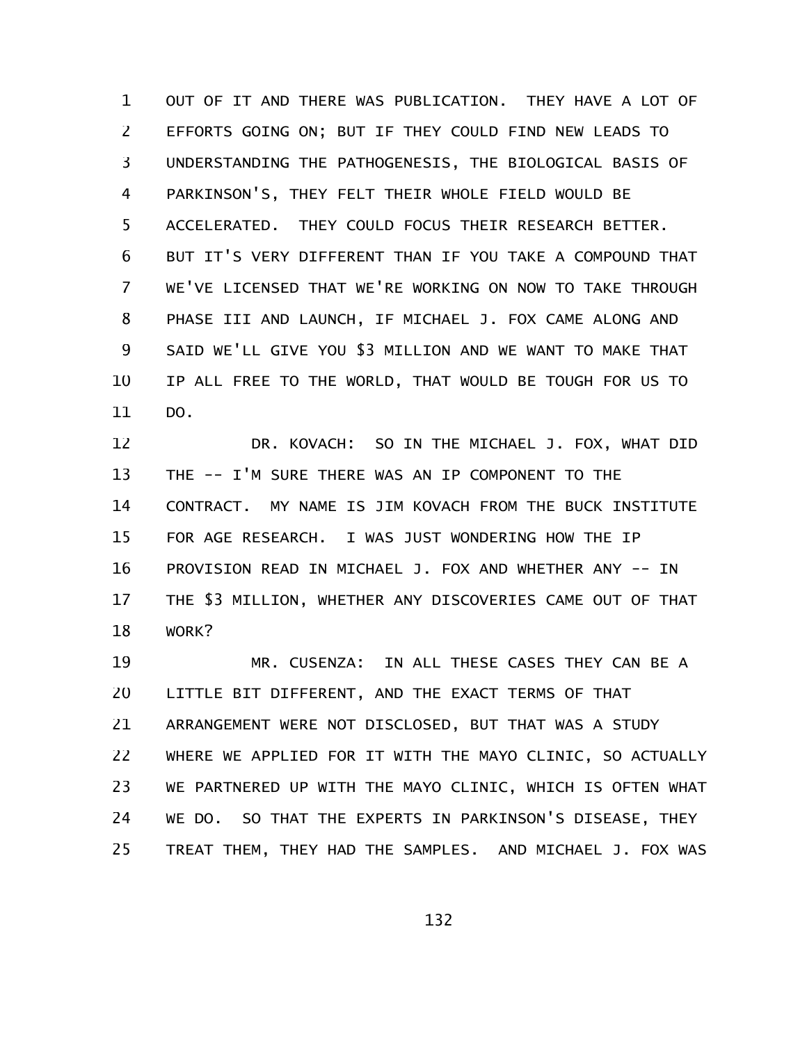OUT OF IT AND THERE WAS PUBLICATION. THEY HAVE A LOT OF EFFORTS GOING ON; BUT IF THEY COULD FIND NEW LEADS TO UNDERSTANDING THE PATHOGENESIS, THE BIOLOGICAL BASIS OF PARKINSON'S, THEY FELT THEIR WHOLE FIELD WOULD BE ACCELERATED. THEY COULD FOCUS THEIR RESEARCH BETTER. BUT IT'S VERY DIFFERENT THAN IF YOU TAKE A COMPOUND THAT WE'VE LICENSED THAT WE'RE WORKING ON NOW TO TAKE THROUGH PHASE III AND LAUNCH, IF MICHAEL J. FOX CAME ALONG AND SAID WE'LL GIVE YOU \$3 MILLION AND WE WANT TO MAKE THAT IP ALL FREE TO THE WORLD, THAT WOULD BE TOUGH FOR US TO DO. 1 2 3 4 5 6 7 8 9 10 11

DR. KOVACH: SO IN THE MICHAEL J. FOX, WHAT DID THE -- I'M SURE THERE WAS AN IP COMPONENT TO THE CONTRACT. MY NAME IS JIM KOVACH FROM THE BUCK INSTITUTE FOR AGE RESEARCH. I WAS JUST WONDERING HOW THE IP PROVISION READ IN MICHAEL J. FOX AND WHETHER ANY -- IN THE \$3 MILLION, WHETHER ANY DISCOVERIES CAME OUT OF THAT WORK? 12 13 14 15 16 17 18

MR. CUSENZA: IN ALL THESE CASES THEY CAN BE A LITTLE BIT DIFFERENT, AND THE EXACT TERMS OF THAT ARRANGEMENT WERE NOT DISCLOSED, BUT THAT WAS A STUDY WHERE WE APPLIED FOR IT WITH THE MAYO CLINIC, SO ACTUALLY WE PARTNERED UP WITH THE MAYO CLINIC, WHICH IS OFTEN WHAT WE DO. SO THAT THE EXPERTS IN PARKINSON'S DISEASE, THEY TREAT THEM, THEY HAD THE SAMPLES. AND MICHAEL J. FOX WAS 19 20 21 22 23 24 25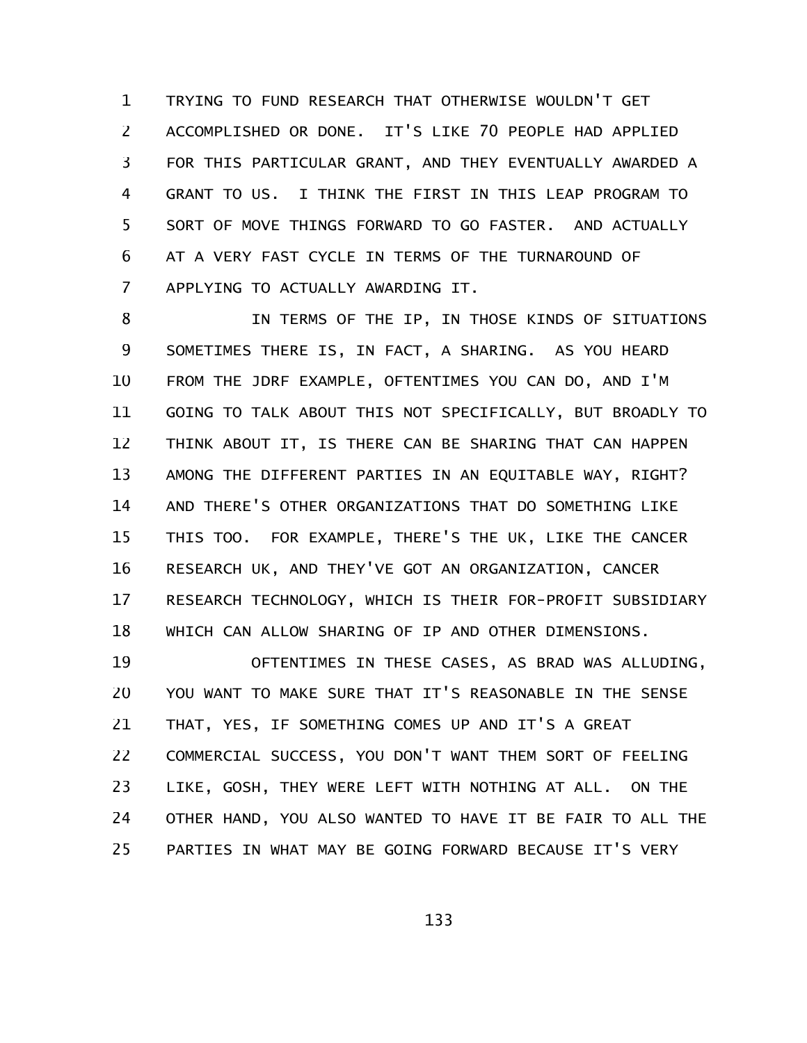TRYING TO FUND RESEARCH THAT OTHERWISE WOULDN'T GET ACCOMPLISHED OR DONE. IT'S LIKE 70 PEOPLE HAD APPLIED FOR THIS PARTICULAR GRANT, AND THEY EVENTUALLY AWARDED A GRANT TO US. I THINK THE FIRST IN THIS LEAP PROGRAM TO SORT OF MOVE THINGS FORWARD TO GO FASTER. AND ACTUALLY AT A VERY FAST CYCLE IN TERMS OF THE TURNAROUND OF APPLYING TO ACTUALLY AWARDING IT. 1 2 3 4 5 6 7

IN TERMS OF THE IP, IN THOSE KINDS OF SITUATIONS SOMETIMES THERE IS, IN FACT, A SHARING. AS YOU HEARD FROM THE JDRF EXAMPLE, OFTENTIMES YOU CAN DO, AND I'M GOING TO TALK ABOUT THIS NOT SPECIFICALLY, BUT BROADLY TO THINK ABOUT IT, IS THERE CAN BE SHARING THAT CAN HAPPEN AMONG THE DIFFERENT PARTIES IN AN EQUITABLE WAY, RIGHT? AND THERE'S OTHER ORGANIZATIONS THAT DO SOMETHING LIKE THIS TOO. FOR EXAMPLE, THERE'S THE UK, LIKE THE CANCER RESEARCH UK, AND THEY'VE GOT AN ORGANIZATION, CANCER RESEARCH TECHNOLOGY, WHICH IS THEIR FOR-PROFIT SUBSIDIARY WHICH CAN ALLOW SHARING OF IP AND OTHER DIMENSIONS. 8 9 10 11 12 13 14 15 16 17 18

OFTENTIMES IN THESE CASES, AS BRAD WAS ALLUDING, YOU WANT TO MAKE SURE THAT IT'S REASONABLE IN THE SENSE THAT, YES, IF SOMETHING COMES UP AND IT'S A GREAT COMMERCIAL SUCCESS, YOU DON'T WANT THEM SORT OF FEELING LIKE, GOSH, THEY WERE LEFT WITH NOTHING AT ALL. ON THE OTHER HAND, YOU ALSO WANTED TO HAVE IT BE FAIR TO ALL THE PARTIES IN WHAT MAY BE GOING FORWARD BECAUSE IT'S VERY 19 20 21 22 23 24 25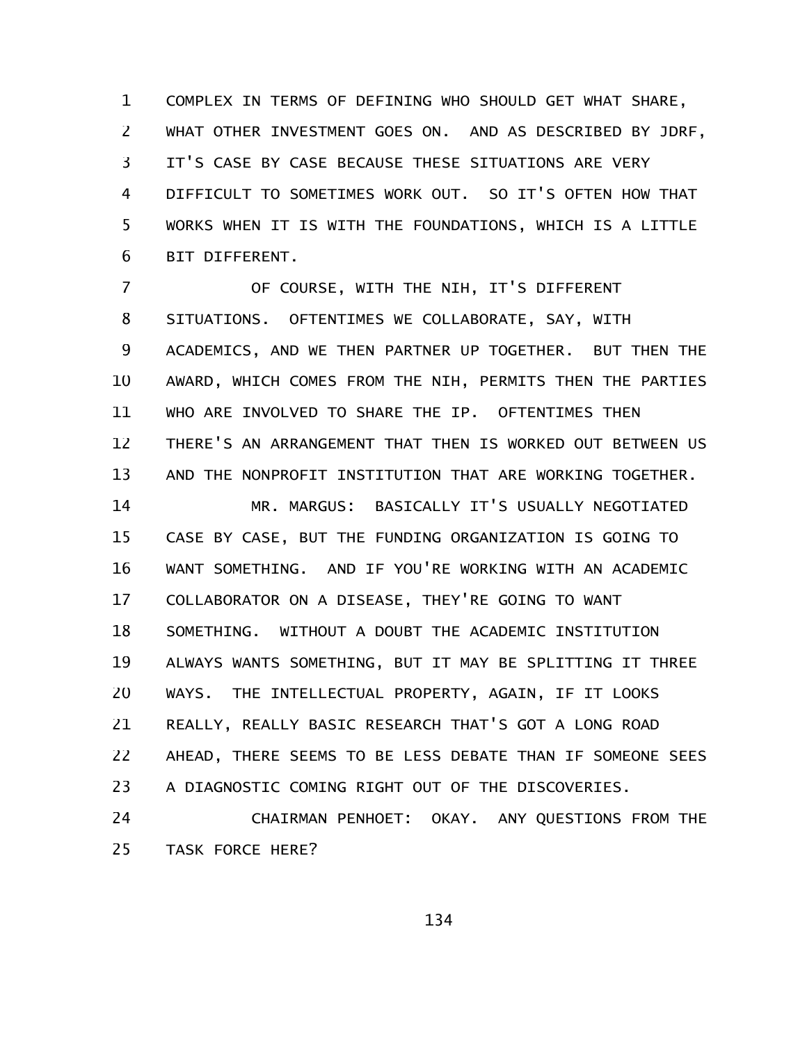COMPLEX IN TERMS OF DEFINING WHO SHOULD GET WHAT SHARE, WHAT OTHER INVESTMENT GOES ON. AND AS DESCRIBED BY JDRF, IT'S CASE BY CASE BECAUSE THESE SITUATIONS ARE VERY DIFFICULT TO SOMETIMES WORK OUT. SO IT'S OFTEN HOW THAT WORKS WHEN IT IS WITH THE FOUNDATIONS, WHICH IS A LITTLE BIT DIFFERENT. 1 2 3 4 5 6

OF COURSE, WITH THE NIH, IT'S DIFFERENT SITUATIONS. OFTENTIMES WE COLLABORATE, SAY, WITH ACADEMICS, AND WE THEN PARTNER UP TOGETHER. BUT THEN THE AWARD, WHICH COMES FROM THE NIH, PERMITS THEN THE PARTIES WHO ARE INVOLVED TO SHARE THE IP. OFTENTIMES THEN THERE'S AN ARRANGEMENT THAT THEN IS WORKED OUT BETWEEN US AND THE NONPROFIT INSTITUTION THAT ARE WORKING TOGETHER. MR. MARGUS: BASICALLY IT'S USUALLY NEGOTIATED CASE BY CASE, BUT THE FUNDING ORGANIZATION IS GOING TO WANT SOMETHING. AND IF YOU'RE WORKING WITH AN ACADEMIC COLLABORATOR ON A DISEASE, THEY'RE GOING TO WANT SOMETHING. WITHOUT A DOUBT THE ACADEMIC INSTITUTION ALWAYS WANTS SOMETHING, BUT IT MAY BE SPLITTING IT THREE WAYS. THE INTELLECTUAL PROPERTY, AGAIN, IF IT LOOKS REALLY, REALLY BASIC RESEARCH THAT'S GOT A LONG ROAD AHEAD, THERE SEEMS TO BE LESS DEBATE THAN IF SOMEONE SEES A DIAGNOSTIC COMING RIGHT OUT OF THE DISCOVERIES. 7 8 9 10 11 12 13 14 15 16 17 18 19 20 21 22 23

CHAIRMAN PENHOET: OKAY. ANY QUESTIONS FROM THE TASK FORCE HERE? 24 25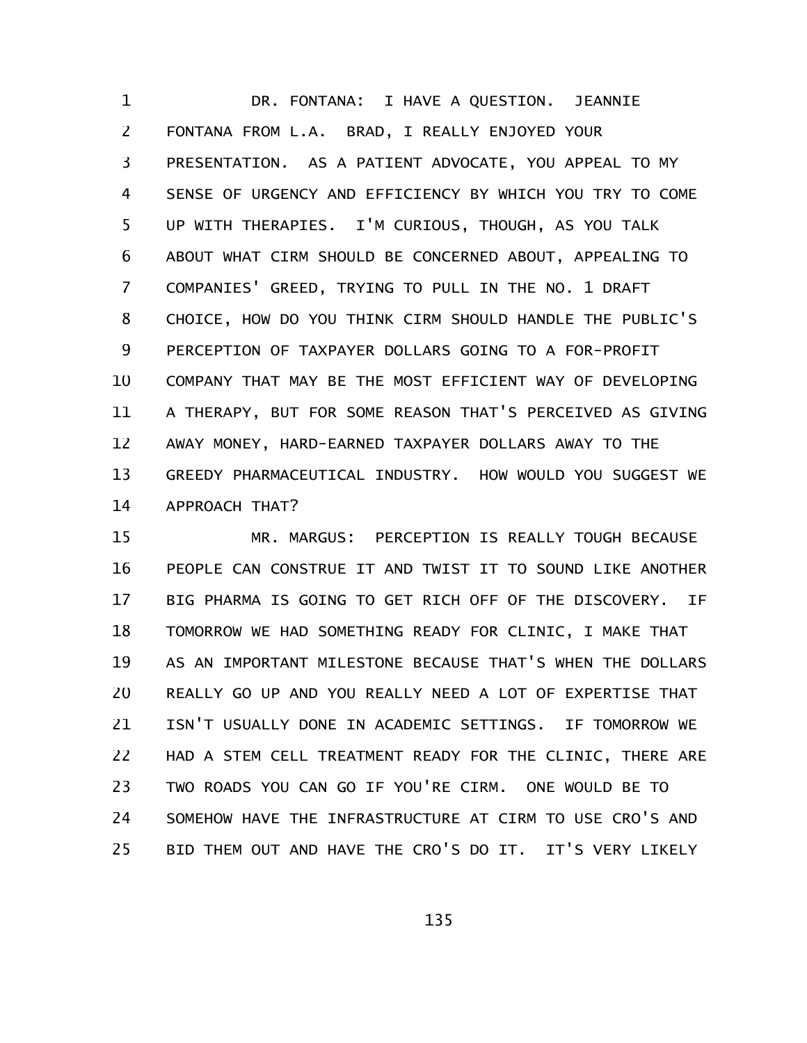DR. FONTANA: I HAVE A QUESTION. JEANNIE FONTANA FROM L.A. BRAD, I REALLY ENJOYED YOUR PRESENTATION. AS A PATIENT ADVOCATE, YOU APPEAL TO MY SENSE OF URGENCY AND EFFICIENCY BY WHICH YOU TRY TO COME UP WITH THERAPIES. I'M CURIOUS, THOUGH, AS YOU TALK ABOUT WHAT CIRM SHOULD BE CONCERNED ABOUT, APPEALING TO COMPANIES' GREED, TRYING TO PULL IN THE NO. 1 DRAFT CHOICE, HOW DO YOU THINK CIRM SHOULD HANDLE THE PUBLIC'S PERCEPTION OF TAXPAYER DOLLARS GOING TO A FOR-PROFIT COMPANY THAT MAY BE THE MOST EFFICIENT WAY OF DEVELOPING A THERAPY, BUT FOR SOME REASON THAT'S PERCEIVED AS GIVING AWAY MONEY, HARD-EARNED TAXPAYER DOLLARS AWAY TO THE GREEDY PHARMACEUTICAL INDUSTRY. HOW WOULD YOU SUGGEST WE APPROACH THAT? 1 2 3 4 5 6 7 8 9 10 11 12 13 14

MR. MARGUS: PERCEPTION IS REALLY TOUGH BECAUSE PEOPLE CAN CONSTRUE IT AND TWIST IT TO SOUND LIKE ANOTHER BIG PHARMA IS GOING TO GET RICH OFF OF THE DISCOVERY. IF TOMORROW WE HAD SOMETHING READY FOR CLINIC, I MAKE THAT AS AN IMPORTANT MILESTONE BECAUSE THAT'S WHEN THE DOLLARS REALLY GO UP AND YOU REALLY NEED A LOT OF EXPERTISE THAT ISN'T USUALLY DONE IN ACADEMIC SETTINGS. IF TOMORROW WE HAD A STEM CELL TREATMENT READY FOR THE CLINIC, THERE ARE TWO ROADS YOU CAN GO IF YOU'RE CIRM. ONE WOULD BE TO SOMEHOW HAVE THE INFRASTRUCTURE AT CIRM TO USE CRO'S AND BID THEM OUT AND HAVE THE CRO'S DO IT. IT'S VERY LIKELY 15 16 17 18 19 20 21 22 23 24 25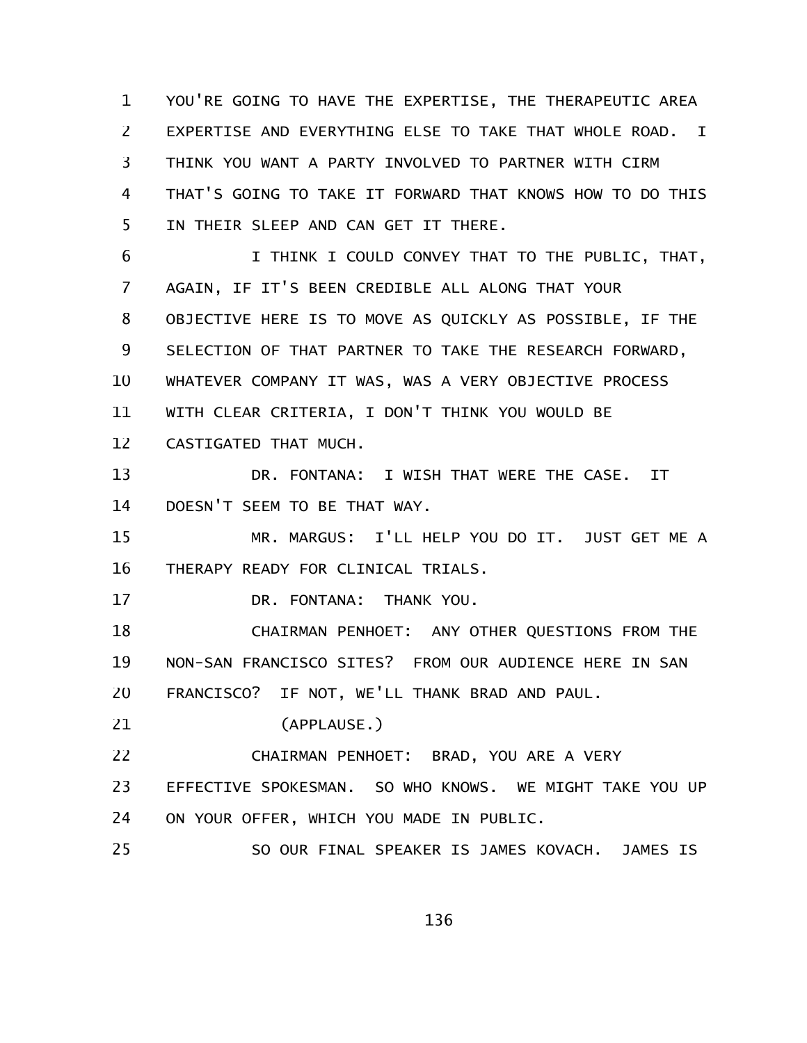YOU'RE GOING TO HAVE THE EXPERTISE, THE THERAPEUTIC AREA EXPERTISE AND EVERYTHING ELSE TO TAKE THAT WHOLE ROAD. I THINK YOU WANT A PARTY INVOLVED TO PARTNER WITH CIRM THAT'S GOING TO TAKE IT FORWARD THAT KNOWS HOW TO DO THIS IN THEIR SLEEP AND CAN GET IT THERE. 1 2 3 4 5

I THINK I COULD CONVEY THAT TO THE PUBLIC, THAT, AGAIN, IF IT'S BEEN CREDIBLE ALL ALONG THAT YOUR OBJECTIVE HERE IS TO MOVE AS QUICKLY AS POSSIBLE, IF THE SELECTION OF THAT PARTNER TO TAKE THE RESEARCH FORWARD, WHATEVER COMPANY IT WAS, WAS A VERY OBJECTIVE PROCESS WITH CLEAR CRITERIA, I DON'T THINK YOU WOULD BE CASTIGATED THAT MUCH. 6 7 8 9 10 11 12

DR. FONTANA: I WISH THAT WERE THE CASE. IT DOESN'T SEEM TO BE THAT WAY. 13 14

MR. MARGUS: I'LL HELP YOU DO IT. JUST GET ME A THERAPY READY FOR CLINICAL TRIALS. 15 16

DR. FONTANA: THANK YOU. 17

CHAIRMAN PENHOET: ANY OTHER QUESTIONS FROM THE NON-SAN FRANCISCO SITES? FROM OUR AUDIENCE HERE IN SAN FRANCISCO? IF NOT, WE'LL THANK BRAD AND PAUL. 18 19 20

(APPLAUSE.) 21

CHAIRMAN PENHOET: BRAD, YOU ARE A VERY 22

EFFECTIVE SPOKESMAN. SO WHO KNOWS. WE MIGHT TAKE YOU UP 23

ON YOUR OFFER, WHICH YOU MADE IN PUBLIC. 24

SO OUR FINAL SPEAKER IS JAMES KOVACH. JAMES IS 25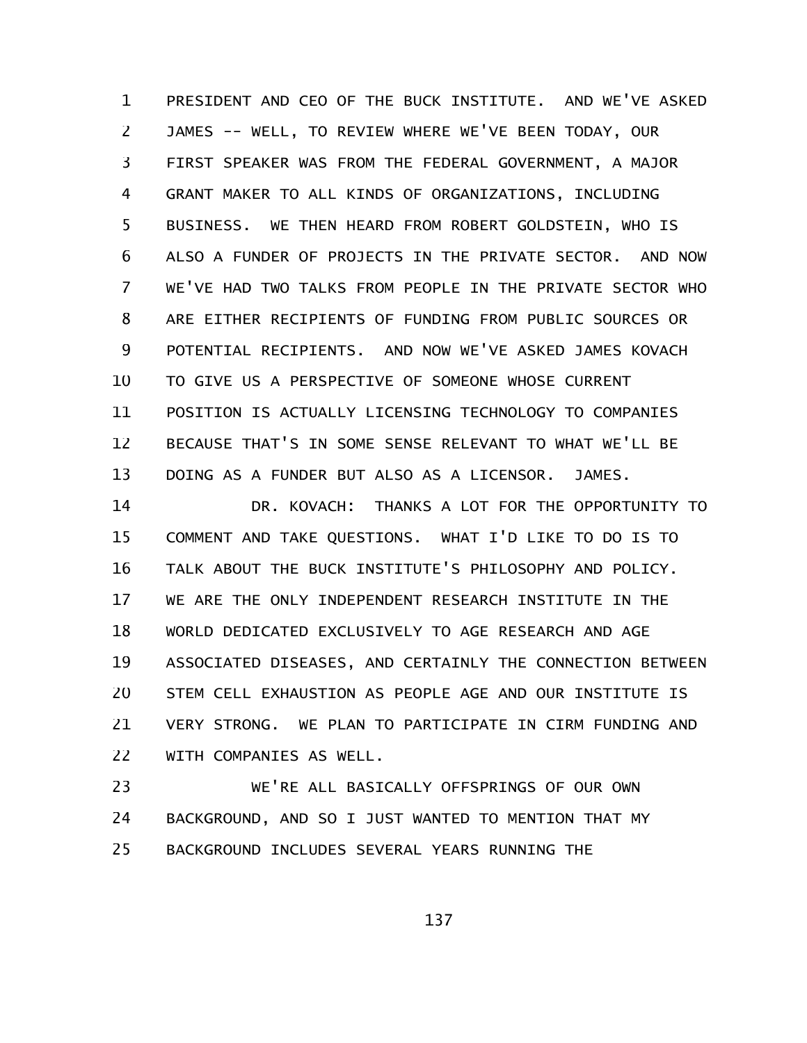PRESIDENT AND CEO OF THE BUCK INSTITUTE. AND WE'VE ASKED JAMES -- WELL, TO REVIEW WHERE WE'VE BEEN TODAY, OUR FIRST SPEAKER WAS FROM THE FEDERAL GOVERNMENT, A MAJOR GRANT MAKER TO ALL KINDS OF ORGANIZATIONS, INCLUDING BUSINESS. WE THEN HEARD FROM ROBERT GOLDSTEIN, WHO IS ALSO A FUNDER OF PROJECTS IN THE PRIVATE SECTOR. AND NOW WE'VE HAD TWO TALKS FROM PEOPLE IN THE PRIVATE SECTOR WHO ARE EITHER RECIPIENTS OF FUNDING FROM PUBLIC SOURCES OR POTENTIAL RECIPIENTS. AND NOW WE'VE ASKED JAMES KOVACH TO GIVE US A PERSPECTIVE OF SOMEONE WHOSE CURRENT POSITION IS ACTUALLY LICENSING TECHNOLOGY TO COMPANIES BECAUSE THAT'S IN SOME SENSE RELEVANT TO WHAT WE'LL BE DOING AS A FUNDER BUT ALSO AS A LICENSOR. JAMES. 1 2 3 4 5 6 7 8 9 10 11 12 13

DR. KOVACH: THANKS A LOT FOR THE OPPORTUNITY TO COMMENT AND TAKE QUESTIONS. WHAT I'D LIKE TO DO IS TO TALK ABOUT THE BUCK INSTITUTE'S PHILOSOPHY AND POLICY. WE ARE THE ONLY INDEPENDENT RESEARCH INSTITUTE IN THE WORLD DEDICATED EXCLUSIVELY TO AGE RESEARCH AND AGE ASSOCIATED DISEASES, AND CERTAINLY THE CONNECTION BETWEEN STEM CELL EXHAUSTION AS PEOPLE AGE AND OUR INSTITUTE IS VERY STRONG. WE PLAN TO PARTICIPATE IN CIRM FUNDING AND WITH COMPANIES AS WELL. 14 15 16 17 18 19 20 21 22

WE'RE ALL BASICALLY OFFSPRINGS OF OUR OWN BACKGROUND, AND SO I JUST WANTED TO MENTION THAT MY BACKGROUND INCLUDES SEVERAL YEARS RUNNING THE 23 24 25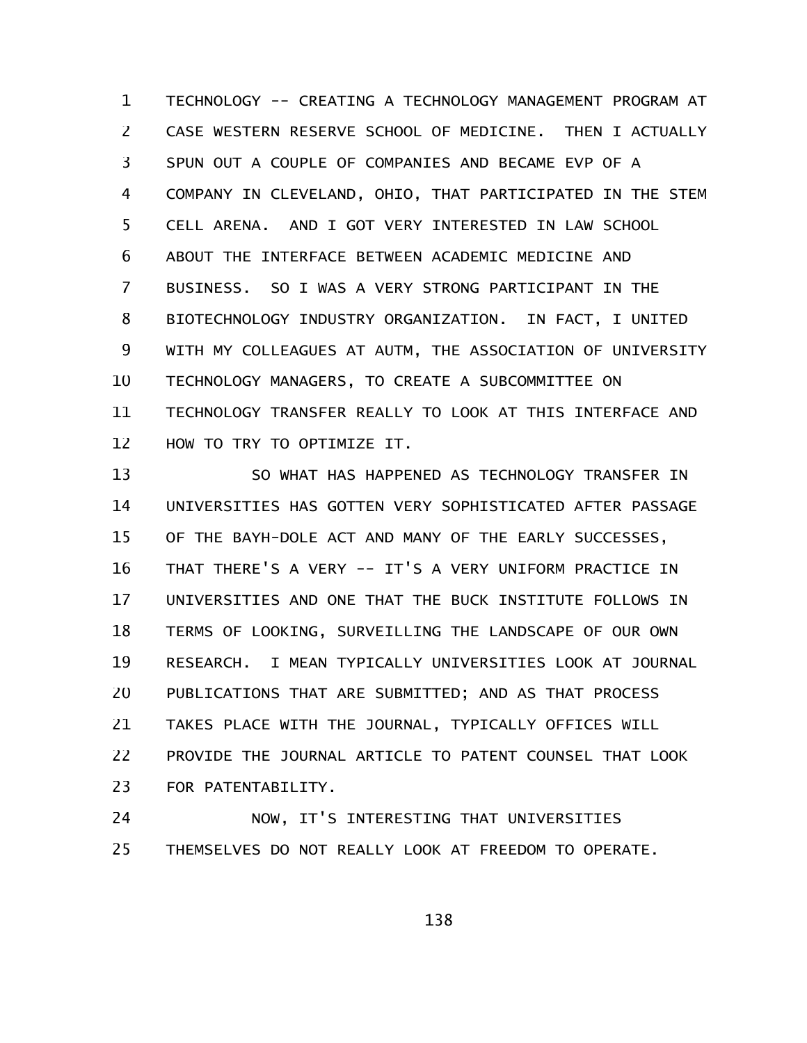TECHNOLOGY -- CREATING A TECHNOLOGY MANAGEMENT PROGRAM AT CASE WESTERN RESERVE SCHOOL OF MEDICINE. THEN I ACTUALLY SPUN OUT A COUPLE OF COMPANIES AND BECAME EVP OF A COMPANY IN CLEVELAND, OHIO, THAT PARTICIPATED IN THE STEM CELL ARENA. AND I GOT VERY INTERESTED IN LAW SCHOOL ABOUT THE INTERFACE BETWEEN ACADEMIC MEDICINE AND BUSINESS. SO I WAS A VERY STRONG PARTICIPANT IN THE BIOTECHNOLOGY INDUSTRY ORGANIZATION. IN FACT, I UNITED WITH MY COLLEAGUES AT AUTM, THE ASSOCIATION OF UNIVERSITY TECHNOLOGY MANAGERS, TO CREATE A SUBCOMMITTEE ON TECHNOLOGY TRANSFER REALLY TO LOOK AT THIS INTERFACE AND HOW TO TRY TO OPTIMIZE IT. 1 2 3 4 5 6 7 8 9 10 11 12

SO WHAT HAS HAPPENED AS TECHNOLOGY TRANSFER IN UNIVERSITIES HAS GOTTEN VERY SOPHISTICATED AFTER PASSAGE OF THE BAYH-DOLE ACT AND MANY OF THE EARLY SUCCESSES, THAT THERE'S A VERY -- IT'S A VERY UNIFORM PRACTICE IN UNIVERSITIES AND ONE THAT THE BUCK INSTITUTE FOLLOWS IN TERMS OF LOOKING, SURVEILLING THE LANDSCAPE OF OUR OWN RESEARCH. I MEAN TYPICALLY UNIVERSITIES LOOK AT JOURNAL PUBLICATIONS THAT ARE SUBMITTED; AND AS THAT PROCESS TAKES PLACE WITH THE JOURNAL, TYPICALLY OFFICES WILL PROVIDE THE JOURNAL ARTICLE TO PATENT COUNSEL THAT LOOK FOR PATENTABILITY. 13 14 15 16 17 18 19 20 21 22 23

NOW, IT'S INTERESTING THAT UNIVERSITIES THEMSELVES DO NOT REALLY LOOK AT FREEDOM TO OPERATE. 24 25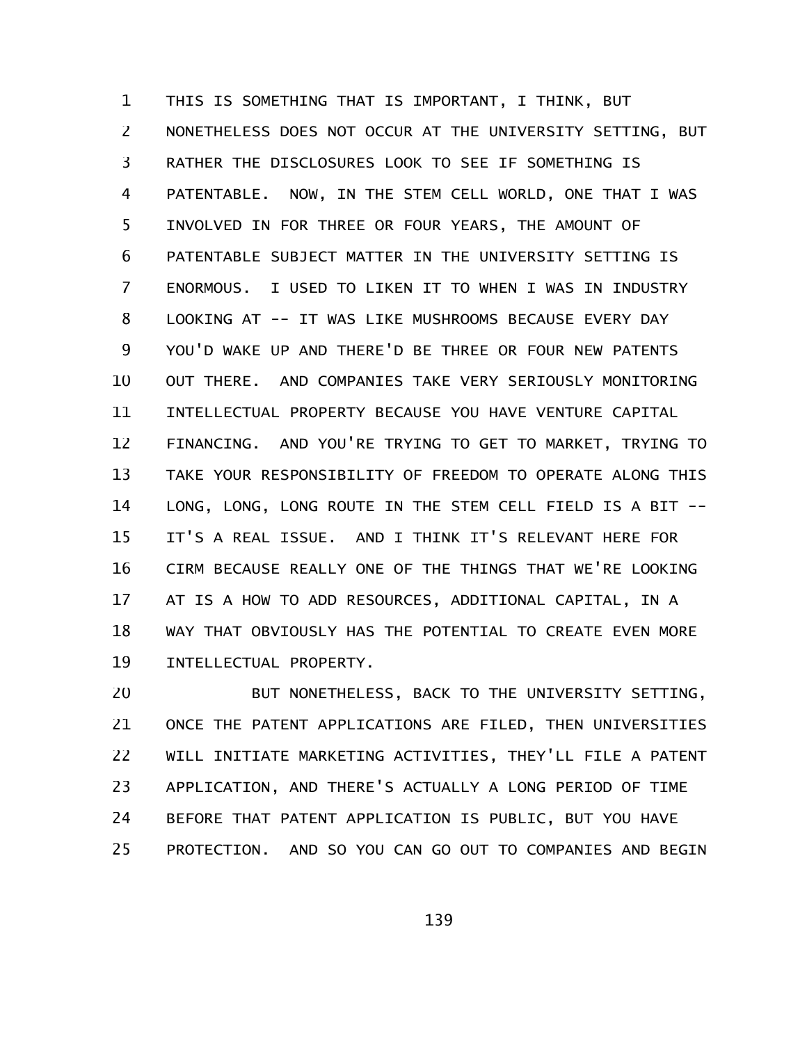THIS IS SOMETHING THAT IS IMPORTANT, I THINK, BUT NONETHELESS DOES NOT OCCUR AT THE UNIVERSITY SETTING, BUT RATHER THE DISCLOSURES LOOK TO SEE IF SOMETHING IS PATENTABLE. NOW, IN THE STEM CELL WORLD, ONE THAT I WAS INVOLVED IN FOR THREE OR FOUR YEARS, THE AMOUNT OF PATENTABLE SUBJECT MATTER IN THE UNIVERSITY SETTING IS ENORMOUS. I USED TO LIKEN IT TO WHEN I WAS IN INDUSTRY LOOKING AT -- IT WAS LIKE MUSHROOMS BECAUSE EVERY DAY YOU'D WAKE UP AND THERE'D BE THREE OR FOUR NEW PATENTS OUT THERE. AND COMPANIES TAKE VERY SERIOUSLY MONITORING INTELLECTUAL PROPERTY BECAUSE YOU HAVE VENTURE CAPITAL FINANCING. AND YOU'RE TRYING TO GET TO MARKET, TRYING TO TAKE YOUR RESPONSIBILITY OF FREEDOM TO OPERATE ALONG THIS LONG, LONG, LONG ROUTE IN THE STEM CELL FIELD IS A BIT -- IT'S A REAL ISSUE. AND I THINK IT'S RELEVANT HERE FOR CIRM BECAUSE REALLY ONE OF THE THINGS THAT WE'RE LOOKING AT IS A HOW TO ADD RESOURCES, ADDITIONAL CAPITAL, IN A WAY THAT OBVIOUSLY HAS THE POTENTIAL TO CREATE EVEN MORE INTELLECTUAL PROPERTY. 1 2 3 4 5 6 7 8 9 10 11 12 13 14 15 16 17 18 19

BUT NONETHELESS, BACK TO THE UNIVERSITY SETTING, ONCE THE PATENT APPLICATIONS ARE FILED, THEN UNIVERSITIES WILL INITIATE MARKETING ACTIVITIES, THEY'LL FILE A PATENT APPLICATION, AND THERE'S ACTUALLY A LONG PERIOD OF TIME BEFORE THAT PATENT APPLICATION IS PUBLIC, BUT YOU HAVE PROTECTION. AND SO YOU CAN GO OUT TO COMPANIES AND BEGIN 20 21 22 23 24 25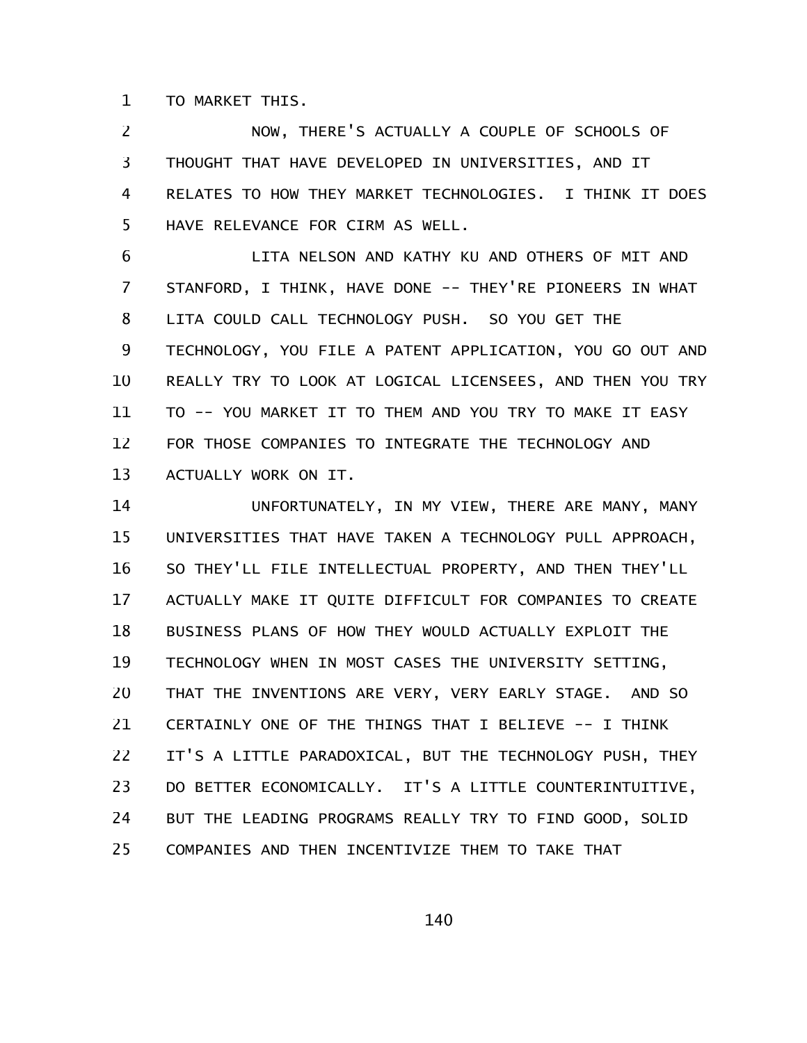TO MARKET THIS. 1

NOW, THERE'S ACTUALLY A COUPLE OF SCHOOLS OF THOUGHT THAT HAVE DEVELOPED IN UNIVERSITIES, AND IT RELATES TO HOW THEY MARKET TECHNOLOGIES. I THINK IT DOES HAVE RELEVANCE FOR CIRM AS WELL. 2 3 4 5

LITA NELSON AND KATHY KU AND OTHERS OF MIT AND STANFORD, I THINK, HAVE DONE -- THEY'RE PIONEERS IN WHAT LITA COULD CALL TECHNOLOGY PUSH. SO YOU GET THE TECHNOLOGY, YOU FILE A PATENT APPLICATION, YOU GO OUT AND REALLY TRY TO LOOK AT LOGICAL LICENSEES, AND THEN YOU TRY TO -- YOU MARKET IT TO THEM AND YOU TRY TO MAKE IT EASY FOR THOSE COMPANIES TO INTEGRATE THE TECHNOLOGY AND ACTUALLY WORK ON IT. 6 7 8 9 10 11 12 13

UNFORTUNATELY, IN MY VIEW, THERE ARE MANY, MANY UNIVERSITIES THAT HAVE TAKEN A TECHNOLOGY PULL APPROACH, SO THEY'LL FILE INTELLECTUAL PROPERTY, AND THEN THEY'LL ACTUALLY MAKE IT QUITE DIFFICULT FOR COMPANIES TO CREATE BUSINESS PLANS OF HOW THEY WOULD ACTUALLY EXPLOIT THE TECHNOLOGY WHEN IN MOST CASES THE UNIVERSITY SETTING, THAT THE INVENTIONS ARE VERY, VERY EARLY STAGE. AND SO CERTAINLY ONE OF THE THINGS THAT I BELIEVE -- I THINK IT'S A LITTLE PARADOXICAL, BUT THE TECHNOLOGY PUSH, THEY DO BETTER ECONOMICALLY. IT'S A LITTLE COUNTERINTUITIVE, BUT THE LEADING PROGRAMS REALLY TRY TO FIND GOOD, SOLID COMPANIES AND THEN INCENTIVIZE THEM TO TAKE THAT 14 15 16 17 18 19 20 21 22 23 24 25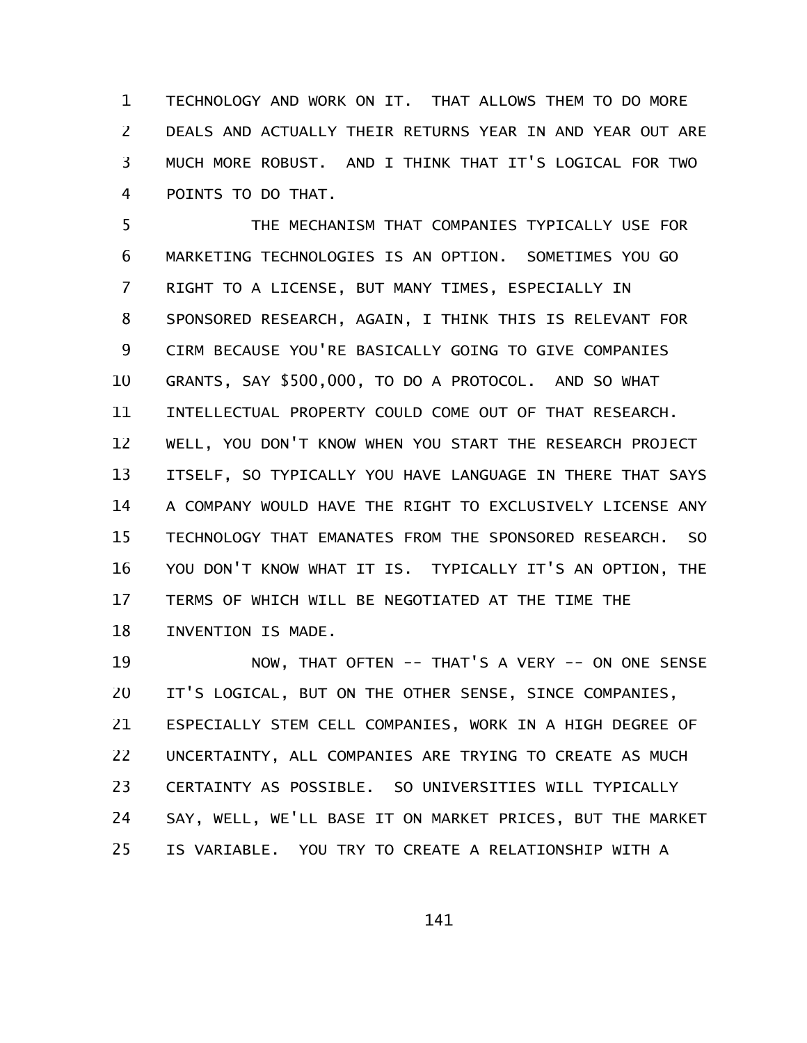TECHNOLOGY AND WORK ON IT. THAT ALLOWS THEM TO DO MORE DEALS AND ACTUALLY THEIR RETURNS YEAR IN AND YEAR OUT ARE MUCH MORE ROBUST. AND I THINK THAT IT'S LOGICAL FOR TWO POINTS TO DO THAT. 1 2 3 4

THE MECHANISM THAT COMPANIES TYPICALLY USE FOR MARKETING TECHNOLOGIES IS AN OPTION. SOMETIMES YOU GO RIGHT TO A LICENSE, BUT MANY TIMES, ESPECIALLY IN SPONSORED RESEARCH, AGAIN, I THINK THIS IS RELEVANT FOR CIRM BECAUSE YOU'RE BASICALLY GOING TO GIVE COMPANIES GRANTS, SAY \$500,000, TO DO A PROTOCOL. AND SO WHAT INTELLECTUAL PROPERTY COULD COME OUT OF THAT RESEARCH. WELL, YOU DON'T KNOW WHEN YOU START THE RESEARCH PROJECT ITSELF, SO TYPICALLY YOU HAVE LANGUAGE IN THERE THAT SAYS A COMPANY WOULD HAVE THE RIGHT TO EXCLUSIVELY LICENSE ANY TECHNOLOGY THAT EMANATES FROM THE SPONSORED RESEARCH. SO YOU DON'T KNOW WHAT IT IS. TYPICALLY IT'S AN OPTION, THE TERMS OF WHICH WILL BE NEGOTIATED AT THE TIME THE INVENTION IS MADE. 5 6 7 8 9 10 11 12 13 14 15 16 17 18

NOW, THAT OFTEN -- THAT'S A VERY -- ON ONE SENSE IT'S LOGICAL, BUT ON THE OTHER SENSE, SINCE COMPANIES, ESPECIALLY STEM CELL COMPANIES, WORK IN A HIGH DEGREE OF UNCERTAINTY, ALL COMPANIES ARE TRYING TO CREATE AS MUCH CERTAINTY AS POSSIBLE. SO UNIVERSITIES WILL TYPICALLY SAY, WELL, WE'LL BASE IT ON MARKET PRICES, BUT THE MARKET IS VARIABLE. YOU TRY TO CREATE A RELATIONSHIP WITH A 19 20 21 22 23 24 25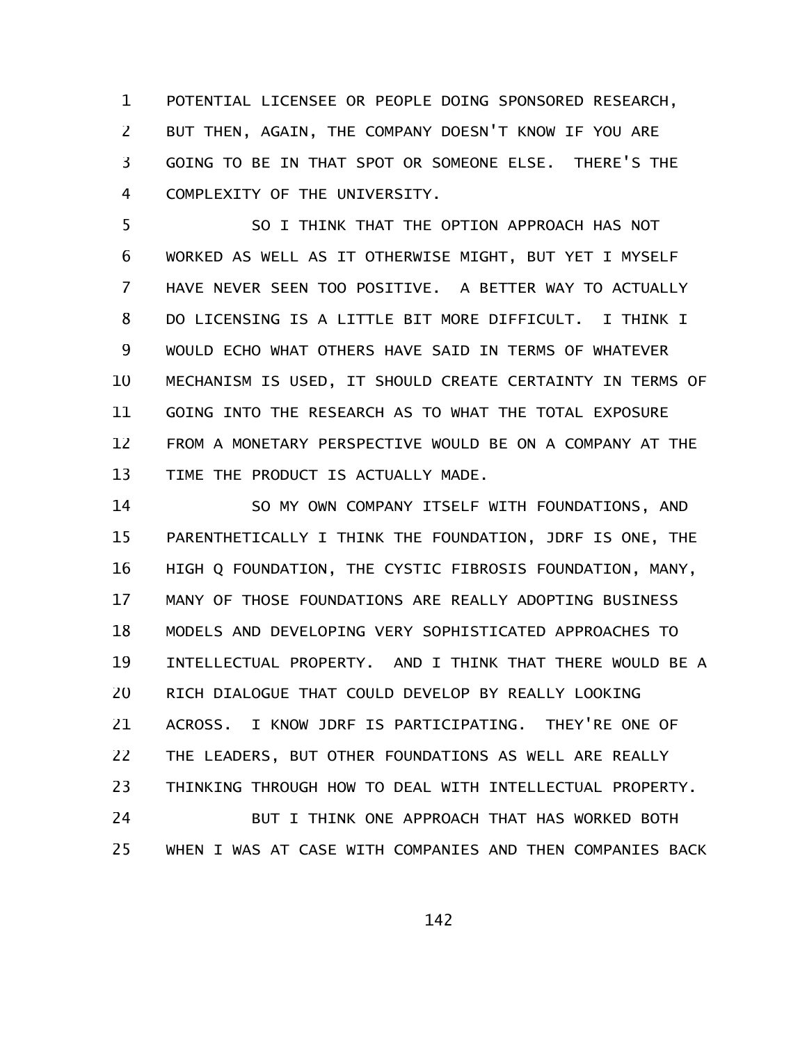POTENTIAL LICENSEE OR PEOPLE DOING SPONSORED RESEARCH, BUT THEN, AGAIN, THE COMPANY DOESN'T KNOW IF YOU ARE GOING TO BE IN THAT SPOT OR SOMEONE ELSE. THERE'S THE COMPLEXITY OF THE UNIVERSITY. 1 2 3 4

SO I THINK THAT THE OPTION APPROACH HAS NOT WORKED AS WELL AS IT OTHERWISE MIGHT, BUT YET I MYSELF HAVE NEVER SEEN TOO POSITIVE. A BETTER WAY TO ACTUALLY DO LICENSING IS A LITTLE BIT MORE DIFFICULT. I THINK I WOULD ECHO WHAT OTHERS HAVE SAID IN TERMS OF WHATEVER MECHANISM IS USED, IT SHOULD CREATE CERTAINTY IN TERMS OF GOING INTO THE RESEARCH AS TO WHAT THE TOTAL EXPOSURE FROM A MONETARY PERSPECTIVE WOULD BE ON A COMPANY AT THE TIME THE PRODUCT IS ACTUALLY MADE. 5 6 7 8 9 10 11 12 13

SO MY OWN COMPANY ITSELF WITH FOUNDATIONS, AND PARENTHETICALLY I THINK THE FOUNDATION, JDRF IS ONE, THE HIGH Q FOUNDATION, THE CYSTIC FIBROSIS FOUNDATION, MANY, MANY OF THOSE FOUNDATIONS ARE REALLY ADOPTING BUSINESS MODELS AND DEVELOPING VERY SOPHISTICATED APPROACHES TO INTELLECTUAL PROPERTY. AND I THINK THAT THERE WOULD BE A RICH DIALOGUE THAT COULD DEVELOP BY REALLY LOOKING ACROSS. I KNOW JDRF IS PARTICIPATING. THEY'RE ONE OF THE LEADERS, BUT OTHER FOUNDATIONS AS WELL ARE REALLY THINKING THROUGH HOW TO DEAL WITH INTELLECTUAL PROPERTY. BUT I THINK ONE APPROACH THAT HAS WORKED BOTH 14 15 16 17 18 19 20 21 22 23 24

WHEN I WAS AT CASE WITH COMPANIES AND THEN COMPANIES BACK 25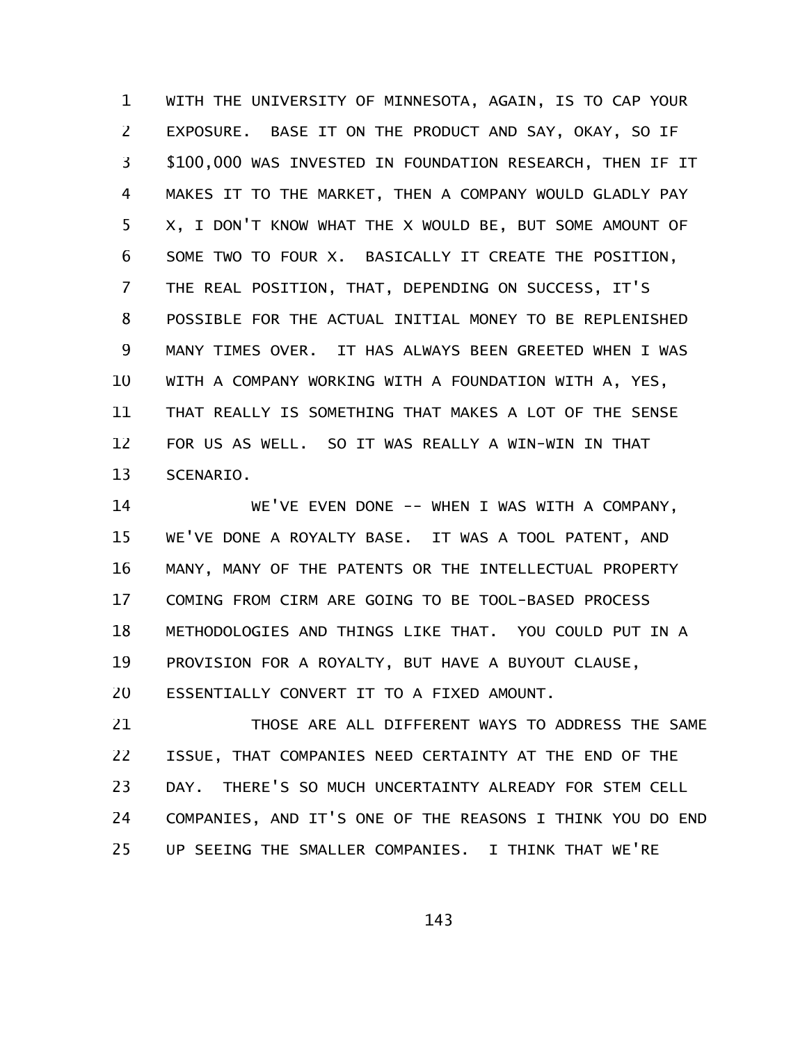WITH THE UNIVERSITY OF MINNESOTA, AGAIN, IS TO CAP YOUR EXPOSURE. BASE IT ON THE PRODUCT AND SAY, OKAY, SO IF \$100,000 WAS INVESTED IN FOUNDATION RESEARCH, THEN IF IT MAKES IT TO THE MARKET, THEN A COMPANY WOULD GLADLY PAY X, I DON'T KNOW WHAT THE X WOULD BE, BUT SOME AMOUNT OF SOME TWO TO FOUR X. BASICALLY IT CREATE THE POSITION, THE REAL POSITION, THAT, DEPENDING ON SUCCESS, IT'S POSSIBLE FOR THE ACTUAL INITIAL MONEY TO BE REPLENISHED MANY TIMES OVER. IT HAS ALWAYS BEEN GREETED WHEN I WAS WITH A COMPANY WORKING WITH A FOUNDATION WITH A, YES, THAT REALLY IS SOMETHING THAT MAKES A LOT OF THE SENSE FOR US AS WELL. SO IT WAS REALLY A WIN-WIN IN THAT SCENARIO. 1 2 3 4 5 6 7 8 9 10 11 12 13

WE'VE EVEN DONE -- WHEN I WAS WITH A COMPANY, WE'VE DONE A ROYALTY BASE. IT WAS A TOOL PATENT, AND MANY, MANY OF THE PATENTS OR THE INTELLECTUAL PROPERTY COMING FROM CIRM ARE GOING TO BE TOOL-BASED PROCESS METHODOLOGIES AND THINGS LIKE THAT. YOU COULD PUT IN A PROVISION FOR A ROYALTY, BUT HAVE A BUYOUT CLAUSE, ESSENTIALLY CONVERT IT TO A FIXED AMOUNT. 14 15 16 17 18 19 20

THOSE ARE ALL DIFFERENT WAYS TO ADDRESS THE SAME ISSUE, THAT COMPANIES NEED CERTAINTY AT THE END OF THE DAY. THERE'S SO MUCH UNCERTAINTY ALREADY FOR STEM CELL COMPANIES, AND IT'S ONE OF THE REASONS I THINK YOU DO END UP SEEING THE SMALLER COMPANIES. I THINK THAT WE'RE 21 22 23 24 25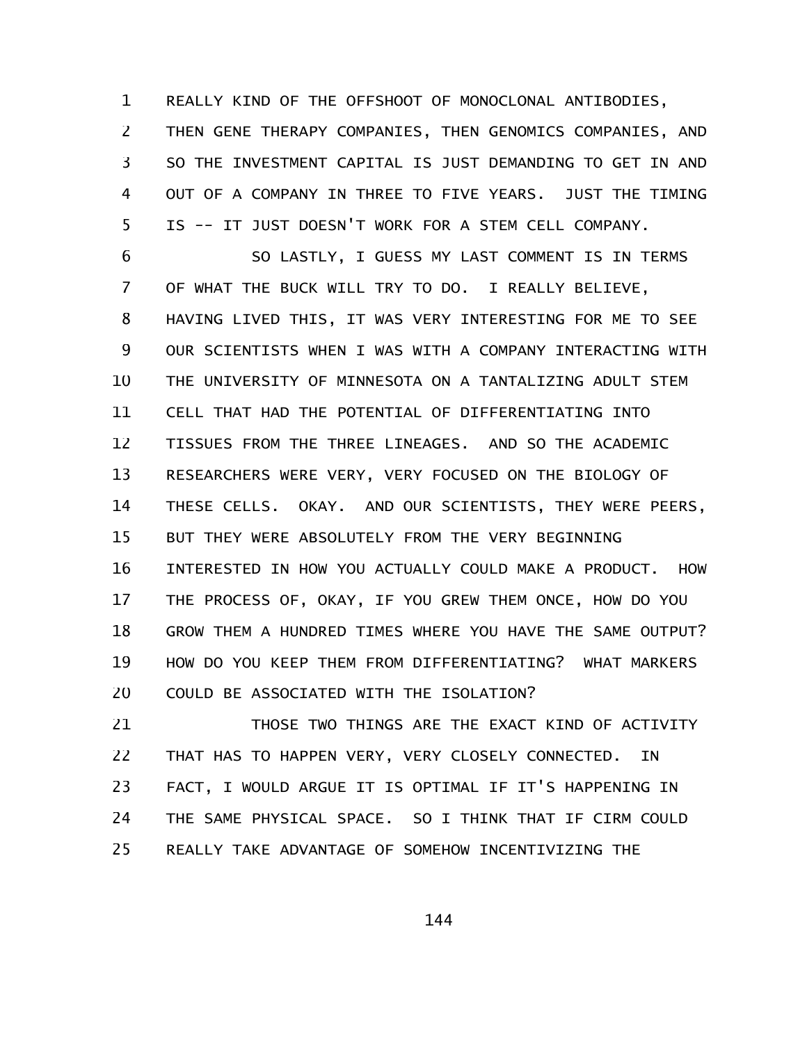REALLY KIND OF THE OFFSHOOT OF MONOCLONAL ANTIBODIES, THEN GENE THERAPY COMPANIES, THEN GENOMICS COMPANIES, AND SO THE INVESTMENT CAPITAL IS JUST DEMANDING TO GET IN AND OUT OF A COMPANY IN THREE TO FIVE YEARS. JUST THE TIMING IS -- IT JUST DOESN'T WORK FOR A STEM CELL COMPANY. 1 2 3 4 5

SO LASTLY, I GUESS MY LAST COMMENT IS IN TERMS OF WHAT THE BUCK WILL TRY TO DO. I REALLY BELIEVE, HAVING LIVED THIS, IT WAS VERY INTERESTING FOR ME TO SEE OUR SCIENTISTS WHEN I WAS WITH A COMPANY INTERACTING WITH THE UNIVERSITY OF MINNESOTA ON A TANTALIZING ADULT STEM CELL THAT HAD THE POTENTIAL OF DIFFERENTIATING INTO TISSUES FROM THE THREE LINEAGES. AND SO THE ACADEMIC RESEARCHERS WERE VERY, VERY FOCUSED ON THE BIOLOGY OF THESE CELLS. OKAY. AND OUR SCIENTISTS, THEY WERE PEERS, BUT THEY WERE ABSOLUTELY FROM THE VERY BEGINNING INTERESTED IN HOW YOU ACTUALLY COULD MAKE A PRODUCT. HOW THE PROCESS OF, OKAY, IF YOU GREW THEM ONCE, HOW DO YOU GROW THEM A HUNDRED TIMES WHERE YOU HAVE THE SAME OUTPUT? HOW DO YOU KEEP THEM FROM DIFFERENTIATING? WHAT MARKERS COULD BE ASSOCIATED WITH THE ISOLATION? 6 7 8 9 10 11 12 13 14 15 16 17 18 19 20

THOSE TWO THINGS ARE THE EXACT KIND OF ACTIVITY THAT HAS TO HAPPEN VERY, VERY CLOSELY CONNECTED. IN FACT, I WOULD ARGUE IT IS OPTIMAL IF IT'S HAPPENING IN THE SAME PHYSICAL SPACE. SO I THINK THAT IF CIRM COULD REALLY TAKE ADVANTAGE OF SOMEHOW INCENTIVIZING THE 21 22 23 24 25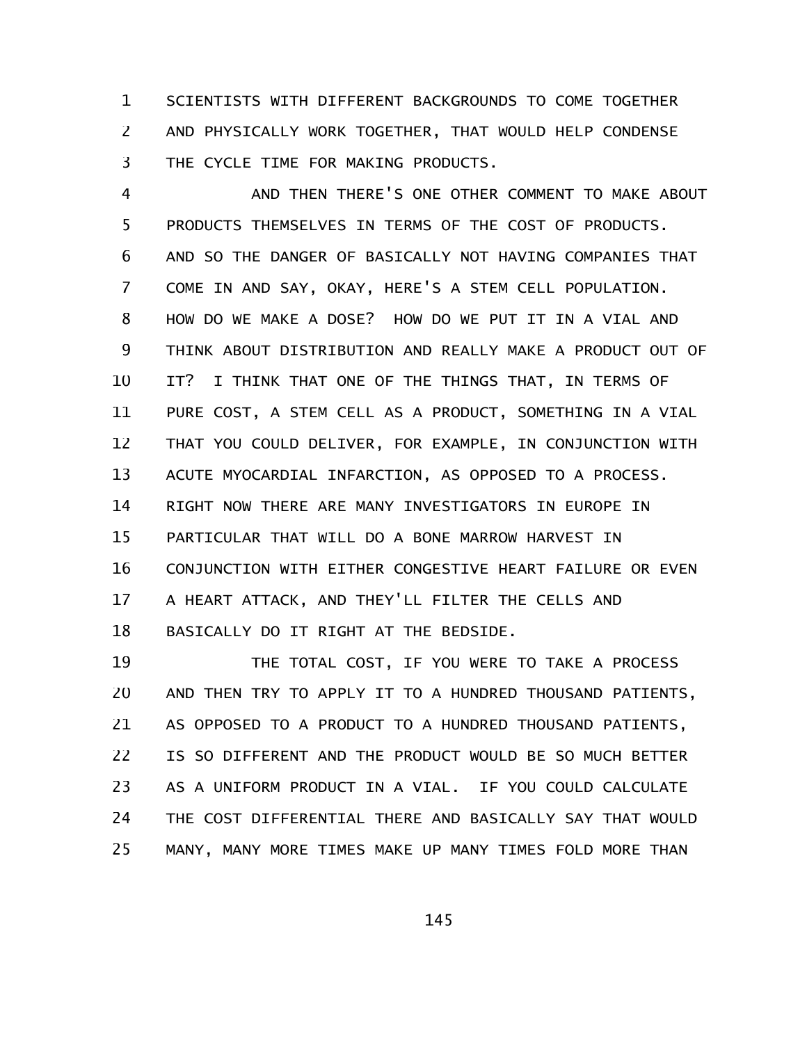SCIENTISTS WITH DIFFERENT BACKGROUNDS TO COME TOGETHER AND PHYSICALLY WORK TOGETHER, THAT WOULD HELP CONDENSE THE CYCLE TIME FOR MAKING PRODUCTS. 1 2 3

AND THEN THERE'S ONE OTHER COMMENT TO MAKE ABOUT PRODUCTS THEMSELVES IN TERMS OF THE COST OF PRODUCTS. AND SO THE DANGER OF BASICALLY NOT HAVING COMPANIES THAT COME IN AND SAY, OKAY, HERE'S A STEM CELL POPULATION. HOW DO WE MAKE A DOSE? HOW DO WE PUT IT IN A VIAL AND THINK ABOUT DISTRIBUTION AND REALLY MAKE A PRODUCT OUT OF IT? I THINK THAT ONE OF THE THINGS THAT, IN TERMS OF PURE COST, A STEM CELL AS A PRODUCT, SOMETHING IN A VIAL THAT YOU COULD DELIVER, FOR EXAMPLE, IN CONJUNCTION WITH ACUTE MYOCARDIAL INFARCTION, AS OPPOSED TO A PROCESS. RIGHT NOW THERE ARE MANY INVESTIGATORS IN EUROPE IN PARTICULAR THAT WILL DO A BONE MARROW HARVEST IN CONJUNCTION WITH EITHER CONGESTIVE HEART FAILURE OR EVEN A HEART ATTACK, AND THEY'LL FILTER THE CELLS AND BASICALLY DO IT RIGHT AT THE BEDSIDE. 4 5 6 7 8 9 10 11 12 13 14 15 16 17 18

THE TOTAL COST, IF YOU WERE TO TAKE A PROCESS AND THEN TRY TO APPLY IT TO A HUNDRED THOUSAND PATIENTS, AS OPPOSED TO A PRODUCT TO A HUNDRED THOUSAND PATIENTS, IS SO DIFFERENT AND THE PRODUCT WOULD BE SO MUCH BETTER AS A UNIFORM PRODUCT IN A VIAL. IF YOU COULD CALCULATE THE COST DIFFERENTIAL THERE AND BASICALLY SAY THAT WOULD MANY, MANY MORE TIMES MAKE UP MANY TIMES FOLD MORE THAN 19 20 21 22 23 24 25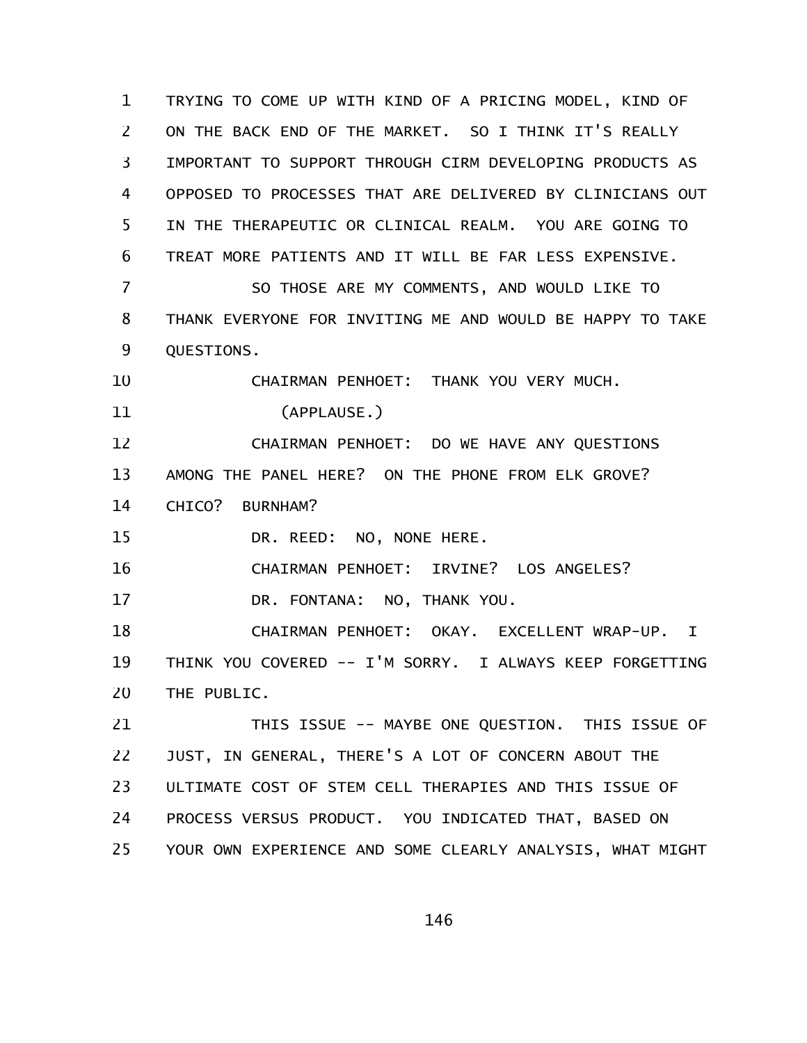TRYING TO COME UP WITH KIND OF A PRICING MODEL, KIND OF ON THE BACK END OF THE MARKET. SO I THINK IT'S REALLY IMPORTANT TO SUPPORT THROUGH CIRM DEVELOPING PRODUCTS AS OPPOSED TO PROCESSES THAT ARE DELIVERED BY CLINICIANS OUT IN THE THERAPEUTIC OR CLINICAL REALM. YOU ARE GOING TO TREAT MORE PATIENTS AND IT WILL BE FAR LESS EXPENSIVE. SO THOSE ARE MY COMMENTS, AND WOULD LIKE TO THANK EVERYONE FOR INVITING ME AND WOULD BE HAPPY TO TAKE QUESTIONS. CHAIRMAN PENHOET: THANK YOU VERY MUCH. (APPLAUSE.) CHAIRMAN PENHOET: DO WE HAVE ANY QUESTIONS AMONG THE PANEL HERE? ON THE PHONE FROM ELK GROVE? CHICO? BURNHAM? DR. REED: NO, NONE HERE. CHAIRMAN PENHOET: IRVINE? LOS ANGELES? DR. FONTANA: NO, THANK YOU. CHAIRMAN PENHOET: OKAY. EXCELLENT WRAP-UP. I THINK YOU COVERED -- I'M SORRY. I ALWAYS KEEP FORGETTING THE PUBLIC. THIS ISSUE -- MAYBE ONE QUESTION. THIS ISSUE OF JUST, IN GENERAL, THERE'S A LOT OF CONCERN ABOUT THE ULTIMATE COST OF STEM CELL THERAPIES AND THIS ISSUE OF PROCESS VERSUS PRODUCT. YOU INDICATED THAT, BASED ON 1 2 3 4 5 6 7 8 9 10 11 12 13 14 15 16 17 18 19 20 21 22 23 24

YOUR OWN EXPERIENCE AND SOME CLEARLY ANALYSIS, WHAT MIGHT 25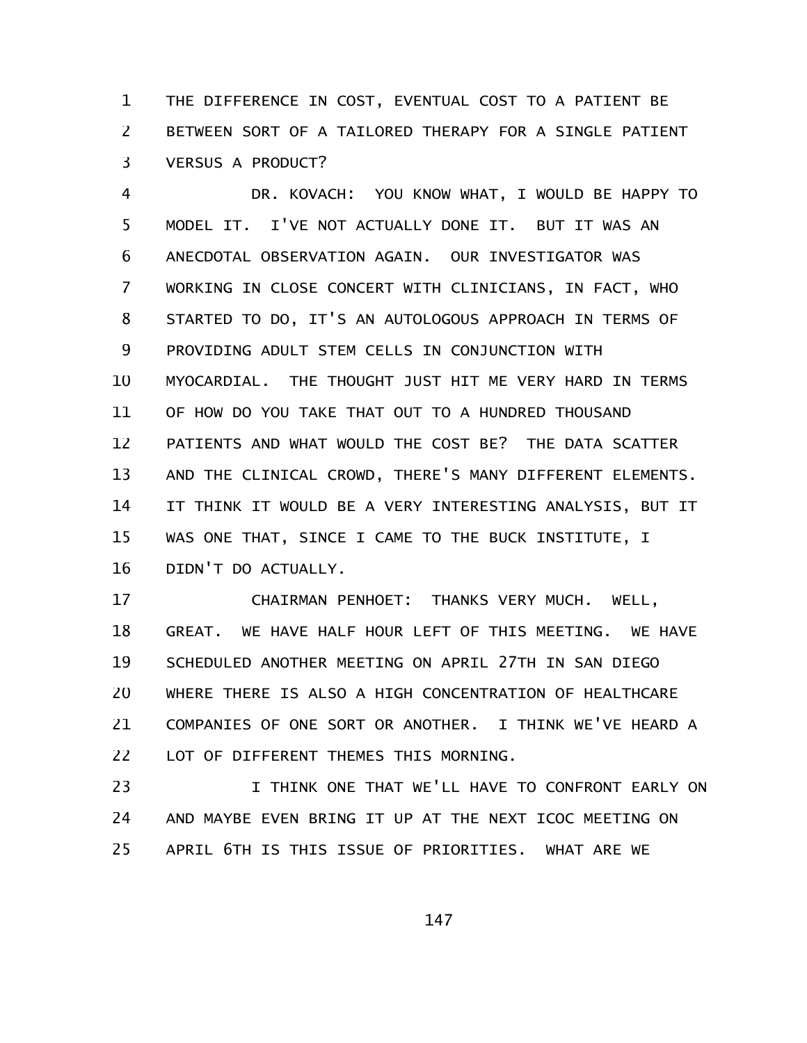THE DIFFERENCE IN COST, EVENTUAL COST TO A PATIENT BE BETWEEN SORT OF A TAILORED THERAPY FOR A SINGLE PATIENT VERSUS A PRODUCT? 1 2 3

DR. KOVACH: YOU KNOW WHAT, I WOULD BE HAPPY TO MODEL IT. I'VE NOT ACTUALLY DONE IT. BUT IT WAS AN ANECDOTAL OBSERVATION AGAIN. OUR INVESTIGATOR WAS WORKING IN CLOSE CONCERT WITH CLINICIANS, IN FACT, WHO STARTED TO DO, IT'S AN AUTOLOGOUS APPROACH IN TERMS OF PROVIDING ADULT STEM CELLS IN CONJUNCTION WITH MYOCARDIAL. THE THOUGHT JUST HIT ME VERY HARD IN TERMS OF HOW DO YOU TAKE THAT OUT TO A HUNDRED THOUSAND PATIENTS AND WHAT WOULD THE COST BE? THE DATA SCATTER AND THE CLINICAL CROWD, THERE'S MANY DIFFERENT ELEMENTS. IT THINK IT WOULD BE A VERY INTERESTING ANALYSIS, BUT IT WAS ONE THAT, SINCE I CAME TO THE BUCK INSTITUTE, I DIDN'T DO ACTUALLY. 4 5 6 7 8 9 10 11 12 13 14 15 16

CHAIRMAN PENHOET: THANKS VERY MUCH. WELL, GREAT. WE HAVE HALF HOUR LEFT OF THIS MEETING. WE HAVE SCHEDULED ANOTHER MEETING ON APRIL 27TH IN SAN DIEGO WHERE THERE IS ALSO A HIGH CONCENTRATION OF HEALTHCARE COMPANIES OF ONE SORT OR ANOTHER. I THINK WE'VE HEARD A LOT OF DIFFERENT THEMES THIS MORNING. 17 18 19 20 21 22

I THINK ONE THAT WE'LL HAVE TO CONFRONT EARLY ON AND MAYBE EVEN BRING IT UP AT THE NEXT ICOC MEETING ON APRIL 6TH IS THIS ISSUE OF PRIORITIES. WHAT ARE WE 23 24 25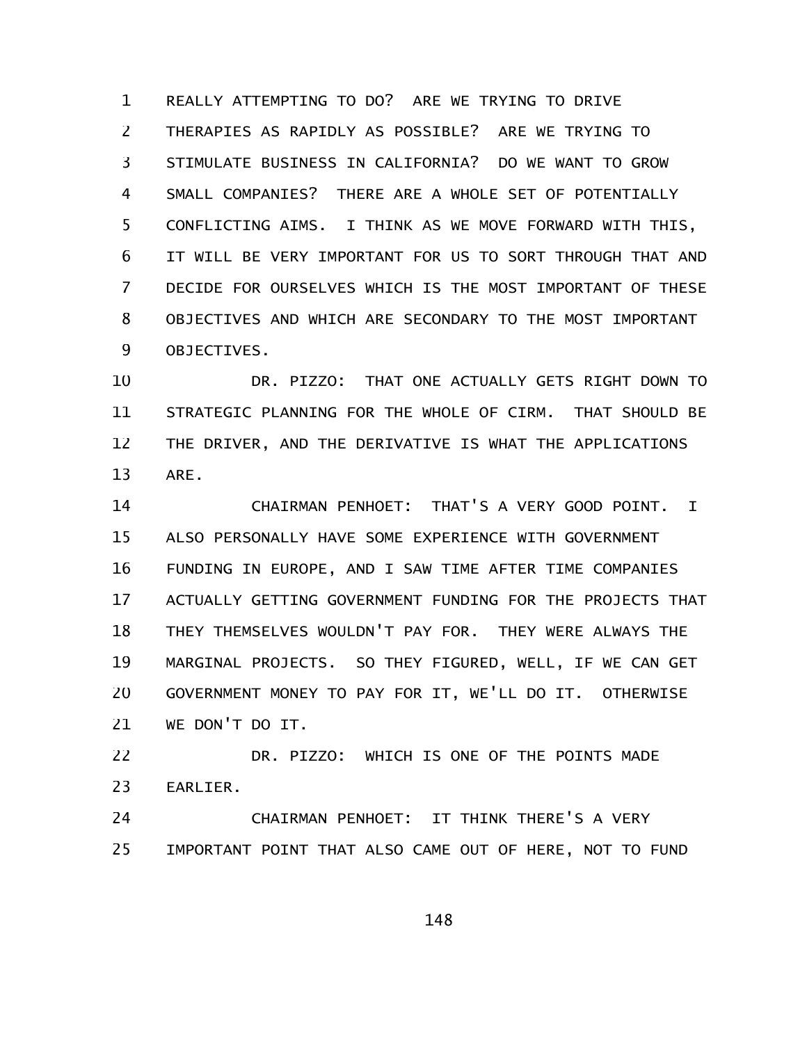REALLY ATTEMPTING TO DO? ARE WE TRYING TO DRIVE THERAPIES AS RAPIDLY AS POSSIBLE? ARE WE TRYING TO STIMULATE BUSINESS IN CALIFORNIA? DO WE WANT TO GROW SMALL COMPANIES? THERE ARE A WHOLE SET OF POTENTIALLY CONFLICTING AIMS. I THINK AS WE MOVE FORWARD WITH THIS, IT WILL BE VERY IMPORTANT FOR US TO SORT THROUGH THAT AND DECIDE FOR OURSELVES WHICH IS THE MOST IMPORTANT OF THESE OBJECTIVES AND WHICH ARE SECONDARY TO THE MOST IMPORTANT OBJECTIVES. 1 2 3 4 5 6 7 8 9

DR. PIZZO: THAT ONE ACTUALLY GETS RIGHT DOWN TO STRATEGIC PLANNING FOR THE WHOLE OF CIRM. THAT SHOULD BE THE DRIVER, AND THE DERIVATIVE IS WHAT THE APPLICATIONS ARE. 10 11 12 13

CHAIRMAN PENHOET: THAT'S A VERY GOOD POINT. I ALSO PERSONALLY HAVE SOME EXPERIENCE WITH GOVERNMENT FUNDING IN EUROPE, AND I SAW TIME AFTER TIME COMPANIES ACTUALLY GETTING GOVERNMENT FUNDING FOR THE PROJECTS THAT THEY THEMSELVES WOULDN'T PAY FOR. THEY WERE ALWAYS THE MARGINAL PROJECTS. SO THEY FIGURED, WELL, IF WE CAN GET GOVERNMENT MONEY TO PAY FOR IT, WE'LL DO IT. OTHERWISE WE DON'T DO IT. 14 15 16 17 18 19 20 21

DR. PIZZO: WHICH IS ONE OF THE POINTS MADE EARLIER. 22 23

CHAIRMAN PENHOET: IT THINK THERE'S A VERY IMPORTANT POINT THAT ALSO CAME OUT OF HERE, NOT TO FUND 24 25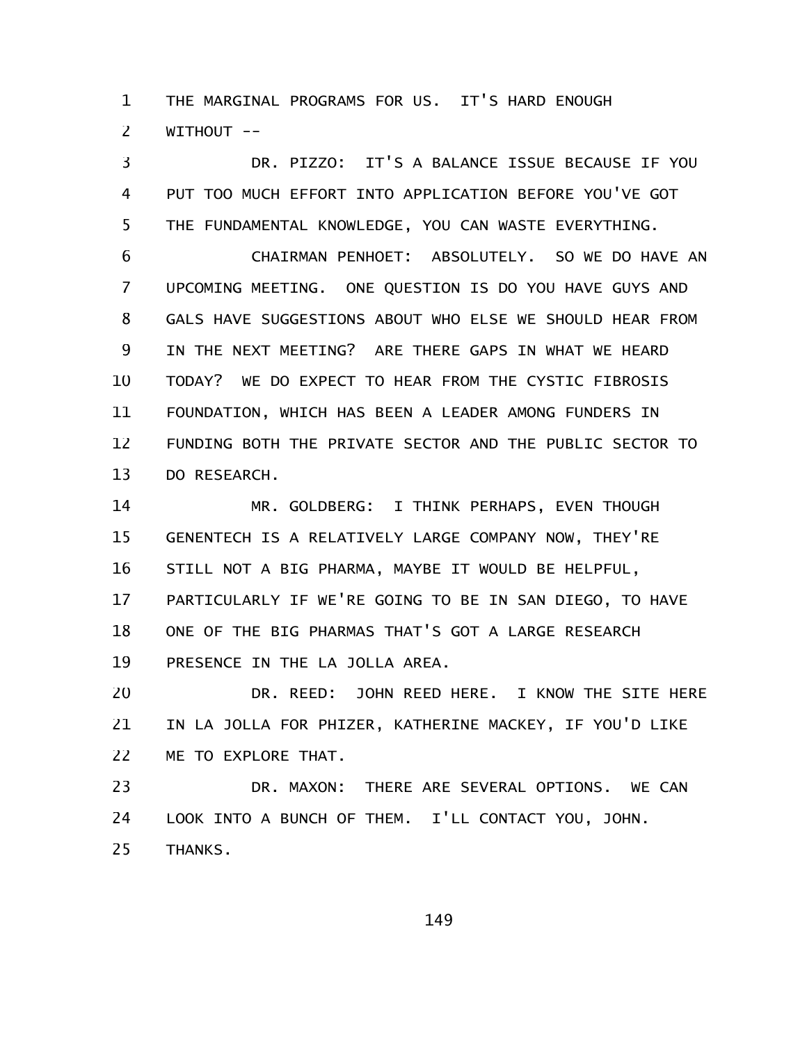THE MARGINAL PROGRAMS FOR US. IT'S HARD ENOUGH WITHOUT -- 1 2

DR. PIZZO: IT'S A BALANCE ISSUE BECAUSE IF YOU PUT TOO MUCH EFFORT INTO APPLICATION BEFORE YOU'VE GOT THE FUNDAMENTAL KNOWLEDGE, YOU CAN WASTE EVERYTHING. 3 4 5

CHAIRMAN PENHOET: ABSOLUTELY. SO WE DO HAVE AN UPCOMING MEETING. ONE QUESTION IS DO YOU HAVE GUYS AND GALS HAVE SUGGESTIONS ABOUT WHO ELSE WE SHOULD HEAR FROM IN THE NEXT MEETING? ARE THERE GAPS IN WHAT WE HEARD TODAY? WE DO EXPECT TO HEAR FROM THE CYSTIC FIBROSIS FOUNDATION, WHICH HAS BEEN A LEADER AMONG FUNDERS IN FUNDING BOTH THE PRIVATE SECTOR AND THE PUBLIC SECTOR TO DO RESEARCH. 6 7 8 9 10 11 12 13

MR. GOLDBERG: I THINK PERHAPS, EVEN THOUGH GENENTECH IS A RELATIVELY LARGE COMPANY NOW, THEY'RE STILL NOT A BIG PHARMA, MAYBE IT WOULD BE HELPFUL, PARTICULARLY IF WE'RE GOING TO BE IN SAN DIEGO, TO HAVE ONE OF THE BIG PHARMAS THAT'S GOT A LARGE RESEARCH PRESENCE IN THE LA JOLLA AREA. 14 15 16 17 18 19

DR. REED: JOHN REED HERE. I KNOW THE SITE HERE IN LA JOLLA FOR PHIZER, KATHERINE MACKEY, IF YOU'D LIKE ME TO EXPLORE THAT. 20 21 22

DR. MAXON: THERE ARE SEVERAL OPTIONS. WE CAN LOOK INTO A BUNCH OF THEM. I'LL CONTACT YOU, JOHN. THANKS. 23 24 25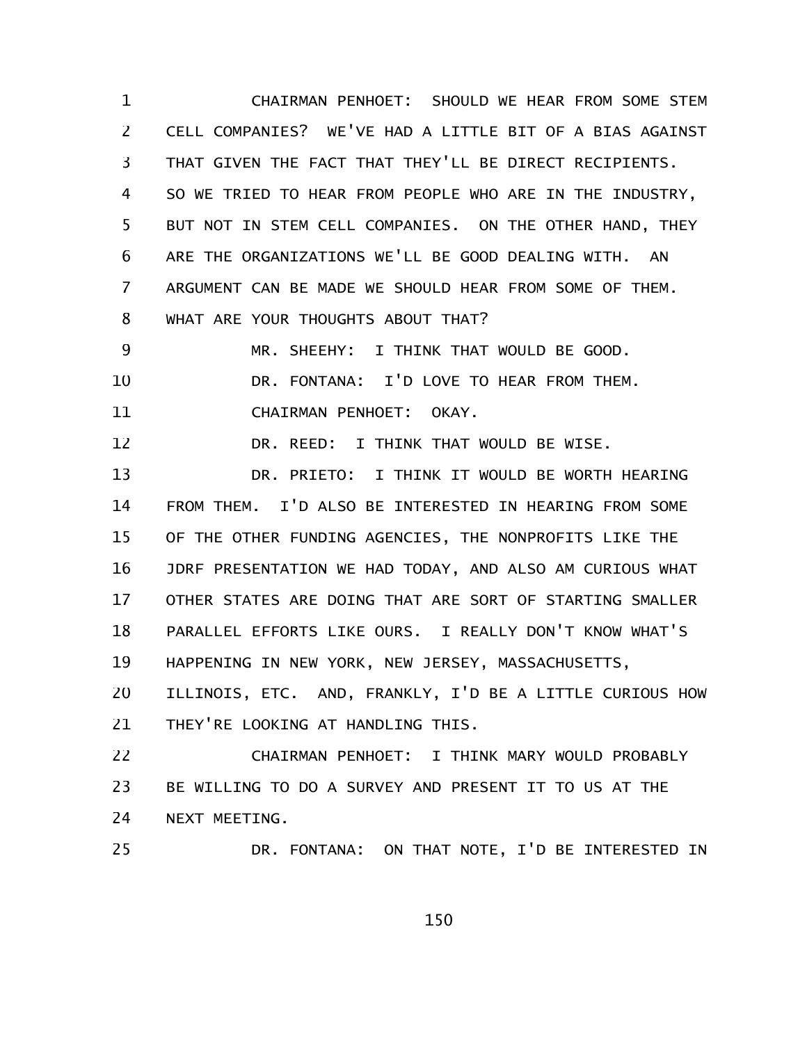CHAIRMAN PENHOET: SHOULD WE HEAR FROM SOME STEM CELL COMPANIES? WE'VE HAD A LITTLE BIT OF A BIAS AGAINST THAT GIVEN THE FACT THAT THEY'LL BE DIRECT RECIPIENTS. SO WE TRIED TO HEAR FROM PEOPLE WHO ARE IN THE INDUSTRY, BUT NOT IN STEM CELL COMPANIES. ON THE OTHER HAND, THEY ARE THE ORGANIZATIONS WE'LL BE GOOD DEALING WITH. AN ARGUMENT CAN BE MADE WE SHOULD HEAR FROM SOME OF THEM. WHAT ARE YOUR THOUGHTS ABOUT THAT? 1 2 3 4 5 6 7 8

MR. SHEEHY: I THINK THAT WOULD BE GOOD. DR. FONTANA: I'D LOVE TO HEAR FROM THEM. CHAIRMAN PENHOET: OKAY. 9 10 11

DR. REED: I THINK THAT WOULD BE WISE. 12

DR. PRIETO: I THINK IT WOULD BE WORTH HEARING FROM THEM. I'D ALSO BE INTERESTED IN HEARING FROM SOME OF THE OTHER FUNDING AGENCIES, THE NONPROFITS LIKE THE JDRF PRESENTATION WE HAD TODAY, AND ALSO AM CURIOUS WHAT OTHER STATES ARE DOING THAT ARE SORT OF STARTING SMALLER PARALLEL EFFORTS LIKE OURS. I REALLY DON'T KNOW WHAT'S HAPPENING IN NEW YORK, NEW JERSEY, MASSACHUSETTS, 13 14 15 16 17 18 19

ILLINOIS, ETC. AND, FRANKLY, I'D BE A LITTLE CURIOUS HOW THEY'RE LOOKING AT HANDLING THIS. 20 21

CHAIRMAN PENHOET: I THINK MARY WOULD PROBABLY BE WILLING TO DO A SURVEY AND PRESENT IT TO US AT THE NEXT MEETING. 22 23 24

25

DR. FONTANA: ON THAT NOTE, I'D BE INTERESTED IN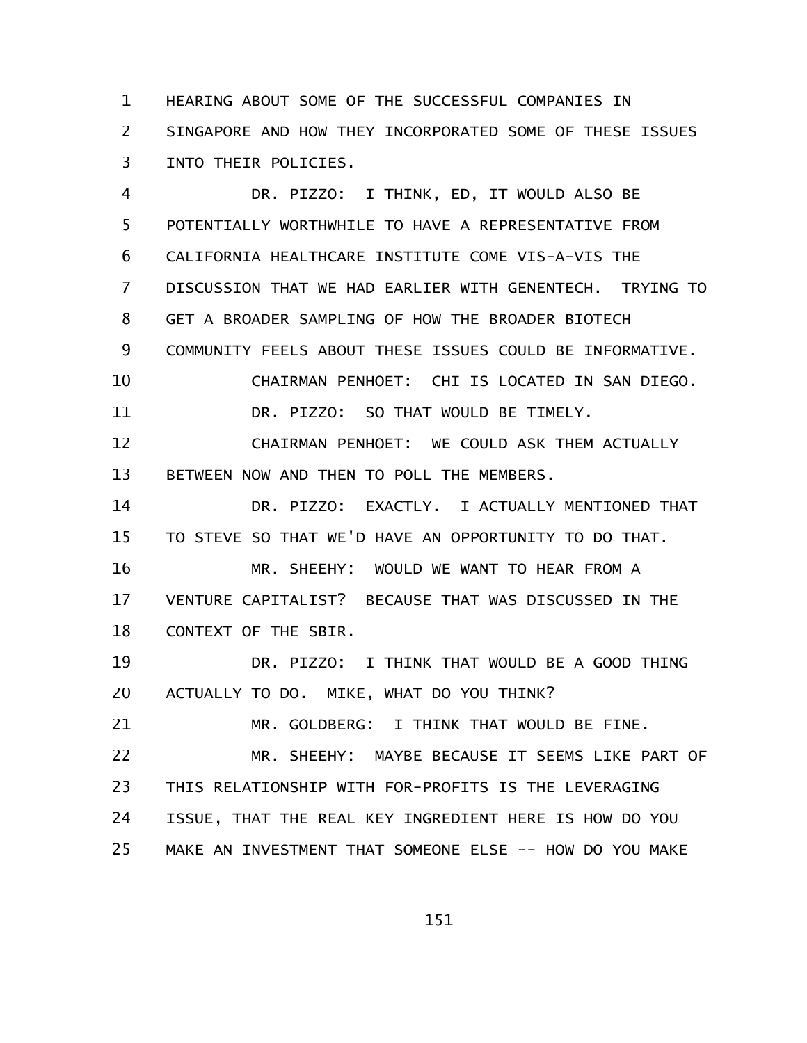HEARING ABOUT SOME OF THE SUCCESSFUL COMPANIES IN SINGAPORE AND HOW THEY INCORPORATED SOME OF THESE ISSUES INTO THEIR POLICIES. 1 2 3

DR. PIZZO: I THINK, ED, IT WOULD ALSO BE POTENTIALLY WORTHWHILE TO HAVE A REPRESENTATIVE FROM CALIFORNIA HEALTHCARE INSTITUTE COME VIS-A-VIS THE DISCUSSION THAT WE HAD EARLIER WITH GENENTECH. TRYING TO GET A BROADER SAMPLING OF HOW THE BROADER BIOTECH COMMUNITY FEELS ABOUT THESE ISSUES COULD BE INFORMATIVE. CHAIRMAN PENHOET: CHI IS LOCATED IN SAN DIEGO. DR. PIZZO: SO THAT WOULD BE TIMELY. CHAIRMAN PENHOET: WE COULD ASK THEM ACTUALLY BETWEEN NOW AND THEN TO POLL THE MEMBERS. DR. PIZZO: EXACTLY. I ACTUALLY MENTIONED THAT TO STEVE SO THAT WE'D HAVE AN OPPORTUNITY TO DO THAT. MR. SHEEHY: WOULD WE WANT TO HEAR FROM A VENTURE CAPITALIST? BECAUSE THAT WAS DISCUSSED IN THE CONTEXT OF THE SBIR. DR. PIZZO: I THINK THAT WOULD BE A GOOD THING ACTUALLY TO DO. MIKE, WHAT DO YOU THINK? MR. GOLDBERG: I THINK THAT WOULD BE FINE. MR. SHEEHY: MAYBE BECAUSE IT SEEMS LIKE PART OF THIS RELATIONSHIP WITH FOR-PROFITS IS THE LEVERAGING ISSUE, THAT THE REAL KEY INGREDIENT HERE IS HOW DO YOU 4 5 6 7 8 9 10 11 12 13 14 15 16 17 18 19 20 21 22 23 24

MAKE AN INVESTMENT THAT SOMEONE ELSE -- HOW DO YOU MAKE 25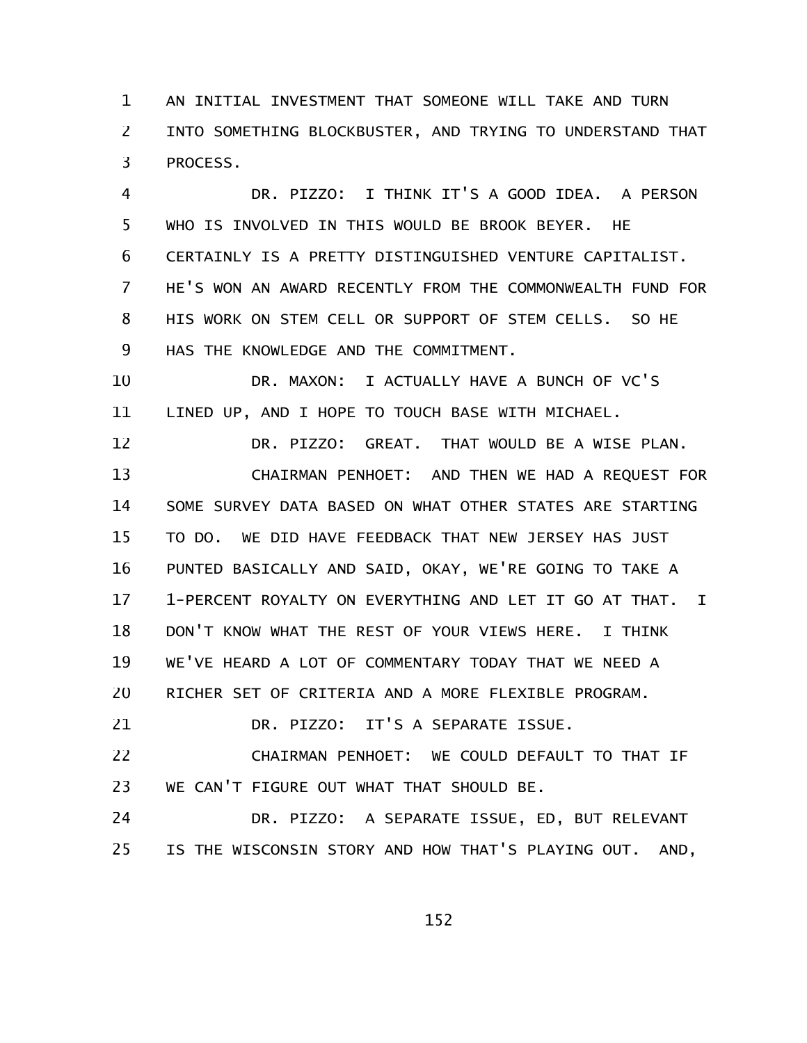AN INITIAL INVESTMENT THAT SOMEONE WILL TAKE AND TURN INTO SOMETHING BLOCKBUSTER, AND TRYING TO UNDERSTAND THAT PROCESS. 1 2 3

DR. PIZZO: I THINK IT'S A GOOD IDEA. A PERSON WHO IS INVOLVED IN THIS WOULD BE BROOK BEYER. HE CERTAINLY IS A PRETTY DISTINGUISHED VENTURE CAPITALIST. HE'S WON AN AWARD RECENTLY FROM THE COMMONWEALTH FUND FOR HIS WORK ON STEM CELL OR SUPPORT OF STEM CELLS. SO HE HAS THE KNOWLEDGE AND THE COMMITMENT. 4 5 6 7 8 9

DR. MAXON: I ACTUALLY HAVE A BUNCH OF VC'S LINED UP, AND I HOPE TO TOUCH BASE WITH MICHAEL. 10 11

DR. PIZZO: GREAT. THAT WOULD BE A WISE PLAN. CHAIRMAN PENHOET: AND THEN WE HAD A REQUEST FOR SOME SURVEY DATA BASED ON WHAT OTHER STATES ARE STARTING TO DO. WE DID HAVE FEEDBACK THAT NEW JERSEY HAS JUST PUNTED BASICALLY AND SAID, OKAY, WE'RE GOING TO TAKE A 1-PERCENT ROYALTY ON EVERYTHING AND LET IT GO AT THAT. I DON'T KNOW WHAT THE REST OF YOUR VIEWS HERE. I THINK WE'VE HEARD A LOT OF COMMENTARY TODAY THAT WE NEED A RICHER SET OF CRITERIA AND A MORE FLEXIBLE PROGRAM. 12 13 14 15 16 17 18 19 20

DR. PIZZO: IT'S A SEPARATE ISSUE. 21

CHAIRMAN PENHOET: WE COULD DEFAULT TO THAT IF WE CAN'T FIGURE OUT WHAT THAT SHOULD BE. 22 23

DR. PIZZO: A SEPARATE ISSUE, ED, BUT RELEVANT IS THE WISCONSIN STORY AND HOW THAT'S PLAYING OUT. AND, 24 25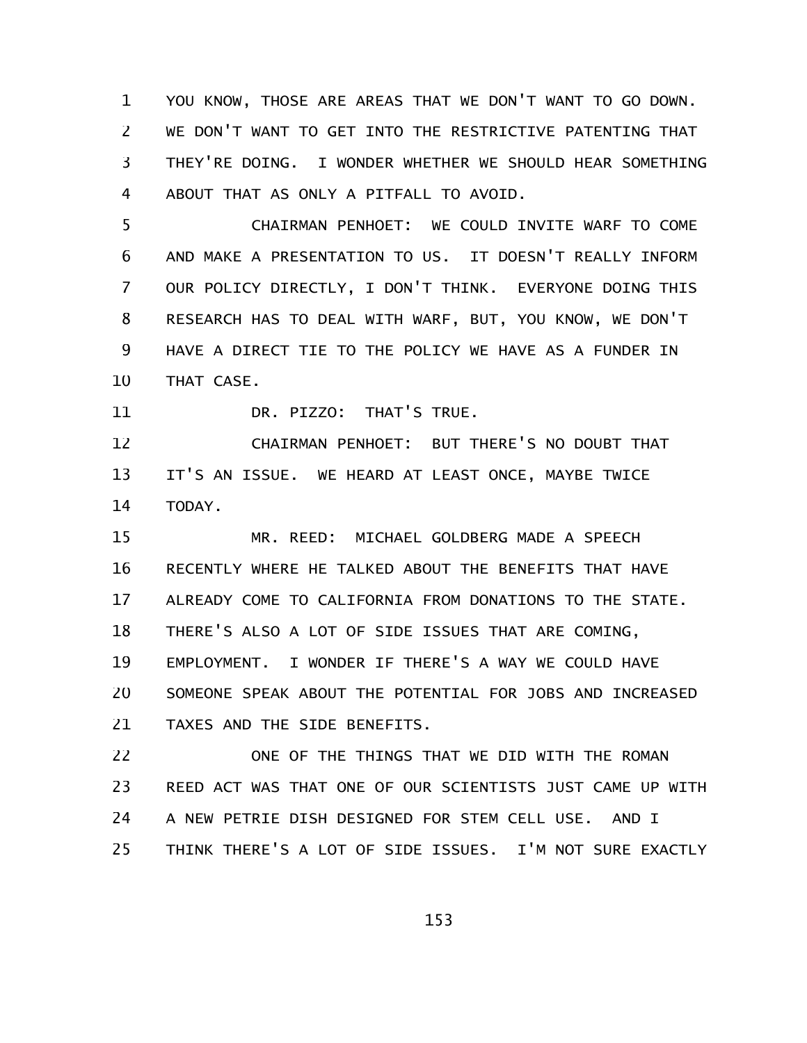YOU KNOW, THOSE ARE AREAS THAT WE DON'T WANT TO GO DOWN. WE DON'T WANT TO GET INTO THE RESTRICTIVE PATENTING THAT THEY'RE DOING. I WONDER WHETHER WE SHOULD HEAR SOMETHING ABOUT THAT AS ONLY A PITFALL TO AVOID. 1 2 3 4

CHAIRMAN PENHOET: WE COULD INVITE WARF TO COME AND MAKE A PRESENTATION TO US. IT DOESN'T REALLY INFORM OUR POLICY DIRECTLY, I DON'T THINK. EVERYONE DOING THIS RESEARCH HAS TO DEAL WITH WARF, BUT, YOU KNOW, WE DON'T HAVE A DIRECT TIE TO THE POLICY WE HAVE AS A FUNDER IN THAT CASE. 5 6 7 8 9 10

DR. PIZZO: THAT'S TRUE. 11

CHAIRMAN PENHOET: BUT THERE'S NO DOUBT THAT IT'S AN ISSUE. WE HEARD AT LEAST ONCE, MAYBE TWICE TODAY. 12 13 14

MR. REED: MICHAEL GOLDBERG MADE A SPEECH RECENTLY WHERE HE TALKED ABOUT THE BENEFITS THAT HAVE ALREADY COME TO CALIFORNIA FROM DONATIONS TO THE STATE. THERE'S ALSO A LOT OF SIDE ISSUES THAT ARE COMING, EMPLOYMENT. I WONDER IF THERE'S A WAY WE COULD HAVE SOMEONE SPEAK ABOUT THE POTENTIAL FOR JOBS AND INCREASED TAXES AND THE SIDE BENEFITS. 15 16 17 18 19 20 21

ONE OF THE THINGS THAT WE DID WITH THE ROMAN REED ACT WAS THAT ONE OF OUR SCIENTISTS JUST CAME UP WITH A NEW PETRIE DISH DESIGNED FOR STEM CELL USE. AND I THINK THERE'S A LOT OF SIDE ISSUES. I'M NOT SURE EXACTLY 22 23 24 25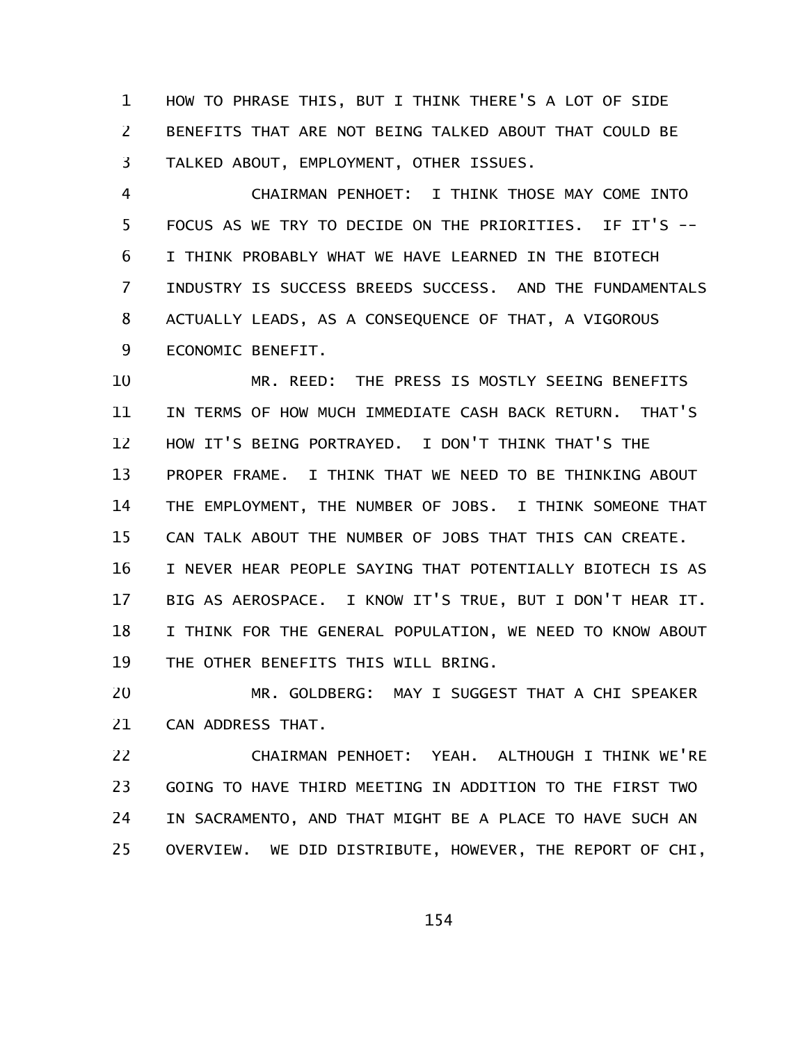HOW TO PHRASE THIS, BUT I THINK THERE'S A LOT OF SIDE BENEFITS THAT ARE NOT BEING TALKED ABOUT THAT COULD BE TALKED ABOUT, EMPLOYMENT, OTHER ISSUES. 1 2 3

CHAIRMAN PENHOET: I THINK THOSE MAY COME INTO FOCUS AS WE TRY TO DECIDE ON THE PRIORITIES. IF IT'S -- I THINK PROBABLY WHAT WE HAVE LEARNED IN THE BIOTECH INDUSTRY IS SUCCESS BREEDS SUCCESS. AND THE FUNDAMENTALS ACTUALLY LEADS, AS A CONSEQUENCE OF THAT, A VIGOROUS ECONOMIC BENEFIT. 4 5 6 7 8 9

MR. REED: THE PRESS IS MOSTLY SEEING BENEFITS IN TERMS OF HOW MUCH IMMEDIATE CASH BACK RETURN. THAT'S HOW IT'S BEING PORTRAYED. I DON'T THINK THAT'S THE PROPER FRAME. I THINK THAT WE NEED TO BE THINKING ABOUT THE EMPLOYMENT, THE NUMBER OF JOBS. I THINK SOMEONE THAT CAN TALK ABOUT THE NUMBER OF JOBS THAT THIS CAN CREATE. I NEVER HEAR PEOPLE SAYING THAT POTENTIALLY BIOTECH IS AS BIG AS AEROSPACE. I KNOW IT'S TRUE, BUT I DON'T HEAR IT. I THINK FOR THE GENERAL POPULATION, WE NEED TO KNOW ABOUT THE OTHER BENEFITS THIS WILL BRING. 10 11 12 13 14 15 16 17 18 19

MR. GOLDBERG: MAY I SUGGEST THAT A CHI SPEAKER CAN ADDRESS THAT. 20 21

CHAIRMAN PENHOET: YEAH. ALTHOUGH I THINK WE'RE GOING TO HAVE THIRD MEETING IN ADDITION TO THE FIRST TWO IN SACRAMENTO, AND THAT MIGHT BE A PLACE TO HAVE SUCH AN OVERVIEW. WE DID DISTRIBUTE, HOWEVER, THE REPORT OF CHI, 22 23 24 25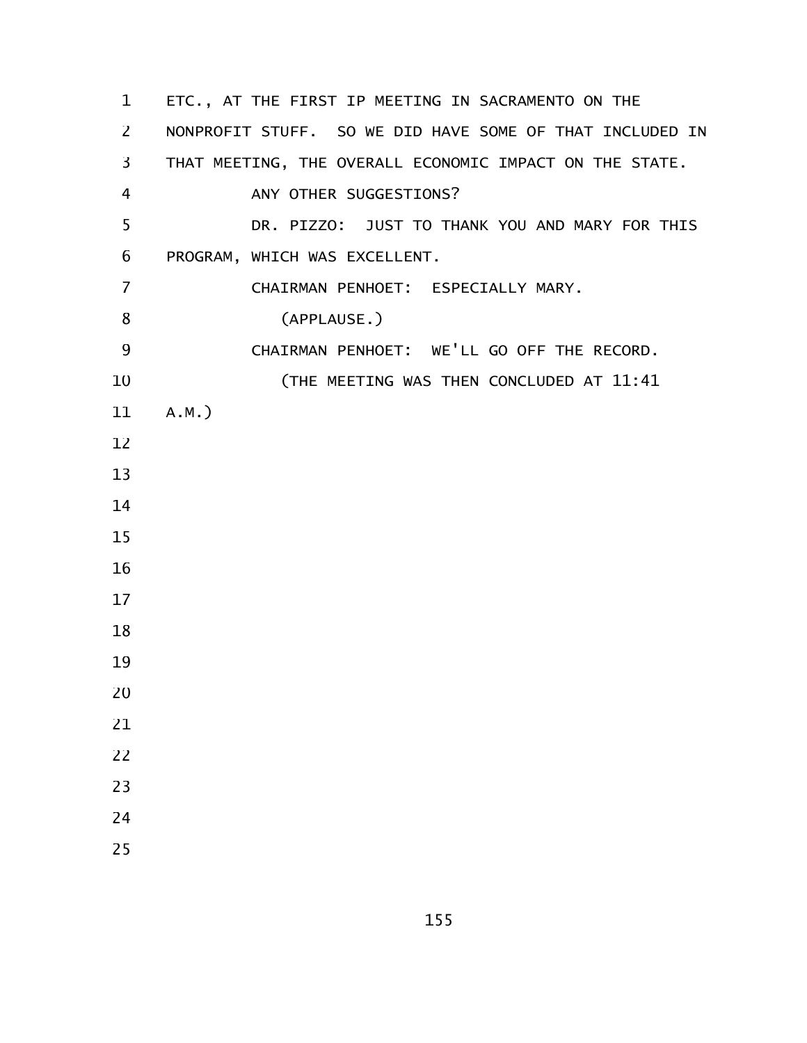ETC., AT THE FIRST IP MEETING IN SACRAMENTO ON THE NONPROFIT STUFF. SO WE DID HAVE SOME OF THAT INCLUDED IN THAT MEETING, THE OVERALL ECONOMIC IMPACT ON THE STATE. ANY OTHER SUGGESTIONS? DR. PIZZO: JUST TO THANK YOU AND MARY FOR THIS PROGRAM, WHICH WAS EXCELLENT. CHAIRMAN PENHOET: ESPECIALLY MARY. (APPLAUSE.) CHAIRMAN PENHOET: WE'LL GO OFF THE RECORD. (THE MEETING WAS THEN CONCLUDED AT 11:41 A.M.)